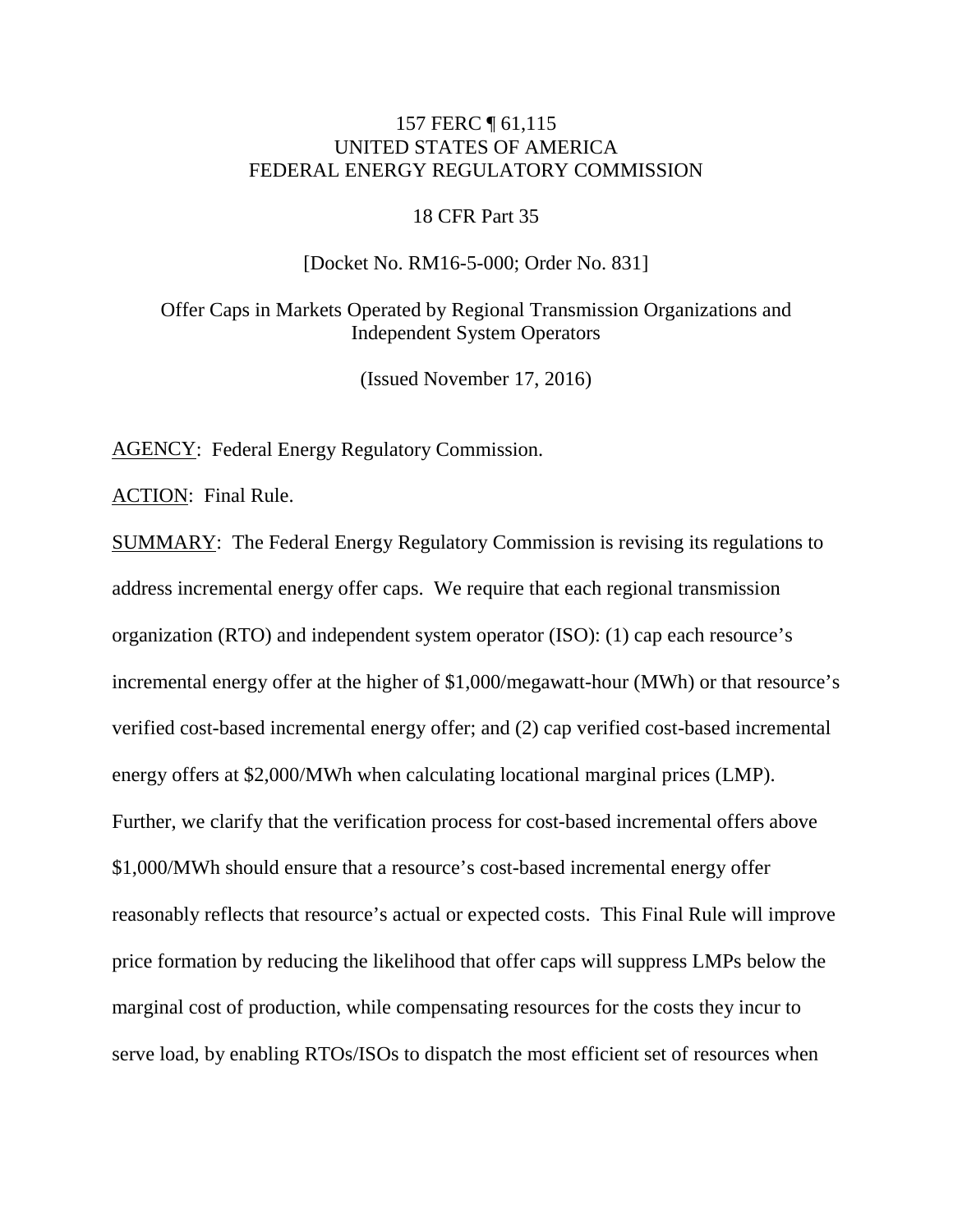## 157 FERC ¶ 61,115 UNITED STATES OF AMERICA FEDERAL ENERGY REGULATORY COMMISSION

#### 18 CFR Part 35

[Docket No. RM16-5-000; Order No. 831]

Offer Caps in Markets Operated by Regional Transmission Organizations and Independent System Operators

(Issued November 17, 2016)

AGENCY: Federal Energy Regulatory Commission.

ACTION: Final Rule.

SUMMARY: The Federal Energy Regulatory Commission is revising its regulations to address incremental energy offer caps. We require that each regional transmission organization (RTO) and independent system operator (ISO): (1) cap each resource's incremental energy offer at the higher of \$1,000/megawatt-hour (MWh) or that resource's verified cost-based incremental energy offer; and (2) cap verified cost-based incremental energy offers at \$2,000/MWh when calculating locational marginal prices (LMP). Further, we clarify that the verification process for cost-based incremental offers above \$1,000/MWh should ensure that a resource's cost-based incremental energy offer reasonably reflects that resource's actual or expected costs. This Final Rule will improve price formation by reducing the likelihood that offer caps will suppress LMPs below the marginal cost of production, while compensating resources for the costs they incur to serve load, by enabling RTOs/ISOs to dispatch the most efficient set of resources when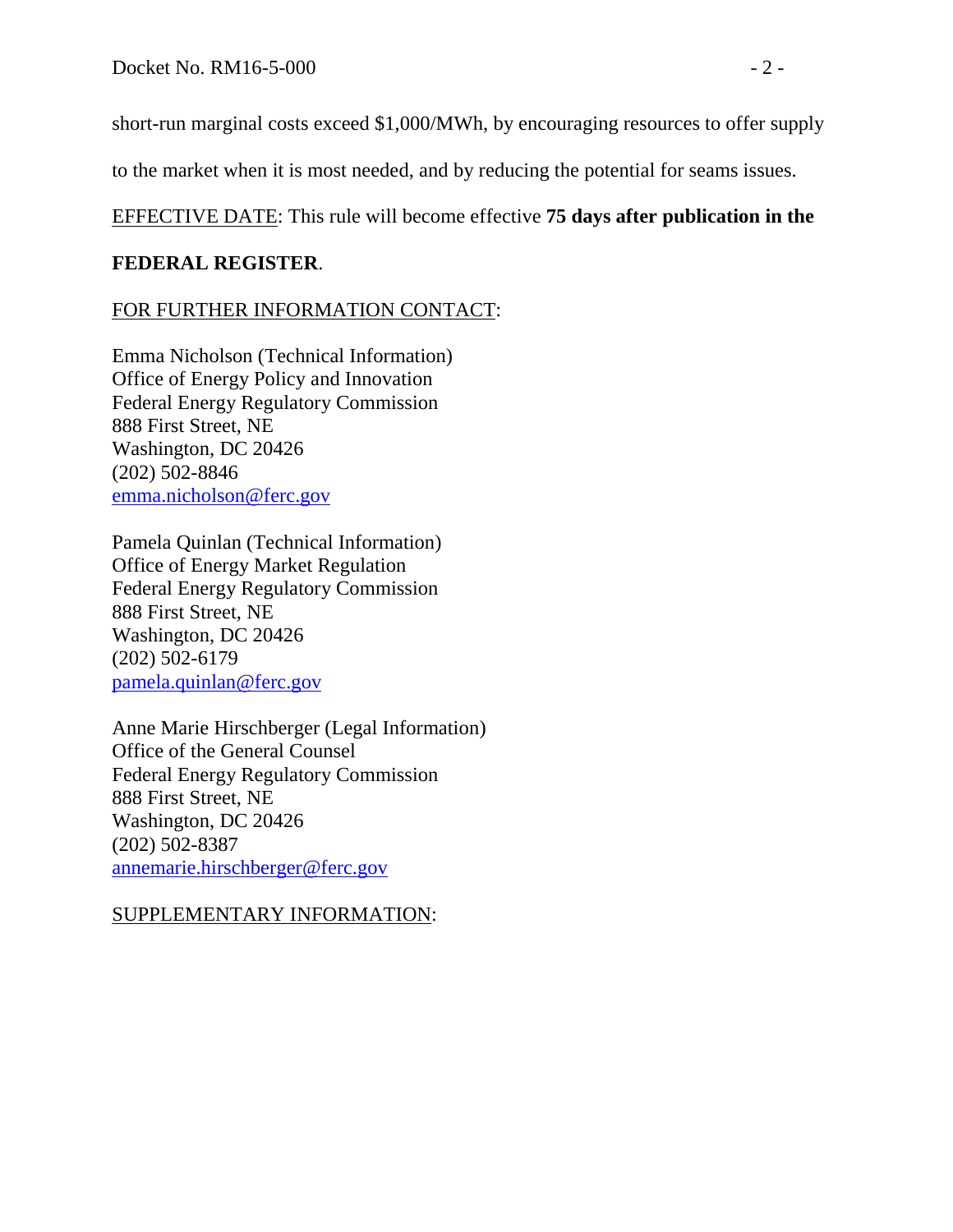short-run marginal costs exceed \$1,000/MWh, by encouraging resources to offer supply

to the market when it is most needed, and by reducing the potential for seams issues.

# EFFECTIVE DATE: This rule will become effective **75 days after publication in the**

# **FEDERAL REGISTER**.

# FOR FURTHER INFORMATION CONTACT:

Emma Nicholson (Technical Information) Office of Energy Policy and Innovation Federal Energy Regulatory Commission 888 First Street, NE Washington, DC 20426 (202) 502-8846 [emma.nicholson@ferc.gov](mailto:emma.nicholson@ferc.gov)

Pamela Quinlan (Technical Information) Office of Energy Market Regulation Federal Energy Regulatory Commission 888 First Street, NE Washington, DC 20426 (202) 502-6179 pamela.quinlan@ferc.gov

Anne Marie Hirschberger (Legal Information) Office of the General Counsel Federal Energy Regulatory Commission 888 First Street, NE Washington, DC 20426 (202) 502-8387 [annemarie.hirschberger@ferc.gov](mailto:annemarie.hirschberger@ferc.gov)

# SUPPLEMENTARY INFORMATION: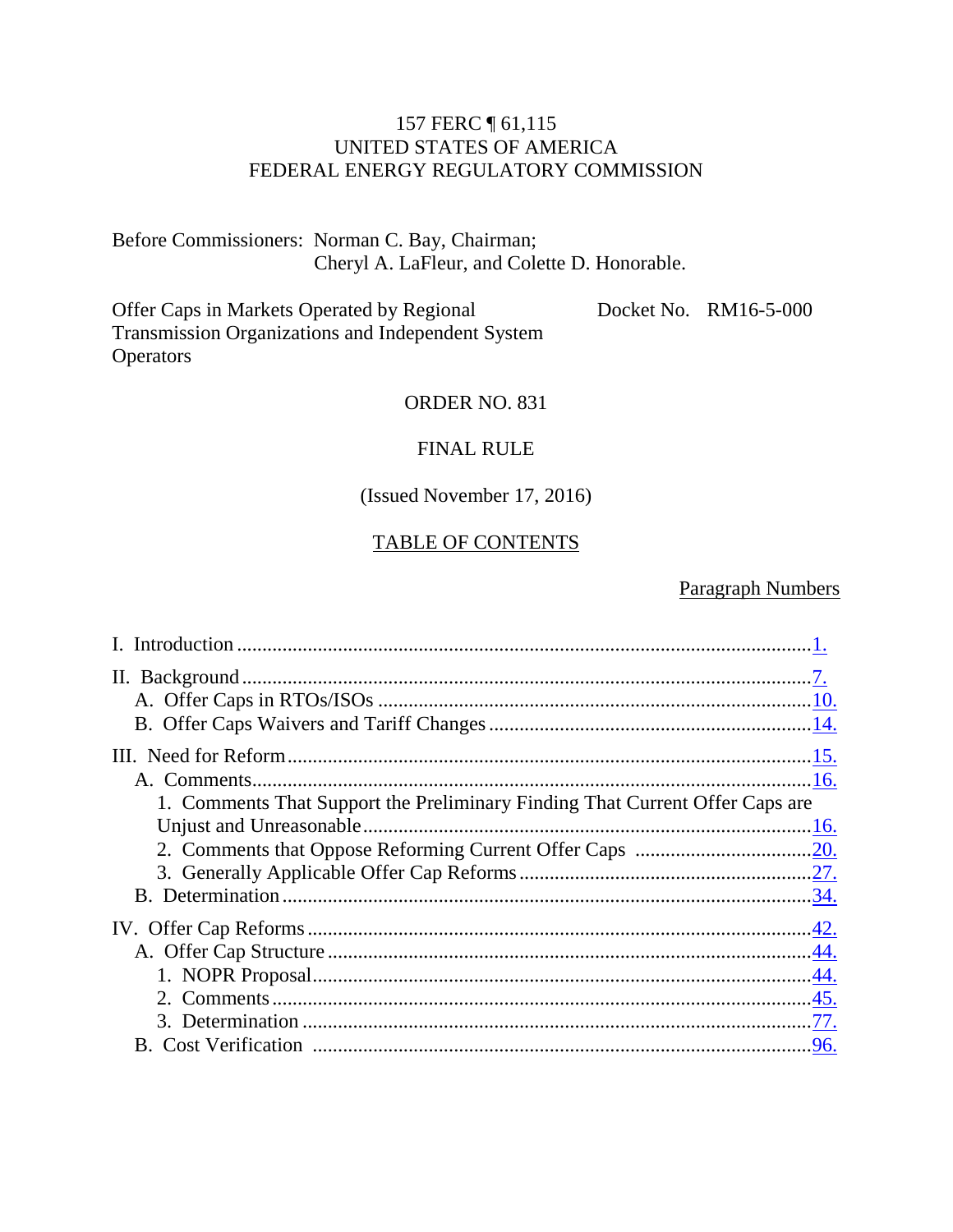# 157 FERC ¶ 61,115 UNITED STATES OF AMERICA FEDERAL ENERGY REGULATORY COMMISSION

Before Commissioners: Norman C. Bay, Chairman; Cheryl A. LaFleur, and Colette D. Honorable.

Offer Caps in Markets Operated by Regional Transmission Organizations and Independent System **Operators** 

Docket No. RM16-5-000

#### ORDER NO. 831

#### FINAL RULE

### (Issued November 17, 2016)

# TABLE OF CONTENTS

## Paragraph Numbers

| 1. Comments That Support the Preliminary Finding That Current Offer Caps are |      |
|------------------------------------------------------------------------------|------|
|                                                                              | .16. |
|                                                                              |      |
|                                                                              |      |
|                                                                              |      |
|                                                                              | .42. |
|                                                                              |      |
|                                                                              |      |
|                                                                              |      |
|                                                                              |      |
|                                                                              |      |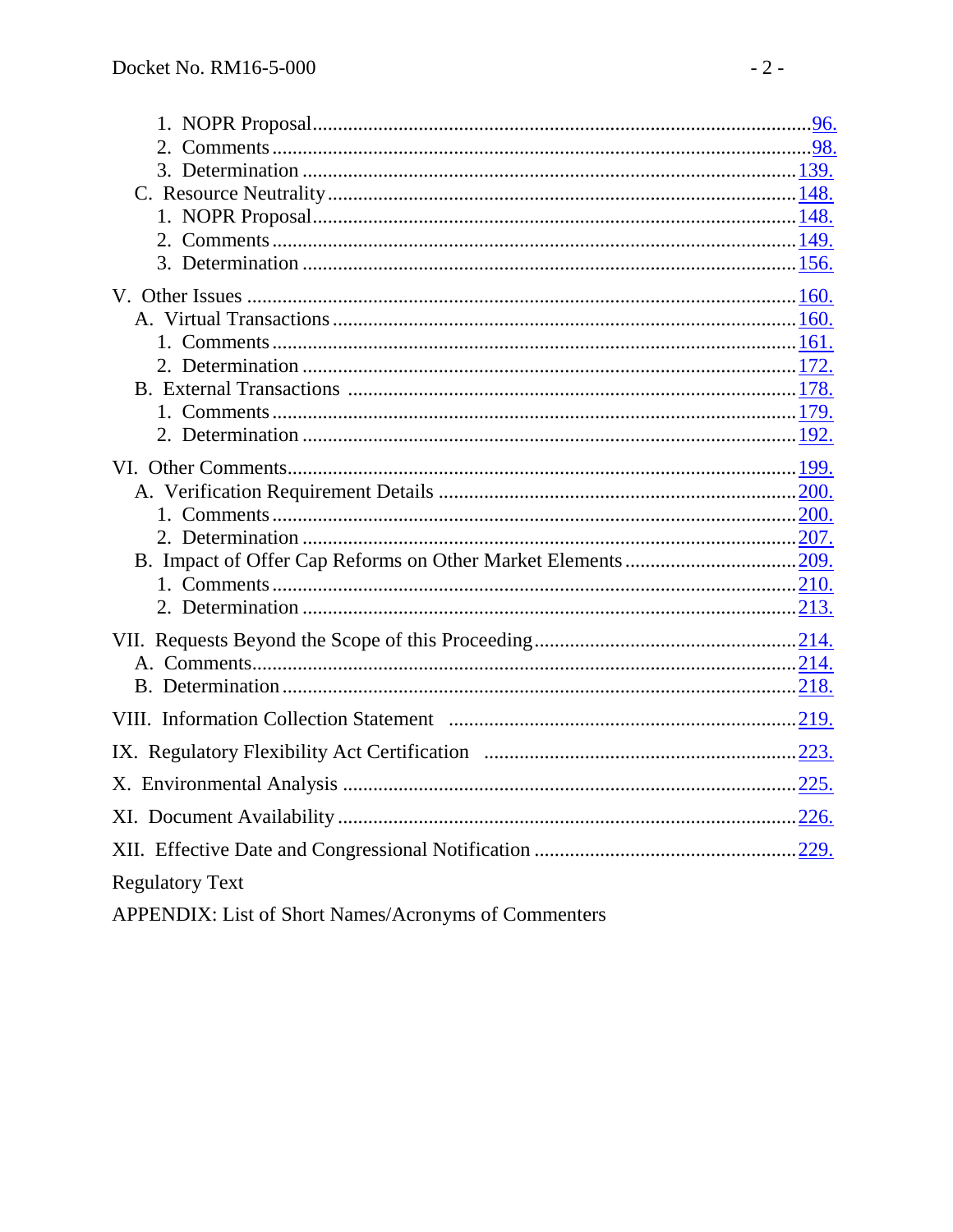|                                                      | .225. |
|------------------------------------------------------|-------|
|                                                      | .226. |
|                                                      | 229.  |
| <b>Regulatory Text</b>                               |       |
| APPENDIX: List of Short Names/Acronyms of Commenters |       |

 $-2-$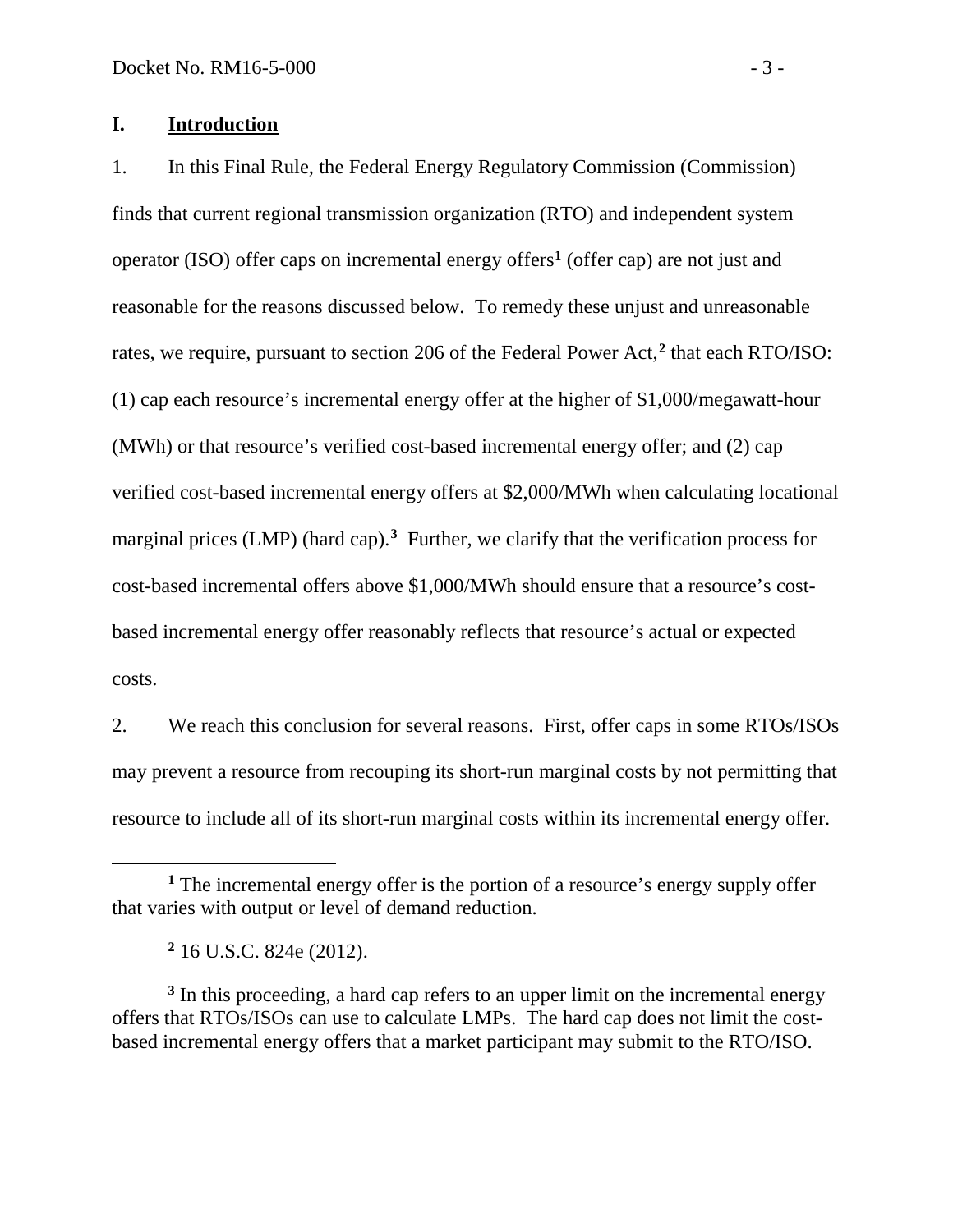## <span id="page-4-0"></span>**I. Introduction**

1. In this Final Rule, the Federal Energy Regulatory Commission (Commission) finds that current regional transmission organization (RTO) and independent system operator (ISO) offer caps on incremental energy offers**[1](#page-4-1)** (offer cap) are not just and reasonable for the reasons discussed below. To remedy these unjust and unreasonable rates, we require, pursuant to section 206 of the Federal Power Act,**[2](#page-4-2)** that each RTO/ISO: (1) cap each resource's incremental energy offer at the higher of \$1,000/megawatt-hour (MWh) or that resource's verified cost-based incremental energy offer; and (2) cap verified cost-based incremental energy offers at \$2,000/MWh when calculating locational marginal prices (LMP) (hard cap).**[3](#page-4-3)** Further, we clarify that the verification process for cost-based incremental offers above \$1,000/MWh should ensure that a resource's costbased incremental energy offer reasonably reflects that resource's actual or expected costs.

2. We reach this conclusion for several reasons. First, offer caps in some RTOs/ISOs may prevent a resource from recouping its short-run marginal costs by not permitting that resource to include all of its short-run marginal costs within its incremental energy offer.

**<sup>2</sup>** 16 U.S.C. 824e (2012).

 $\overline{a}$ 

<span id="page-4-3"></span><span id="page-4-2"></span><sup>3</sup> In this proceeding, a hard cap refers to an upper limit on the incremental energy offers that RTOs/ISOs can use to calculate LMPs. The hard cap does not limit the costbased incremental energy offers that a market participant may submit to the RTO/ISO.

<span id="page-4-1"></span>**<sup>1</sup>** The incremental energy offer is the portion of a resource's energy supply offer that varies with output or level of demand reduction.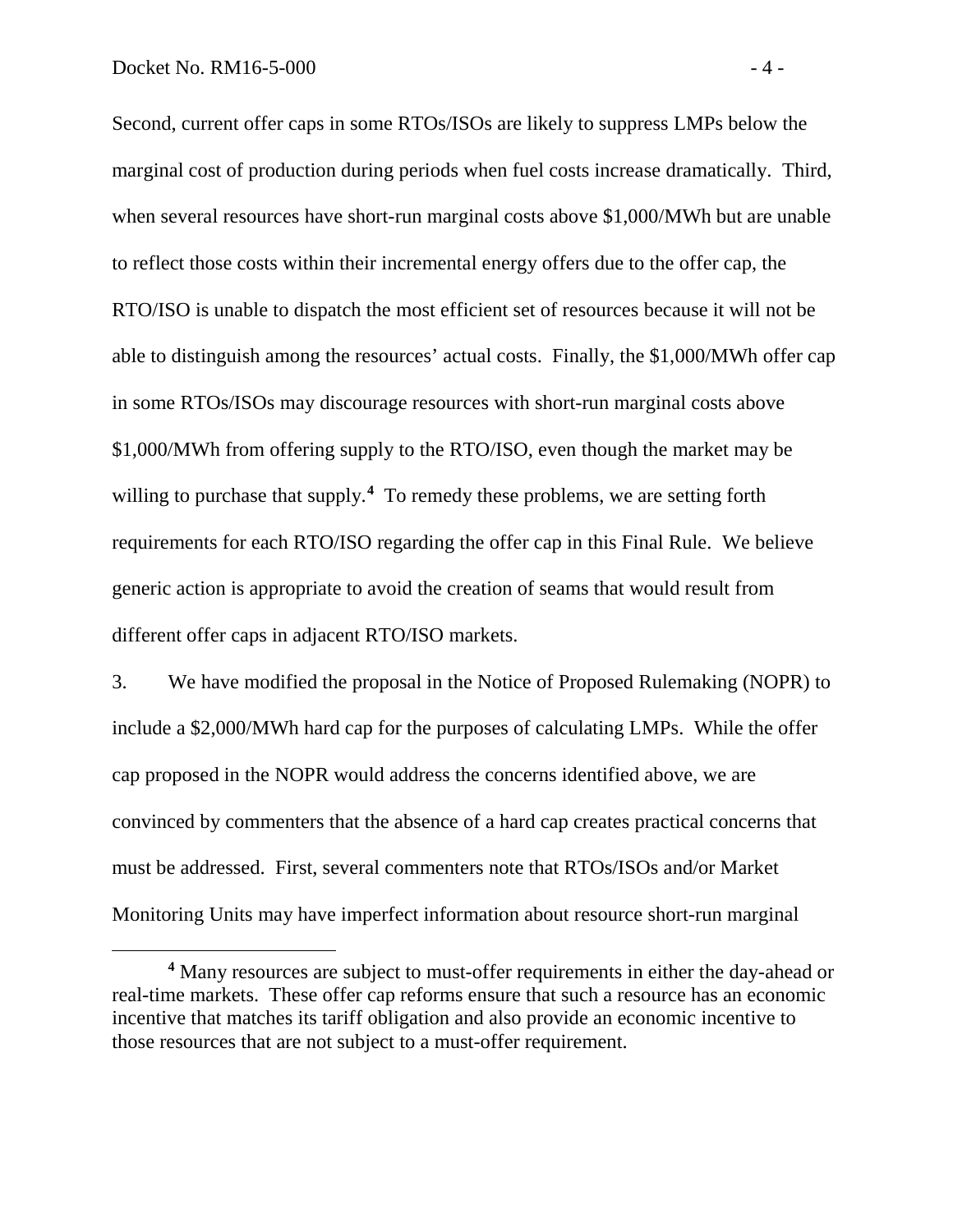Second, current offer caps in some RTOs/ISOs are likely to suppress LMPs below the marginal cost of production during periods when fuel costs increase dramatically. Third, when several resources have short-run marginal costs above \$1,000/MWh but are unable to reflect those costs within their incremental energy offers due to the offer cap, the RTO/ISO is unable to dispatch the most efficient set of resources because it will not be able to distinguish among the resources' actual costs. Finally, the \$1,000/MWh offer cap in some RTOs/ISOs may discourage resources with short-run marginal costs above \$1,000/MWh from offering supply to the RTO/ISO, even though the market may be willing to purchase that supply.<sup>[4](#page-5-0)</sup> To remedy these problems, we are setting forth requirements for each RTO/ISO regarding the offer cap in this Final Rule. We believe generic action is appropriate to avoid the creation of seams that would result from different offer caps in adjacent RTO/ISO markets.

3. We have modified the proposal in the Notice of Proposed Rulemaking (NOPR) to include a \$2,000/MWh hard cap for the purposes of calculating LMPs. While the offer cap proposed in the NOPR would address the concerns identified above, we are convinced by commenters that the absence of a hard cap creates practical concerns that must be addressed. First, several commenters note that RTOs/ISOs and/or Market Monitoring Units may have imperfect information about resource short-run marginal

<span id="page-5-0"></span>**<sup>4</sup>** Many resources are subject to must-offer requirements in either the day-ahead or real-time markets. These offer cap reforms ensure that such a resource has an economic incentive that matches its tariff obligation and also provide an economic incentive to those resources that are not subject to a must-offer requirement.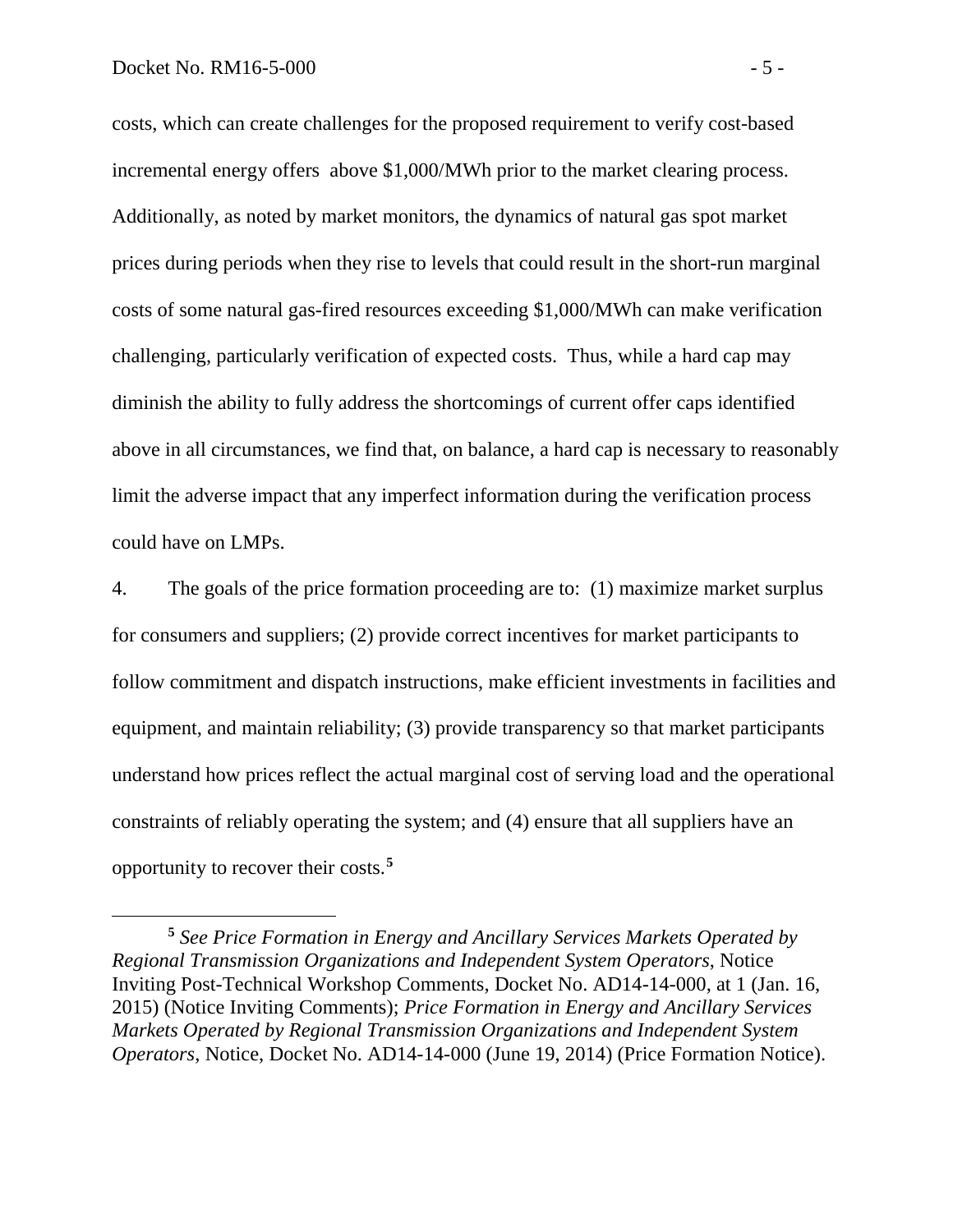costs, which can create challenges for the proposed requirement to verify cost-based incremental energy offers above \$1,000/MWh prior to the market clearing process. Additionally, as noted by market monitors, the dynamics of natural gas spot market prices during periods when they rise to levels that could result in the short-run marginal costs of some natural gas-fired resources exceeding \$1,000/MWh can make verification challenging, particularly verification of expected costs. Thus, while a hard cap may diminish the ability to fully address the shortcomings of current offer caps identified above in all circumstances, we find that, on balance, a hard cap is necessary to reasonably limit the adverse impact that any imperfect information during the verification process could have on LMPs.

4. The goals of the price formation proceeding are to: (1) maximize market surplus for consumers and suppliers; (2) provide correct incentives for market participants to follow commitment and dispatch instructions, make efficient investments in facilities and equipment, and maintain reliability; (3) provide transparency so that market participants understand how prices reflect the actual marginal cost of serving load and the operational constraints of reliably operating the system; and (4) ensure that all suppliers have an opportunity to recover their costs.**[5](#page-6-0)**

<span id="page-6-0"></span>**<sup>5</sup>** *See Price Formation in Energy and Ancillary Services Markets Operated by Regional Transmission Organizations and Independent System Operators*, Notice Inviting Post-Technical Workshop Comments, Docket No. AD14-14-000, at 1 (Jan. 16, 2015) (Notice Inviting Comments); *Price Formation in Energy and Ancillary Services Markets Operated by Regional Transmission Organizations and Independent System Operators*, Notice, Docket No. AD14-14-000 (June 19, 2014) (Price Formation Notice).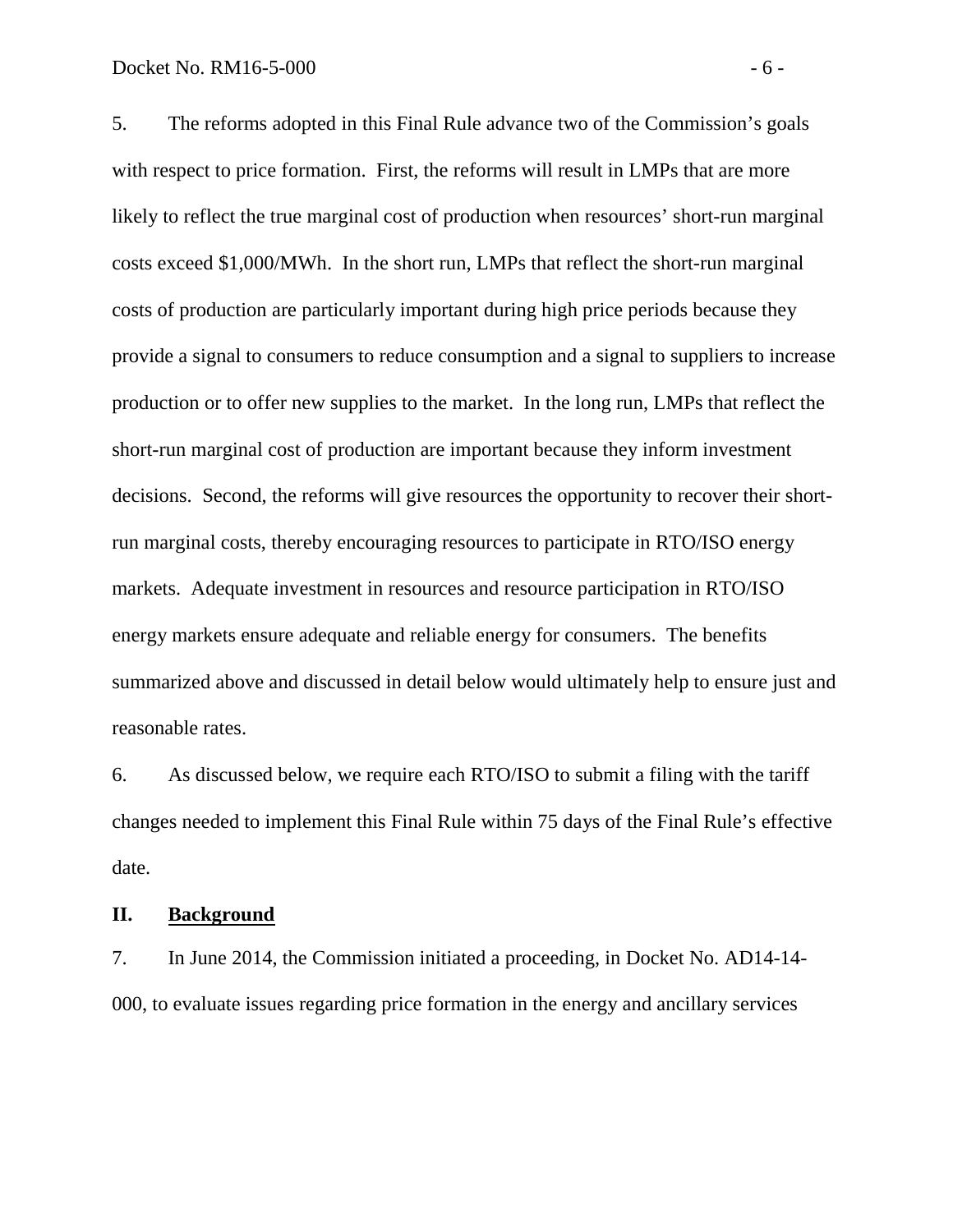5. The reforms adopted in this Final Rule advance two of the Commission's goals with respect to price formation. First, the reforms will result in LMPs that are more likely to reflect the true marginal cost of production when resources' short-run marginal costs exceed \$1,000/MWh. In the short run, LMPs that reflect the short-run marginal costs of production are particularly important during high price periods because they provide a signal to consumers to reduce consumption and a signal to suppliers to increase production or to offer new supplies to the market. In the long run, LMPs that reflect the short-run marginal cost of production are important because they inform investment decisions. Second, the reforms will give resources the opportunity to recover their shortrun marginal costs, thereby encouraging resources to participate in RTO/ISO energy markets. Adequate investment in resources and resource participation in RTO/ISO energy markets ensure adequate and reliable energy for consumers. The benefits summarized above and discussed in detail below would ultimately help to ensure just and reasonable rates.

6. As discussed below, we require each RTO/ISO to submit a filing with the tariff changes needed to implement this Final Rule within 75 days of the Final Rule's effective date.

### <span id="page-7-0"></span>**II. Background**

7. In June 2014, the Commission initiated a proceeding, in Docket No. AD14-14- 000, to evaluate issues regarding price formation in the energy and ancillary services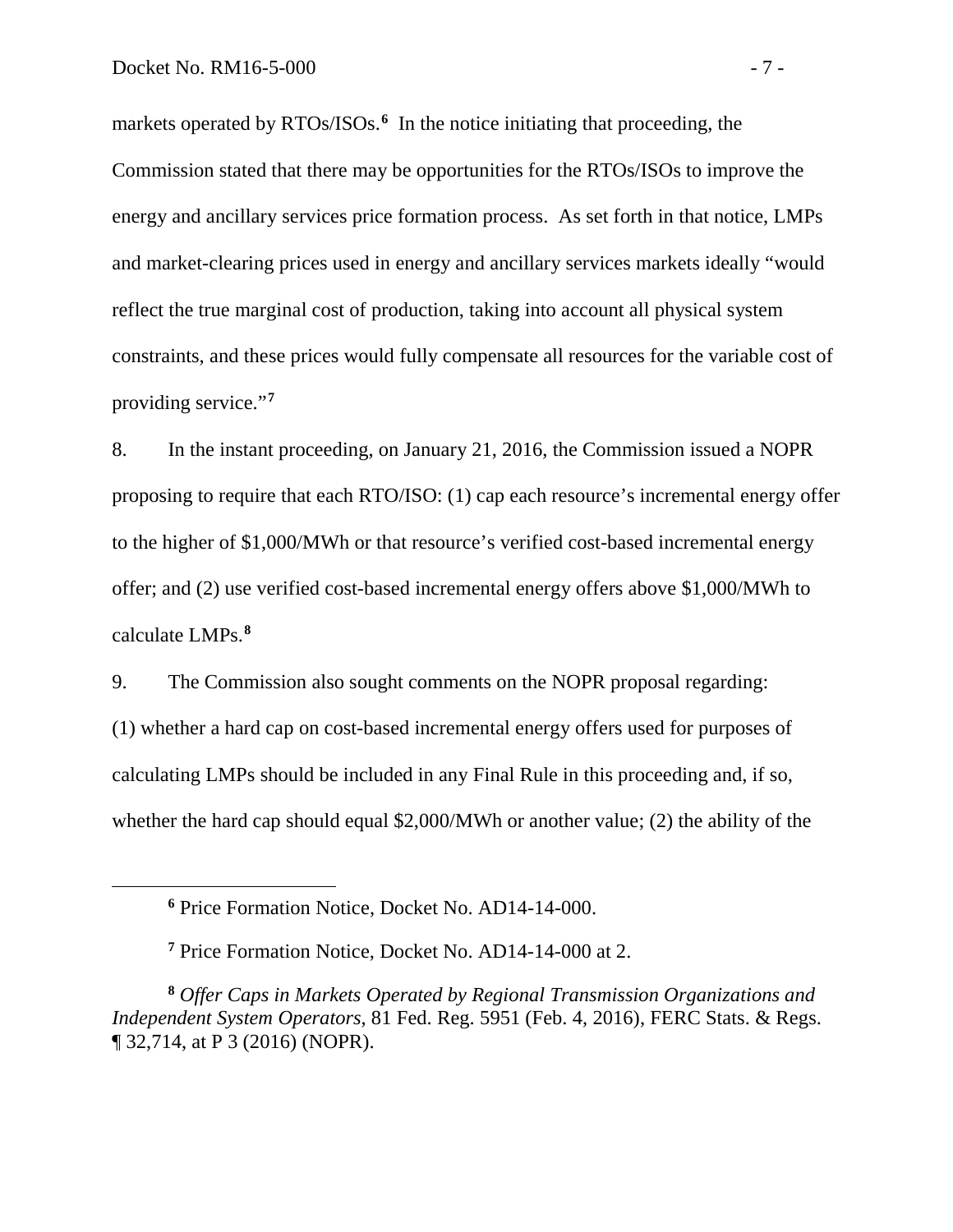markets operated by RTOs/ISOs.<sup>[6](#page-8-0)</sup> In the notice initiating that proceeding, the Commission stated that there may be opportunities for the RTOs/ISOs to improve the energy and ancillary services price formation process. As set forth in that notice, LMPs and market-clearing prices used in energy and ancillary services markets ideally "would reflect the true marginal cost of production, taking into account all physical system constraints, and these prices would fully compensate all resources for the variable cost of providing service."**[7](#page-8-1)**

8. In the instant proceeding, on January 21, 2016, the Commission issued a NOPR proposing to require that each RTO/ISO: (1) cap each resource's incremental energy offer to the higher of \$1,000/MWh or that resource's verified cost-based incremental energy offer; and (2) use verified cost-based incremental energy offers above \$1,000/MWh to calculate LMPs.**[8](#page-8-2)**

9. The Commission also sought comments on the NOPR proposal regarding: (1) whether a hard cap on cost-based incremental energy offers used for purposes of calculating LMPs should be included in any Final Rule in this proceeding and, if so, whether the hard cap should equal \$2,000/MWh or another value; (2) the ability of the

**<sup>6</sup>** Price Formation Notice, Docket No. AD14-14-000.

**<sup>7</sup>** Price Formation Notice, Docket No. AD14-14-000 at 2.

<span id="page-8-2"></span><span id="page-8-1"></span><span id="page-8-0"></span>**<sup>8</sup>** *Offer Caps in Markets Operated by Regional Transmission Organizations and Independent System Operators*, 81 Fed. Reg. 5951 (Feb. 4, 2016), FERC Stats. & Regs. ¶ 32,714, at P 3 (2016) (NOPR).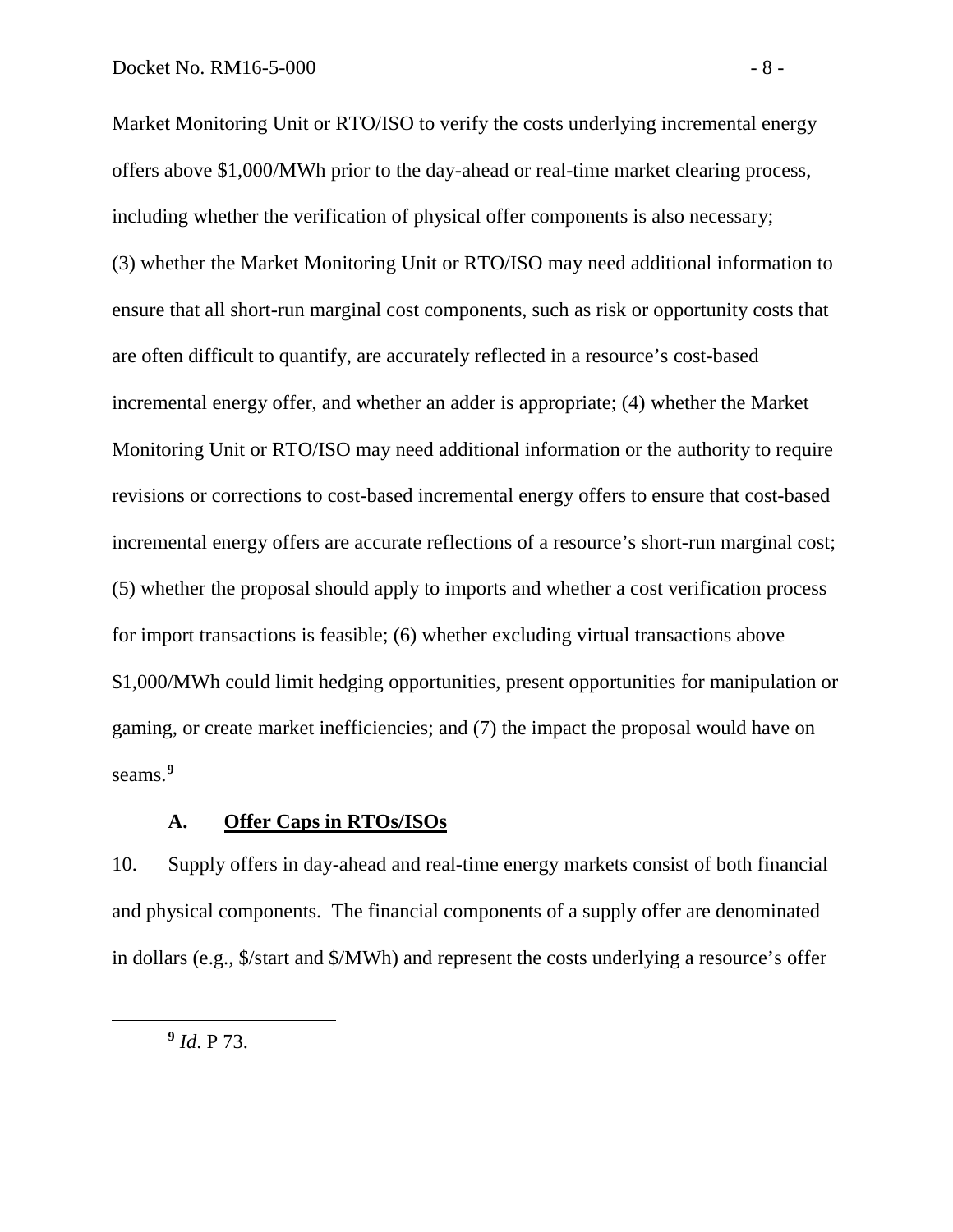Market Monitoring Unit or RTO/ISO to verify the costs underlying incremental energy offers above \$1,000/MWh prior to the day-ahead or real-time market clearing process, including whether the verification of physical offer components is also necessary; (3) whether the Market Monitoring Unit or RTO/ISO may need additional information to ensure that all short-run marginal cost components, such as risk or opportunity costs that are often difficult to quantify, are accurately reflected in a resource's cost-based incremental energy offer, and whether an adder is appropriate; (4) whether the Market Monitoring Unit or RTO/ISO may need additional information or the authority to require revisions or corrections to cost-based incremental energy offers to ensure that cost-based incremental energy offers are accurate reflections of a resource's short-run marginal cost; (5) whether the proposal should apply to imports and whether a cost verification process for import transactions is feasible; (6) whether excluding virtual transactions above \$1,000/MWh could limit hedging opportunities, present opportunities for manipulation or gaming, or create market inefficiencies; and (7) the impact the proposal would have on seams.**[9](#page-9-1)**

## <span id="page-9-0"></span>**A. Offer Caps in RTOs/ISOs**

10. Supply offers in day-ahead and real-time energy markets consist of both financial and physical components. The financial components of a supply offer are denominated in dollars (e.g., \$/start and \$/MWh) and represent the costs underlying a resource's offer

<span id="page-9-1"></span>**<sup>9</sup>** *Id*. P 73.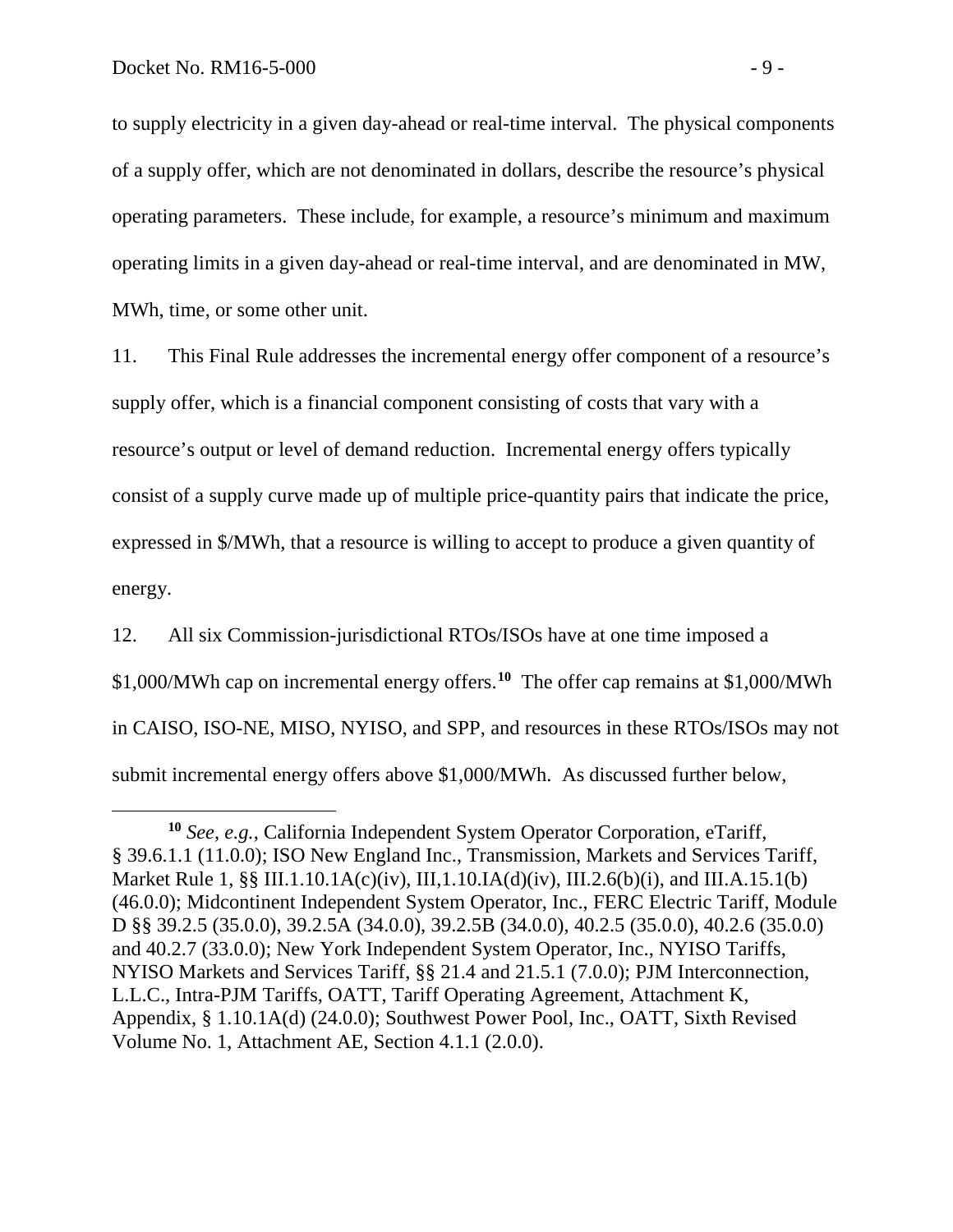to supply electricity in a given day-ahead or real-time interval. The physical components of a supply offer, which are not denominated in dollars, describe the resource's physical operating parameters. These include, for example, a resource's minimum and maximum operating limits in a given day-ahead or real-time interval, and are denominated in MW, MWh, time, or some other unit.

11. This Final Rule addresses the incremental energy offer component of a resource's supply offer, which is a financial component consisting of costs that vary with a resource's output or level of demand reduction. Incremental energy offers typically consist of a supply curve made up of multiple price-quantity pairs that indicate the price, expressed in \$/MWh, that a resource is willing to accept to produce a given quantity of energy.

12. All six Commission-jurisdictional RTOs/ISOs have at one time imposed a \$1,000/MWh cap on incremental energy offers.**[10](#page-10-0)** The offer cap remains at \$1,000/MWh in CAISO, ISO-NE, MISO, NYISO, and SPP, and resources in these RTOs/ISOs may not submit incremental energy offers above \$1,000/MWh. As discussed further below,

<span id="page-10-0"></span>**<sup>10</sup>** *See, e.g.*, California Independent System Operator Corporation, eTariff, § 39.6.1.1 (11.0.0); ISO New England Inc., Transmission, Markets and Services Tariff, Market Rule 1, §§ III.1.10.1A(c)(iv), III,1.10.IA(d)(iv), III.2.6(b)(i), and III.A.15.1(b) (46.0.0); Midcontinent Independent System Operator, Inc., FERC Electric Tariff, Module D §§ 39.2.5 (35.0.0), 39.2.5A (34.0.0), 39.2.5B (34.0.0), 40.2.5 (35.0.0), 40.2.6 (35.0.0) and 40.2.7 (33.0.0); New York Independent System Operator, Inc., NYISO Tariffs, NYISO Markets and Services Tariff, §§ 21.4 and 21.5.1 (7.0.0); PJM Interconnection, L.L.C., Intra-PJM Tariffs, OATT, Tariff Operating Agreement, Attachment K, Appendix, § 1.10.1A(d) (24.0.0); Southwest Power Pool, Inc., OATT, Sixth Revised Volume No. 1, Attachment AE, Section 4.1.1 (2.0.0).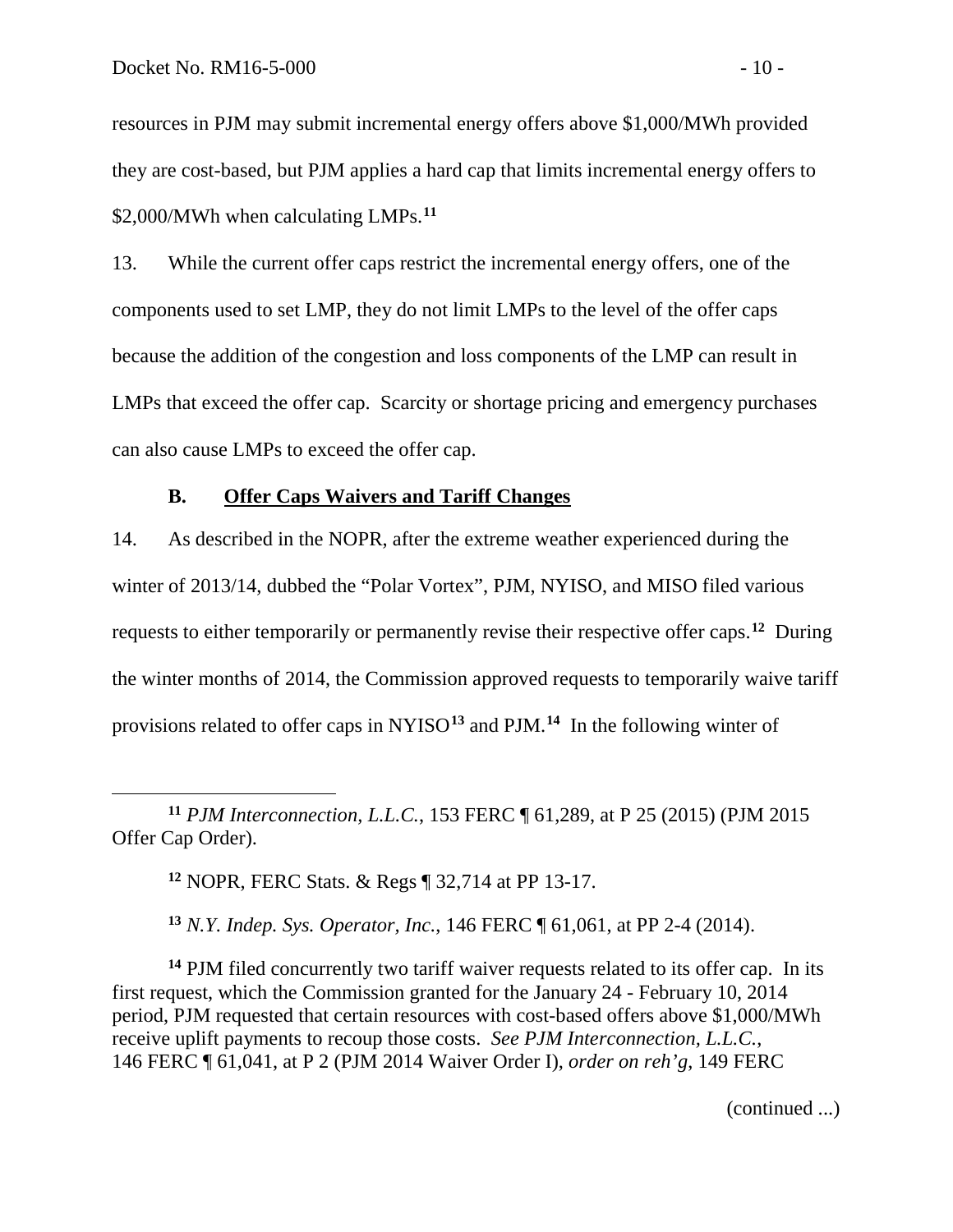resources in PJM may submit incremental energy offers above \$1,000/MWh provided they are cost-based, but PJM applies a hard cap that limits incremental energy offers to \$2,000/MWh when calculating LMPs.<sup>[11](#page-11-1)</sup>

13. While the current offer caps restrict the incremental energy offers, one of the components used to set LMP, they do not limit LMPs to the level of the offer caps because the addition of the congestion and loss components of the LMP can result in LMPs that exceed the offer cap. Scarcity or shortage pricing and emergency purchases can also cause LMPs to exceed the offer cap.

### <span id="page-11-0"></span>**B. Offer Caps Waivers and Tariff Changes**

14. As described in the NOPR, after the extreme weather experienced during the winter of 2013/14, dubbed the "Polar Vortex", PJM, NYISO, and MISO filed various requests to either temporarily or permanently revise their respective offer caps.**[12](#page-11-2)** During the winter months of 2014, the Commission approved requests to temporarily waive tariff provisions related to offer caps in NYISO**[13](#page-11-3)** and PJM.**[14](#page-11-4)** In the following winter of

**<sup>13</sup>** *N.Y. Indep. Sys. Operator, Inc.*, 146 FERC ¶ 61,061, at PP 2-4 (2014).

<span id="page-11-4"></span><span id="page-11-3"></span>**<sup>14</sup>** PJM filed concurrently two tariff waiver requests related to its offer cap. In its first request, which the Commission granted for the January 24 - February 10, 2014 period, PJM requested that certain resources with cost-based offers above \$1,000/MWh receive uplift payments to recoup those costs. *See PJM Interconnection, L.L.C.*, 146 FERC ¶ 61,041, at P 2 (PJM 2014 Waiver Order I), *order on reh'g*, 149 FERC

(continued ...)

<span id="page-11-2"></span><span id="page-11-1"></span>**<sup>11</sup>** *PJM Interconnection, L.L.C.*, 153 FERC ¶ 61,289, at P 25 (2015) (PJM 2015 Offer Cap Order).

**<sup>12</sup>** NOPR, FERC Stats. & Regs ¶ 32,714 at PP 13-17.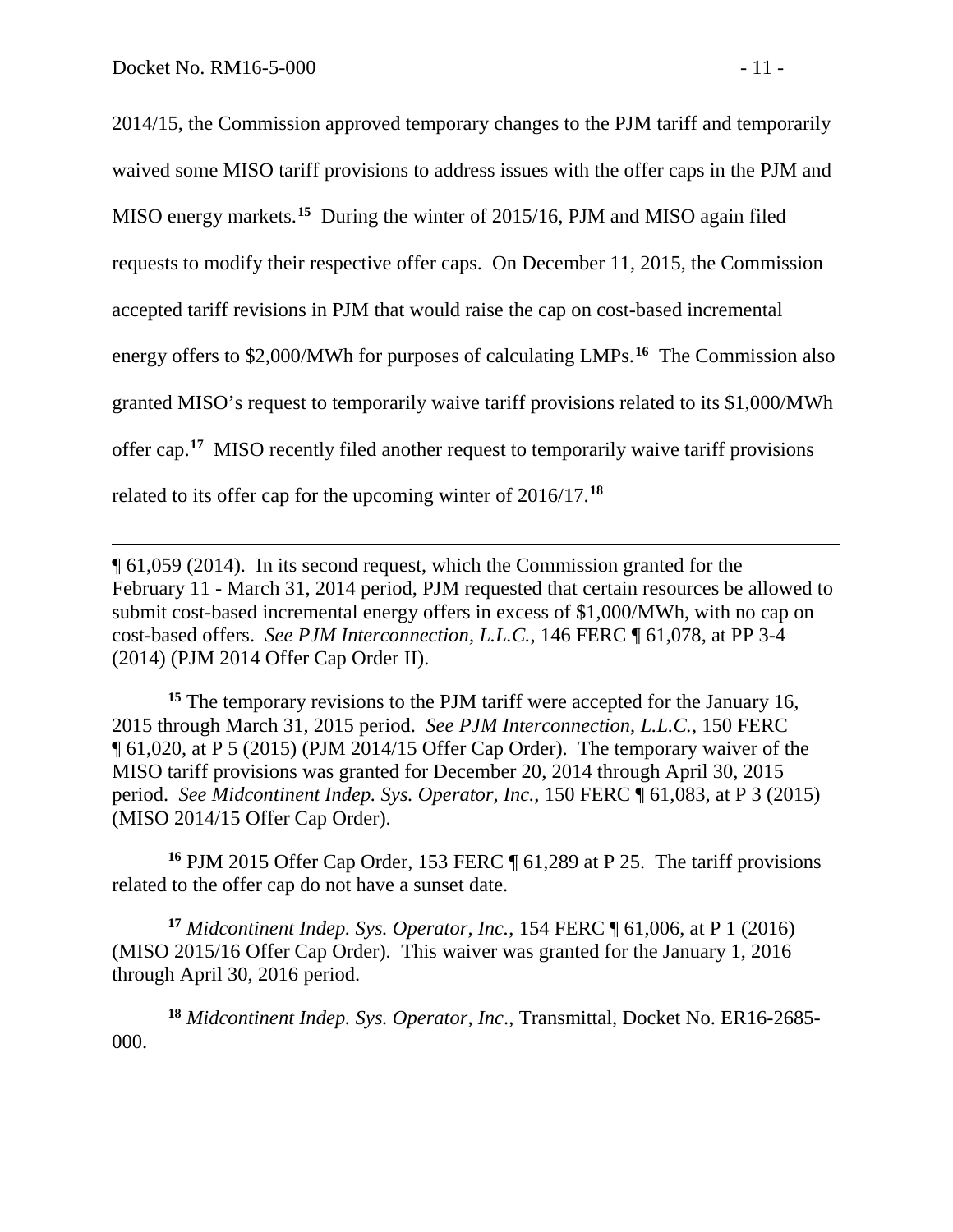2014/15, the Commission approved temporary changes to the PJM tariff and temporarily waived some MISO tariff provisions to address issues with the offer caps in the PJM and MISO energy markets.**[15](#page-12-0)** During the winter of 2015/16, PJM and MISO again filed requests to modify their respective offer caps. On December 11, 2015, the Commission accepted tariff revisions in PJM that would raise the cap on cost-based incremental energy offers to \$2,000/MWh for purposes of calculating LMPs.**[16](#page-12-1)** The Commission also granted MISO's request to temporarily waive tariff provisions related to its \$1,000/MWh offer cap.**[17](#page-12-2)** MISO recently filed another request to temporarily waive tariff provisions related to its offer cap for the upcoming winter of 2016/17.**[18](#page-12-3)**

 $\overline{a}$ ¶ 61,059 (2014). In its second request, which the Commission granted for the February 11 - March 31, 2014 period, PJM requested that certain resources be allowed to submit cost-based incremental energy offers in excess of \$1,000/MWh, with no cap on cost-based offers. *See PJM Interconnection, L.L.C.*, 146 FERC ¶ 61,078, at PP 3-4 (2014) (PJM 2014 Offer Cap Order II).

<span id="page-12-0"></span><sup>15</sup> The temporary revisions to the PJM tariff were accepted for the January 16, 2015 through March 31, 2015 period. *See PJM Interconnection, L.L.C.*, 150 FERC ¶ 61,020, at P 5 (2015) (PJM 2014/15 Offer Cap Order). The temporary waiver of the MISO tariff provisions was granted for December 20, 2014 through April 30, 2015 period. *See Midcontinent Indep. Sys. Operator, Inc.*, 150 FERC ¶ 61,083, at P 3 (2015) (MISO 2014/15 Offer Cap Order).

<span id="page-12-1"></span>**<sup>16</sup>** PJM 2015 Offer Cap Order, 153 FERC ¶ 61,289 at P 25. The tariff provisions related to the offer cap do not have a sunset date.

<span id="page-12-2"></span>**<sup>17</sup>** *Midcontinent Indep. Sys. Operator, Inc.*, 154 FERC ¶ 61,006, at P 1 (2016) (MISO 2015/16 Offer Cap Order). This waiver was granted for the January 1, 2016 through April 30, 2016 period.

<span id="page-12-3"></span>**<sup>18</sup>** *Midcontinent Indep. Sys. Operator, Inc*., Transmittal, Docket No. ER16-2685- 000.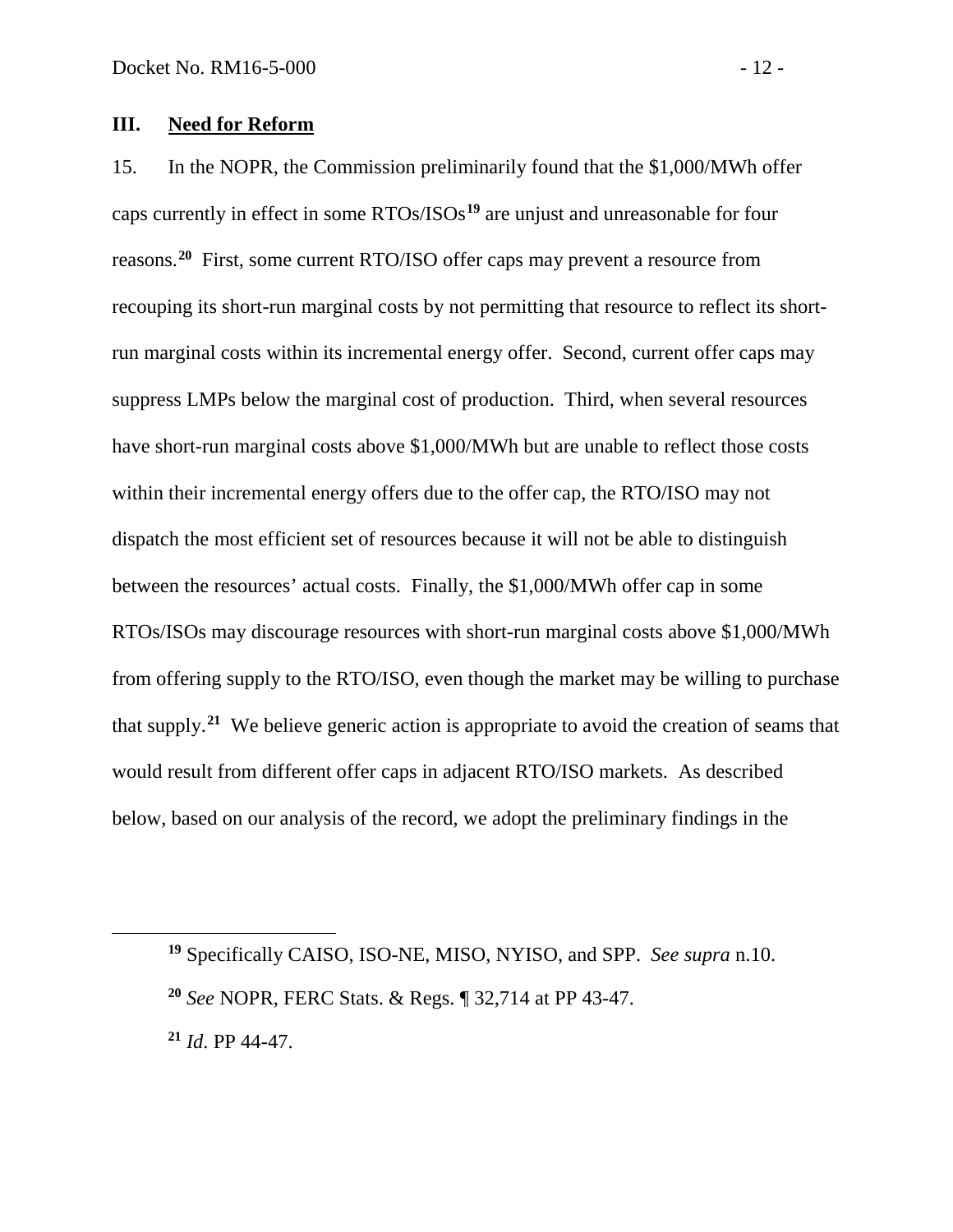## <span id="page-13-0"></span>**III. Need for Reform**

15. In the NOPR, the Commission preliminarily found that the \$1,000/MWh offer caps currently in effect in some RTOs/ISOs**[19](#page-13-1)** are unjust and unreasonable for four reasons.**[20](#page-13-2)** First, some current RTO/ISO offer caps may prevent a resource from recouping its short-run marginal costs by not permitting that resource to reflect its shortrun marginal costs within its incremental energy offer. Second, current offer caps may suppress LMPs below the marginal cost of production. Third, when several resources have short-run marginal costs above \$1,000/MWh but are unable to reflect those costs within their incremental energy offers due to the offer cap, the RTO/ISO may not dispatch the most efficient set of resources because it will not be able to distinguish between the resources' actual costs. Finally, the \$1,000/MWh offer cap in some RTOs/ISOs may discourage resources with short-run marginal costs above \$1,000/MWh from offering supply to the RTO/ISO, even though the market may be willing to purchase that supply.**[21](#page-13-3)** We believe generic action is appropriate to avoid the creation of seams that would result from different offer caps in adjacent RTO/ISO markets. As described below, based on our analysis of the record, we adopt the preliminary findings in the

<span id="page-13-1"></span>**<sup>19</sup>** Specifically CAISO, ISO-NE, MISO, NYISO, and SPP. *See supra* n.10.

<span id="page-13-2"></span>**<sup>20</sup>** *See* NOPR, FERC Stats. & Regs. ¶ 32,714 at PP 43-47.

<span id="page-13-3"></span>**<sup>21</sup>** *Id*. PP 44-47.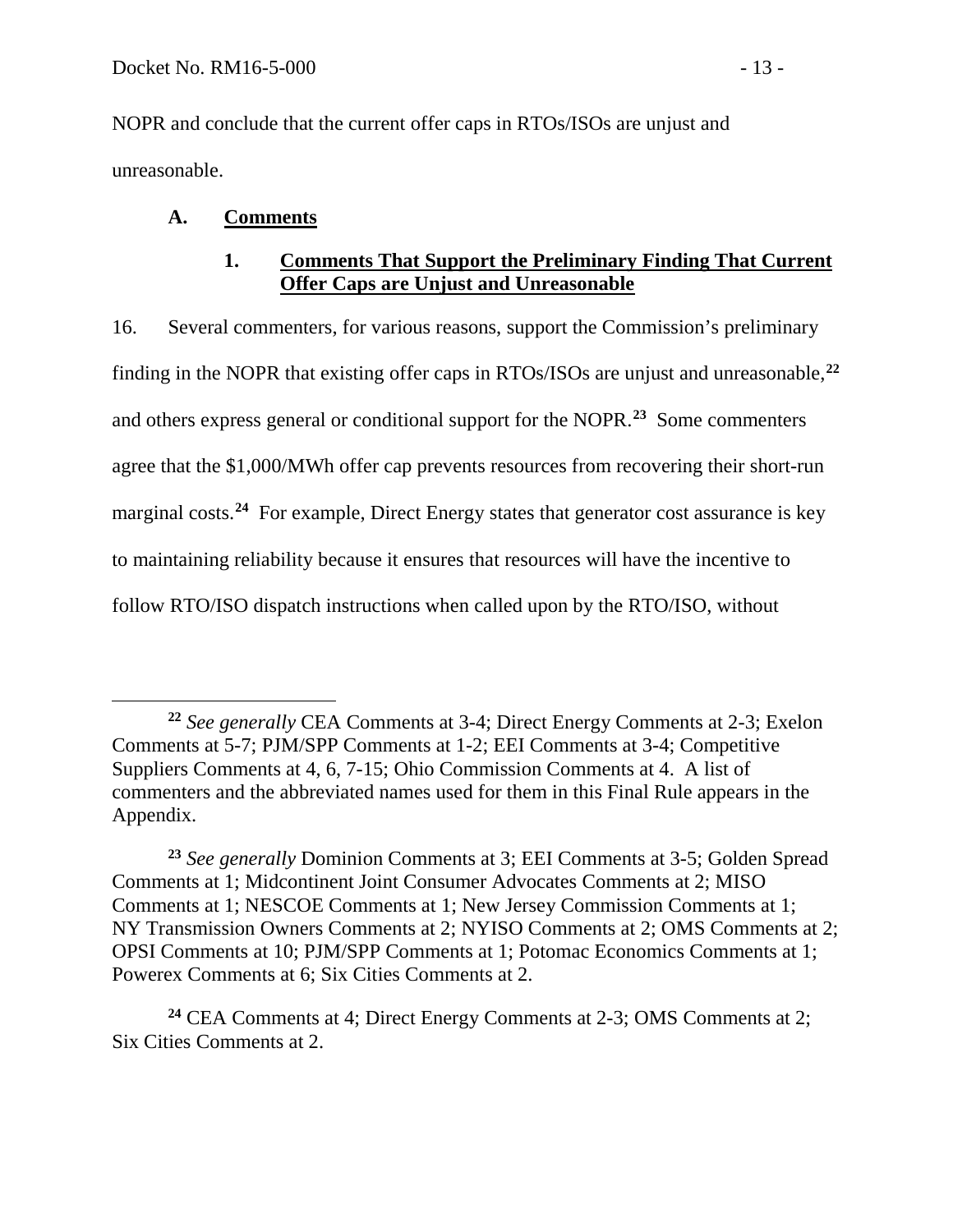NOPR and conclude that the current offer caps in RTOs/ISOs are unjust and unreasonable.

# **A. Comments**

 $\overline{a}$ 

# <span id="page-14-1"></span><span id="page-14-0"></span>**1. Comments That Support the Preliminary Finding That Current Offer Caps are Unjust and Unreasonable**

16. Several commenters, for various reasons, support the Commission's preliminary finding in the NOPR that existing offer caps in RTOs/ISOs are unjust and unreasonable,**[22](#page-14-2)** and others express general or conditional support for the NOPR.**[23](#page-14-3)** Some commenters agree that the \$1,000/MWh offer cap prevents resources from recovering their short-run marginal costs.<sup>[24](#page-14-4)</sup> For example, Direct Energy states that generator cost assurance is key to maintaining reliability because it ensures that resources will have the incentive to follow RTO/ISO dispatch instructions when called upon by the RTO/ISO, without

<span id="page-14-2"></span>**<sup>22</sup>** *See generally* CEA Comments at 3-4; Direct Energy Comments at 2-3; Exelon Comments at 5-7; PJM/SPP Comments at 1-2; EEI Comments at 3-4; Competitive Suppliers Comments at 4, 6, 7-15; Ohio Commission Comments at 4. A list of commenters and the abbreviated names used for them in this Final Rule appears in the Appendix.

<span id="page-14-3"></span>**<sup>23</sup>** *See generally* Dominion Comments at 3; EEI Comments at 3-5; Golden Spread Comments at 1; Midcontinent Joint Consumer Advocates Comments at 2; MISO Comments at 1; NESCOE Comments at 1; New Jersey Commission Comments at 1; NY Transmission Owners Comments at 2; NYISO Comments at 2; OMS Comments at 2; OPSI Comments at 10; PJM/SPP Comments at 1; Potomac Economics Comments at 1; Powerex Comments at 6; Six Cities Comments at 2.

<span id="page-14-4"></span>**<sup>24</sup>** CEA Comments at 4; Direct Energy Comments at 2-3; OMS Comments at 2; Six Cities Comments at 2.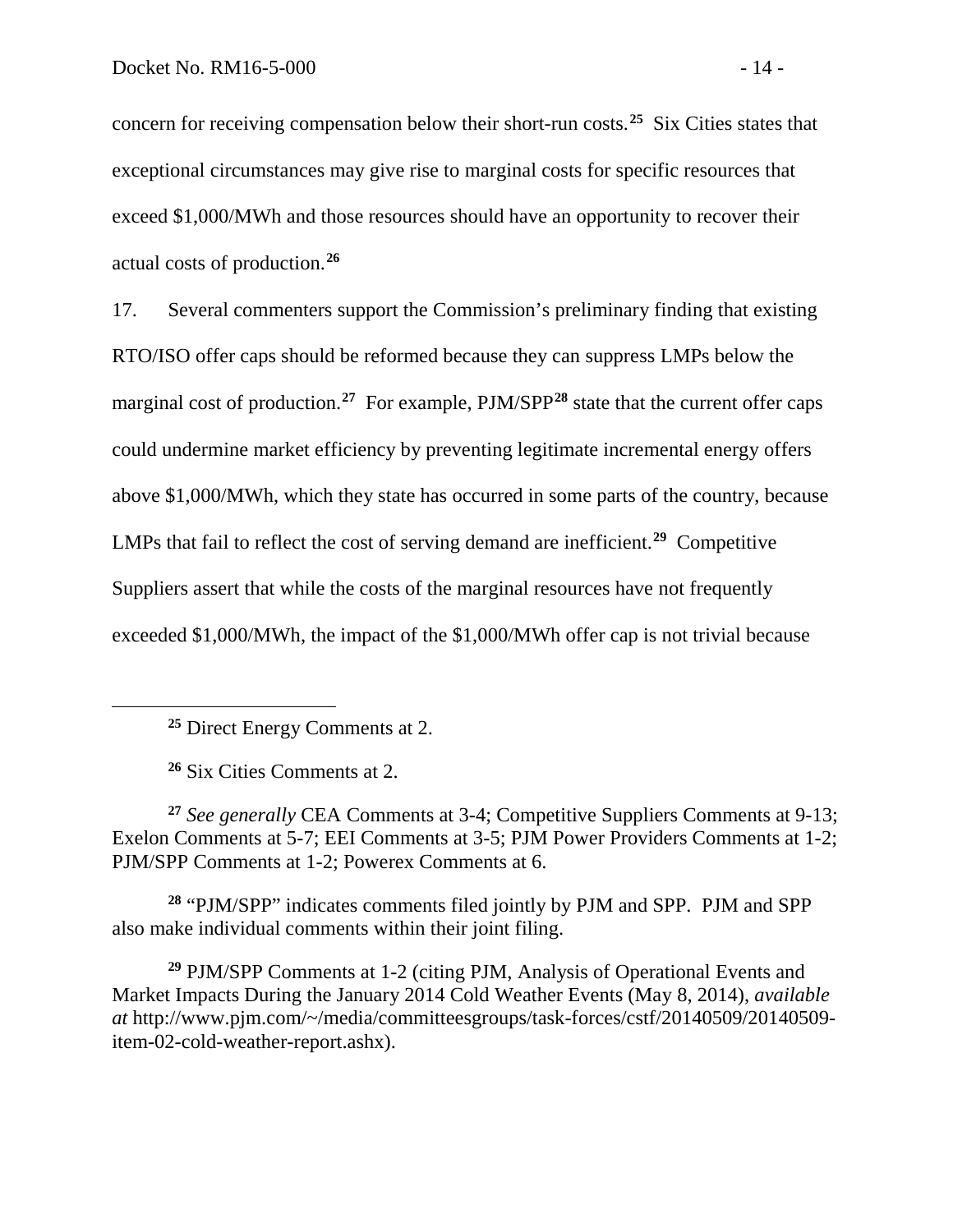concern for receiving compensation below their short-run costs.**[25](#page-15-0)** Six Cities states that exceptional circumstances may give rise to marginal costs for specific resources that exceed \$1,000/MWh and those resources should have an opportunity to recover their actual costs of production.**[26](#page-15-1)**

17. Several commenters support the Commission's preliminary finding that existing RTO/ISO offer caps should be reformed because they can suppress LMPs below the marginal cost of production.<sup>[27](#page-15-2)</sup> For example, PJM/SPP<sup>[28](#page-15-3)</sup> state that the current offer caps could undermine market efficiency by preventing legitimate incremental energy offers above \$1,000/MWh, which they state has occurred in some parts of the country, because LMPs that fail to reflect the cost of serving demand are inefficient.<sup>[29](#page-15-4)</sup> Competitive Suppliers assert that while the costs of the marginal resources have not frequently exceeded \$1,000/MWh, the impact of the \$1,000/MWh offer cap is not trivial because

**<sup>26</sup>** Six Cities Comments at 2.

<span id="page-15-0"></span> $\overline{a}$ 

<span id="page-15-2"></span><span id="page-15-1"></span>**<sup>27</sup>** *See generally* CEA Comments at 3-4; Competitive Suppliers Comments at 9-13; Exelon Comments at 5-7; EEI Comments at 3-5; PJM Power Providers Comments at 1-2; PJM/SPP Comments at 1-2; Powerex Comments at 6.

<span id="page-15-3"></span>**<sup>28</sup>** "PJM/SPP" indicates comments filed jointly by PJM and SPP. PJM and SPP also make individual comments within their joint filing.

<span id="page-15-4"></span>**<sup>29</sup>** PJM/SPP Comments at 1-2 (citing PJM, Analysis of Operational Events and Market Impacts During the January 2014 Cold Weather Events (May 8, 2014), *available at* http://www.pjm.com/~/media/committeesgroups/task-forces/cstf/20140509/20140509 item-02-cold-weather-report.ashx).

**<sup>25</sup>** Direct Energy Comments at 2.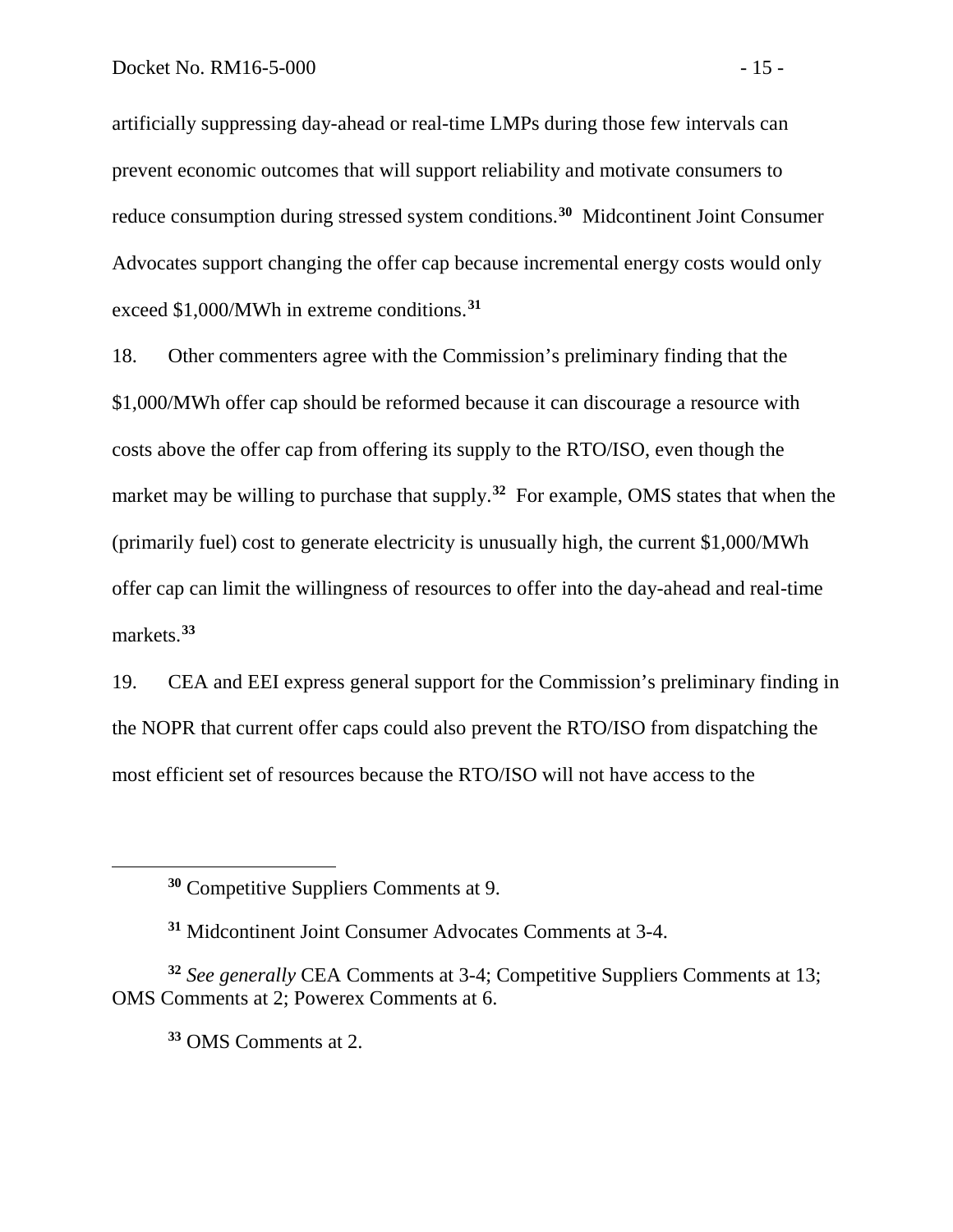artificially suppressing day-ahead or real-time LMPs during those few intervals can prevent economic outcomes that will support reliability and motivate consumers to reduce consumption during stressed system conditions.**[30](#page-16-0)** Midcontinent Joint Consumer Advocates support changing the offer cap because incremental energy costs would only exceed \$1,000/MWh in extreme conditions.**[31](#page-16-1)**

18. Other commenters agree with the Commission's preliminary finding that the \$1,000/MWh offer cap should be reformed because it can discourage a resource with costs above the offer cap from offering its supply to the RTO/ISO, even though the market may be willing to purchase that supply.**[32](#page-16-2)** For example, OMS states that when the (primarily fuel) cost to generate electricity is unusually high, the current \$1,000/MWh offer cap can limit the willingness of resources to offer into the day-ahead and real-time markets. **[33](#page-16-3)**

19. CEA and EEI express general support for the Commission's preliminary finding in the NOPR that current offer caps could also prevent the RTO/ISO from dispatching the most efficient set of resources because the RTO/ISO will not have access to the

**<sup>30</sup>** Competitive Suppliers Comments at 9.

**<sup>31</sup>** Midcontinent Joint Consumer Advocates Comments at 3-4.

<span id="page-16-3"></span><span id="page-16-2"></span><span id="page-16-1"></span><span id="page-16-0"></span>**<sup>32</sup>** *See generally* CEA Comments at 3-4; Competitive Suppliers Comments at 13; OMS Comments at 2; Powerex Comments at 6.

**<sup>33</sup>** OMS Comments at 2.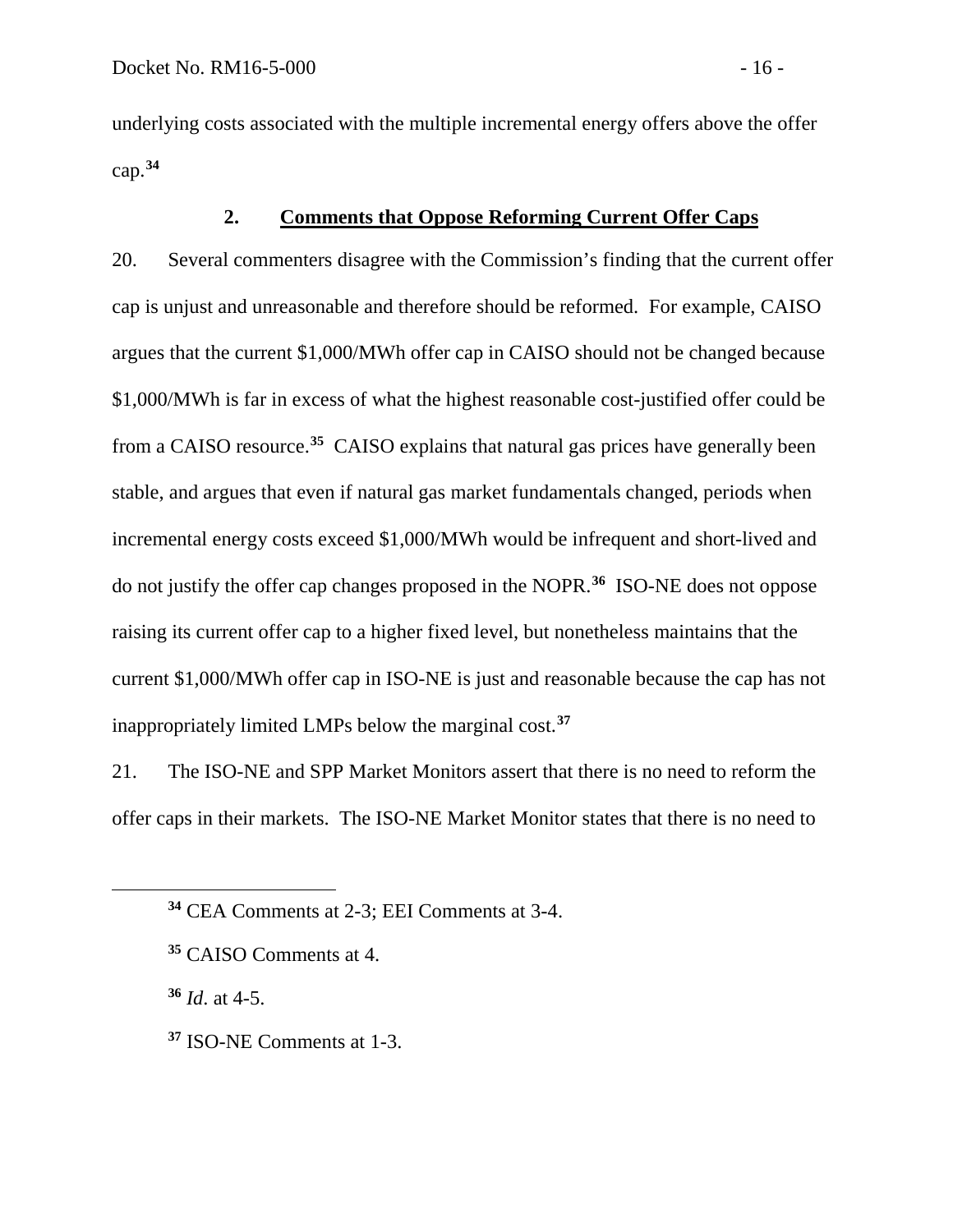underlying costs associated with the multiple incremental energy offers above the offer cap.**[34](#page-17-1)**

## <span id="page-17-0"></span>**2. Comments that Oppose Reforming Current Offer Caps**

20. Several commenters disagree with the Commission's finding that the current offer cap is unjust and unreasonable and therefore should be reformed. For example, CAISO argues that the current \$1,000/MWh offer cap in CAISO should not be changed because \$1,000/MWh is far in excess of what the highest reasonable cost-justified offer could be from a CAISO resource.**[35](#page-17-2)** CAISO explains that natural gas prices have generally been stable, and argues that even if natural gas market fundamentals changed, periods when incremental energy costs exceed \$1,000/MWh would be infrequent and short-lived and do not justify the offer cap changes proposed in the NOPR.**[36](#page-17-3)** ISO-NE does not oppose raising its current offer cap to a higher fixed level, but nonetheless maintains that the current \$1,000/MWh offer cap in ISO-NE is just and reasonable because the cap has not inappropriately limited LMPs below the marginal cost.**[37](#page-17-4)**

21. The ISO-NE and SPP Market Monitors assert that there is no need to reform the offer caps in their markets. The ISO-NE Market Monitor states that there is no need to

<span id="page-17-3"></span>**<sup>36</sup>** *Id*. at 4-5.

<span id="page-17-1"></span>**<sup>34</sup>** CEA Comments at 2-3; EEI Comments at 3-4.

<span id="page-17-2"></span>**<sup>35</sup>** CAISO Comments at 4.

<span id="page-17-4"></span>**<sup>37</sup>** ISO-NE Comments at 1-3.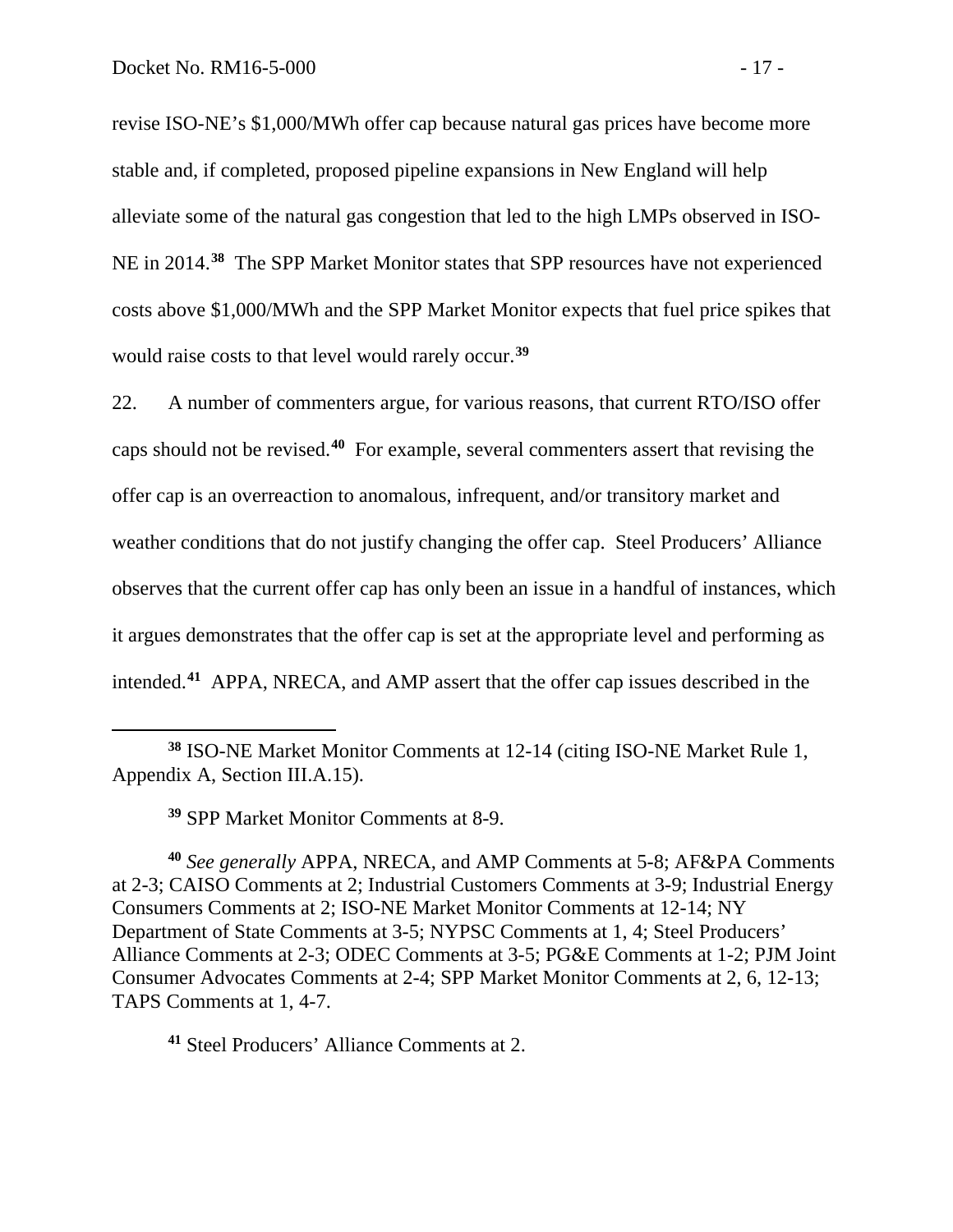revise ISO-NE's \$1,000/MWh offer cap because natural gas prices have become more stable and, if completed, proposed pipeline expansions in New England will help alleviate some of the natural gas congestion that led to the high LMPs observed in ISO-NE in 2014.**[38](#page-18-0)** The SPP Market Monitor states that SPP resources have not experienced costs above \$1,000/MWh and the SPP Market Monitor expects that fuel price spikes that would raise costs to that level would rarely occur.**[39](#page-18-1)**

22. A number of commenters argue, for various reasons, that current RTO/ISO offer caps should not be revised.**[40](#page-18-2)** For example, several commenters assert that revising the offer cap is an overreaction to anomalous, infrequent, and/or transitory market and weather conditions that do not justify changing the offer cap. Steel Producers' Alliance observes that the current offer cap has only been an issue in a handful of instances, which it argues demonstrates that the offer cap is set at the appropriate level and performing as intended.**[41](#page-18-3)** APPA, NRECA, and AMP assert that the offer cap issues described in the

**<sup>39</sup>** SPP Market Monitor Comments at 8-9.

<span id="page-18-2"></span><span id="page-18-1"></span>**<sup>40</sup>** *See generally* APPA, NRECA, and AMP Comments at 5-8; AF&PA Comments at 2-3; CAISO Comments at 2; Industrial Customers Comments at 3-9; Industrial Energy Consumers Comments at 2; ISO-NE Market Monitor Comments at 12-14; NY Department of State Comments at 3-5; NYPSC Comments at 1, 4; Steel Producers' Alliance Comments at 2-3; ODEC Comments at 3-5; PG&E Comments at 1-2; PJM Joint Consumer Advocates Comments at 2-4; SPP Market Monitor Comments at 2, 6, 12-13; TAPS Comments at 1, 4-7.

<span id="page-18-3"></span>**<sup>41</sup>** Steel Producers' Alliance Comments at 2.

<span id="page-18-0"></span>**<sup>38</sup>** ISO-NE Market Monitor Comments at 12-14 (citing ISO-NE Market Rule 1, Appendix A, Section III.A.15).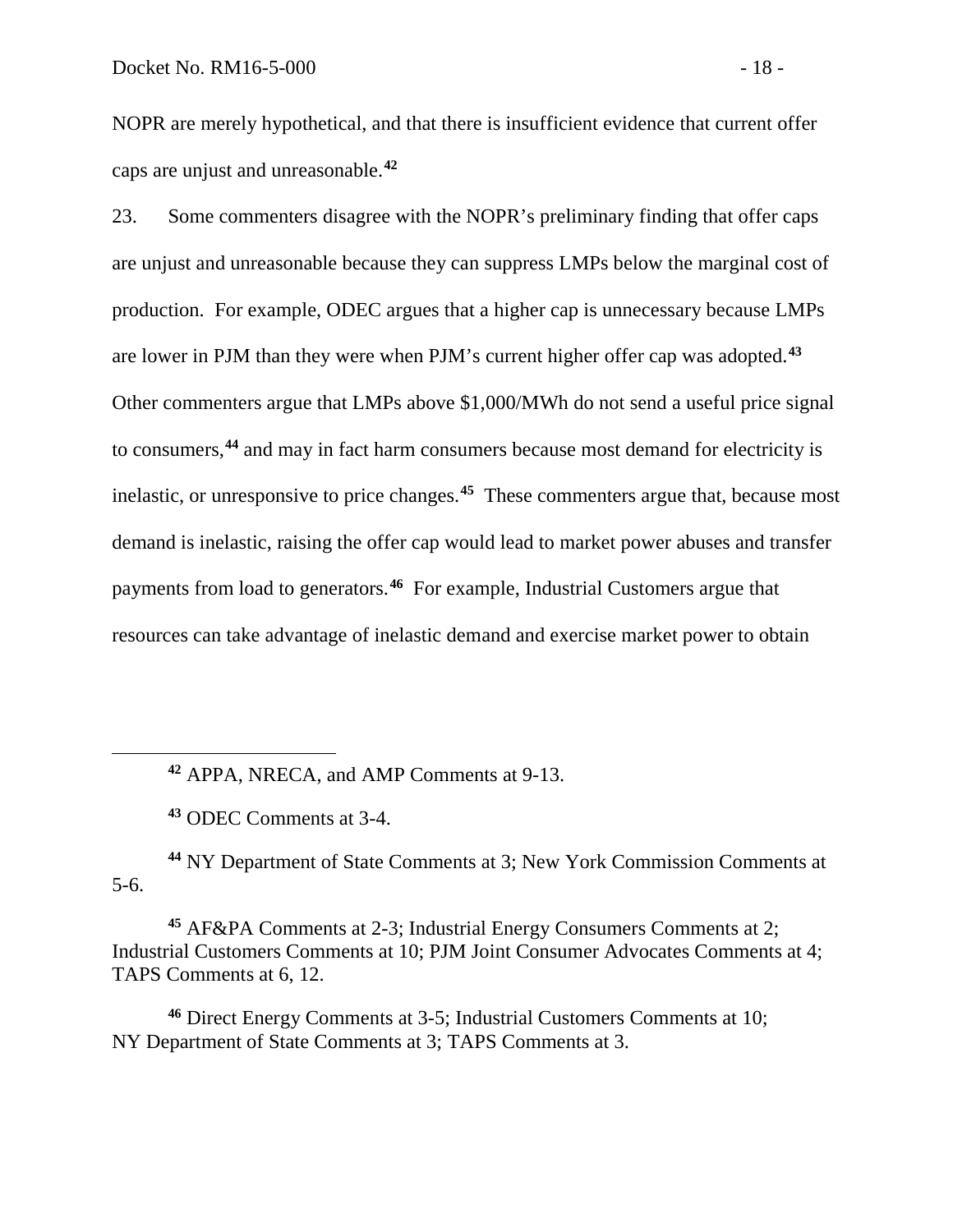NOPR are merely hypothetical, and that there is insufficient evidence that current offer caps are unjust and unreasonable.**[42](#page-19-0)**

23. Some commenters disagree with the NOPR's preliminary finding that offer caps are unjust and unreasonable because they can suppress LMPs below the marginal cost of production. For example, ODEC argues that a higher cap is unnecessary because LMPs are lower in PJM than they were when PJM's current higher offer cap was adopted.**[43](#page-19-1)** Other commenters argue that LMPs above \$1,000/MWh do not send a useful price signal to consumers,**[44](#page-19-2)** and may in fact harm consumers because most demand for electricity is inelastic, or unresponsive to price changes.**[45](#page-19-3)** These commenters argue that, because most demand is inelastic, raising the offer cap would lead to market power abuses and transfer payments from load to generators.**[46](#page-19-4)** For example, Industrial Customers argue that resources can take advantage of inelastic demand and exercise market power to obtain

**<sup>43</sup>** ODEC Comments at 3-4.

<span id="page-19-0"></span> $\overline{a}$ 

<span id="page-19-2"></span><span id="page-19-1"></span>**<sup>44</sup>** NY Department of State Comments at 3; New York Commission Comments at 5-6.

<span id="page-19-3"></span>**<sup>45</sup>** AF&PA Comments at 2-3; Industrial Energy Consumers Comments at 2; Industrial Customers Comments at 10; PJM Joint Consumer Advocates Comments at 4; TAPS Comments at 6, 12.

<span id="page-19-4"></span>**<sup>46</sup>** Direct Energy Comments at 3-5; Industrial Customers Comments at 10; NY Department of State Comments at 3; TAPS Comments at 3.

**<sup>42</sup>** APPA, NRECA, and AMP Comments at 9-13.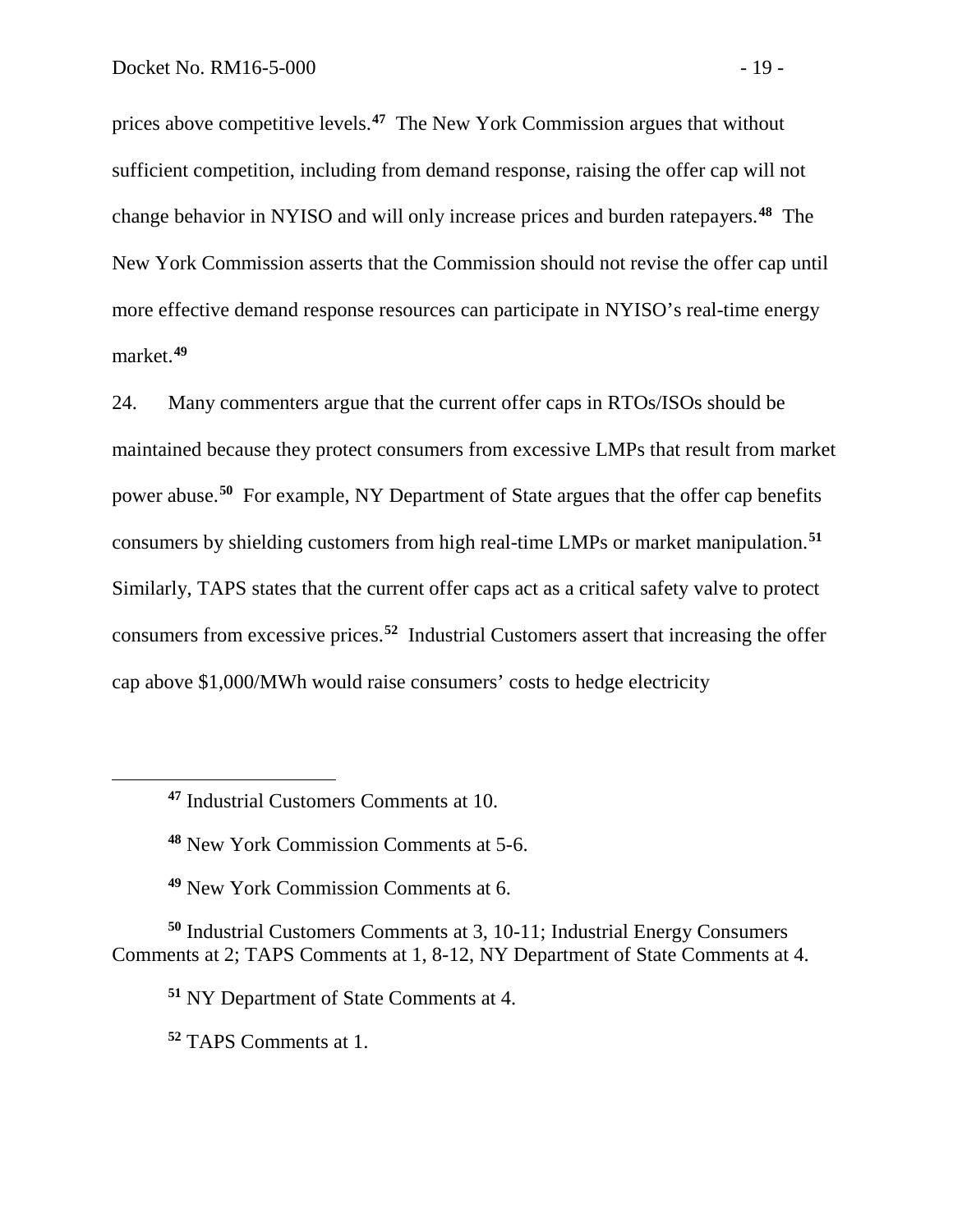prices above competitive levels.**[47](#page-20-0)** The New York Commission argues that without sufficient competition, including from demand response, raising the offer cap will not change behavior in NYISO and will only increase prices and burden ratepayers.**[48](#page-20-1)** The New York Commission asserts that the Commission should not revise the offer cap until more effective demand response resources can participate in NYISO's real-time energy market.**[49](#page-20-2)**

24. Many commenters argue that the current offer caps in RTOs/ISOs should be maintained because they protect consumers from excessive LMPs that result from market power abuse.**[50](#page-20-3)** For example, NY Department of State argues that the offer cap benefits consumers by shielding customers from high real-time LMPs or market manipulation.**[51](#page-20-4)** Similarly, TAPS states that the current offer caps act as a critical safety valve to protect consumers from excessive prices.**[52](#page-20-5)** Industrial Customers assert that increasing the offer cap above \$1,000/MWh would raise consumers' costs to hedge electricity

**<sup>49</sup>** New York Commission Comments at 6.

<span id="page-20-5"></span><span id="page-20-4"></span><span id="page-20-3"></span><span id="page-20-2"></span><span id="page-20-1"></span>**<sup>50</sup>** Industrial Customers Comments at 3, 10-11; Industrial Energy Consumers Comments at 2; TAPS Comments at 1, 8-12, NY Department of State Comments at 4.

**<sup>51</sup>** NY Department of State Comments at 4.

**<sup>52</sup>** TAPS Comments at 1.

<span id="page-20-0"></span>**<sup>47</sup>** Industrial Customers Comments at 10.

**<sup>48</sup>** New York Commission Comments at 5-6.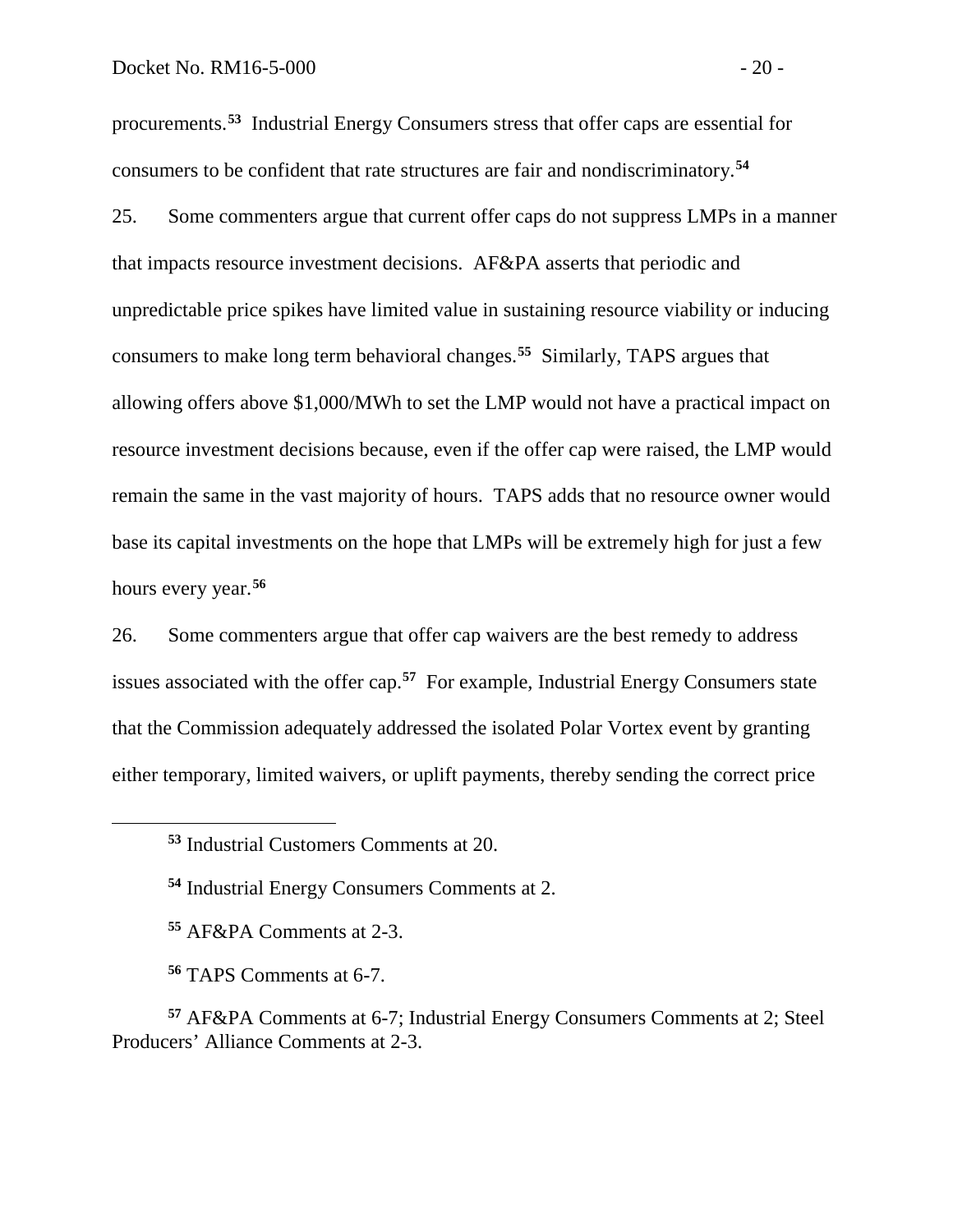procurements. **[53](#page-21-0)** Industrial Energy Consumers stress that offer caps are essential for consumers to be confident that rate structures are fair and nondiscriminatory.**[54](#page-21-1)**

25. Some commenters argue that current offer caps do not suppress LMPs in a manner that impacts resource investment decisions. AF&PA asserts that periodic and unpredictable price spikes have limited value in sustaining resource viability or inducing consumers to make long term behavioral changes.**[55](#page-21-2)** Similarly, TAPS argues that allowing offers above \$1,000/MWh to set the LMP would not have a practical impact on resource investment decisions because, even if the offer cap were raised, the LMP would remain the same in the vast majority of hours. TAPS adds that no resource owner would base its capital investments on the hope that LMPs will be extremely high for just a few hours every year.**[56](#page-21-3)**

26. Some commenters argue that offer cap waivers are the best remedy to address issues associated with the offer cap.**[57](#page-21-4)** For example, Industrial Energy Consumers state that the Commission adequately addressed the isolated Polar Vortex event by granting either temporary, limited waivers, or uplift payments, thereby sending the correct price

**<sup>54</sup>** Industrial Energy Consumers Comments at 2.

**<sup>55</sup>** AF&PA Comments at 2-3.

<span id="page-21-1"></span><span id="page-21-0"></span> $\overline{a}$ 

**<sup>56</sup>** TAPS Comments at 6-7.

<span id="page-21-4"></span><span id="page-21-3"></span><span id="page-21-2"></span>**<sup>57</sup>** AF&PA Comments at 6-7; Industrial Energy Consumers Comments at 2; Steel Producers' Alliance Comments at 2-3.

**<sup>53</sup>** Industrial Customers Comments at 20.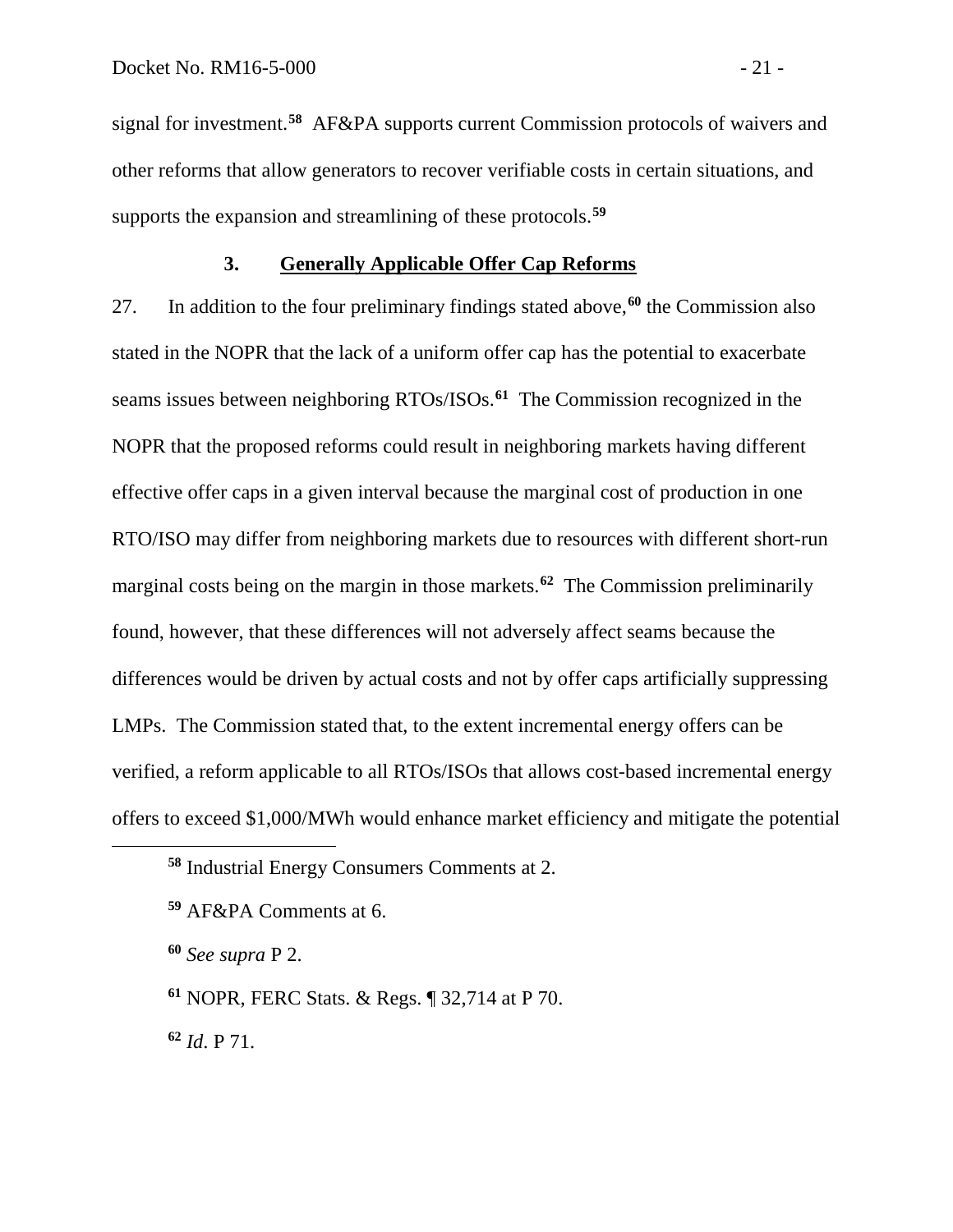signal for investment.**[58](#page-22-1)** AF&PA supports current Commission protocols of waivers and other reforms that allow generators to recover verifiable costs in certain situations, and supports the expansion and streamlining of these protocols.**[59](#page-22-2)**

### <span id="page-22-0"></span>**3. Generally Applicable Offer Cap Reforms**

27. In addition to the four preliminary findings stated above, **[60](#page-22-3)** the Commission also stated in the NOPR that the lack of a uniform offer cap has the potential to exacerbate seams issues between neighboring RTOs/ISOs.**[61](#page-22-4)** The Commission recognized in the NOPR that the proposed reforms could result in neighboring markets having different effective offer caps in a given interval because the marginal cost of production in one RTO/ISO may differ from neighboring markets due to resources with different short-run marginal costs being on the margin in those markets.**[62](#page-22-5)** The Commission preliminarily found, however, that these differences will not adversely affect seams because the differences would be driven by actual costs and not by offer caps artificially suppressing LMPs. The Commission stated that, to the extent incremental energy offers can be verified, a reform applicable to all RTOs/ISOs that allows cost-based incremental energy offers to exceed \$1,000/MWh would enhance market efficiency and mitigate the potential

<span id="page-22-3"></span>**<sup>60</sup>** *See supra* P 2.

<span id="page-22-4"></span>**<sup>61</sup>** NOPR, FERC Stats. & Regs. ¶ 32,714 at P 70.

<span id="page-22-5"></span>**<sup>62</sup>** *Id*. P 71.

<span id="page-22-1"></span>**<sup>58</sup>** Industrial Energy Consumers Comments at 2.

<span id="page-22-2"></span>**<sup>59</sup>** AF&PA Comments at 6.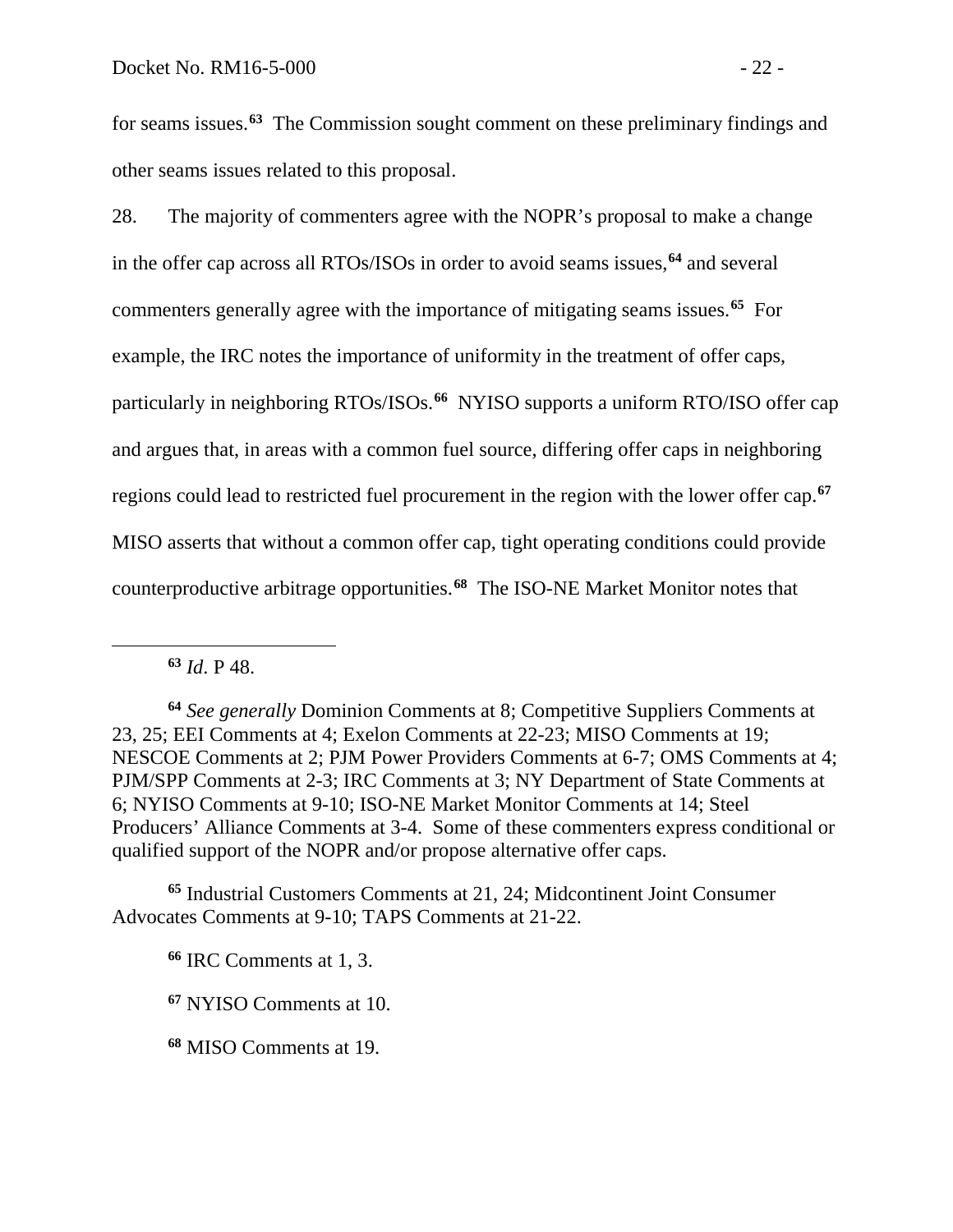for seams issues.**[63](#page-23-0)** The Commission sought comment on these preliminary findings and other seams issues related to this proposal.

28. The majority of commenters agree with the NOPR's proposal to make a change in the offer cap across all RTOs/ISOs in order to avoid seams issues,**[64](#page-23-1)** and several commenters generally agree with the importance of mitigating seams issues.**[65](#page-23-2)** For example, the IRC notes the importance of uniformity in the treatment of offer caps, particularly in neighboring RTOs/ISOs.**[66](#page-23-3)** NYISO supports a uniform RTO/ISO offer cap and argues that, in areas with a common fuel source, differing offer caps in neighboring regions could lead to restricted fuel procurement in the region with the lower offer cap.**[67](#page-23-4)** MISO asserts that without a common offer cap, tight operating conditions could provide counterproductive arbitrage opportunities.**[68](#page-23-5)** The ISO-NE Market Monitor notes that

**<sup>63</sup>** *Id*. P 48.

<span id="page-23-0"></span> $\overline{a}$ 

<span id="page-23-1"></span>**<sup>64</sup>** *See generally* Dominion Comments at 8; Competitive Suppliers Comments at 23, 25; EEI Comments at 4; Exelon Comments at 22-23; MISO Comments at 19; NESCOE Comments at 2; PJM Power Providers Comments at 6-7; OMS Comments at 4; PJM/SPP Comments at 2-3; IRC Comments at 3; NY Department of State Comments at 6; NYISO Comments at 9-10; ISO-NE Market Monitor Comments at 14; Steel Producers' Alliance Comments at 3-4. Some of these commenters express conditional or qualified support of the NOPR and/or propose alternative offer caps.

<span id="page-23-4"></span><span id="page-23-3"></span><span id="page-23-2"></span>**<sup>65</sup>** Industrial Customers Comments at 21, 24; Midcontinent Joint Consumer Advocates Comments at 9-10; TAPS Comments at 21-22.

**<sup>66</sup>** IRC Comments at 1, 3.

**<sup>67</sup>** NYISO Comments at 10.

<span id="page-23-5"></span>**<sup>68</sup>** MISO Comments at 19.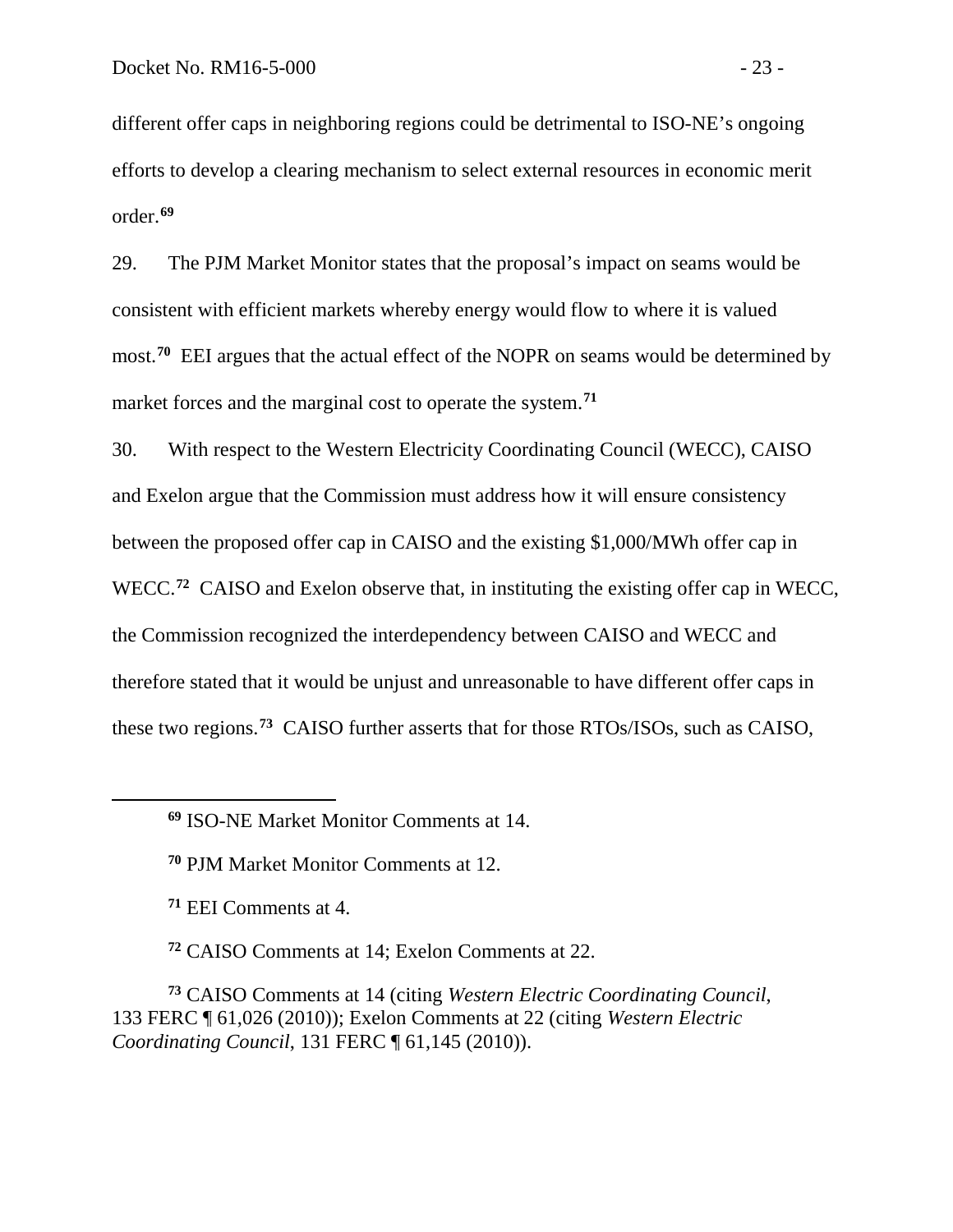different offer caps in neighboring regions could be detrimental to ISO-NE's ongoing efforts to develop a clearing mechanism to select external resources in economic merit order.**[69](#page-24-0)**

29. The PJM Market Monitor states that the proposal's impact on seams would be consistent with efficient markets whereby energy would flow to where it is valued most.<sup>[70](#page-24-1)</sup> EEI argues that the actual effect of the NOPR on seams would be determined by market forces and the marginal cost to operate the system.**[71](#page-24-2)**

30. With respect to the Western Electricity Coordinating Council (WECC), CAISO and Exelon argue that the Commission must address how it will ensure consistency between the proposed offer cap in CAISO and the existing \$1,000/MWh offer cap in WECC.<sup>[72](#page-24-3)</sup> CAISO and Exelon observe that, in instituting the existing offer cap in WECC, the Commission recognized the interdependency between CAISO and WECC and therefore stated that it would be unjust and unreasonable to have different offer caps in these two regions.**[73](#page-24-4)** CAISO further asserts that for those RTOs/ISOs, such as CAISO,

**<sup>71</sup>** EEI Comments at 4.

<span id="page-24-1"></span><span id="page-24-0"></span> $\overline{a}$ 

**<sup>72</sup>** CAISO Comments at 14; Exelon Comments at 22.

<span id="page-24-4"></span><span id="page-24-3"></span><span id="page-24-2"></span>**<sup>73</sup>** CAISO Comments at 14 (citing *Western Electric Coordinating Council*, 133 FERC ¶ 61,026 (2010)); Exelon Comments at 22 (citing *Western Electric Coordinating Council*, 131 FERC ¶ 61,145 (2010)).

**<sup>69</sup>** ISO-NE Market Monitor Comments at 14.

**<sup>70</sup>** PJM Market Monitor Comments at 12.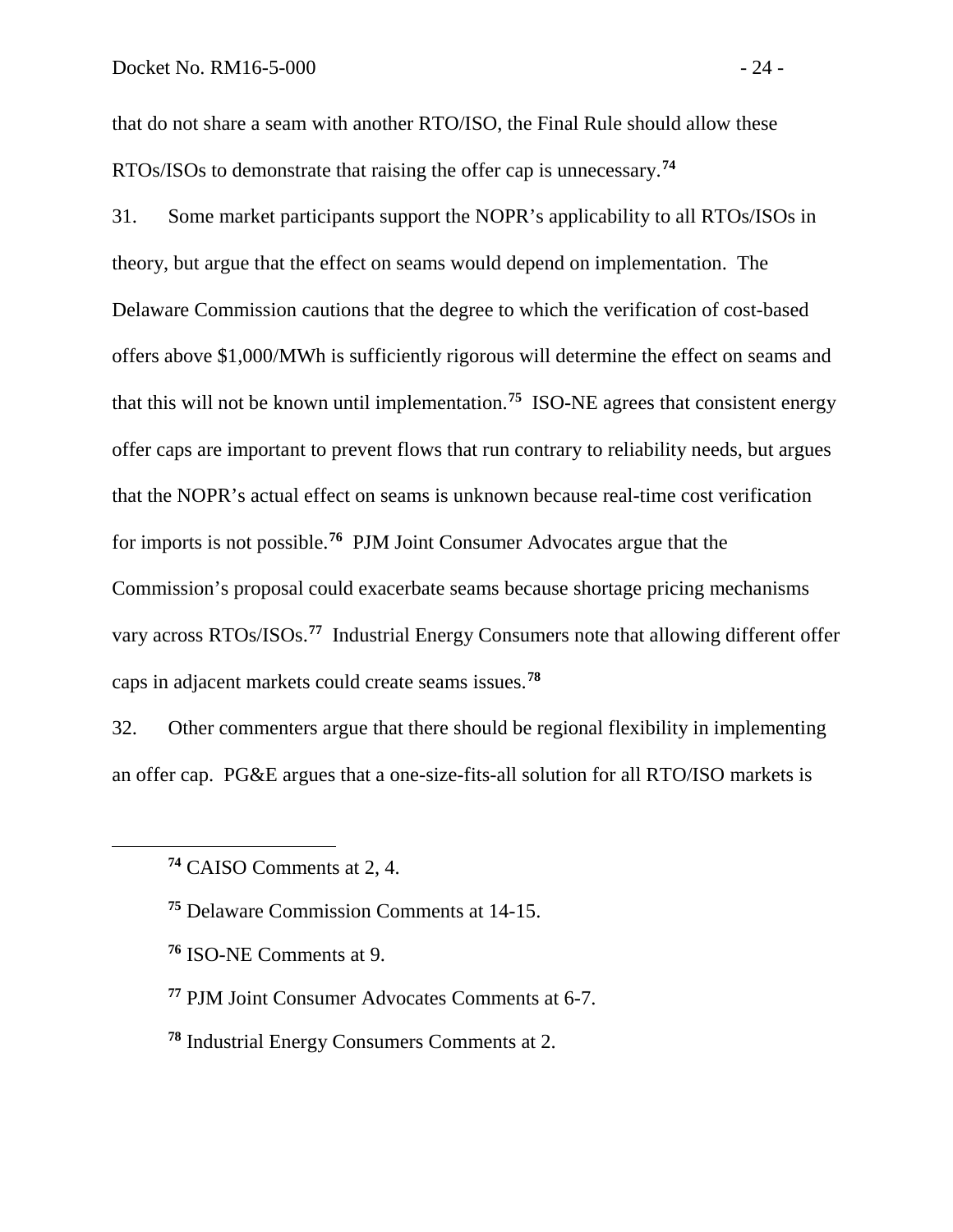that do not share a seam with another RTO/ISO, the Final Rule should allow these RTOs/ISOs to demonstrate that raising the offer cap is unnecessary.**[74](#page-25-0)**

31. Some market participants support the NOPR's applicability to all RTOs/ISOs in theory, but argue that the effect on seams would depend on implementation. The Delaware Commission cautions that the degree to which the verification of cost-based offers above \$1,000/MWh is sufficiently rigorous will determine the effect on seams and that this will not be known until implementation.**[75](#page-25-1)** ISO-NE agrees that consistent energy offer caps are important to prevent flows that run contrary to reliability needs, but argues that the NOPR's actual effect on seams is unknown because real-time cost verification for imports is not possible.**[76](#page-25-2)** PJM Joint Consumer Advocates argue that the Commission's proposal could exacerbate seams because shortage pricing mechanisms vary across RTOs/ISOs.**[77](#page-25-3)** Industrial Energy Consumers note that allowing different offer caps in adjacent markets could create seams issues.**[78](#page-25-4)**

32. Other commenters argue that there should be regional flexibility in implementing an offer cap. PG&E argues that a one-size-fits-all solution for all RTO/ISO markets is

- <span id="page-25-2"></span>**<sup>76</sup>** ISO-NE Comments at 9.
- <span id="page-25-3"></span>**<sup>77</sup>** PJM Joint Consumer Advocates Comments at 6-7.
- <span id="page-25-4"></span>**<sup>78</sup>** Industrial Energy Consumers Comments at 2.

<span id="page-25-0"></span>**<sup>74</sup>** CAISO Comments at 2, 4.

<span id="page-25-1"></span>**<sup>75</sup>** Delaware Commission Comments at 14-15.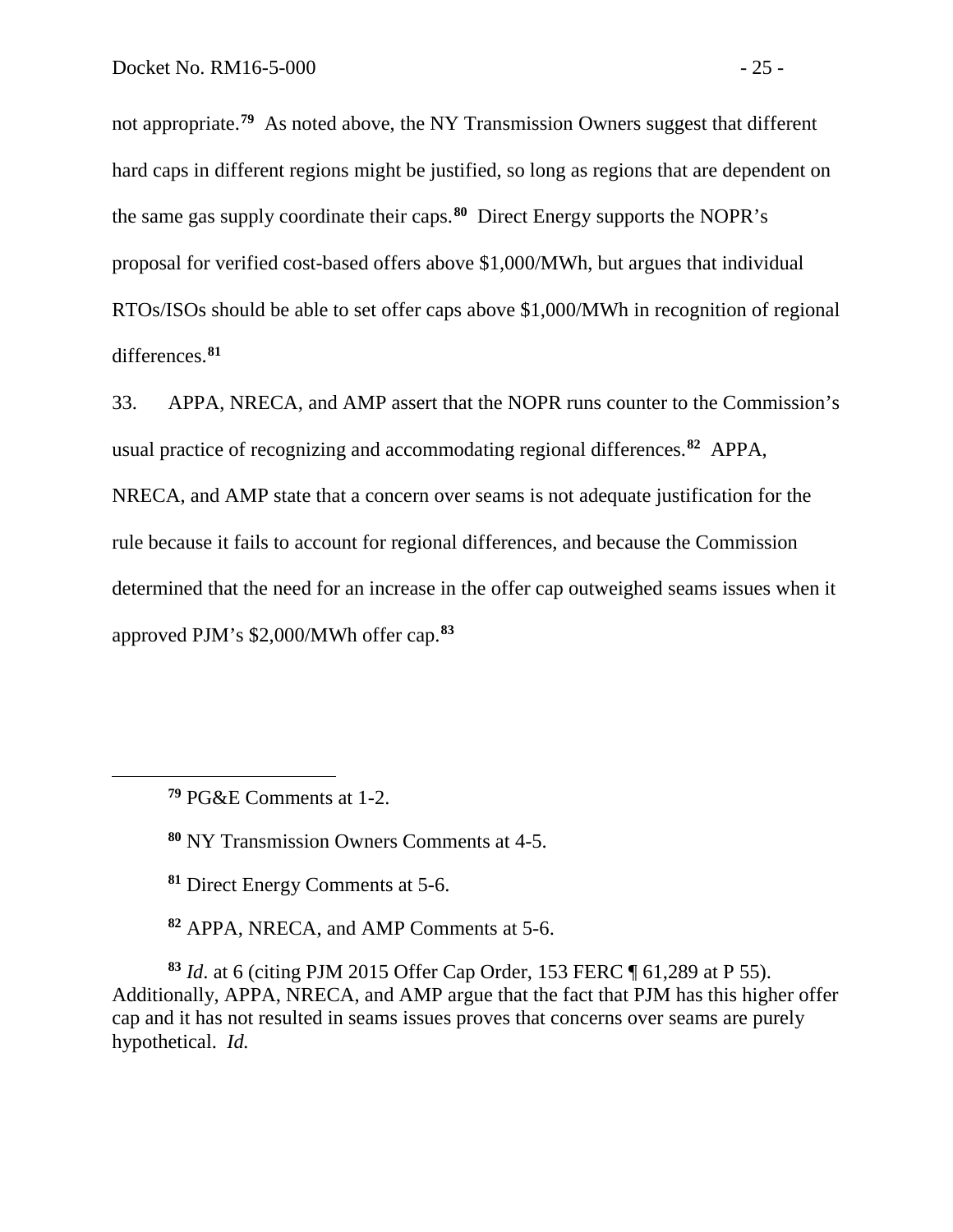not appropriate.**[79](#page-26-0)** As noted above, the NY Transmission Owners suggest that different hard caps in different regions might be justified, so long as regions that are dependent on the same gas supply coordinate their caps.**[80](#page-26-1)** Direct Energy supports the NOPR's proposal for verified cost-based offers above \$1,000/MWh, but argues that individual RTOs/ISOs should be able to set offer caps above \$1,000/MWh in recognition of regional differences.**[81](#page-26-2)**

33. APPA, NRECA, and AMP assert that the NOPR runs counter to the Commission's usual practice of recognizing and accommodating regional differences.**[82](#page-26-3)** APPA, NRECA, and AMP state that a concern over seams is not adequate justification for the rule because it fails to account for regional differences, and because the Commission determined that the need for an increase in the offer cap outweighed seams issues when it approved PJM's \$2,000/MWh offer cap.**[83](#page-26-4)**

<span id="page-26-1"></span><span id="page-26-0"></span> $\overline{a}$ 

- **<sup>81</sup>** Direct Energy Comments at 5-6.
- **<sup>82</sup>** APPA, NRECA, and AMP Comments at 5-6.

<span id="page-26-4"></span><span id="page-26-3"></span><span id="page-26-2"></span>**<sup>83</sup>** *Id*. at 6 (citing PJM 2015 Offer Cap Order, 153 FERC ¶ 61,289 at P 55). Additionally, APPA, NRECA, and AMP argue that the fact that PJM has this higher offer cap and it has not resulted in seams issues proves that concerns over seams are purely hypothetical. *Id.*

**<sup>79</sup>** PG&E Comments at 1-2.

**<sup>80</sup>** NY Transmission Owners Comments at 4-5.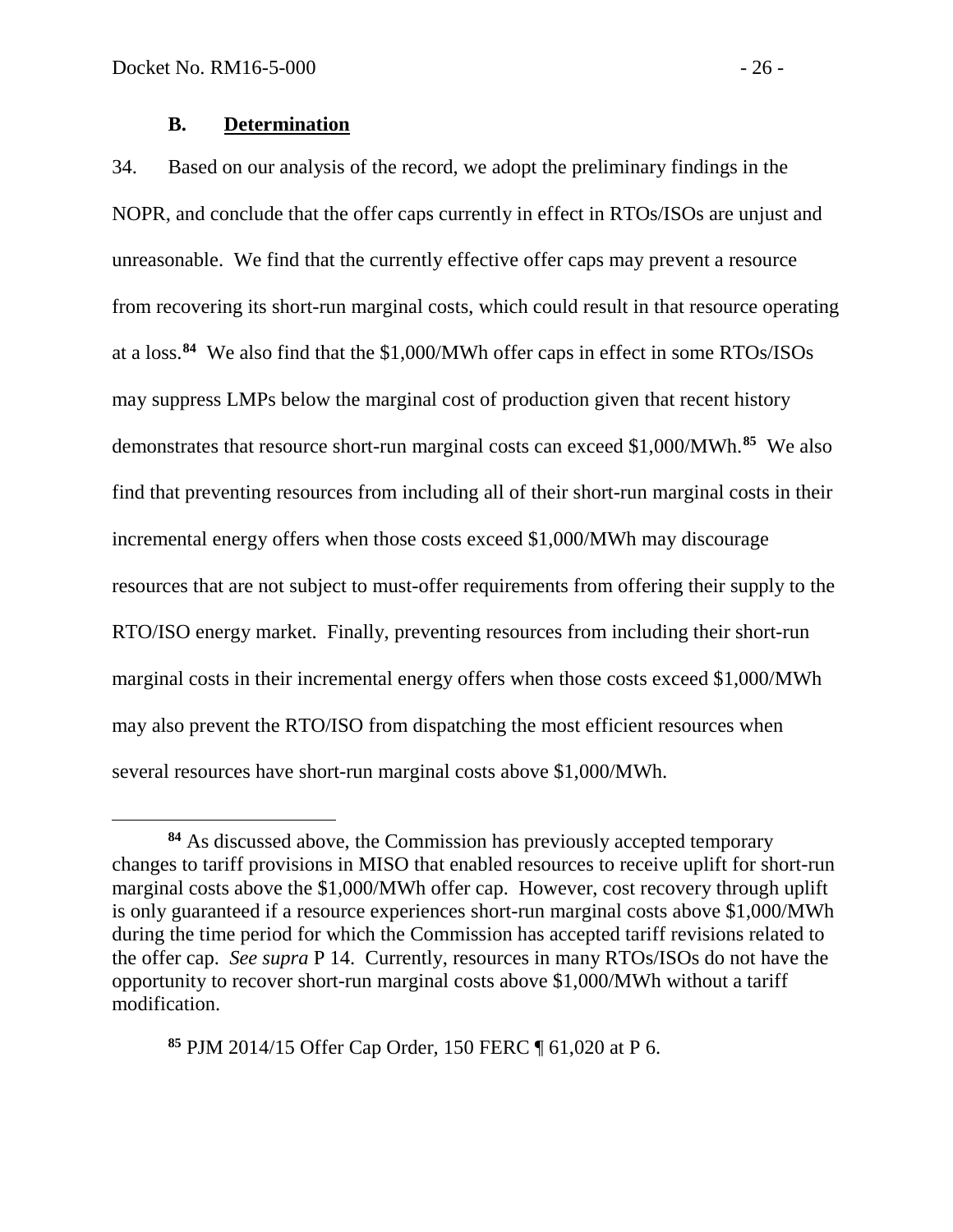#### <span id="page-27-0"></span>**B. Determination**

34. Based on our analysis of the record, we adopt the preliminary findings in the NOPR, and conclude that the offer caps currently in effect in RTOs/ISOs are unjust and unreasonable. We find that the currently effective offer caps may prevent a resource from recovering its short-run marginal costs, which could result in that resource operating at a loss.**[84](#page-27-1)** We also find that the \$1,000/MWh offer caps in effect in some RTOs/ISOs may suppress LMPs below the marginal cost of production given that recent history demonstrates that resource short-run marginal costs can exceed \$1,000/MWh.**[85](#page-27-2)** We also find that preventing resources from including all of their short-run marginal costs in their incremental energy offers when those costs exceed \$1,000/MWh may discourage resources that are not subject to must-offer requirements from offering their supply to the RTO/ISO energy market. Finally, preventing resources from including their short-run marginal costs in their incremental energy offers when those costs exceed \$1,000/MWh may also prevent the RTO/ISO from dispatching the most efficient resources when several resources have short-run marginal costs above \$1,000/MWh.

<span id="page-27-2"></span>**<sup>85</sup>** PJM 2014/15 Offer Cap Order*,* 150 FERC ¶ 61,020 at P 6.

<span id="page-27-1"></span>**<sup>84</sup>** As discussed above, the Commission has previously accepted temporary changes to tariff provisions in MISO that enabled resources to receive uplift for short-run marginal costs above the \$1,000/MWh offer cap. However, cost recovery through uplift is only guaranteed if a resource experiences short-run marginal costs above \$1,000/MWh during the time period for which the Commission has accepted tariff revisions related to the offer cap. *See supra* P 14. Currently, resources in many RTOs/ISOs do not have the opportunity to recover short-run marginal costs above \$1,000/MWh without a tariff modification.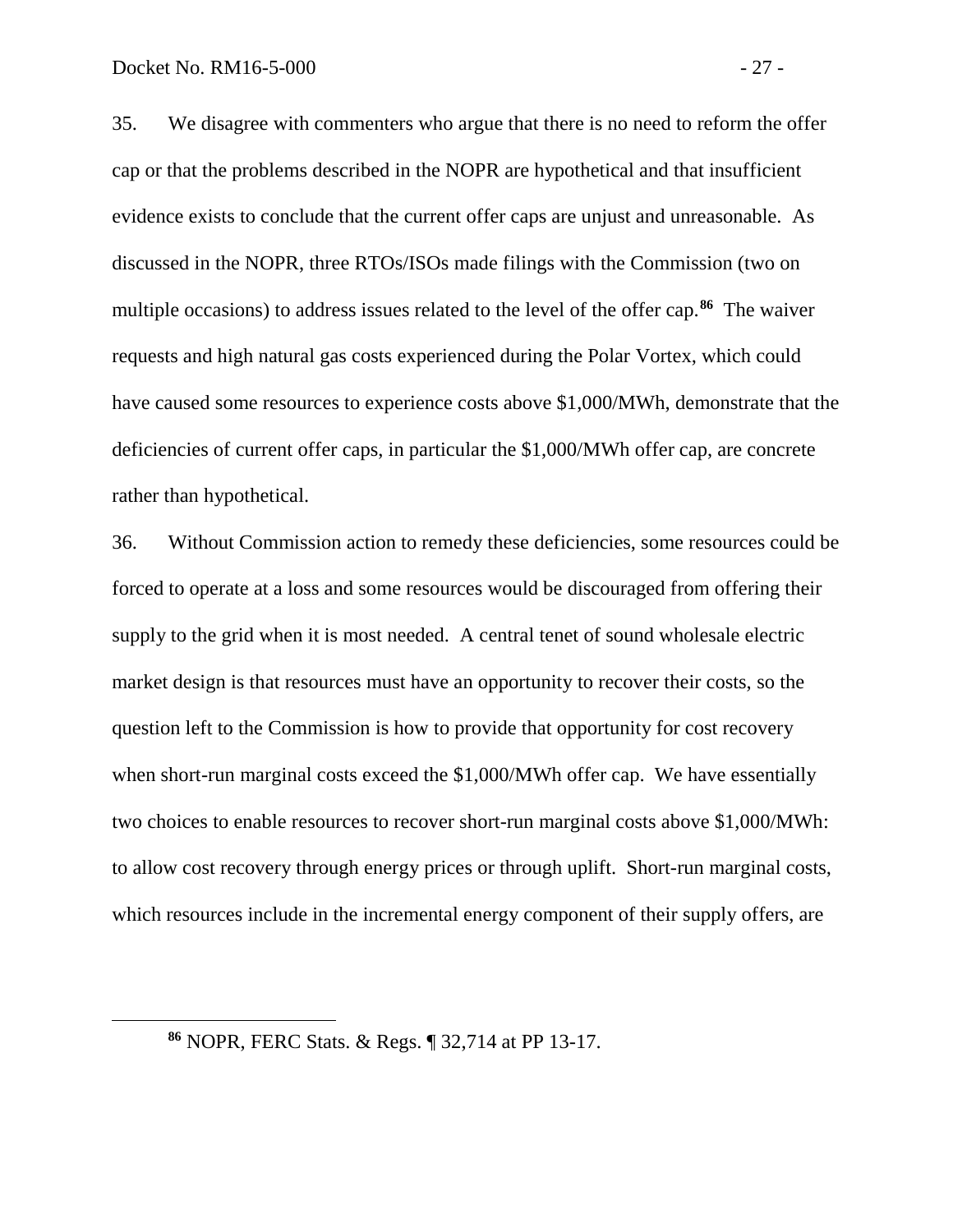35. We disagree with commenters who argue that there is no need to reform the offer cap or that the problems described in the NOPR are hypothetical and that insufficient evidence exists to conclude that the current offer caps are unjust and unreasonable. As discussed in the NOPR, three RTOs/ISOs made filings with the Commission (two on multiple occasions) to address issues related to the level of the offer cap.**[86](#page-28-0)** The waiver requests and high natural gas costs experienced during the Polar Vortex, which could have caused some resources to experience costs above \$1,000/MWh, demonstrate that the deficiencies of current offer caps, in particular the \$1,000/MWh offer cap, are concrete rather than hypothetical.

36. Without Commission action to remedy these deficiencies, some resources could be forced to operate at a loss and some resources would be discouraged from offering their supply to the grid when it is most needed. A central tenet of sound wholesale electric market design is that resources must have an opportunity to recover their costs, so the question left to the Commission is how to provide that opportunity for cost recovery when short-run marginal costs exceed the \$1,000/MWh offer cap. We have essentially two choices to enable resources to recover short-run marginal costs above \$1,000/MWh: to allow cost recovery through energy prices or through uplift. Short-run marginal costs, which resources include in the incremental energy component of their supply offers, are

<span id="page-28-0"></span>**<sup>86</sup>** NOPR, FERC Stats. & Regs. ¶ 32,714 at PP 13-17.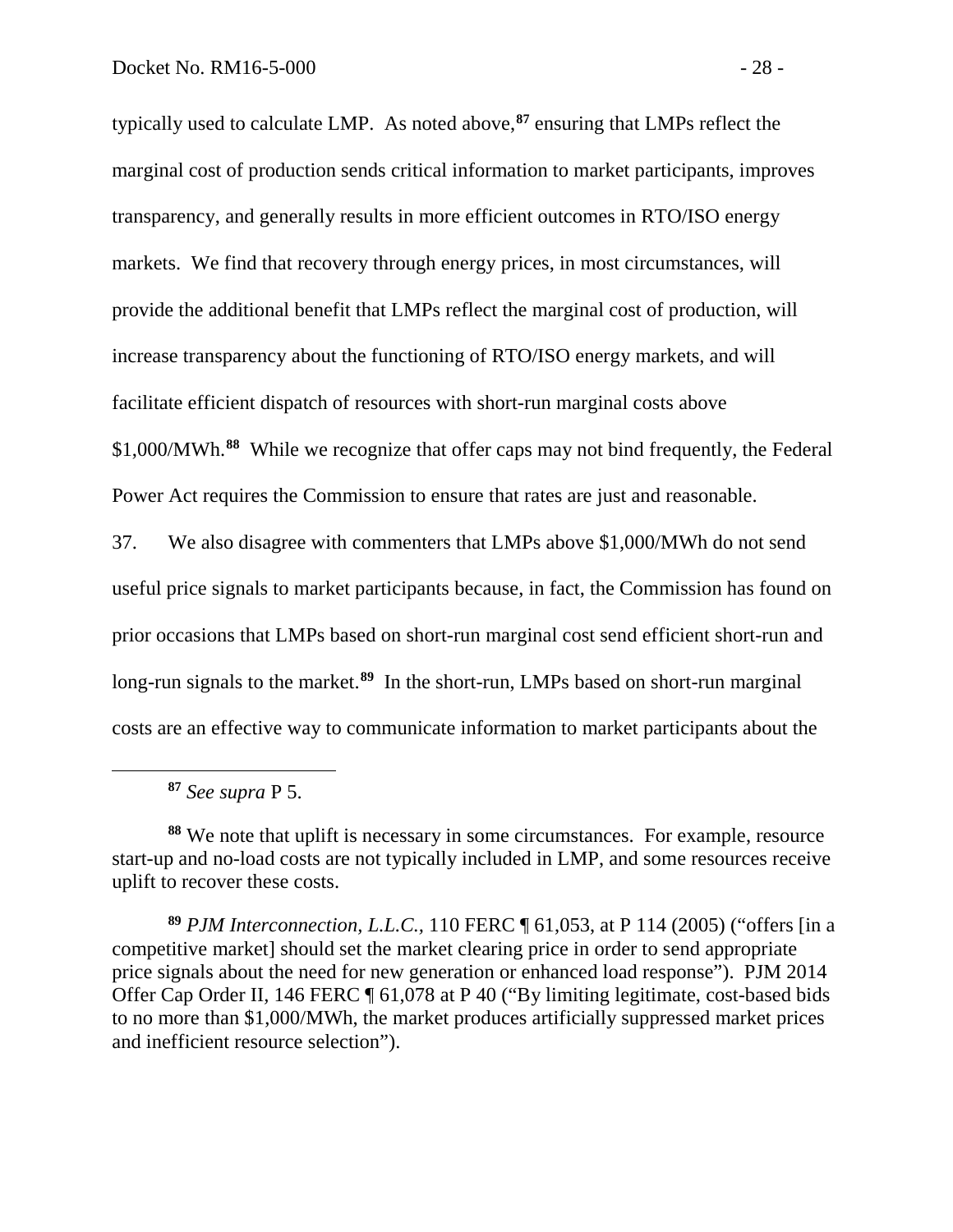typically used to calculate LMP. As noted above,**[87](#page-29-0)** ensuring that LMPs reflect the marginal cost of production sends critical information to market participants, improves transparency, and generally results in more efficient outcomes in RTO/ISO energy markets. We find that recovery through energy prices, in most circumstances, will provide the additional benefit that LMPs reflect the marginal cost of production, will increase transparency about the functioning of RTO/ISO energy markets, and will facilitate efficient dispatch of resources with short-run marginal costs above \$1,000/MWh. **[88](#page-29-1)** While we recognize that offer caps may not bind frequently, the Federal Power Act requires the Commission to ensure that rates are just and reasonable.

37. We also disagree with commenters that LMPs above \$1,000/MWh do not send useful price signals to market participants because, in fact, the Commission has found on prior occasions that LMPs based on short-run marginal cost send efficient short-run and long-run signals to the market.<sup>[89](#page-29-2)</sup> In the short-run, LMPs based on short-run marginal costs are an effective way to communicate information to market participants about the

**<sup>87</sup>** *See supra* P 5.

<span id="page-29-0"></span> $\overline{a}$ 

<span id="page-29-1"></span>**<sup>88</sup>** We note that uplift is necessary in some circumstances. For example, resource start-up and no-load costs are not typically included in LMP, and some resources receive uplift to recover these costs.

<span id="page-29-2"></span>**<sup>89</sup>** *PJM Interconnection, L.L.C.,* 110 FERC ¶ 61,053, at P 114 (2005) ("offers [in a competitive market] should set the market clearing price in order to send appropriate price signals about the need for new generation or enhanced load response"). PJM 2014 Offer Cap Order II*,* 146 FERC ¶ 61,078 at P 40 ("By limiting legitimate, cost-based bids to no more than \$1,000/MWh, the market produces artificially suppressed market prices and inefficient resource selection").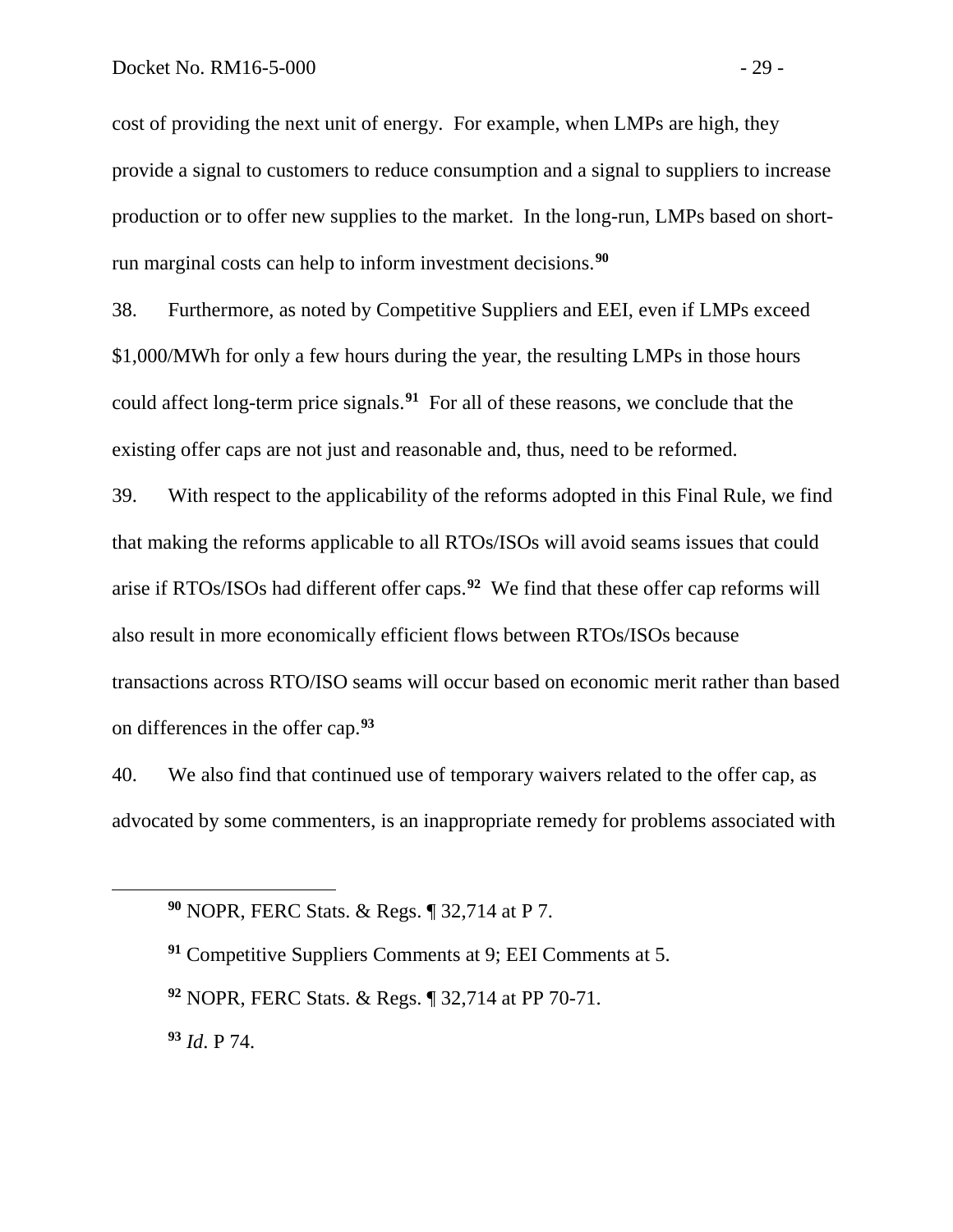cost of providing the next unit of energy. For example, when LMPs are high, they provide a signal to customers to reduce consumption and a signal to suppliers to increase production or to offer new supplies to the market. In the long-run, LMPs based on shortrun marginal costs can help to inform investment decisions.**[90](#page-30-0)**

38. Furthermore, as noted by Competitive Suppliers and EEI, even if LMPs exceed \$1,000/MWh for only a few hours during the year, the resulting LMPs in those hours could affect long-term price signals.**[91](#page-30-1)** For all of these reasons, we conclude that the existing offer caps are not just and reasonable and, thus, need to be reformed.

39. With respect to the applicability of the reforms adopted in this Final Rule, we find that making the reforms applicable to all RTOs/ISOs will avoid seams issues that could arise if RTOs/ISOs had different offer caps.**[92](#page-30-2)** We find that these offer cap reforms will also result in more economically efficient flows between RTOs/ISOs because transactions across RTO/ISO seams will occur based on economic merit rather than based on differences in the offer cap.**[93](#page-30-3)**

40. We also find that continued use of temporary waivers related to the offer cap, as advocated by some commenters, is an inappropriate remedy for problems associated with

<span id="page-30-3"></span>**<sup>93</sup>** *Id*. P 74.

<span id="page-30-0"></span>**<sup>90</sup>** NOPR, FERC Stats. & Regs. ¶ 32,714 at P 7.

<span id="page-30-1"></span>**<sup>91</sup>** Competitive Suppliers Comments at 9; EEI Comments at 5.

<span id="page-30-2"></span>**<sup>92</sup>** NOPR, FERC Stats. & Regs. ¶ 32,714 at PP 70-71.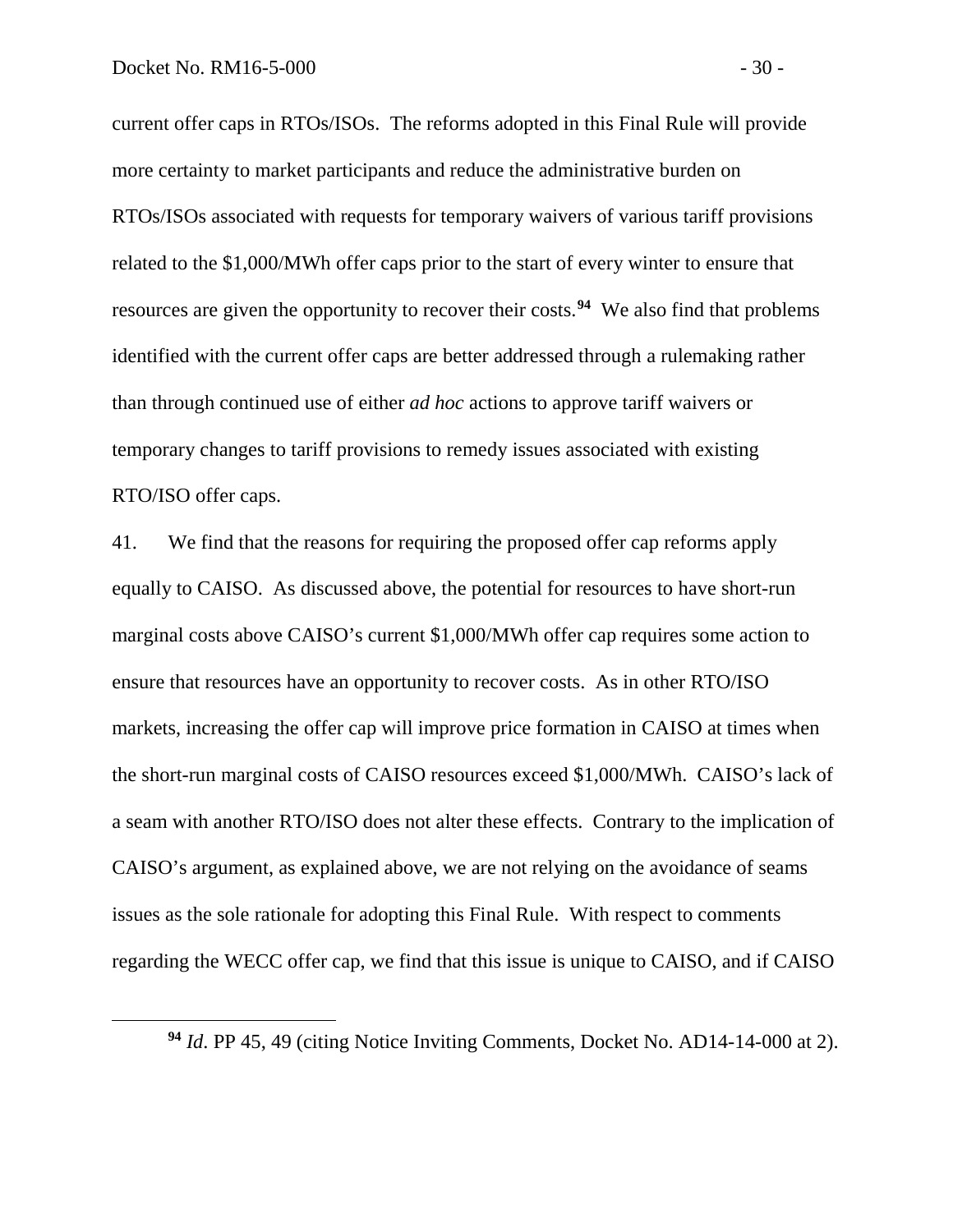current offer caps in RTOs/ISOs. The reforms adopted in this Final Rule will provide more certainty to market participants and reduce the administrative burden on RTOs/ISOs associated with requests for temporary waivers of various tariff provisions related to the \$1,000/MWh offer caps prior to the start of every winter to ensure that resources are given the opportunity to recover their costs.**[94](#page-31-0)** We also find that problems identified with the current offer caps are better addressed through a rulemaking rather than through continued use of either *ad hoc* actions to approve tariff waivers or temporary changes to tariff provisions to remedy issues associated with existing RTO/ISO offer caps.

41. We find that the reasons for requiring the proposed offer cap reforms apply equally to CAISO. As discussed above, the potential for resources to have short-run marginal costs above CAISO's current \$1,000/MWh offer cap requires some action to ensure that resources have an opportunity to recover costs. As in other RTO/ISO markets, increasing the offer cap will improve price formation in CAISO at times when the short-run marginal costs of CAISO resources exceed \$1,000/MWh. CAISO's lack of a seam with another RTO/ISO does not alter these effects. Contrary to the implication of CAISO's argument, as explained above, we are not relying on the avoidance of seams issues as the sole rationale for adopting this Final Rule. With respect to comments regarding the WECC offer cap, we find that this issue is unique to CAISO, and if CAISO

<span id="page-31-0"></span>**<sup>94</sup>** *Id*. PP 45, 49 (citing Notice Inviting Comments, Docket No. AD14-14-000 at 2).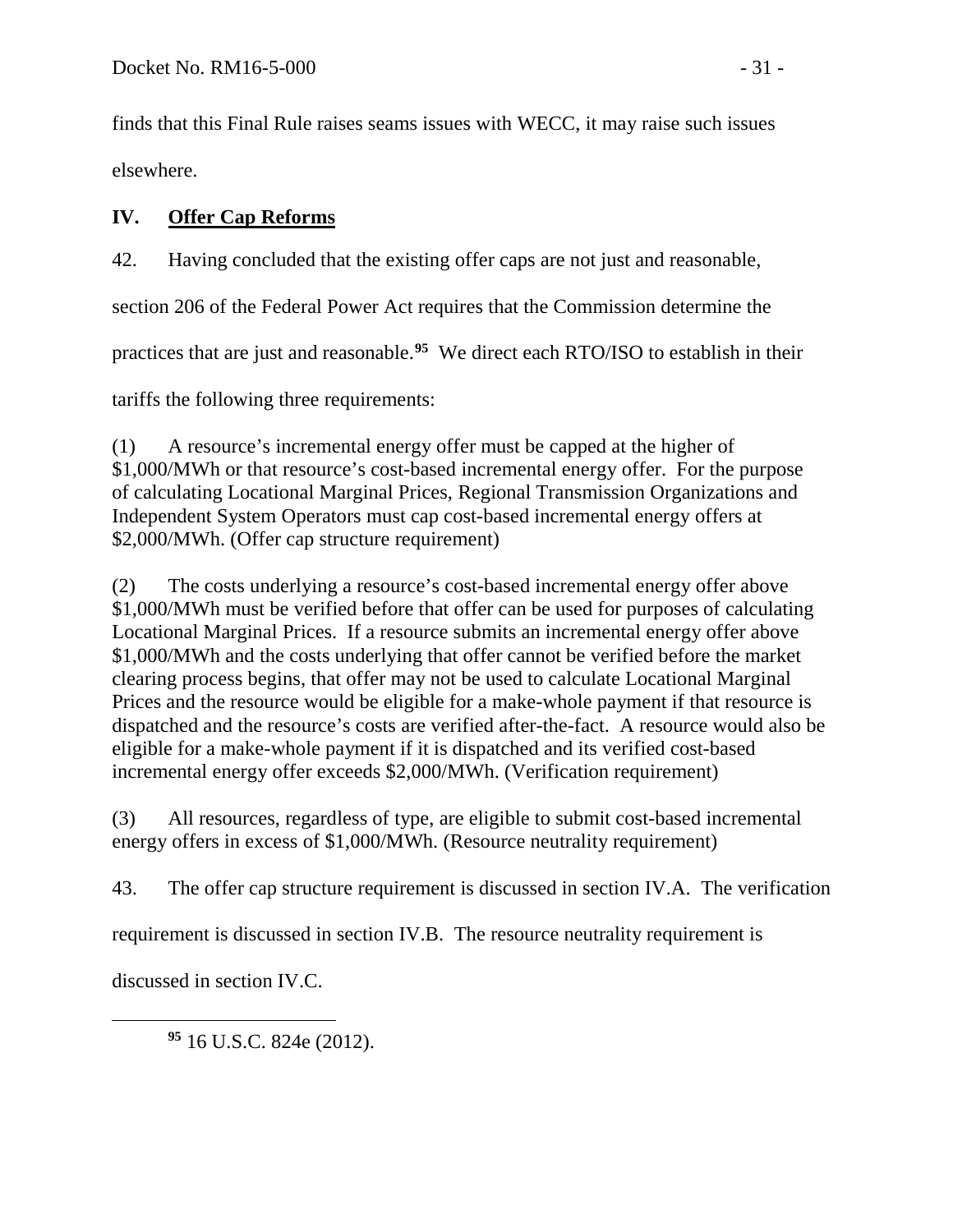finds that this Final Rule raises seams issues with WECC, it may raise such issues elsewhere.

# <span id="page-32-0"></span>**IV. Offer Cap Reforms**

42. Having concluded that the existing offer caps are not just and reasonable,

section 206 of the Federal Power Act requires that the Commission determine the

practices that are just and reasonable.**[95](#page-32-1)** We direct each RTO/ISO to establish in their

tariffs the following three requirements:

(1) A resource's incremental energy offer must be capped at the higher of \$1,000/MWh or that resource's cost-based incremental energy offer. For the purpose of calculating Locational Marginal Prices, Regional Transmission Organizations and Independent System Operators must cap cost-based incremental energy offers at \$2,000/MWh. (Offer cap structure requirement)

(2) The costs underlying a resource's cost-based incremental energy offer above \$1,000/MWh must be verified before that offer can be used for purposes of calculating Locational Marginal Prices. If a resource submits an incremental energy offer above \$1,000/MWh and the costs underlying that offer cannot be verified before the market clearing process begins, that offer may not be used to calculate Locational Marginal Prices and the resource would be eligible for a make-whole payment if that resource is dispatched and the resource's costs are verified after-the-fact. A resource would also be eligible for a make-whole payment if it is dispatched and its verified cost-based incremental energy offer exceeds \$2,000/MWh. (Verification requirement)

(3) All resources, regardless of type, are eligible to submit cost-based incremental energy offers in excess of \$1,000/MWh. (Resource neutrality requirement)

43. The offer cap structure requirement is discussed in section IV.A. The verification

requirement is discussed in section IV.B. The resource neutrality requirement is

discussed in section IV.C.

<span id="page-32-1"></span> $\overline{a}$ 

**<sup>95</sup>** 16 U.S.C. 824e (2012).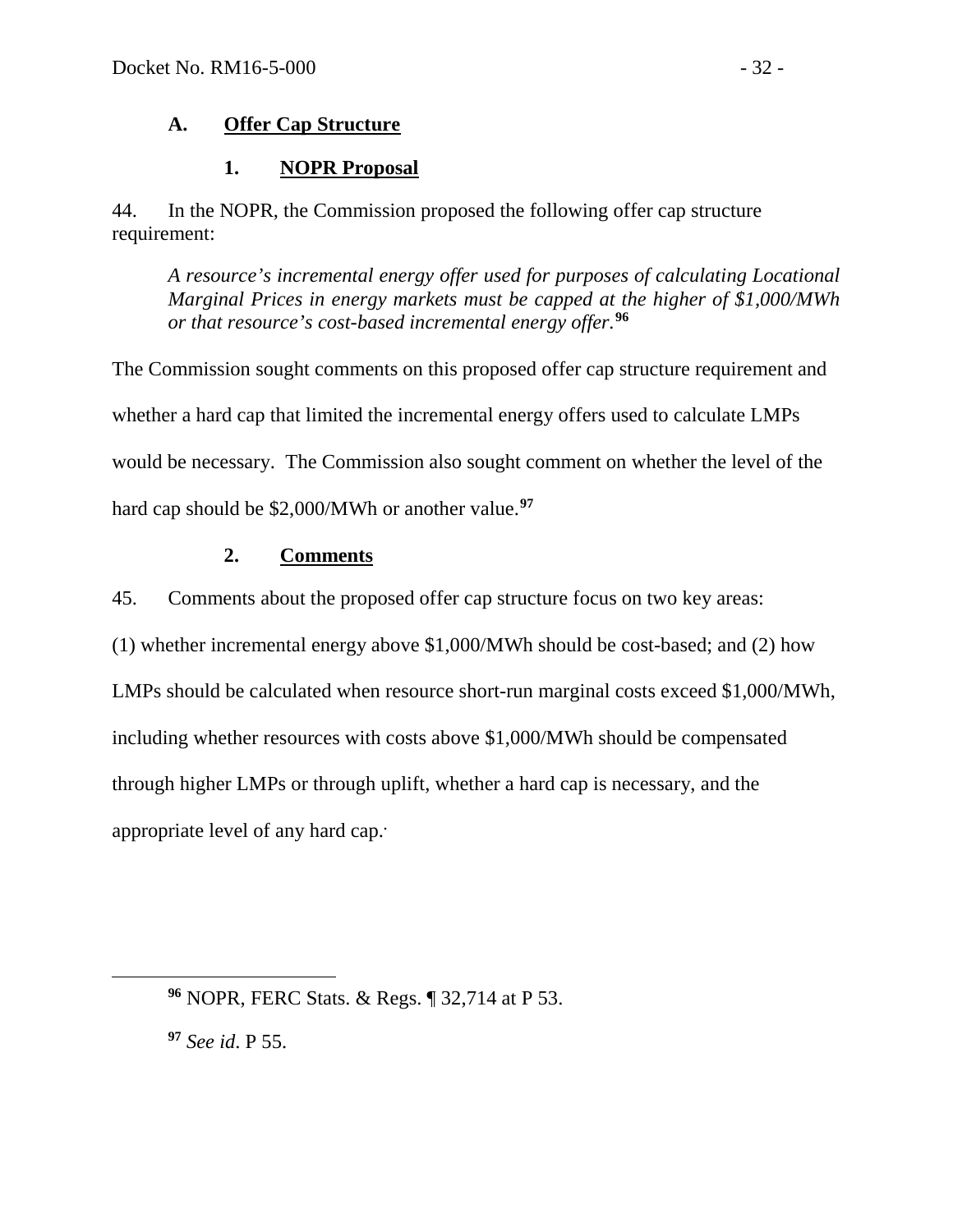# **A. Offer Cap Structure**

# <span id="page-33-1"></span><span id="page-33-0"></span>**1. NOPR Proposal**

44. In the NOPR, the Commission proposed the following offer cap structure requirement:

*A resource's incremental energy offer used for purposes of calculating Locational Marginal Prices in energy markets must be capped at the higher of \$1,000/MWh or that resource's cost-based incremental energy offer.***[96](#page-33-3)**

The Commission sought comments on this proposed offer cap structure requirement and whether a hard cap that limited the incremental energy offers used to calculate LMPs would be necessary. The Commission also sought comment on whether the level of the hard cap should be \$2,000/MWh or another value.**[97](#page-33-4)**

# <span id="page-33-2"></span>**2. Comments**

45. Comments about the proposed offer cap structure focus on two key areas:

(1) whether incremental energy above \$1,000/MWh should be cost-based; and (2) how

LMPs should be calculated when resource short-run marginal costs exceed \$1,000/MWh,

including whether resources with costs above \$1,000/MWh should be compensated

through higher LMPs or through uplift, whether a hard cap is necessary, and the

appropriate level of any hard cap. **.** 

<span id="page-33-4"></span>**<sup>97</sup>** *See id*. P 55.

<span id="page-33-3"></span>**<sup>96</sup>** NOPR, FERC Stats. & Regs. ¶ 32,714 at P 53.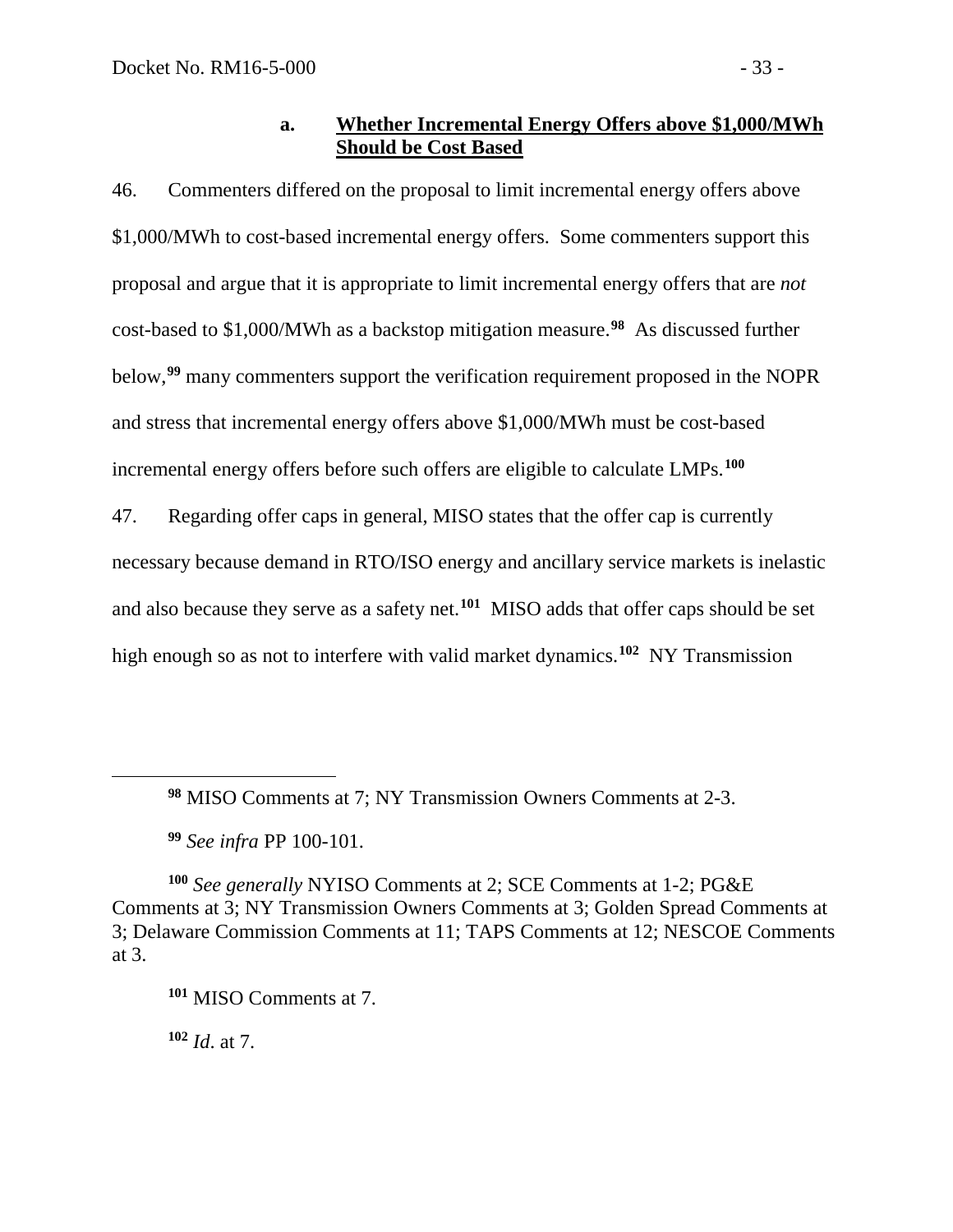## **a. Whether Incremental Energy Offers above \$1,000/MWh Should be Cost Based**

46. Commenters differed on the proposal to limit incremental energy offers above \$1,000/MWh to cost-based incremental energy offers. Some commenters support this proposal and argue that it is appropriate to limit incremental energy offers that are *not* cost-based to \$1,000/MWh as a backstop mitigation measure.**[98](#page-34-0)** As discussed further below,**[99](#page-34-1)** many commenters support the verification requirement proposed in the NOPR and stress that incremental energy offers above \$1,000/MWh must be cost-based incremental energy offers before such offers are eligible to calculate LMPs.**[100](#page-34-2)**

47. Regarding offer caps in general, MISO states that the offer cap is currently necessary because demand in RTO/ISO energy and ancillary service markets is inelastic and also because they serve as a safety net.**[101](#page-34-3)** MISO adds that offer caps should be set high enough so as not to interfere with valid market dynamics.**[102](#page-34-4)** NY Transmission

**<sup>99</sup>** *See infra* PP 100-101.

<span id="page-34-4"></span>**<sup>102</sup>** *Id*. at 7.

**<sup>98</sup>** MISO Comments at 7; NY Transmission Owners Comments at 2-3.

<span id="page-34-3"></span><span id="page-34-2"></span><span id="page-34-1"></span><span id="page-34-0"></span>**<sup>100</sup>** *See generally* NYISO Comments at 2; SCE Comments at 1-2; PG&E Comments at 3; NY Transmission Owners Comments at 3; Golden Spread Comments at 3; Delaware Commission Comments at 11; TAPS Comments at 12; NESCOE Comments at 3.

**<sup>101</sup>** MISO Comments at 7.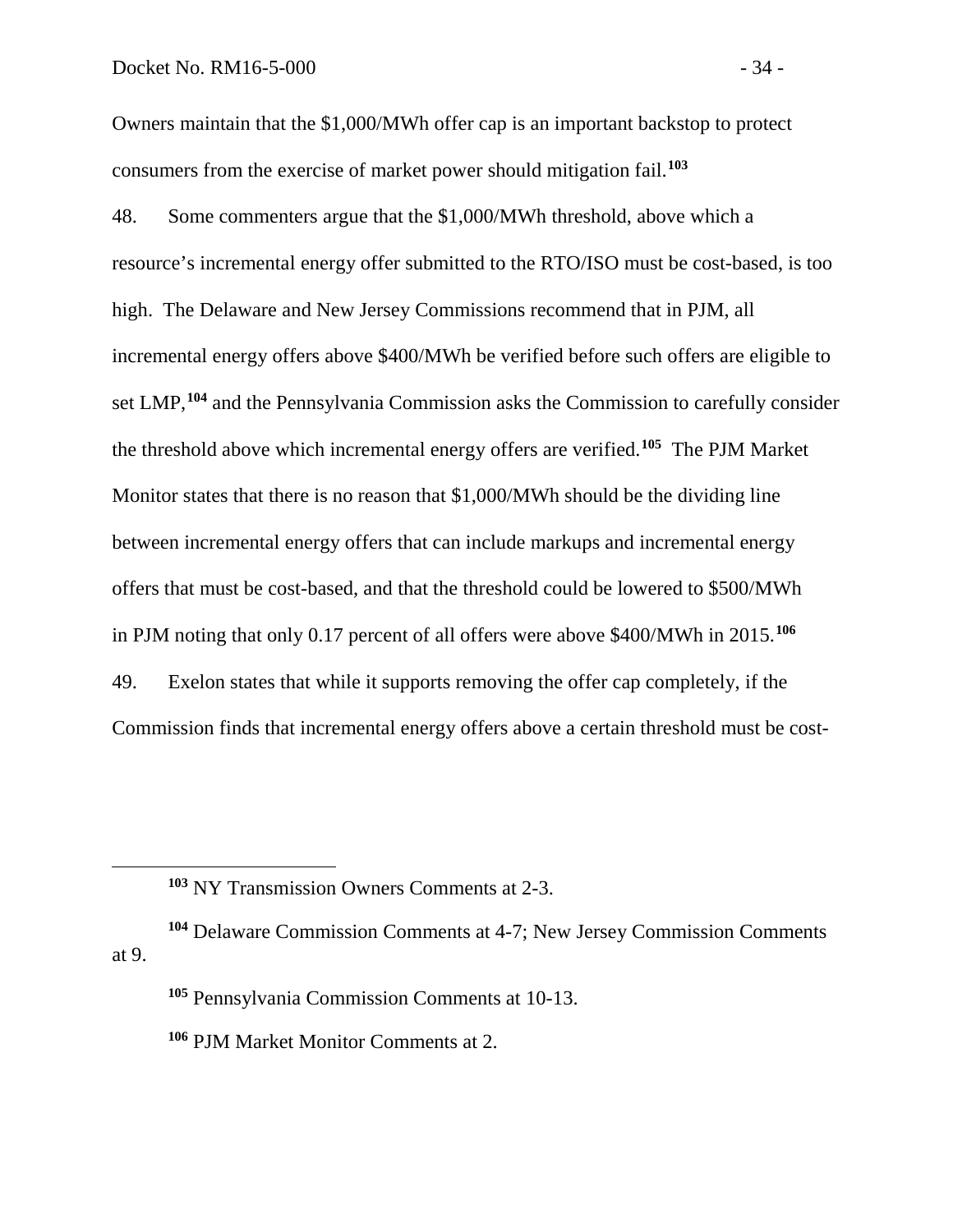Owners maintain that the \$1,000/MWh offer cap is an important backstop to protect consumers from the exercise of market power should mitigation fail.**[103](#page-35-0)**

48. Some commenters argue that the \$1,000/MWh threshold, above which a resource's incremental energy offer submitted to the RTO/ISO must be cost-based, is too high. The Delaware and New Jersey Commissions recommend that in PJM, all incremental energy offers above \$400/MWh be verified before such offers are eligible to set LMP,**[104](#page-35-1)** and the Pennsylvania Commission asks the Commission to carefully consider the threshold above which incremental energy offers are verified.**[105](#page-35-2)** The PJM Market Monitor states that there is no reason that \$1,000/MWh should be the dividing line between incremental energy offers that can include markups and incremental energy offers that must be cost-based, and that the threshold could be lowered to \$500/MWh in PJM noting that only 0.17 percent of all offers were above \$400/MWh in 2015.**[106](#page-35-3)** 49. Exelon states that while it supports removing the offer cap completely, if the Commission finds that incremental energy offers above a certain threshold must be cost-

**<sup>103</sup>** NY Transmission Owners Comments at 2-3.

<span id="page-35-3"></span><span id="page-35-2"></span><span id="page-35-1"></span><span id="page-35-0"></span>**<sup>104</sup>** Delaware Commission Comments at 4-7; New Jersey Commission Comments at 9.

**<sup>105</sup>** Pennsylvania Commission Comments at 10-13.

**<sup>106</sup>** PJM Market Monitor Comments at 2.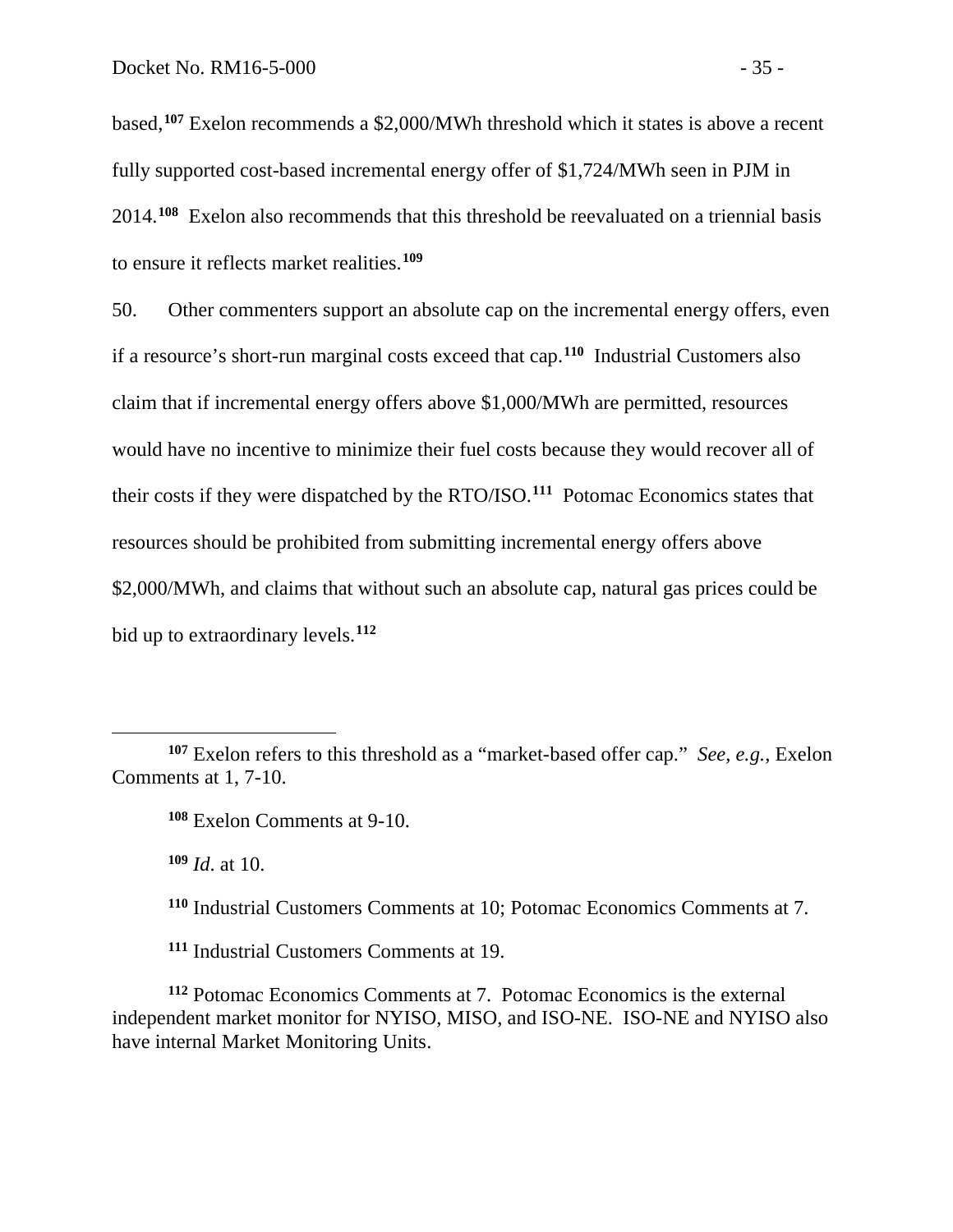based,**[107](#page-36-0)** Exelon recommends a \$2,000/MWh threshold which it states is above a recent fully supported cost-based incremental energy offer of \$1,724/MWh seen in PJM in 2014.**[108](#page-36-1)** Exelon also recommends that this threshold be reevaluated on a triennial basis to ensure it reflects market realities.**[109](#page-36-2)**

50. Other commenters support an absolute cap on the incremental energy offers, even if a resource's short-run marginal costs exceed that cap.**[110](#page-36-3)** Industrial Customers also claim that if incremental energy offers above \$1,000/MWh are permitted, resources would have no incentive to minimize their fuel costs because they would recover all of their costs if they were dispatched by the RTO/ISO.**[111](#page-36-4)** Potomac Economics states that resources should be prohibited from submitting incremental energy offers above \$2,000/MWh, and claims that without such an absolute cap, natural gas prices could be bid up to extraordinary levels.**[112](#page-36-5)**

**<sup>109</sup>** *Id*. at 10.

 $\overline{a}$ 

**<sup>110</sup>** Industrial Customers Comments at 10; Potomac Economics Comments at 7.

**<sup>111</sup>** Industrial Customers Comments at 19.

<span id="page-36-5"></span><span id="page-36-4"></span><span id="page-36-3"></span>**<sup>112</sup>** Potomac Economics Comments at 7. Potomac Economics is the external independent market monitor for NYISO, MISO, and ISO-NE. ISO-NE and NYISO also have internal Market Monitoring Units.

<span id="page-36-2"></span><span id="page-36-1"></span><span id="page-36-0"></span>**<sup>107</sup>** Exelon refers to this threshold as a "market-based offer cap." *See, e.g.*, Exelon Comments at 1, 7-10.

**<sup>108</sup>** Exelon Comments at 9-10.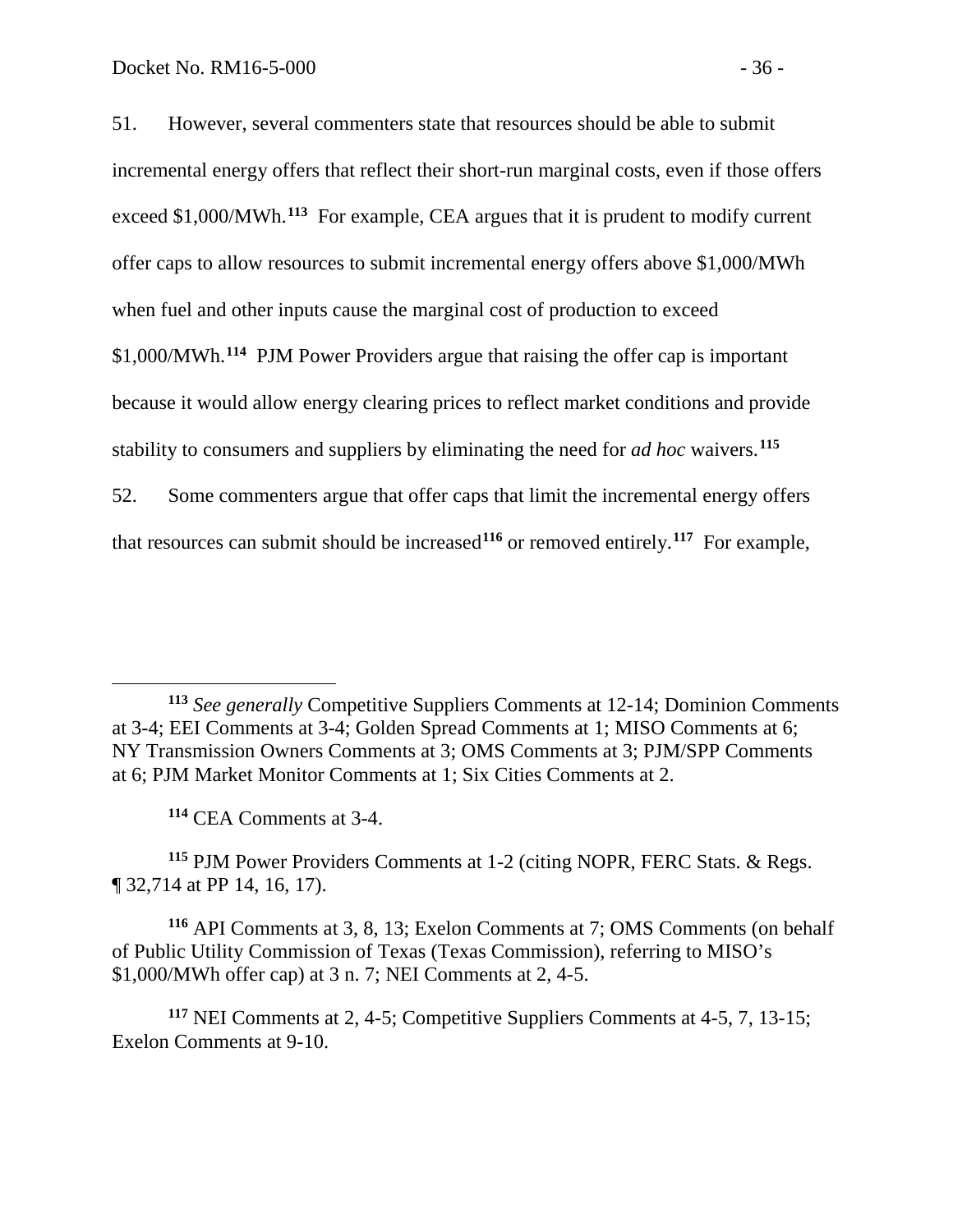51. However, several commenters state that resources should be able to submit incremental energy offers that reflect their short-run marginal costs, even if those offers exceed \$1,000/MWh.**[113](#page-37-0)** For example, CEA argues that it is prudent to modify current offer caps to allow resources to submit incremental energy offers above \$1,000/MWh when fuel and other inputs cause the marginal cost of production to exceed \$1,000/MWh.**[114](#page-37-1)** PJM Power Providers argue that raising the offer cap is important because it would allow energy clearing prices to reflect market conditions and provide stability to consumers and suppliers by eliminating the need for *ad hoc* waivers.**[115](#page-37-2)** 52. Some commenters argue that offer caps that limit the incremental energy offers that resources can submit should be increased**[116](#page-37-3)** or removed entirely.**[117](#page-37-4)** For example,

**<sup>114</sup>** CEA Comments at 3-4.

 $\overline{a}$ 

<span id="page-37-2"></span><span id="page-37-1"></span>**<sup>115</sup>** PJM Power Providers Comments at 1-2 (citing NOPR, FERC Stats. & Regs. ¶ 32,714 at PP 14, 16, 17).

<span id="page-37-3"></span>**<sup>116</sup>** API Comments at 3, 8, 13; Exelon Comments at 7; OMS Comments (on behalf of Public Utility Commission of Texas (Texas Commission), referring to MISO's \$1,000/MWh offer cap) at 3 n. 7; NEI Comments at 2, 4-5.

<span id="page-37-4"></span>**<sup>117</sup>** NEI Comments at 2, 4-5; Competitive Suppliers Comments at 4-5, 7, 13-15; Exelon Comments at 9-10.

<span id="page-37-0"></span>**<sup>113</sup>** *See generally* Competitive Suppliers Comments at 12-14; Dominion Comments at 3-4; EEI Comments at 3-4; Golden Spread Comments at 1; MISO Comments at 6; NY Transmission Owners Comments at 3; OMS Comments at 3; PJM/SPP Comments at 6; PJM Market Monitor Comments at 1; Six Cities Comments at 2.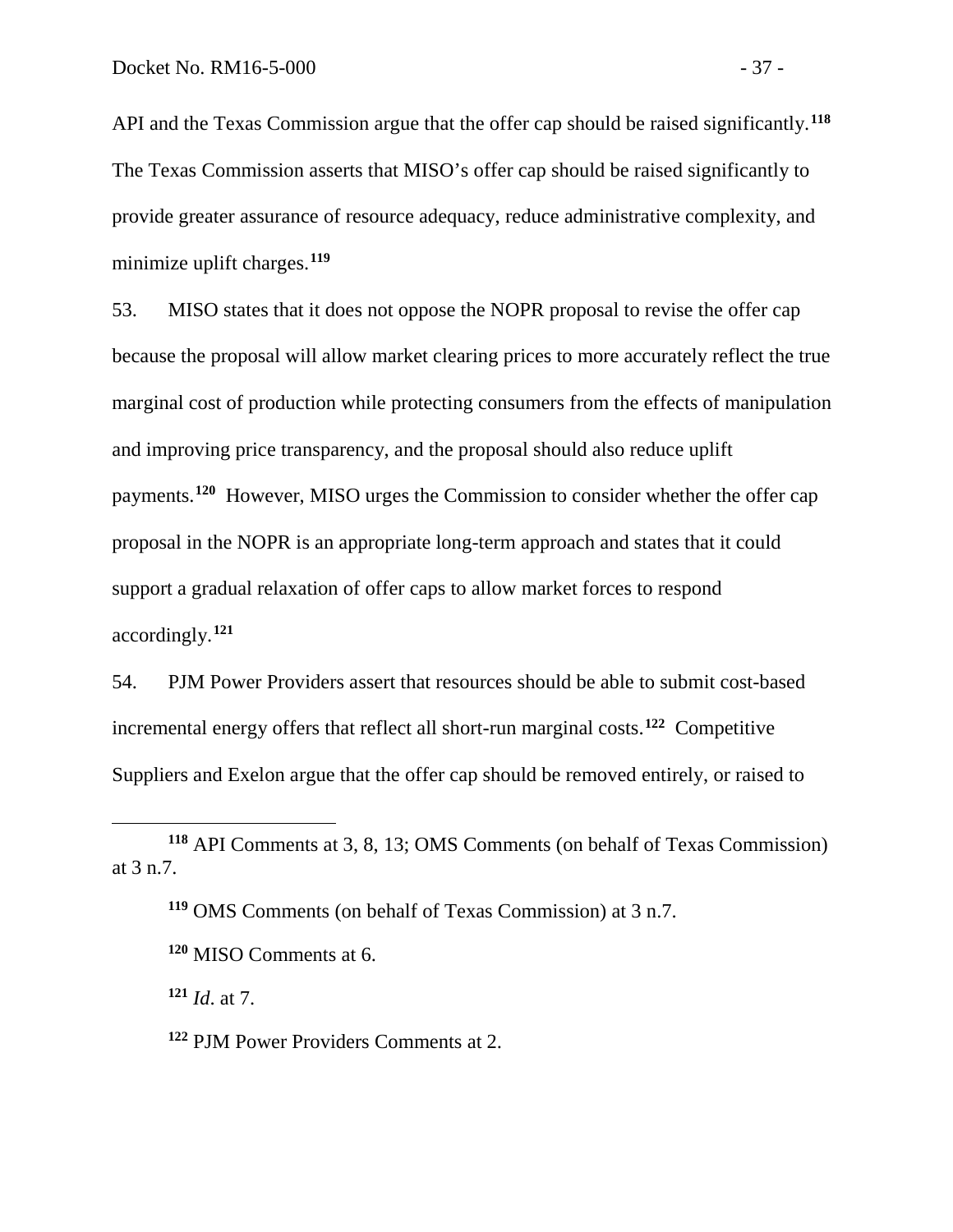API and the Texas Commission argue that the offer cap should be raised significantly.**[118](#page-38-0)** The Texas Commission asserts that MISO's offer cap should be raised significantly to provide greater assurance of resource adequacy, reduce administrative complexity, and minimize uplift charges.**[119](#page-38-1)**

53. MISO states that it does not oppose the NOPR proposal to revise the offer cap because the proposal will allow market clearing prices to more accurately reflect the true marginal cost of production while protecting consumers from the effects of manipulation and improving price transparency, and the proposal should also reduce uplift payments.**[120](#page-38-2)** However, MISO urges the Commission to consider whether the offer cap proposal in the NOPR is an appropriate long-term approach and states that it could support a gradual relaxation of offer caps to allow market forces to respond accordingly.**[121](#page-38-3)**

54. PJM Power Providers assert that resources should be able to submit cost-based incremental energy offers that reflect all short-run marginal costs.**[122](#page-38-4)** Competitive Suppliers and Exelon argue that the offer cap should be removed entirely, or raised to

<span id="page-38-3"></span>**<sup>121</sup>** *Id*. at 7.

<span id="page-38-2"></span><span id="page-38-1"></span><span id="page-38-0"></span>**<sup>118</sup>** API Comments at 3, 8, 13; OMS Comments (on behalf of Texas Commission) at 3 n.7.

**<sup>119</sup>** OMS Comments (on behalf of Texas Commission) at 3 n.7.

**<sup>120</sup>** MISO Comments at 6.

<span id="page-38-4"></span>**<sup>122</sup>** PJM Power Providers Comments at 2.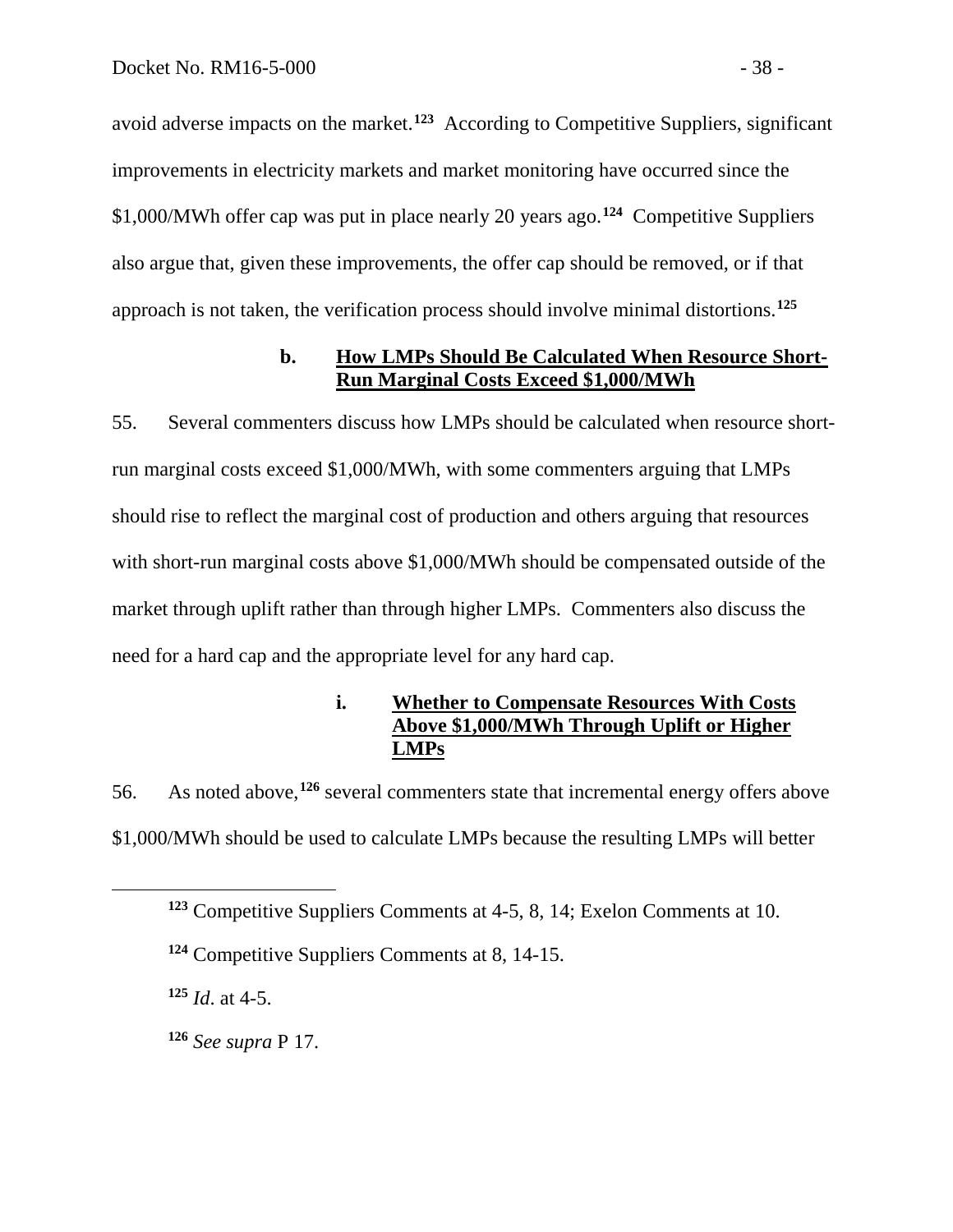avoid adverse impacts on the market.**[123](#page-39-0)** According to Competitive Suppliers, significant improvements in electricity markets and market monitoring have occurred since the \$1,000/MWh offer cap was put in place nearly 20 years ago.**[124](#page-39-1)** Competitive Suppliers also argue that, given these improvements, the offer cap should be removed, or if that approach is not taken, the verification process should involve minimal distortions.**[125](#page-39-2)**

## **b. How LMPs Should Be Calculated When Resource Short-Run Marginal Costs Exceed \$1,000/MWh**

55. Several commenters discuss how LMPs should be calculated when resource shortrun marginal costs exceed \$1,000/MWh, with some commenters arguing that LMPs should rise to reflect the marginal cost of production and others arguing that resources with short-run marginal costs above \$1,000/MWh should be compensated outside of the market through uplift rather than through higher LMPs. Commenters also discuss the need for a hard cap and the appropriate level for any hard cap.

## **i. Whether to Compensate Resources With Costs Above \$1,000/MWh Through Uplift or Higher LMPs**

56. As noted above,**[126](#page-39-3)** several commenters state that incremental energy offers above \$1,000/MWh should be used to calculate LMPs because the resulting LMPs will better

**<sup>125</sup>** *Id*. at 4-5.

<span id="page-39-2"></span><span id="page-39-1"></span><span id="page-39-0"></span> $\overline{a}$ 

<span id="page-39-3"></span>**<sup>126</sup>** *See supra* P 17.

**<sup>123</sup>** Competitive Suppliers Comments at 4-5, 8, 14; Exelon Comments at 10.

**<sup>124</sup>** Competitive Suppliers Comments at 8, 14-15.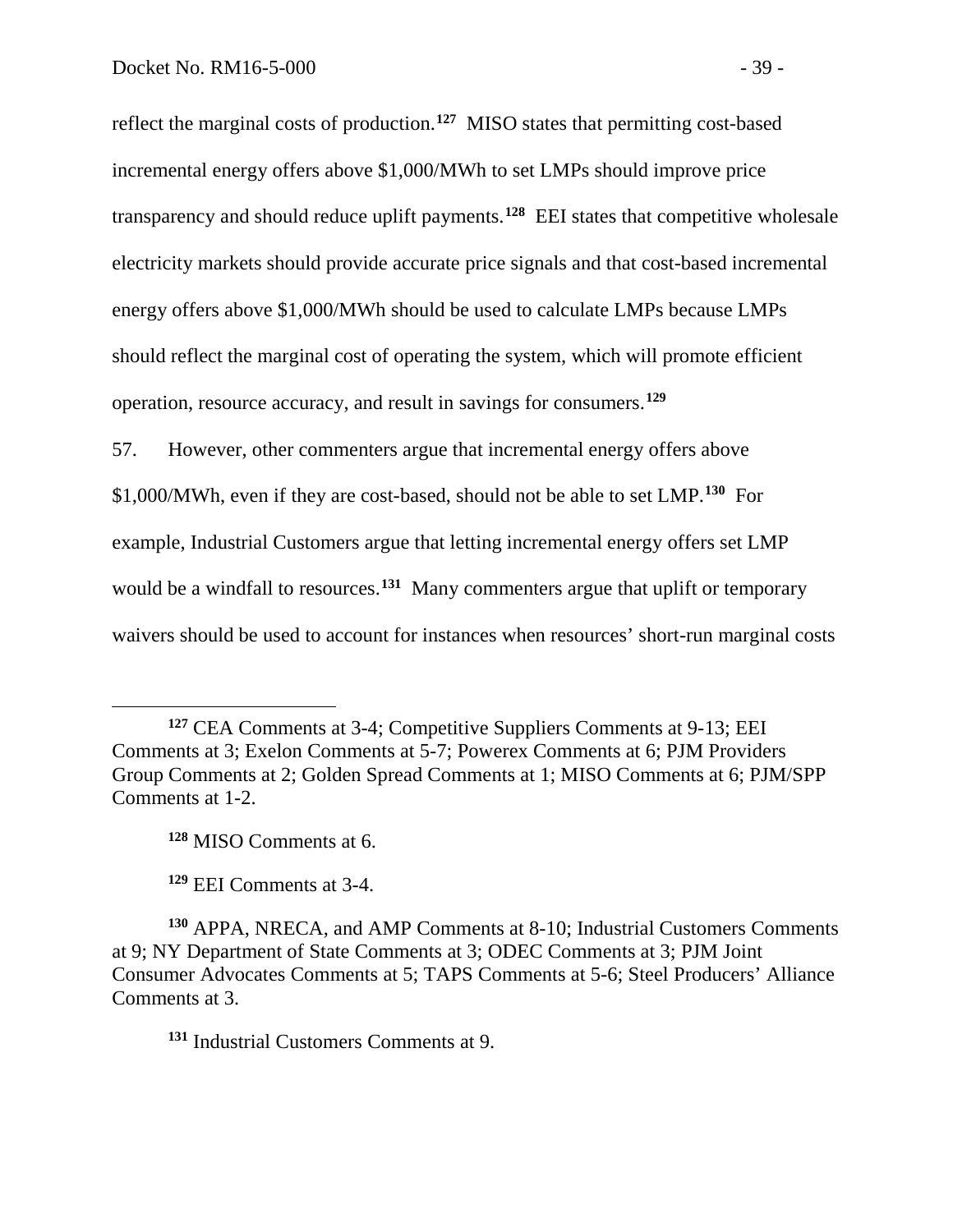reflect the marginal costs of production.**[127](#page-40-0)** MISO states that permitting cost-based incremental energy offers above \$1,000/MWh to set LMPs should improve price transparency and should reduce uplift payments.**[128](#page-40-1)** EEI states that competitive wholesale electricity markets should provide accurate price signals and that cost-based incremental energy offers above \$1,000/MWh should be used to calculate LMPs because LMPs should reflect the marginal cost of operating the system, which will promote efficient operation, resource accuracy, and result in savings for consumers.**[129](#page-40-2)**

57. However, other commenters argue that incremental energy offers above

\$1,000/MWh, even if they are cost-based, should not be able to set LMP.**[130](#page-40-3)** For example, Industrial Customers argue that letting incremental energy offers set LMP would be a windfall to resources.<sup>[131](#page-40-4)</sup> Many commenters argue that uplift or temporary waivers should be used to account for instances when resources' short-run marginal costs

**<sup>128</sup>** MISO Comments at 6.

 $\overline{a}$ 

**<sup>129</sup>** EEI Comments at 3-4.

<span id="page-40-4"></span><span id="page-40-3"></span><span id="page-40-2"></span><span id="page-40-1"></span>**<sup>130</sup>** APPA, NRECA, and AMP Comments at 8-10; Industrial Customers Comments at 9; NY Department of State Comments at 3; ODEC Comments at 3; PJM Joint Consumer Advocates Comments at 5; TAPS Comments at 5-6; Steel Producers' Alliance Comments at 3.

**<sup>131</sup>** Industrial Customers Comments at 9.

<span id="page-40-0"></span>**<sup>127</sup>** CEA Comments at 3-4; Competitive Suppliers Comments at 9-13; EEI Comments at 3; Exelon Comments at 5-7; Powerex Comments at 6; PJM Providers Group Comments at 2; Golden Spread Comments at 1; MISO Comments at 6; PJM/SPP Comments at 1-2.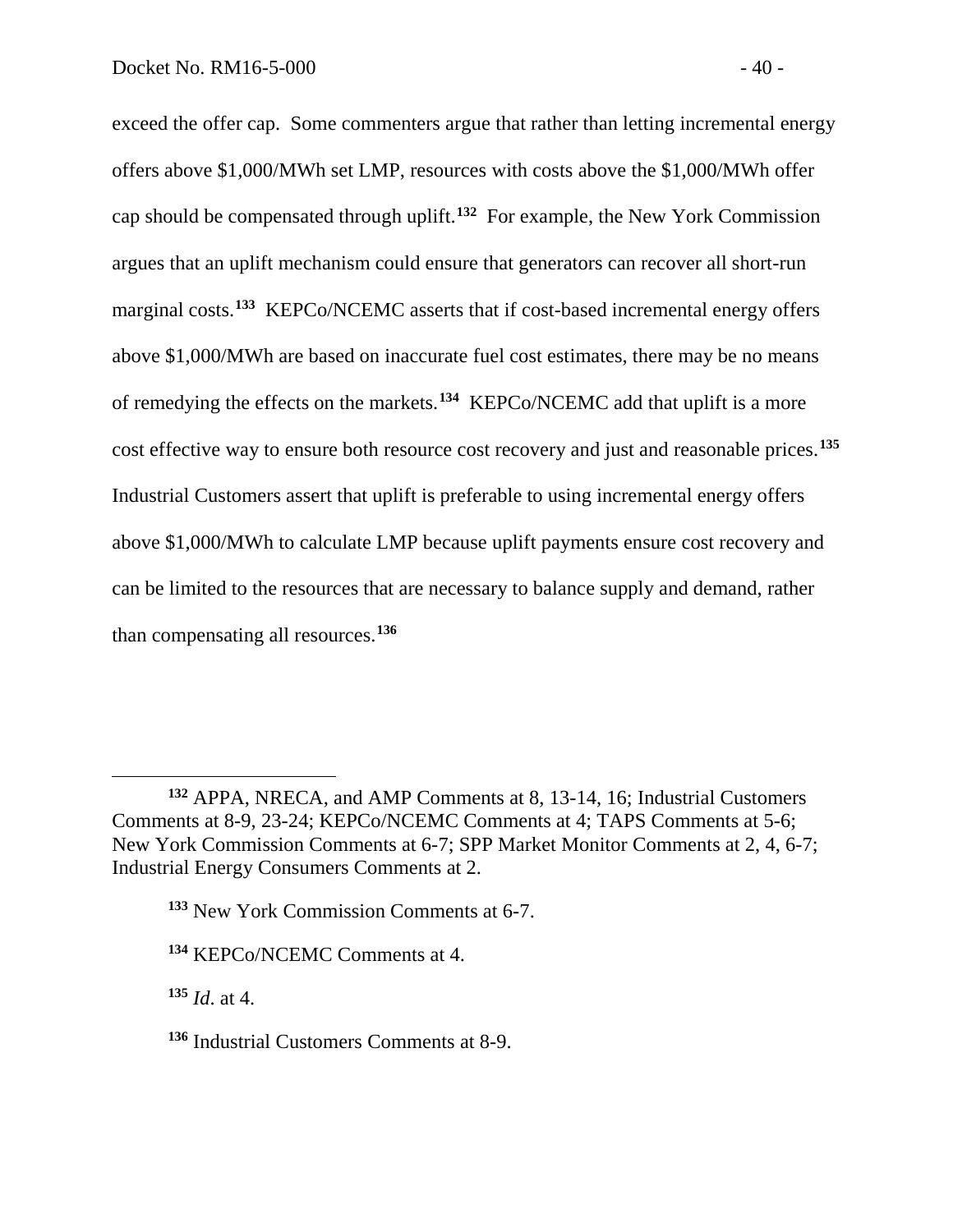exceed the offer cap. Some commenters argue that rather than letting incremental energy offers above \$1,000/MWh set LMP, resources with costs above the \$1,000/MWh offer cap should be compensated through uplift.**[132](#page-41-0)** For example, the New York Commission argues that an uplift mechanism could ensure that generators can recover all short-run marginal costs.**[133](#page-41-1)** KEPCo/NCEMC asserts that if cost-based incremental energy offers above \$1,000/MWh are based on inaccurate fuel cost estimates, there may be no means of remedying the effects on the markets.**[134](#page-41-2)** KEPCo/NCEMC add that uplift is a more cost effective way to ensure both resource cost recovery and just and reasonable prices.**[135](#page-41-3)** Industrial Customers assert that uplift is preferable to using incremental energy offers above \$1,000/MWh to calculate LMP because uplift payments ensure cost recovery and can be limited to the resources that are necessary to balance supply and demand, rather than compensating all resources.**[136](#page-41-4)**

**<sup>133</sup>** New York Commission Comments at 6-7.

<span id="page-41-2"></span>**<sup>134</sup>** KEPCo/NCEMC Comments at 4.

<span id="page-41-3"></span>**<sup>135</sup>** *Id*. at 4.

 $\overline{a}$ 

<span id="page-41-4"></span>**<sup>136</sup>** Industrial Customers Comments at 8-9.

<span id="page-41-1"></span><span id="page-41-0"></span>**<sup>132</sup>** APPA, NRECA, and AMP Comments at 8, 13-14, 16; Industrial Customers Comments at 8-9, 23-24; KEPCo/NCEMC Comments at 4; TAPS Comments at 5-6; New York Commission Comments at 6-7; SPP Market Monitor Comments at 2, 4, 6-7; Industrial Energy Consumers Comments at 2.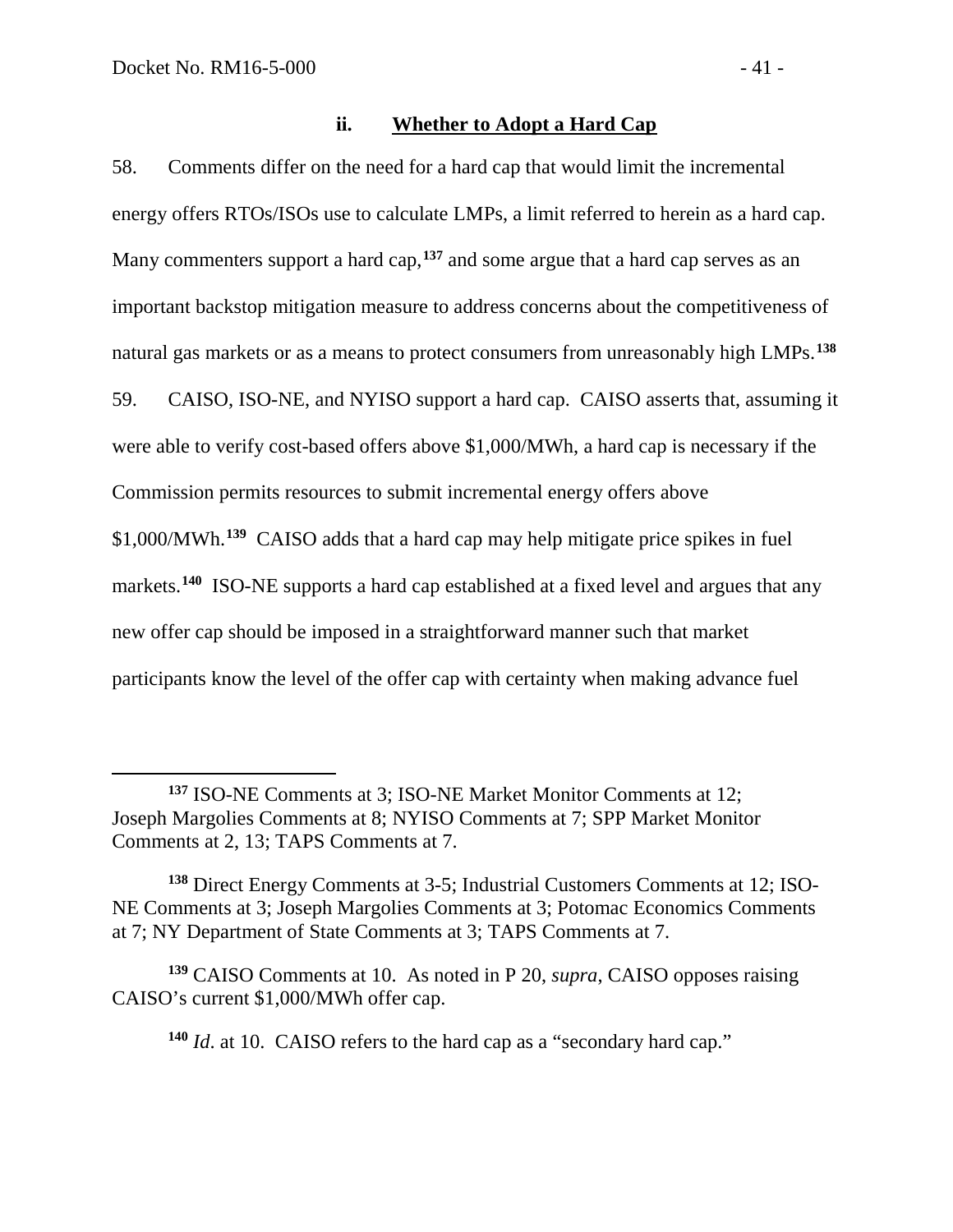58. Comments differ on the need for a hard cap that would limit the incremental energy offers RTOs/ISOs use to calculate LMPs, a limit referred to herein as a hard cap. Many commenters support a hard cap,**[137](#page-42-0)** and some argue that a hard cap serves as an important backstop mitigation measure to address concerns about the competitiveness of natural gas markets or as a means to protect consumers from unreasonably high LMPs.**[138](#page-42-1)** 59. CAISO, ISO-NE, and NYISO support a hard cap. CAISO asserts that, assuming it were able to verify cost-based offers above \$1,000/MWh, a hard cap is necessary if the Commission permits resources to submit incremental energy offers above \$1,000/MWh.**[139](#page-42-2)** CAISO adds that a hard cap may help mitigate price spikes in fuel markets.**[140](#page-42-3)** ISO-NE supports a hard cap established at a fixed level and argues that any new offer cap should be imposed in a straightforward manner such that market participants know the level of the offer cap with certainty when making advance fuel

<span id="page-42-0"></span>**<sup>137</sup>** ISO-NE Comments at 3; ISO-NE Market Monitor Comments at 12; Joseph Margolies Comments at 8; NYISO Comments at 7; SPP Market Monitor Comments at 2, 13; TAPS Comments at 7.

<span id="page-42-1"></span>**<sup>138</sup>** Direct Energy Comments at 3-5; Industrial Customers Comments at 12; ISO-NE Comments at 3; Joseph Margolies Comments at 3; Potomac Economics Comments at 7; NY Department of State Comments at 3; TAPS Comments at 7.

<span id="page-42-3"></span><span id="page-42-2"></span>**<sup>139</sup>** CAISO Comments at 10. As noted in P 20, *supra*, CAISO opposes raising CAISO's current \$1,000/MWh offer cap.

**<sup>140</sup>** *Id*. at 10. CAISO refers to the hard cap as a "secondary hard cap."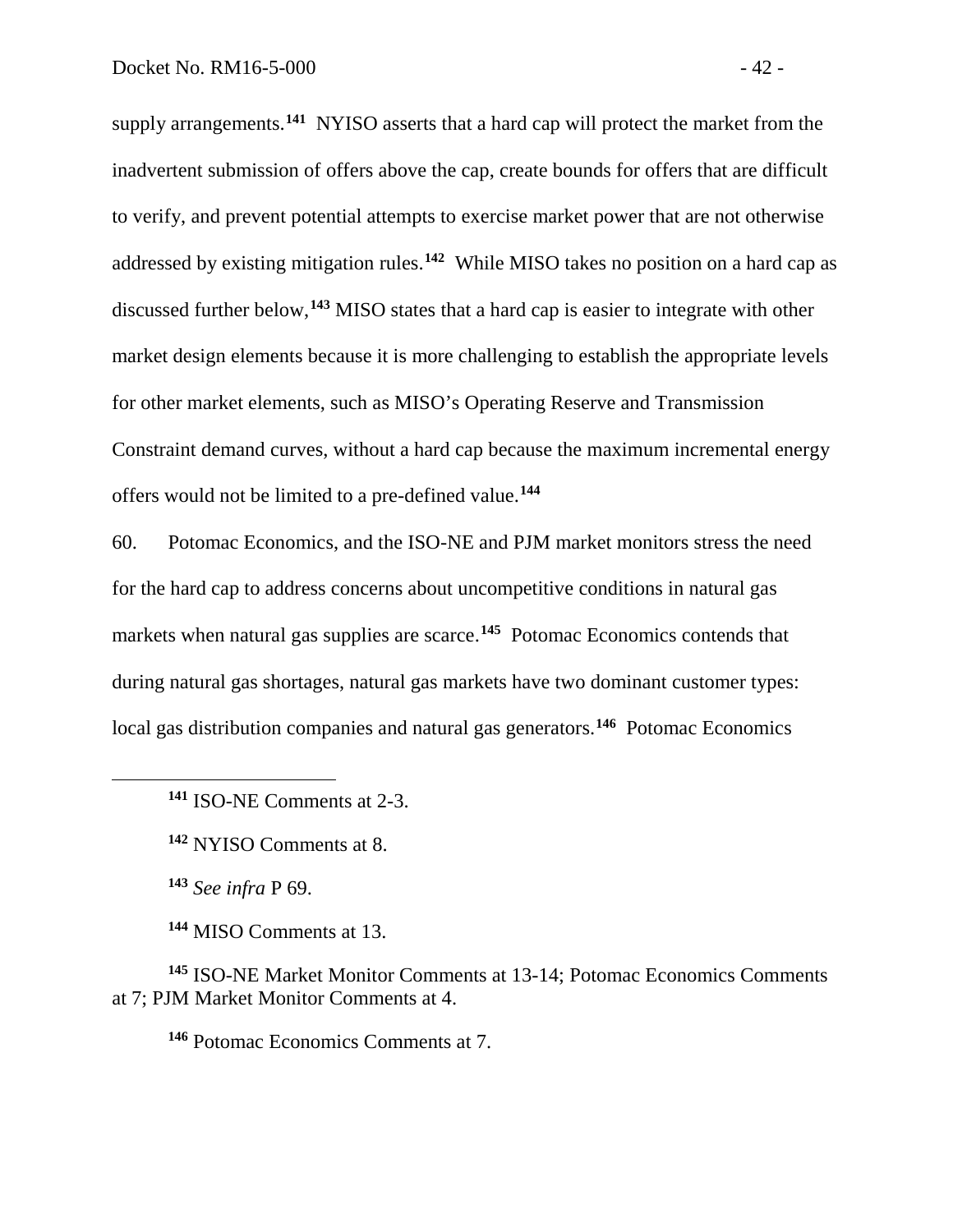supply arrangements.**[141](#page-43-0)** NYISO asserts that a hard cap will protect the market from the inadvertent submission of offers above the cap, create bounds for offers that are difficult to verify, and prevent potential attempts to exercise market power that are not otherwise addressed by existing mitigation rules.**[142](#page-43-1)** While MISO takes no position on a hard cap as discussed further below,**[143](#page-43-2)** MISO states that a hard cap is easier to integrate with other market design elements because it is more challenging to establish the appropriate levels for other market elements, such as MISO's Operating Reserve and Transmission Constraint demand curves, without a hard cap because the maximum incremental energy offers would not be limited to a pre-defined value.**[144](#page-43-3)**

60. Potomac Economics, and the ISO-NE and PJM market monitors stress the need for the hard cap to address concerns about uncompetitive conditions in natural gas markets when natural gas supplies are scarce.**[145](#page-43-4)** Potomac Economics contends that during natural gas shortages, natural gas markets have two dominant customer types: local gas distribution companies and natural gas generators.**[146](#page-43-5)** Potomac Economics

**<sup>143</sup>** *See infra* P 69.

<span id="page-43-1"></span><span id="page-43-0"></span> $\overline{a}$ 

**<sup>144</sup>** MISO Comments at 13.

<span id="page-43-5"></span><span id="page-43-4"></span><span id="page-43-3"></span><span id="page-43-2"></span>**<sup>145</sup>** ISO-NE Market Monitor Comments at 13-14; Potomac Economics Comments at 7; PJM Market Monitor Comments at 4.

**<sup>146</sup>** Potomac Economics Comments at 7.

**<sup>141</sup>** ISO-NE Comments at 2-3.

**<sup>142</sup>** NYISO Comments at 8.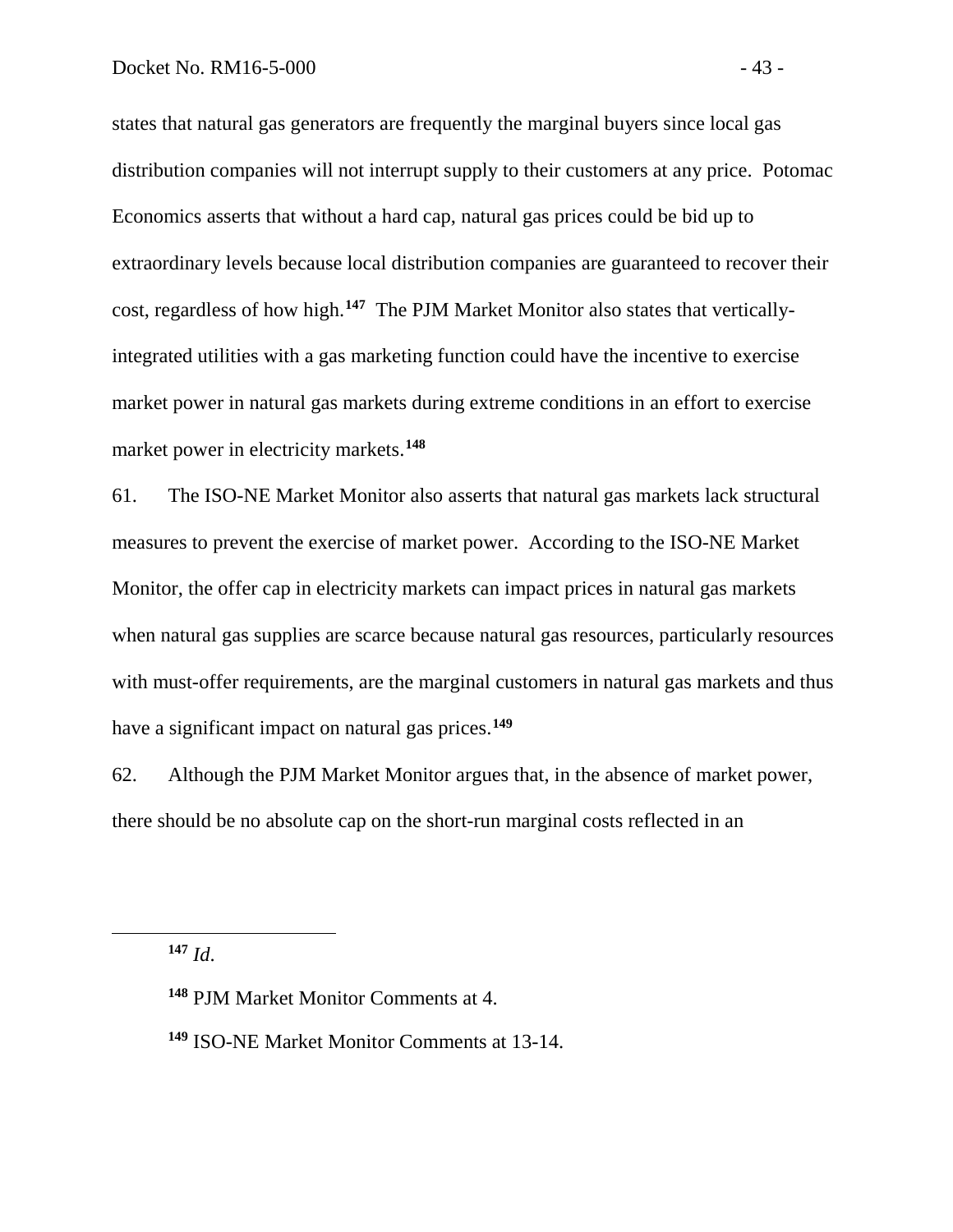states that natural gas generators are frequently the marginal buyers since local gas distribution companies will not interrupt supply to their customers at any price. Potomac Economics asserts that without a hard cap, natural gas prices could be bid up to extraordinary levels because local distribution companies are guaranteed to recover their cost, regardless of how high.**[147](#page-44-0)** The PJM Market Monitor also states that verticallyintegrated utilities with a gas marketing function could have the incentive to exercise market power in natural gas markets during extreme conditions in an effort to exercise market power in electricity markets.**[148](#page-44-1)**

61. The ISO-NE Market Monitor also asserts that natural gas markets lack structural measures to prevent the exercise of market power. According to the ISO-NE Market Monitor, the offer cap in electricity markets can impact prices in natural gas markets when natural gas supplies are scarce because natural gas resources, particularly resources with must-offer requirements, are the marginal customers in natural gas markets and thus have a significant impact on natural gas prices.**[149](#page-44-2)**

62. Although the PJM Market Monitor argues that, in the absence of market power, there should be no absolute cap on the short-run marginal costs reflected in an

<span id="page-44-0"></span>**<sup>147</sup>** *Id*.

<span id="page-44-1"></span>**<sup>148</sup>** PJM Market Monitor Comments at 4.

<span id="page-44-2"></span>**<sup>149</sup>** ISO-NE Market Monitor Comments at 13-14.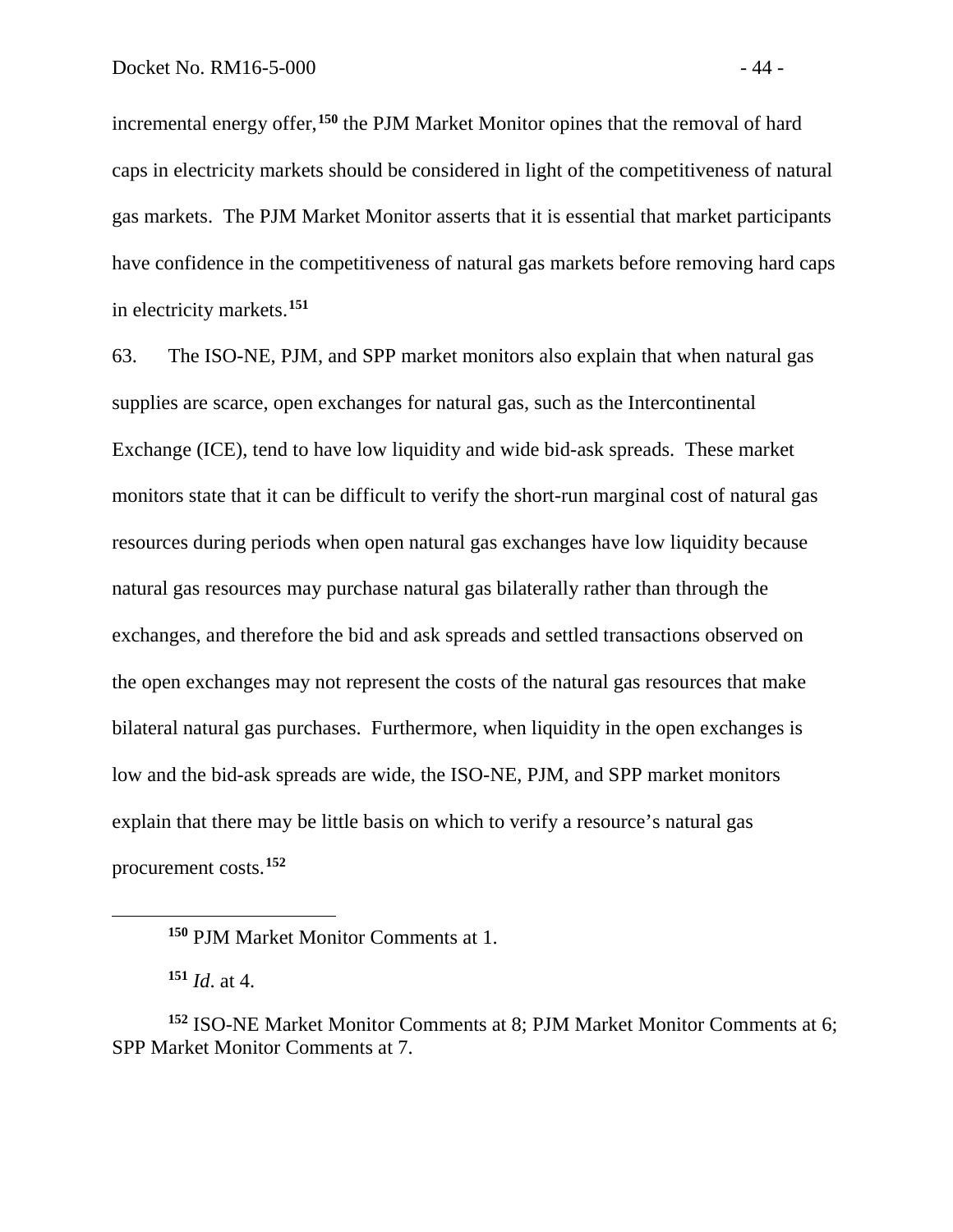incremental energy offer,**[150](#page-45-0)** the PJM Market Monitor opines that the removal of hard caps in electricity markets should be considered in light of the competitiveness of natural gas markets. The PJM Market Monitor asserts that it is essential that market participants have confidence in the competitiveness of natural gas markets before removing hard caps in electricity markets.**[151](#page-45-1)**

63. The ISO-NE, PJM, and SPP market monitors also explain that when natural gas supplies are scarce, open exchanges for natural gas, such as the Intercontinental Exchange (ICE), tend to have low liquidity and wide bid-ask spreads. These market monitors state that it can be difficult to verify the short-run marginal cost of natural gas resources during periods when open natural gas exchanges have low liquidity because natural gas resources may purchase natural gas bilaterally rather than through the exchanges, and therefore the bid and ask spreads and settled transactions observed on the open exchanges may not represent the costs of the natural gas resources that make bilateral natural gas purchases. Furthermore, when liquidity in the open exchanges is low and the bid-ask spreads are wide, the ISO-NE, PJM, and SPP market monitors explain that there may be little basis on which to verify a resource's natural gas procurement costs.**[152](#page-45-2)**

**<sup>150</sup>** PJM Market Monitor Comments at 1.

**<sup>151</sup>** *Id*. at 4.

<span id="page-45-2"></span><span id="page-45-1"></span><span id="page-45-0"></span>**<sup>152</sup>** ISO-NE Market Monitor Comments at 8; PJM Market Monitor Comments at 6; SPP Market Monitor Comments at 7.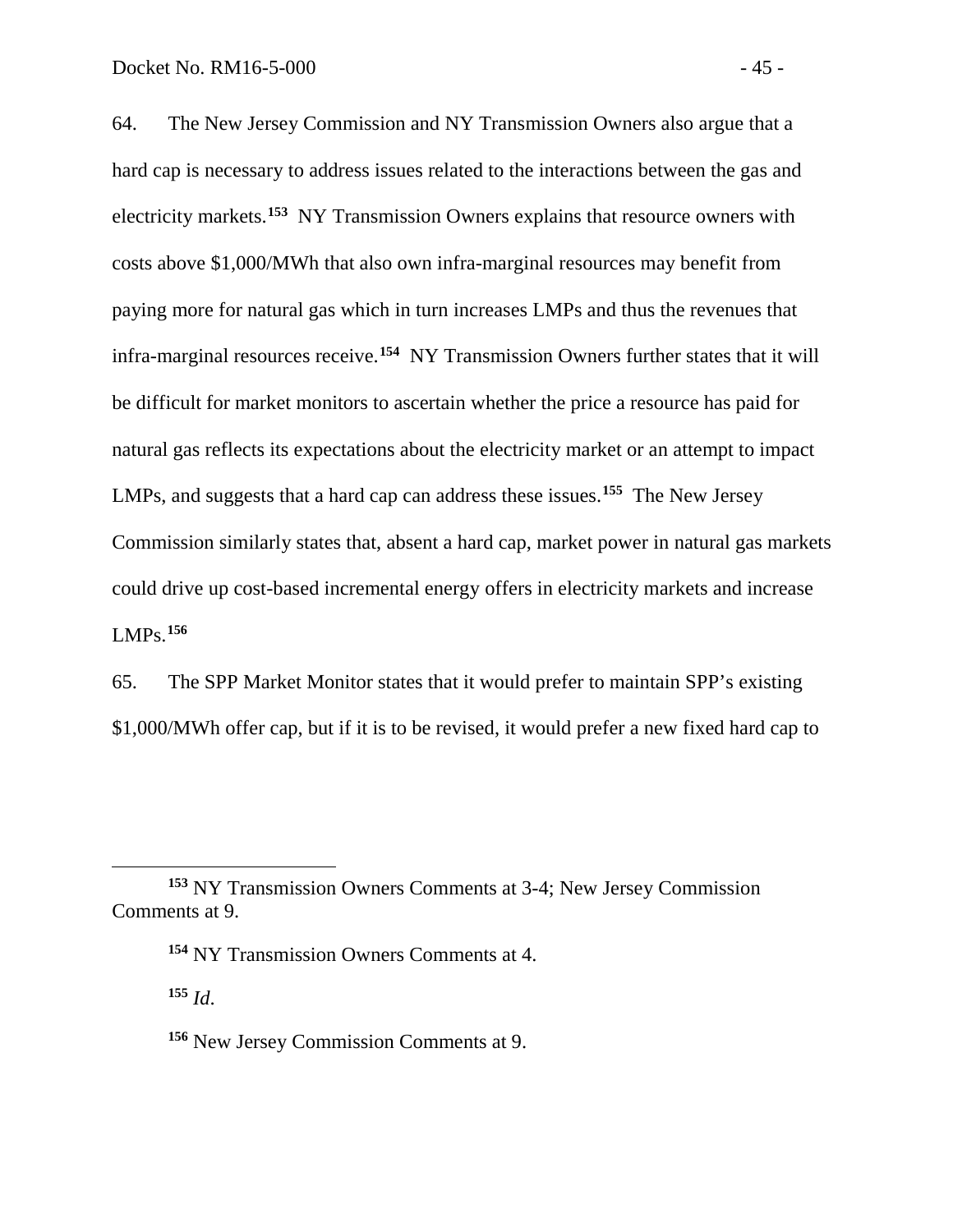64. The New Jersey Commission and NY Transmission Owners also argue that a hard cap is necessary to address issues related to the interactions between the gas and electricity markets.**[153](#page-46-0)** NY Transmission Owners explains that resource owners with costs above \$1,000/MWh that also own infra-marginal resources may benefit from paying more for natural gas which in turn increases LMPs and thus the revenues that infra-marginal resources receive.**[154](#page-46-1)** NY Transmission Owners further states that it will be difficult for market monitors to ascertain whether the price a resource has paid for natural gas reflects its expectations about the electricity market or an attempt to impact LMPs, and suggests that a hard cap can address these issues.**[155](#page-46-2)** The New Jersey Commission similarly states that, absent a hard cap, market power in natural gas markets could drive up cost-based incremental energy offers in electricity markets and increase LMPs.**[156](#page-46-3)**

65. The SPP Market Monitor states that it would prefer to maintain SPP's existing \$1,000/MWh offer cap, but if it is to be revised, it would prefer a new fixed hard cap to

**<sup>155</sup>** *Id*.

<span id="page-46-2"></span><span id="page-46-1"></span><span id="page-46-0"></span>**<sup>153</sup>** NY Transmission Owners Comments at 3-4; New Jersey Commission Comments at 9.

**<sup>154</sup>** NY Transmission Owners Comments at 4.

<span id="page-46-3"></span>**<sup>156</sup>** New Jersey Commission Comments at 9.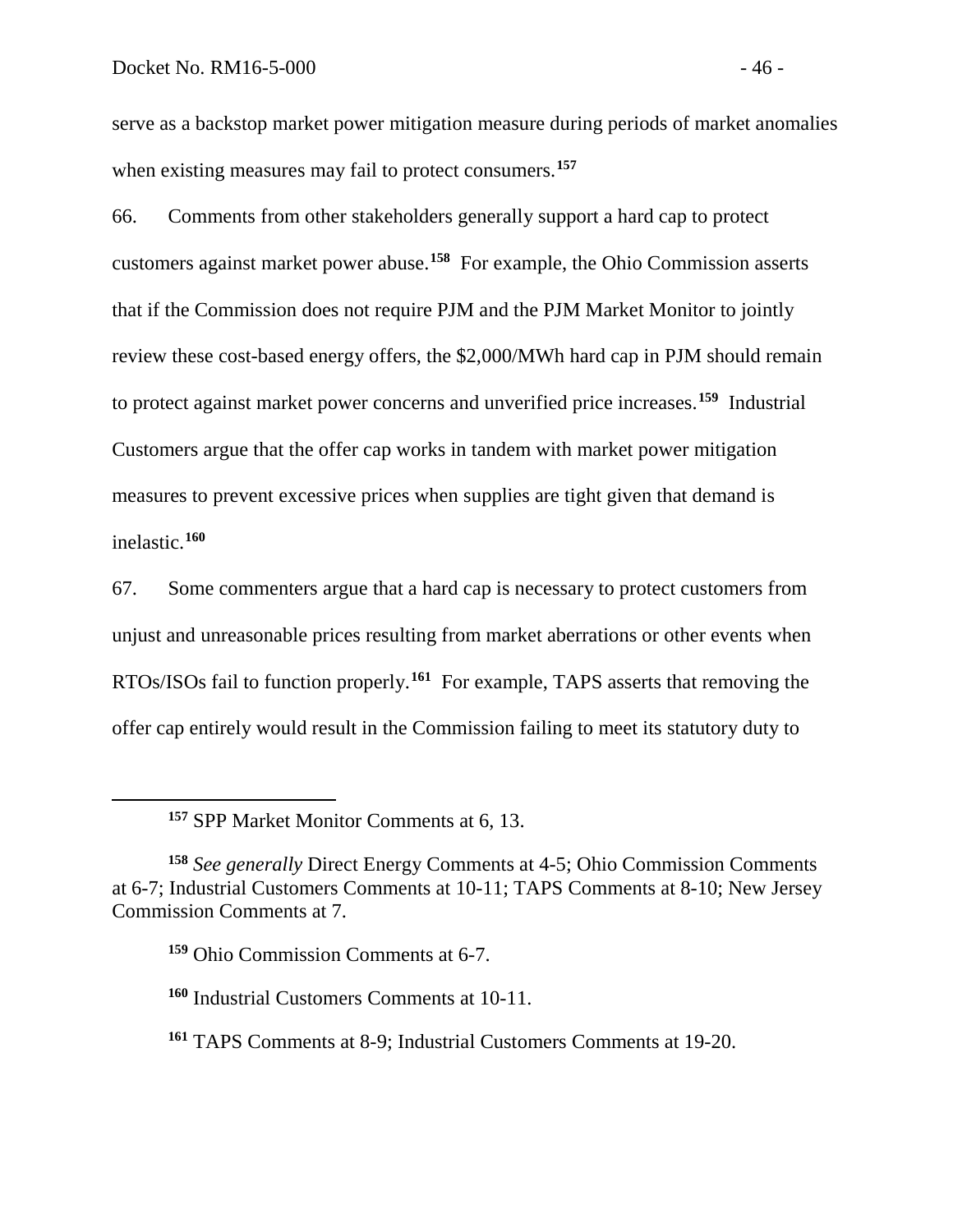serve as a backstop market power mitigation measure during periods of market anomalies when existing measures may fail to protect consumers.**[157](#page-47-0)**

66. Comments from other stakeholders generally support a hard cap to protect customers against market power abuse.**[158](#page-47-1)** For example, the Ohio Commission asserts that if the Commission does not require PJM and the PJM Market Monitor to jointly review these cost-based energy offers, the \$2,000/MWh hard cap in PJM should remain to protect against market power concerns and unverified price increases.**[159](#page-47-2)** Industrial Customers argue that the offer cap works in tandem with market power mitigation measures to prevent excessive prices when supplies are tight given that demand is inelastic.**[160](#page-47-3)**

67. Some commenters argue that a hard cap is necessary to protect customers from unjust and unreasonable prices resulting from market aberrations or other events when RTOs/ISOs fail to function properly.**[161](#page-47-4)** For example, TAPS asserts that removing the offer cap entirely would result in the Commission failing to meet its statutory duty to

**<sup>157</sup>** SPP Market Monitor Comments at 6, 13.

<span id="page-47-2"></span><span id="page-47-1"></span><span id="page-47-0"></span>**<sup>158</sup>** *See generally* Direct Energy Comments at 4-5; Ohio Commission Comments at 6-7; Industrial Customers Comments at 10-11; TAPS Comments at 8-10; New Jersey Commission Comments at 7.

**<sup>159</sup>** Ohio Commission Comments at 6-7.

<span id="page-47-3"></span>**<sup>160</sup>** Industrial Customers Comments at 10-11.

<span id="page-47-4"></span>**<sup>161</sup>** TAPS Comments at 8-9; Industrial Customers Comments at 19-20.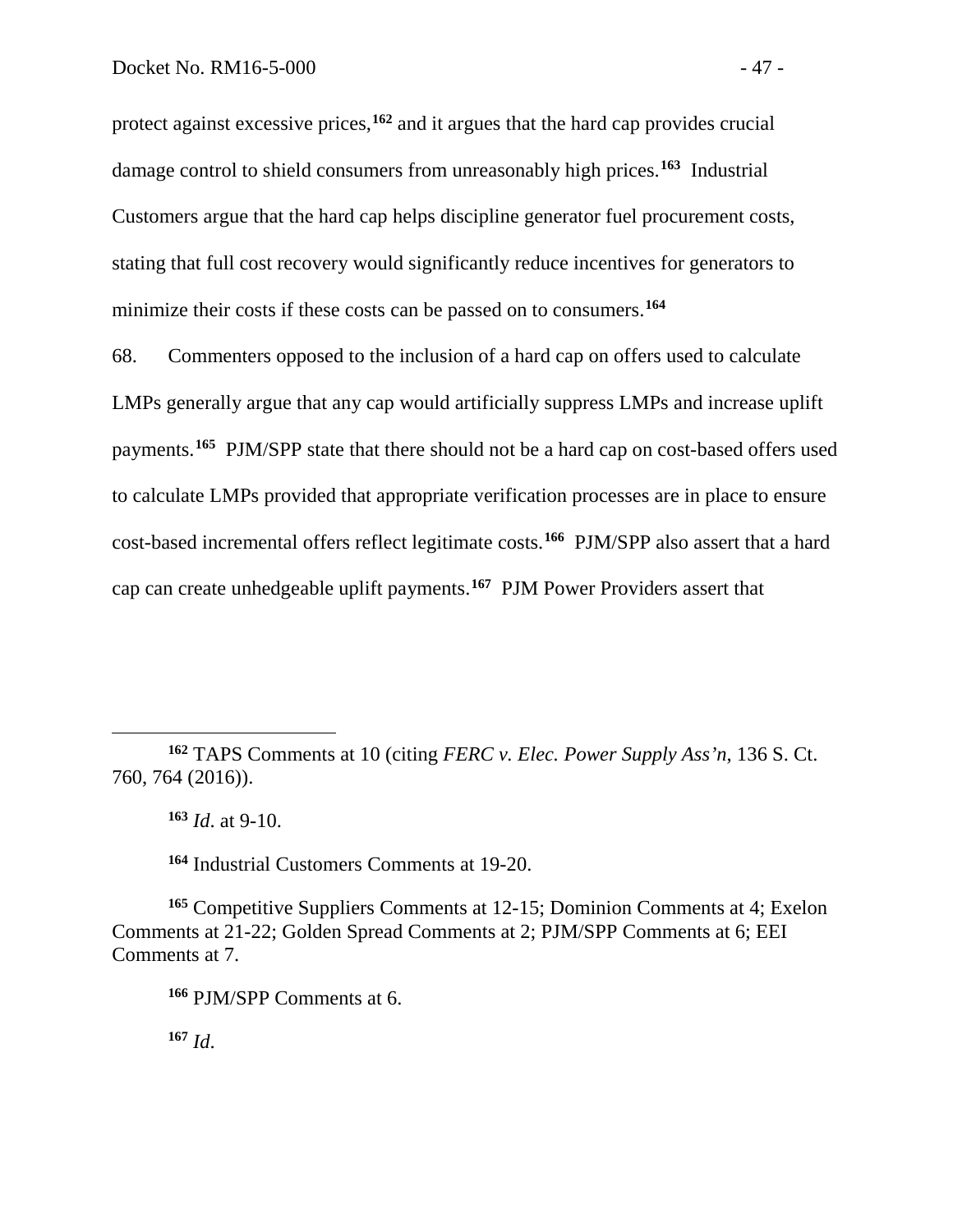protect against excessive prices, **[162](#page-48-0)** and it argues that the hard cap provides crucial damage control to shield consumers from unreasonably high prices.**[163](#page-48-1)** Industrial Customers argue that the hard cap helps discipline generator fuel procurement costs, stating that full cost recovery would significantly reduce incentives for generators to minimize their costs if these costs can be passed on to consumers.**[164](#page-48-2)**

68. Commenters opposed to the inclusion of a hard cap on offers used to calculate LMPs generally argue that any cap would artificially suppress LMPs and increase uplift payments.**[165](#page-48-3)** PJM/SPP state that there should not be a hard cap on cost-based offers used to calculate LMPs provided that appropriate verification processes are in place to ensure cost-based incremental offers reflect legitimate costs.**[166](#page-48-4)** PJM/SPP also assert that a hard cap can create unhedgeable uplift payments.**[167](#page-48-5)** PJM Power Providers assert that

 $\overline{a}$ 

<span id="page-48-5"></span>**<sup>167</sup>** *Id*.

<span id="page-48-1"></span><span id="page-48-0"></span>**<sup>162</sup>** TAPS Comments at 10 (citing *FERC v. Elec. Power Supply Ass'n*, 136 S. Ct. 760, 764 (2016)).

**<sup>163</sup>** *Id*. at 9-10.

**<sup>164</sup>** Industrial Customers Comments at 19-20.

<span id="page-48-4"></span><span id="page-48-3"></span><span id="page-48-2"></span>**<sup>165</sup>** Competitive Suppliers Comments at 12-15; Dominion Comments at 4; Exelon Comments at 21-22; Golden Spread Comments at 2; PJM/SPP Comments at 6; EEI Comments at 7.

**<sup>166</sup>** PJM/SPP Comments at 6.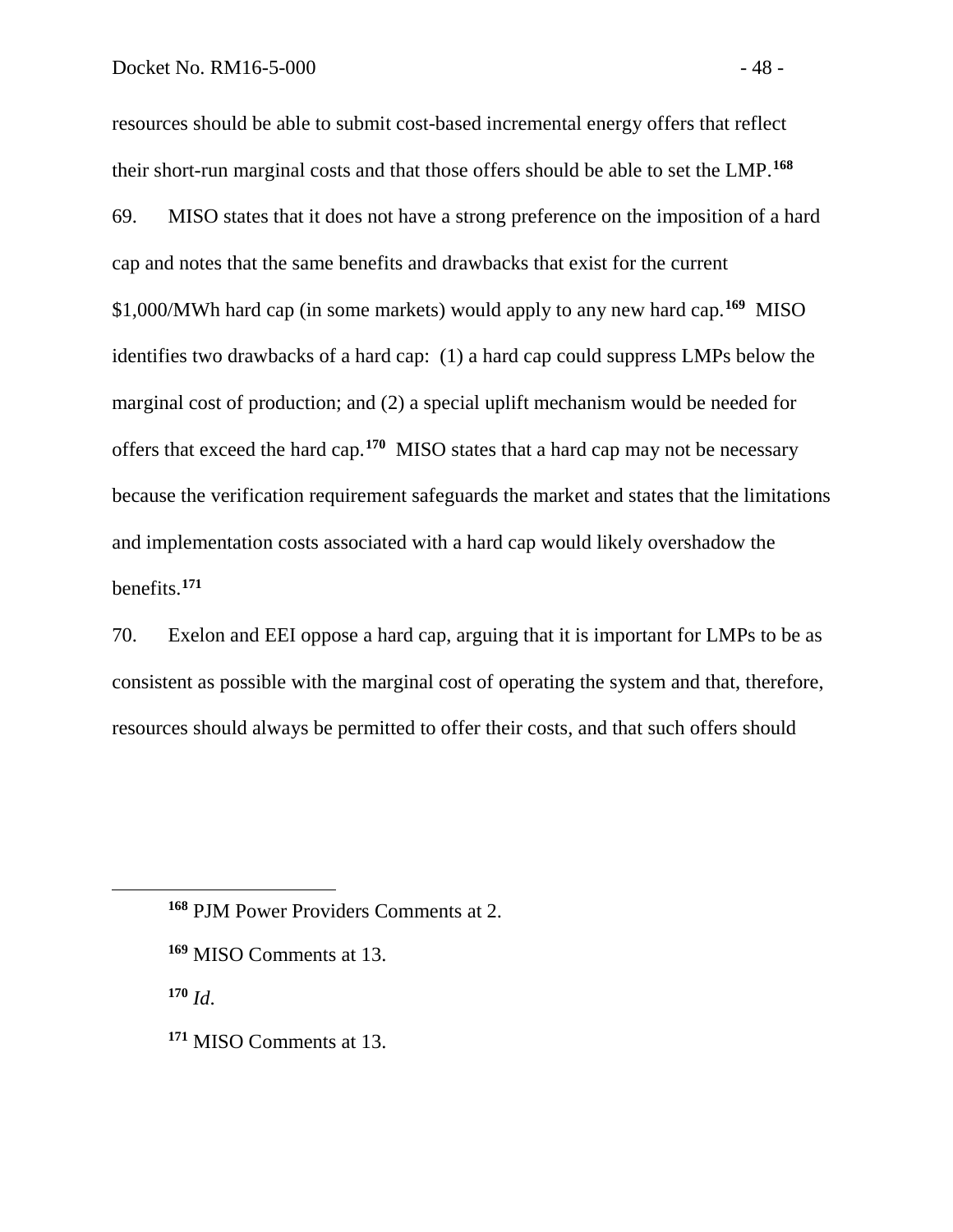resources should be able to submit cost-based incremental energy offers that reflect their short-run marginal costs and that those offers should be able to set the LMP.**[168](#page-49-0)** 69. MISO states that it does not have a strong preference on the imposition of a hard cap and notes that the same benefits and drawbacks that exist for the current \$1,000/MWh hard cap (in some markets) would apply to any new hard cap.**[169](#page-49-1)** MISO identifies two drawbacks of a hard cap: (1) a hard cap could suppress LMPs below the

marginal cost of production; and (2) a special uplift mechanism would be needed for offers that exceed the hard cap.**[170](#page-49-2)** MISO states that a hard cap may not be necessary because the verification requirement safeguards the market and states that the limitations and implementation costs associated with a hard cap would likely overshadow the benefits.**[171](#page-49-3)**

70. Exelon and EEI oppose a hard cap, arguing that it is important for LMPs to be as consistent as possible with the marginal cost of operating the system and that, therefore, resources should always be permitted to offer their costs, and that such offers should

**<sup>170</sup>** *Id*.

<span id="page-49-2"></span><span id="page-49-1"></span><span id="page-49-0"></span> $\overline{a}$ 

<span id="page-49-3"></span>**<sup>171</sup>** MISO Comments at 13.

**<sup>168</sup>** PJM Power Providers Comments at 2.

**<sup>169</sup>** MISO Comments at 13.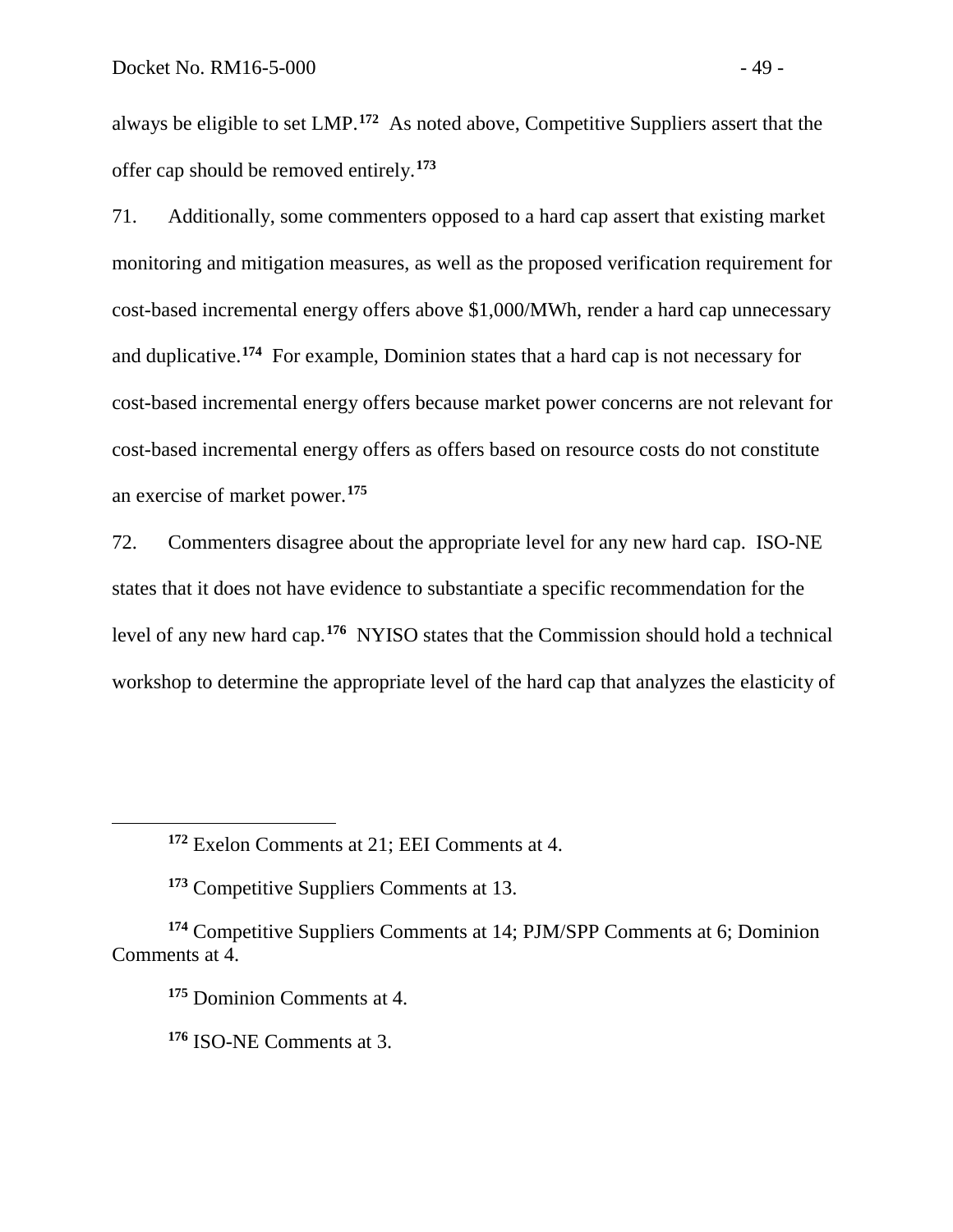always be eligible to set LMP.**[172](#page-50-0)** As noted above, Competitive Suppliers assert that the offer cap should be removed entirely.**[173](#page-50-1)**

71. Additionally, some commenters opposed to a hard cap assert that existing market monitoring and mitigation measures, as well as the proposed verification requirement for cost-based incremental energy offers above \$1,000/MWh, render a hard cap unnecessary and duplicative.**[174](#page-50-2)** For example, Dominion states that a hard cap is not necessary for cost-based incremental energy offers because market power concerns are not relevant for cost-based incremental energy offers as offers based on resource costs do not constitute an exercise of market power.**[175](#page-50-3)**

72. Commenters disagree about the appropriate level for any new hard cap. ISO-NE states that it does not have evidence to substantiate a specific recommendation for the level of any new hard cap.**[176](#page-50-4)** NYISO states that the Commission should hold a technical workshop to determine the appropriate level of the hard cap that analyzes the elasticity of

**<sup>172</sup>** Exelon Comments at 21; EEI Comments at 4.

**<sup>173</sup>** Competitive Suppliers Comments at 13.

<span id="page-50-4"></span><span id="page-50-3"></span><span id="page-50-2"></span><span id="page-50-1"></span><span id="page-50-0"></span>**<sup>174</sup>** Competitive Suppliers Comments at 14; PJM/SPP Comments at 6; Dominion Comments at 4.

**<sup>175</sup>** Dominion Comments at 4.

**<sup>176</sup>** ISO-NE Comments at 3.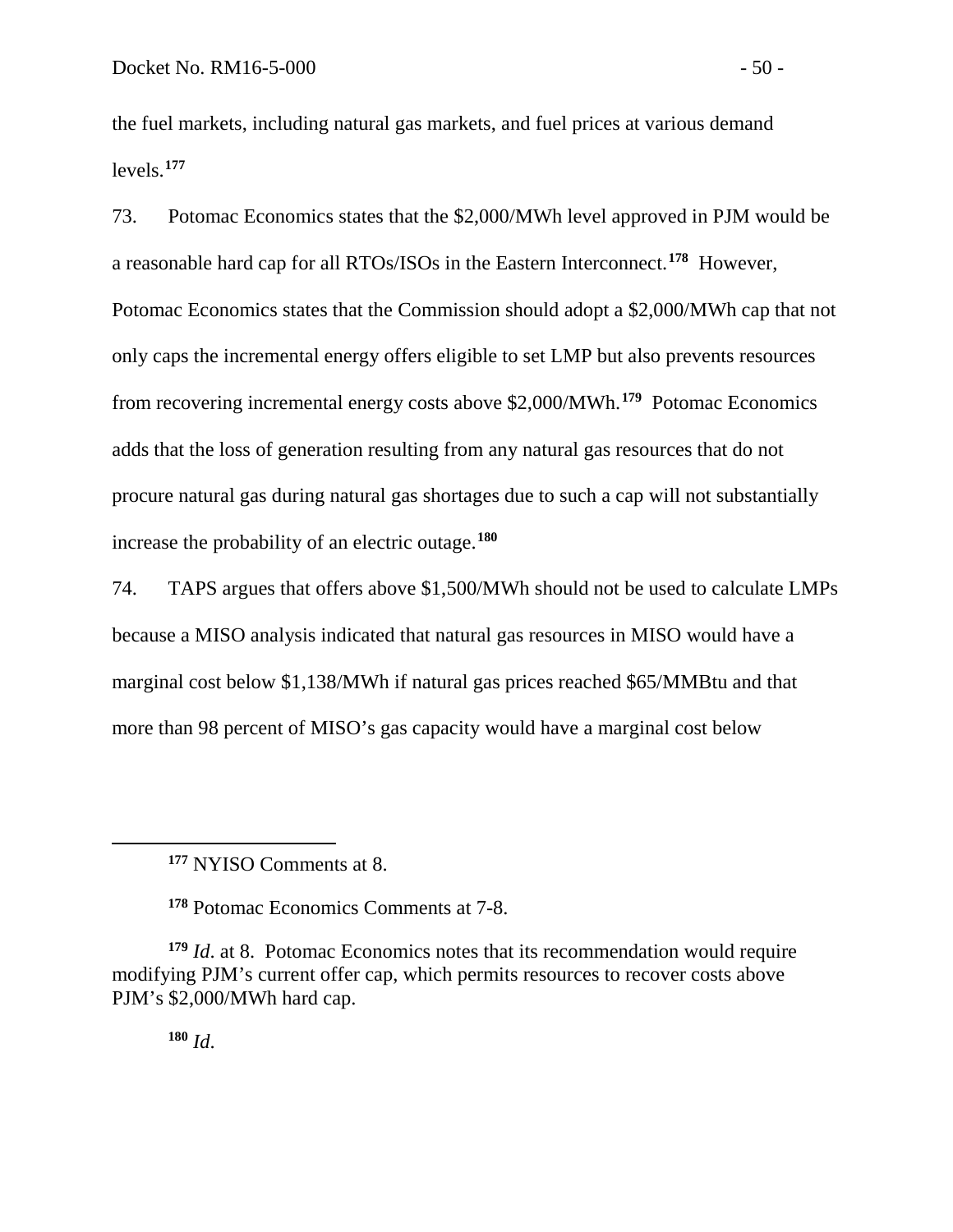the fuel markets, including natural gas markets, and fuel prices at various demand levels.**[177](#page-51-0)**

73. Potomac Economics states that the \$2,000/MWh level approved in PJM would be a reasonable hard cap for all RTOs/ISOs in the Eastern Interconnect.**[178](#page-51-1)** However, Potomac Economics states that the Commission should adopt a \$2,000/MWh cap that not only caps the incremental energy offers eligible to set LMP but also prevents resources from recovering incremental energy costs above \$2,000/MWh.**[179](#page-51-2)** Potomac Economics adds that the loss of generation resulting from any natural gas resources that do not procure natural gas during natural gas shortages due to such a cap will not substantially increase the probability of an electric outage.**[180](#page-51-3)**

74. TAPS argues that offers above \$1,500/MWh should not be used to calculate LMPs because a MISO analysis indicated that natural gas resources in MISO would have a marginal cost below \$1,138/MWh if natural gas prices reached \$65/MMBtu and that more than 98 percent of MISO's gas capacity would have a marginal cost below

**<sup>178</sup>** Potomac Economics Comments at 7-8.

<span id="page-51-3"></span><span id="page-51-2"></span><span id="page-51-1"></span><span id="page-51-0"></span>**<sup>179</sup>** *Id*. at 8. Potomac Economics notes that its recommendation would require modifying PJM's current offer cap, which permits resources to recover costs above PJM's \$2,000/MWh hard cap.

**<sup>180</sup>** *Id*.

**<sup>177</sup>** NYISO Comments at 8.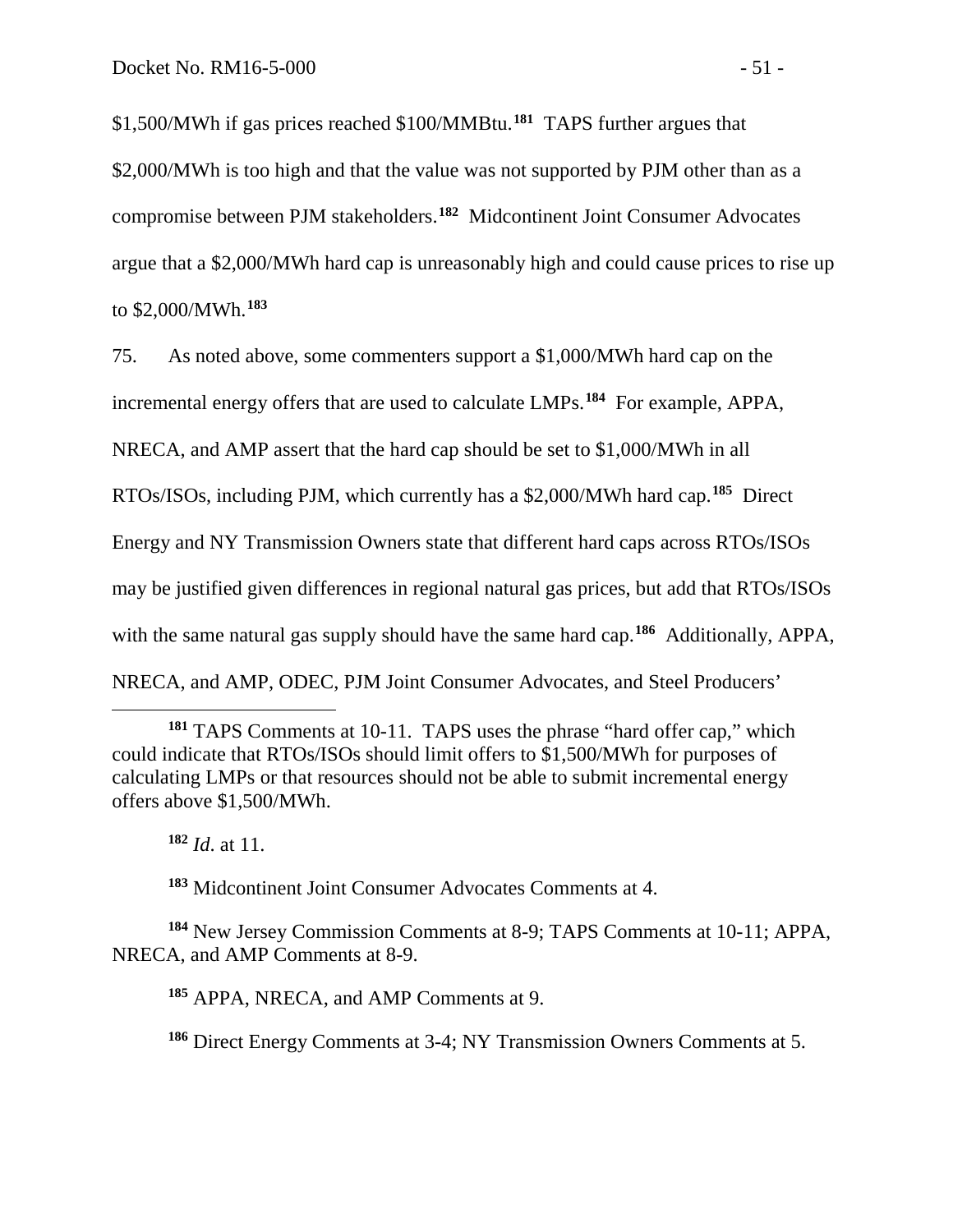\$1,500/MWh if gas prices reached \$100/MMBtu.**[181](#page-52-0)** TAPS further argues that \$2,000/MWh is too high and that the value was not supported by PJM other than as a compromise between PJM stakeholders.**[182](#page-52-1)** Midcontinent Joint Consumer Advocates argue that a \$2,000/MWh hard cap is unreasonably high and could cause prices to rise up to \$2,000/MWh.**[183](#page-52-2)**

75. As noted above, some commenters support a \$1,000/MWh hard cap on the incremental energy offers that are used to calculate LMPs.**[184](#page-52-3)** For example, APPA, NRECA, and AMP assert that the hard cap should be set to \$1,000/MWh in all RTOs/ISOs, including PJM, which currently has a \$2,000/MWh hard cap.**[185](#page-52-4)** Direct Energy and NY Transmission Owners state that different hard caps across RTOs/ISOs may be justified given differences in regional natural gas prices, but add that RTOs/ISOs with the same natural gas supply should have the same hard cap.<sup>[186](#page-52-5)</sup> Additionally, APPA, NRECA, and AMP, ODEC, PJM Joint Consumer Advocates, and Steel Producers'

**<sup>182</sup>** *Id*. at 11.

 $\overline{a}$ 

**<sup>183</sup>** Midcontinent Joint Consumer Advocates Comments at 4.

<span id="page-52-5"></span><span id="page-52-4"></span><span id="page-52-3"></span><span id="page-52-2"></span><span id="page-52-1"></span>**<sup>184</sup>** New Jersey Commission Comments at 8-9; TAPS Comments at 10-11; APPA, NRECA, and AMP Comments at 8-9.

**<sup>185</sup>** APPA, NRECA, and AMP Comments at 9.

**<sup>186</sup>** Direct Energy Comments at 3-4; NY Transmission Owners Comments at 5.

<span id="page-52-0"></span>**<sup>181</sup>** TAPS Comments at 10-11. TAPS uses the phrase "hard offer cap," which could indicate that RTOs/ISOs should limit offers to \$1,500/MWh for purposes of calculating LMPs or that resources should not be able to submit incremental energy offers above \$1,500/MWh.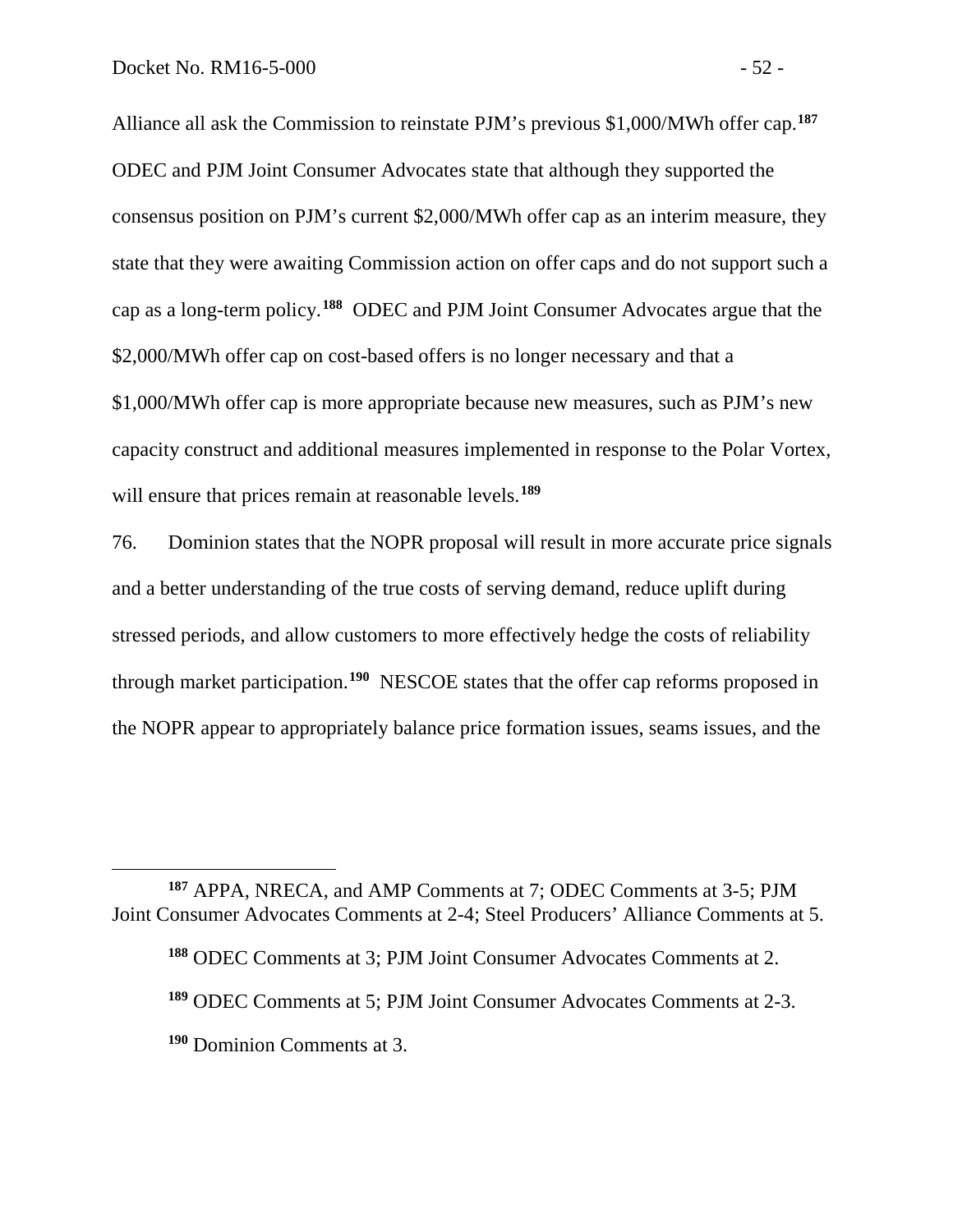Alliance all ask the Commission to reinstate PJM's previous \$1,000/MWh offer cap.**[187](#page-53-0)** ODEC and PJM Joint Consumer Advocates state that although they supported the consensus position on PJM's current \$2,000/MWh offer cap as an interim measure, they state that they were awaiting Commission action on offer caps and do not support such a cap as a long-term policy.**[188](#page-53-1)** ODEC and PJM Joint Consumer Advocates argue that the \$2,000/MWh offer cap on cost-based offers is no longer necessary and that a \$1,000/MWh offer cap is more appropriate because new measures, such as PJM's new capacity construct and additional measures implemented in response to the Polar Vortex, will ensure that prices remain at reasonable levels.<sup>[189](#page-53-2)</sup>

76. Dominion states that the NOPR proposal will result in more accurate price signals and a better understanding of the true costs of serving demand, reduce uplift during stressed periods, and allow customers to more effectively hedge the costs of reliability through market participation.**[190](#page-53-3)** NESCOE states that the offer cap reforms proposed in the NOPR appear to appropriately balance price formation issues, seams issues, and the

- **<sup>188</sup>** ODEC Comments at 3; PJM Joint Consumer Advocates Comments at 2.
- **<sup>189</sup>** ODEC Comments at 5; PJM Joint Consumer Advocates Comments at 2-3.
- <span id="page-53-3"></span>**<sup>190</sup>** Dominion Comments at 3.

<span id="page-53-2"></span><span id="page-53-1"></span><span id="page-53-0"></span>**<sup>187</sup>** APPA, NRECA, and AMP Comments at 7; ODEC Comments at 3-5; PJM Joint Consumer Advocates Comments at 2-4; Steel Producers' Alliance Comments at 5.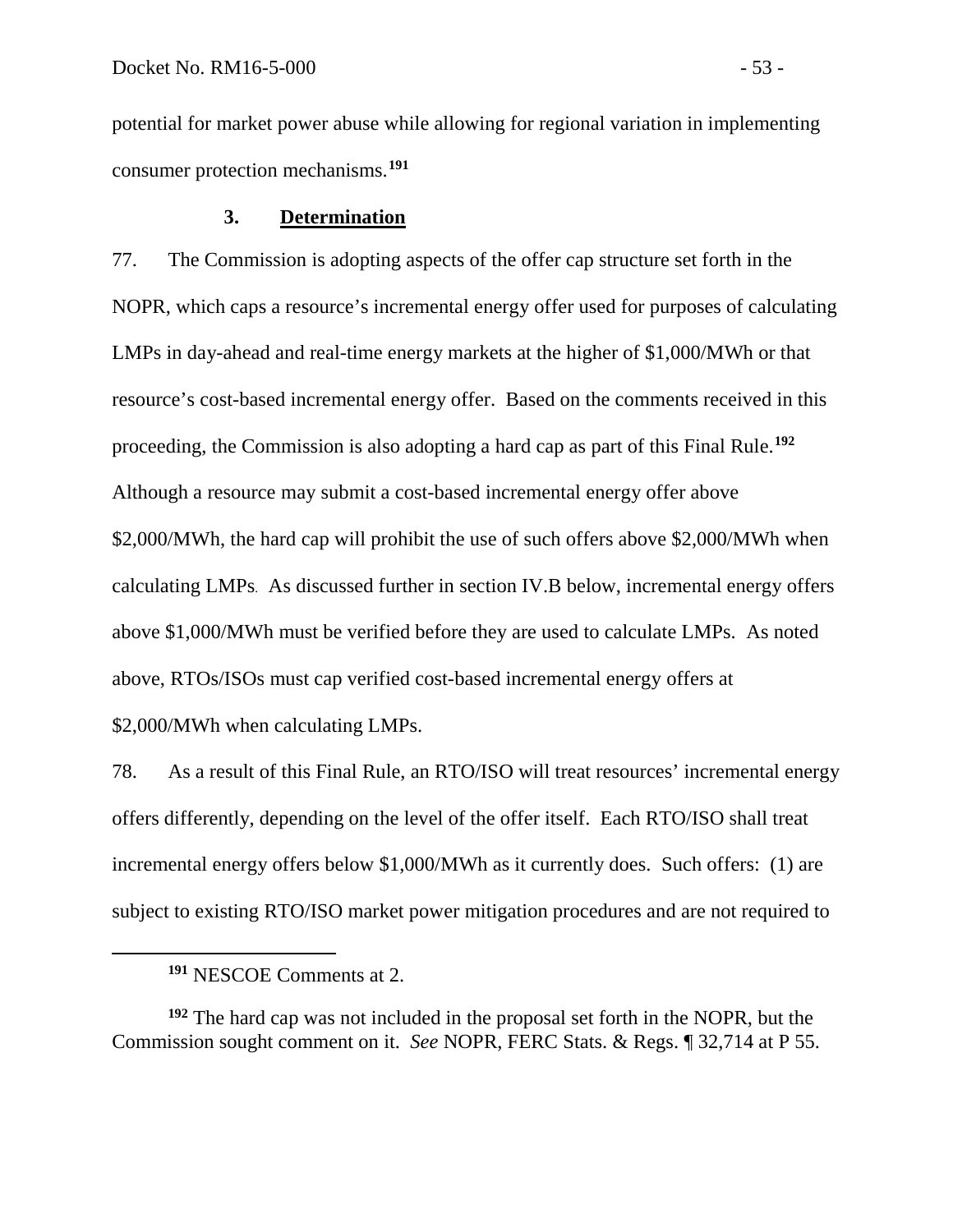potential for market power abuse while allowing for regional variation in implementing consumer protection mechanisms. **[191](#page-54-0)**

#### **3. Determination**

77. The Commission is adopting aspects of the offer cap structure set forth in the NOPR, which caps a resource's incremental energy offer used for purposes of calculating LMPs in day-ahead and real-time energy markets at the higher of \$1,000/MWh or that resource's cost-based incremental energy offer. Based on the comments received in this proceeding, the Commission is also adopting a hard cap as part of this Final Rule.**[192](#page-54-1)** Although a resource may submit a cost-based incremental energy offer above \$2,000/MWh, the hard cap will prohibit the use of such offers above \$2,000/MWh when calculating LMPs. As discussed further in section IV.B below, incremental energy offers above \$1,000/MWh must be verified before they are used to calculate LMPs. As noted above, RTOs/ISOs must cap verified cost-based incremental energy offers at \$2,000/MWh when calculating LMPs.

78. As a result of this Final Rule, an RTO/ISO will treat resources' incremental energy offers differently, depending on the level of the offer itself. Each RTO/ISO shall treat incremental energy offers below \$1,000/MWh as it currently does. Such offers: (1) are subject to existing RTO/ISO market power mitigation procedures and are not required to

**<sup>191</sup>** NESCOE Comments at 2.

<span id="page-54-1"></span><span id="page-54-0"></span>**<sup>192</sup>** The hard cap was not included in the proposal set forth in the NOPR, but the Commission sought comment on it. *See* NOPR, FERC Stats. & Regs. ¶ 32,714 at P 55.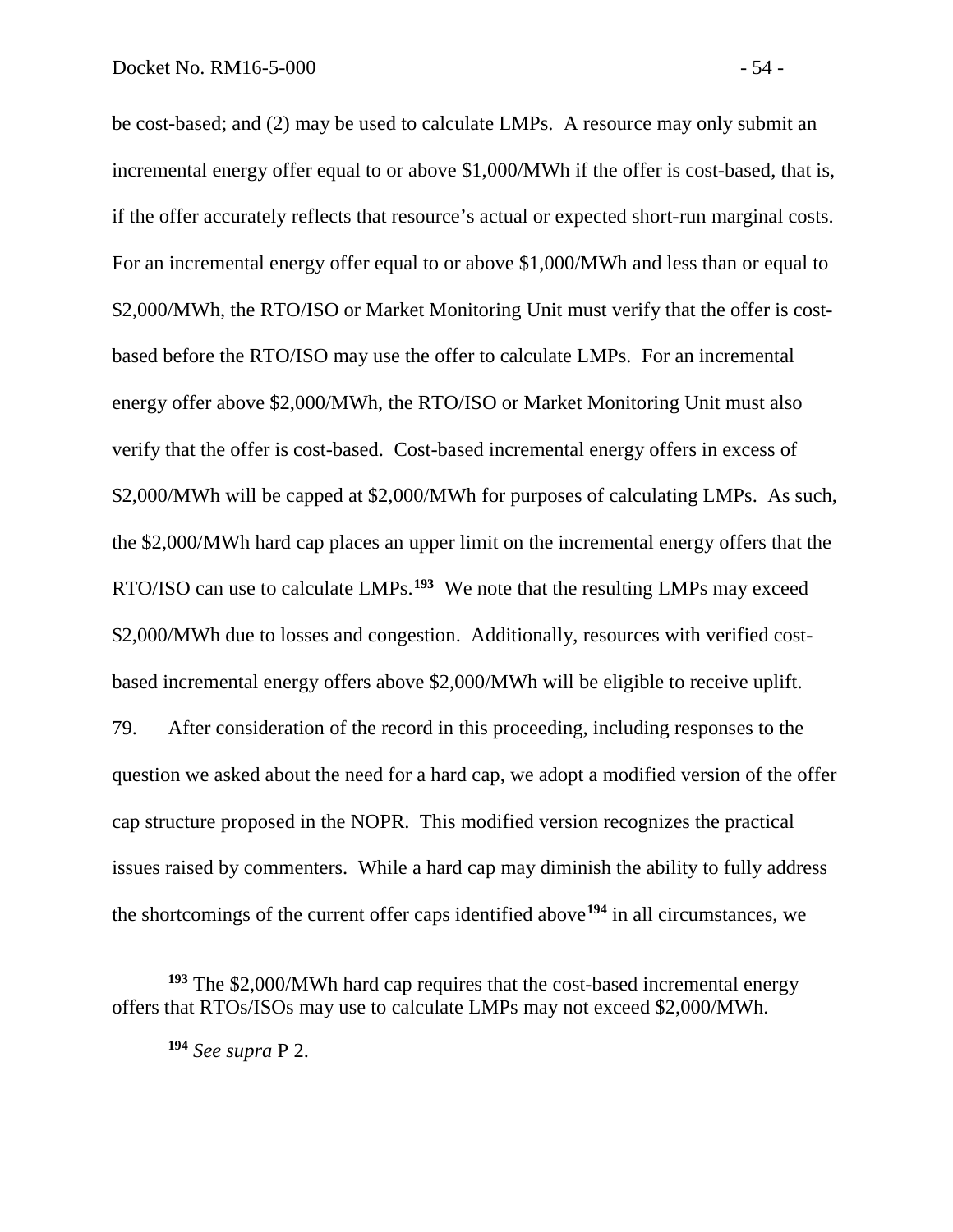be cost-based; and (2) may be used to calculate LMPs. A resource may only submit an incremental energy offer equal to or above \$1,000/MWh if the offer is cost-based, that is, if the offer accurately reflects that resource's actual or expected short-run marginal costs. For an incremental energy offer equal to or above \$1,000/MWh and less than or equal to \$2,000/MWh, the RTO/ISO or Market Monitoring Unit must verify that the offer is costbased before the RTO/ISO may use the offer to calculate LMPs. For an incremental energy offer above \$2,000/MWh, the RTO/ISO or Market Monitoring Unit must also verify that the offer is cost-based. Cost-based incremental energy offers in excess of \$2,000/MWh will be capped at \$2,000/MWh for purposes of calculating LMPs. As such, the \$2,000/MWh hard cap places an upper limit on the incremental energy offers that the RTO/ISO can use to calculate LMPs.**[193](#page-55-0)** We note that the resulting LMPs may exceed \$2,000/MWh due to losses and congestion. Additionally, resources with verified costbased incremental energy offers above \$2,000/MWh will be eligible to receive uplift. 79. After consideration of the record in this proceeding, including responses to the question we asked about the need for a hard cap, we adopt a modified version of the offer

issues raised by commenters. While a hard cap may diminish the ability to fully address the shortcomings of the current offer caps identified above**[194](#page-55-1)** in all circumstances, we

cap structure proposed in the NOPR. This modified version recognizes the practical

**<sup>194</sup>** *See supra* P 2.

<span id="page-55-1"></span><span id="page-55-0"></span>**<sup>193</sup>** The \$2,000/MWh hard cap requires that the cost-based incremental energy offers that RTOs/ISOs may use to calculate LMPs may not exceed \$2,000/MWh.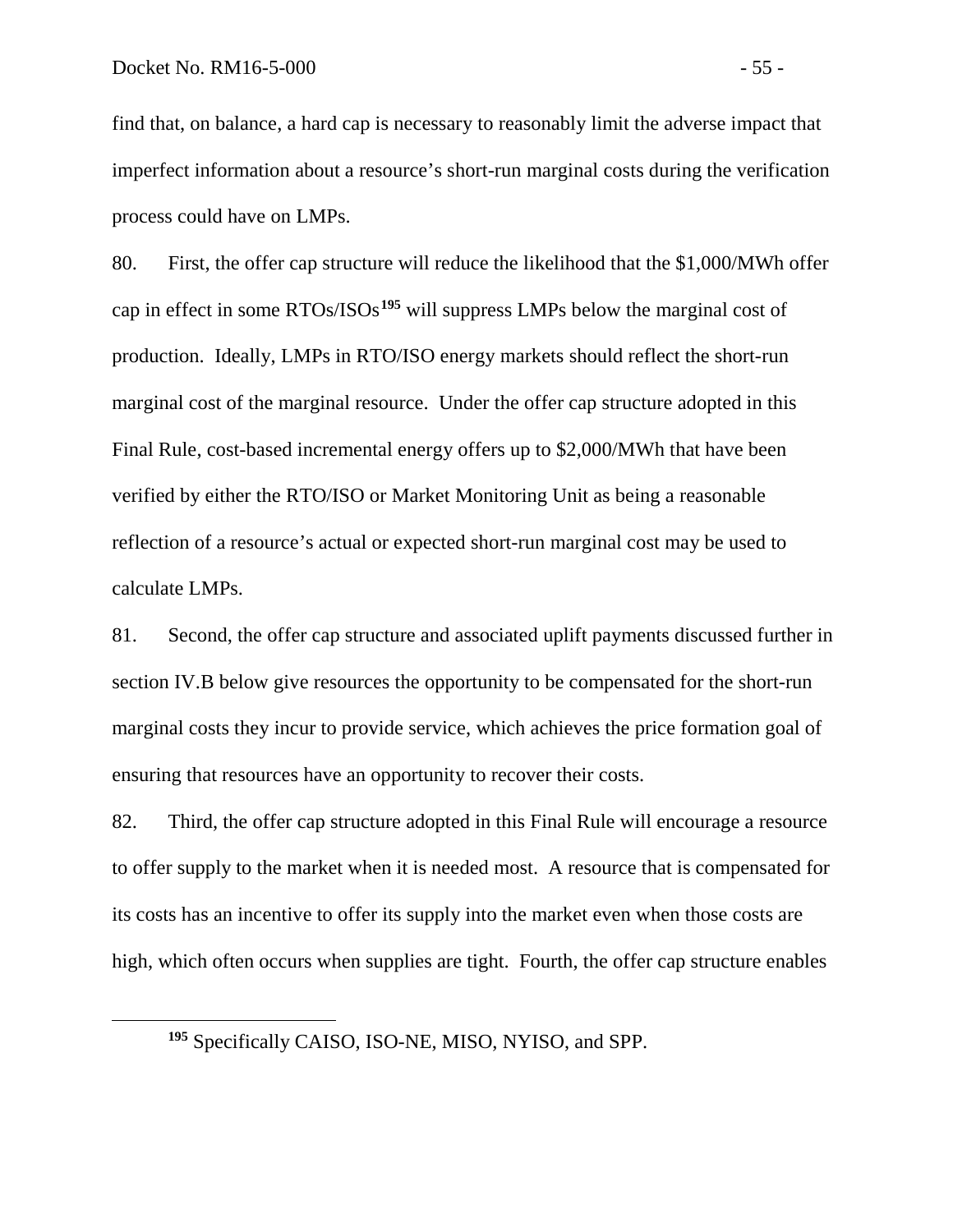find that, on balance, a hard cap is necessary to reasonably limit the adverse impact that imperfect information about a resource's short-run marginal costs during the verification process could have on LMPs.

80. First, the offer cap structure will reduce the likelihood that the \$1,000/MWh offer cap in effect in some RTOs/ISOs**[195](#page-56-0)** will suppress LMPs below the marginal cost of production. Ideally, LMPs in RTO/ISO energy markets should reflect the short-run marginal cost of the marginal resource. Under the offer cap structure adopted in this Final Rule, cost-based incremental energy offers up to \$2,000/MWh that have been verified by either the RTO/ISO or Market Monitoring Unit as being a reasonable reflection of a resource's actual or expected short-run marginal cost may be used to calculate LMPs.

81. Second, the offer cap structure and associated uplift payments discussed further in section IV.B below give resources the opportunity to be compensated for the short-run marginal costs they incur to provide service, which achieves the price formation goal of ensuring that resources have an opportunity to recover their costs.

82. Third, the offer cap structure adopted in this Final Rule will encourage a resource to offer supply to the market when it is needed most. A resource that is compensated for its costs has an incentive to offer its supply into the market even when those costs are high, which often occurs when supplies are tight. Fourth, the offer cap structure enables

<span id="page-56-0"></span>**<sup>195</sup>** Specifically CAISO, ISO-NE, MISO, NYISO, and SPP.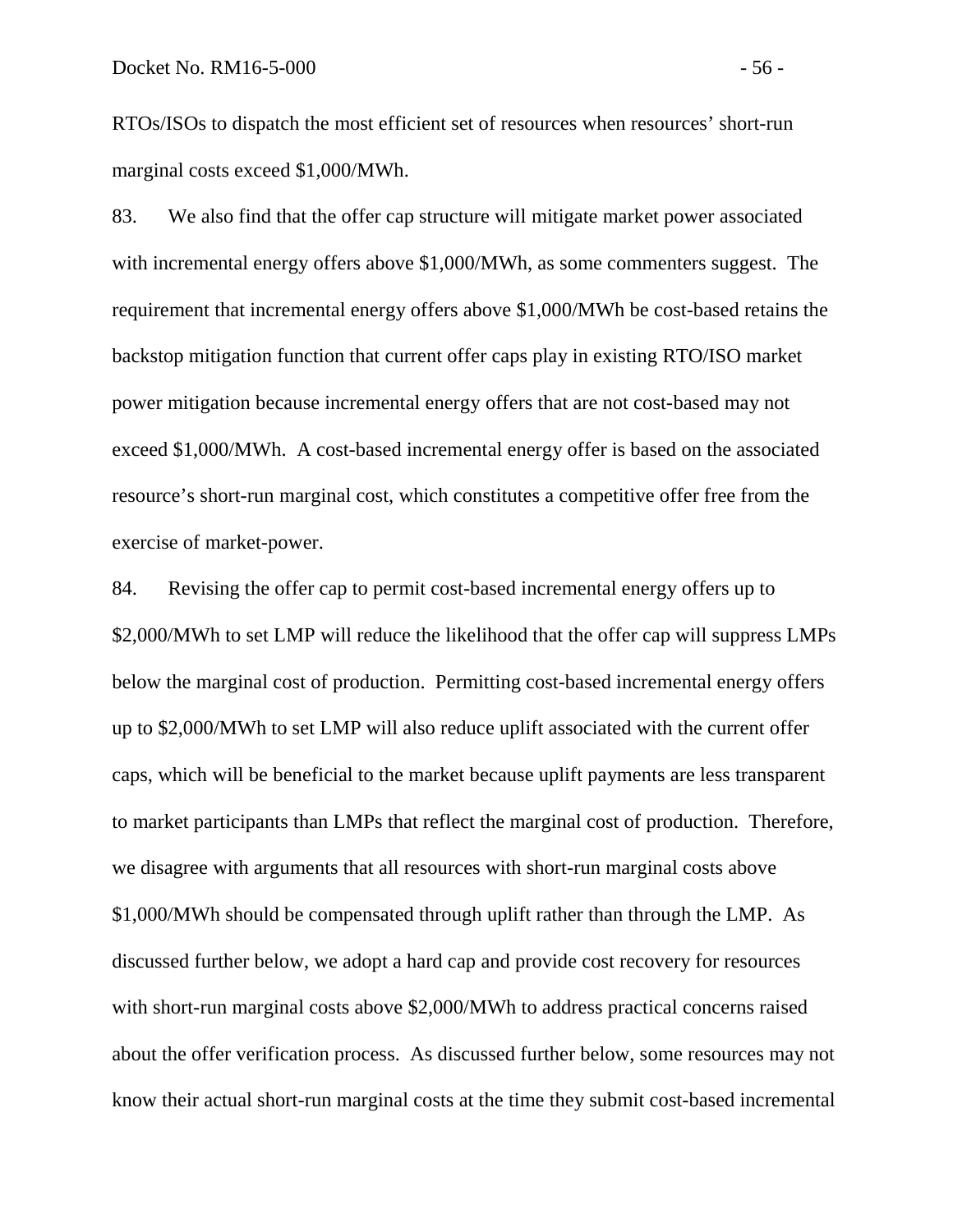RTOs/ISOs to dispatch the most efficient set of resources when resources' short-run marginal costs exceed \$1,000/MWh.

83. We also find that the offer cap structure will mitigate market power associated with incremental energy offers above \$1,000/MWh, as some commenters suggest. The requirement that incremental energy offers above \$1,000/MWh be cost-based retains the backstop mitigation function that current offer caps play in existing RTO/ISO market power mitigation because incremental energy offers that are not cost-based may not exceed \$1,000/MWh. A cost-based incremental energy offer is based on the associated resource's short-run marginal cost, which constitutes a competitive offer free from the exercise of market-power.

84. Revising the offer cap to permit cost-based incremental energy offers up to \$2,000/MWh to set LMP will reduce the likelihood that the offer cap will suppress LMPs below the marginal cost of production. Permitting cost-based incremental energy offers up to \$2,000/MWh to set LMP will also reduce uplift associated with the current offer caps, which will be beneficial to the market because uplift payments are less transparent to market participants than LMPs that reflect the marginal cost of production. Therefore, we disagree with arguments that all resources with short-run marginal costs above \$1,000/MWh should be compensated through uplift rather than through the LMP. As discussed further below, we adopt a hard cap and provide cost recovery for resources with short-run marginal costs above \$2,000/MWh to address practical concerns raised about the offer verification process. As discussed further below, some resources may not know their actual short-run marginal costs at the time they submit cost-based incremental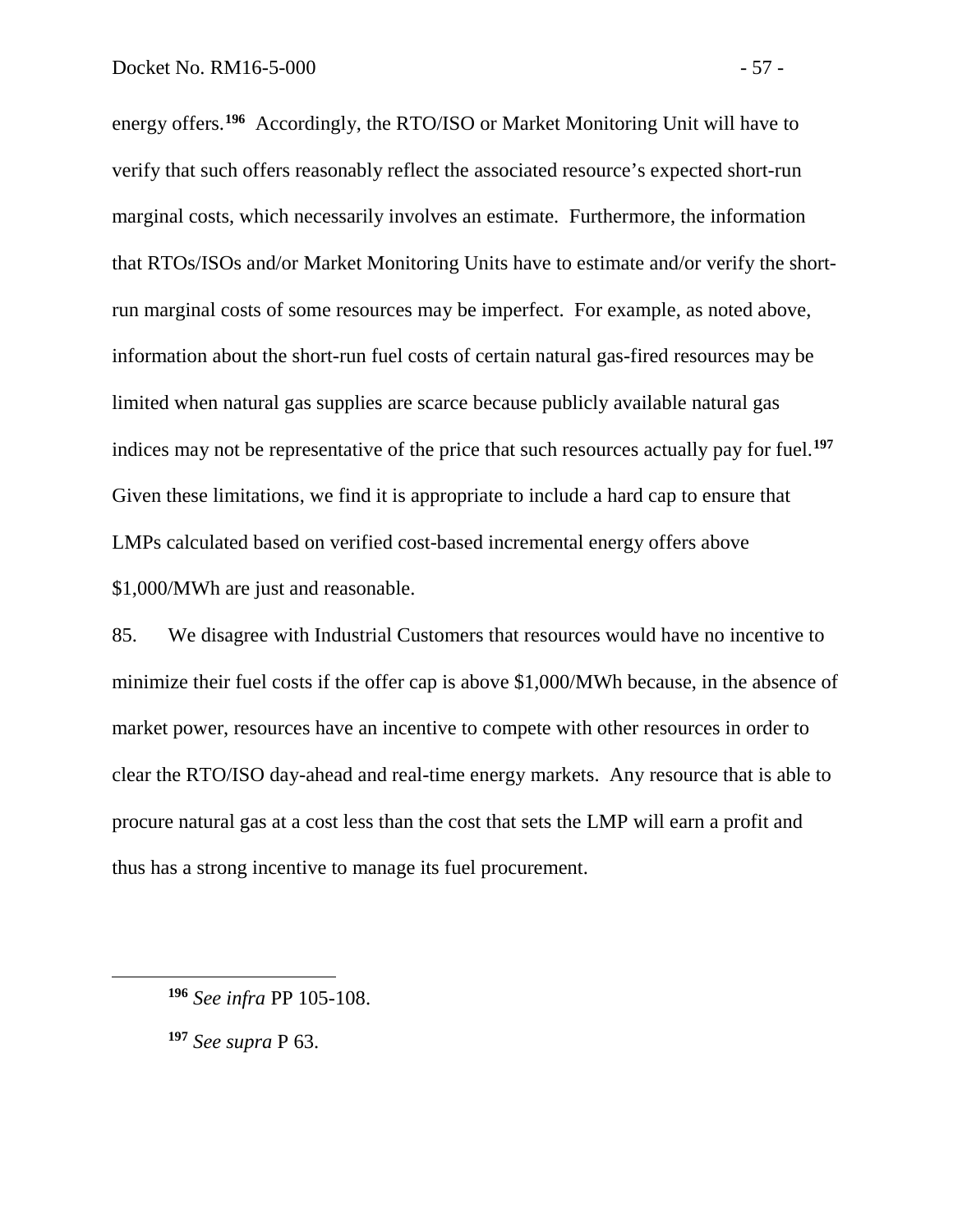energy offers.**[196](#page-58-0)** Accordingly, the RTO/ISO or Market Monitoring Unit will have to verify that such offers reasonably reflect the associated resource's expected short-run marginal costs, which necessarily involves an estimate. Furthermore, the information that RTOs/ISOs and/or Market Monitoring Units have to estimate and/or verify the shortrun marginal costs of some resources may be imperfect. For example, as noted above, information about the short-run fuel costs of certain natural gas-fired resources may be limited when natural gas supplies are scarce because publicly available natural gas indices may not be representative of the price that such resources actually pay for fuel. **[197](#page-58-1)** Given these limitations, we find it is appropriate to include a hard cap to ensure that LMPs calculated based on verified cost-based incremental energy offers above \$1,000/MWh are just and reasonable.

85. We disagree with Industrial Customers that resources would have no incentive to minimize their fuel costs if the offer cap is above \$1,000/MWh because, in the absence of market power, resources have an incentive to compete with other resources in order to clear the RTO/ISO day-ahead and real-time energy markets. Any resource that is able to procure natural gas at a cost less than the cost that sets the LMP will earn a profit and thus has a strong incentive to manage its fuel procurement.

<span id="page-58-1"></span>**<sup>197</sup>** *See supra* P 63.

<span id="page-58-0"></span>**<sup>196</sup>** *See infra* PP 105-108.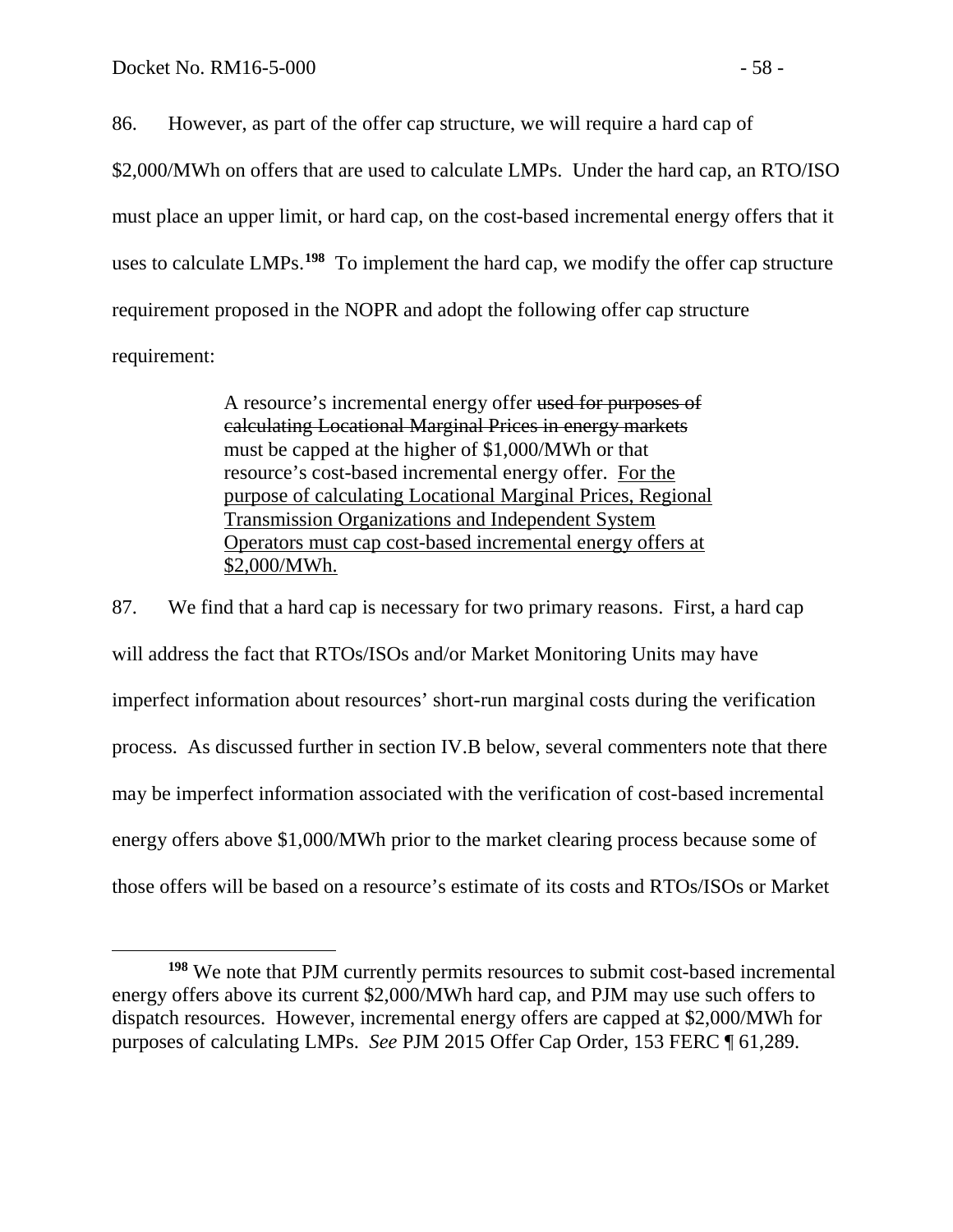86. However, as part of the offer cap structure, we will require a hard cap of \$2,000/MWh on offers that are used to calculate LMPs. Under the hard cap, an RTO/ISO must place an upper limit, or hard cap, on the cost-based incremental energy offers that it uses to calculate LMPs.**[198](#page-59-0)** To implement the hard cap, we modify the offer cap structure requirement proposed in the NOPR and adopt the following offer cap structure requirement:

> A resource's incremental energy offer used for purposes of calculating Locational Marginal Prices in energy markets must be capped at the higher of \$1,000/MWh or that resource's cost-based incremental energy offer. For the purpose of calculating Locational Marginal Prices, Regional Transmission Organizations and Independent System Operators must cap cost-based incremental energy offers at \$2,000/MWh.

87. We find that a hard cap is necessary for two primary reasons. First, a hard cap will address the fact that RTOs/ISOs and/or Market Monitoring Units may have imperfect information about resources' short-run marginal costs during the verification process. As discussed further in section IV.B below, several commenters note that there may be imperfect information associated with the verification of cost-based incremental energy offers above \$1,000/MWh prior to the market clearing process because some of those offers will be based on a resource's estimate of its costs and RTOs/ISOs or Market

<span id="page-59-0"></span>**<sup>198</sup>** We note that PJM currently permits resources to submit cost-based incremental energy offers above its current \$2,000/MWh hard cap, and PJM may use such offers to dispatch resources. However, incremental energy offers are capped at \$2,000/MWh for purposes of calculating LMPs. *See* PJM 2015 Offer Cap Order, 153 FERC ¶ 61,289.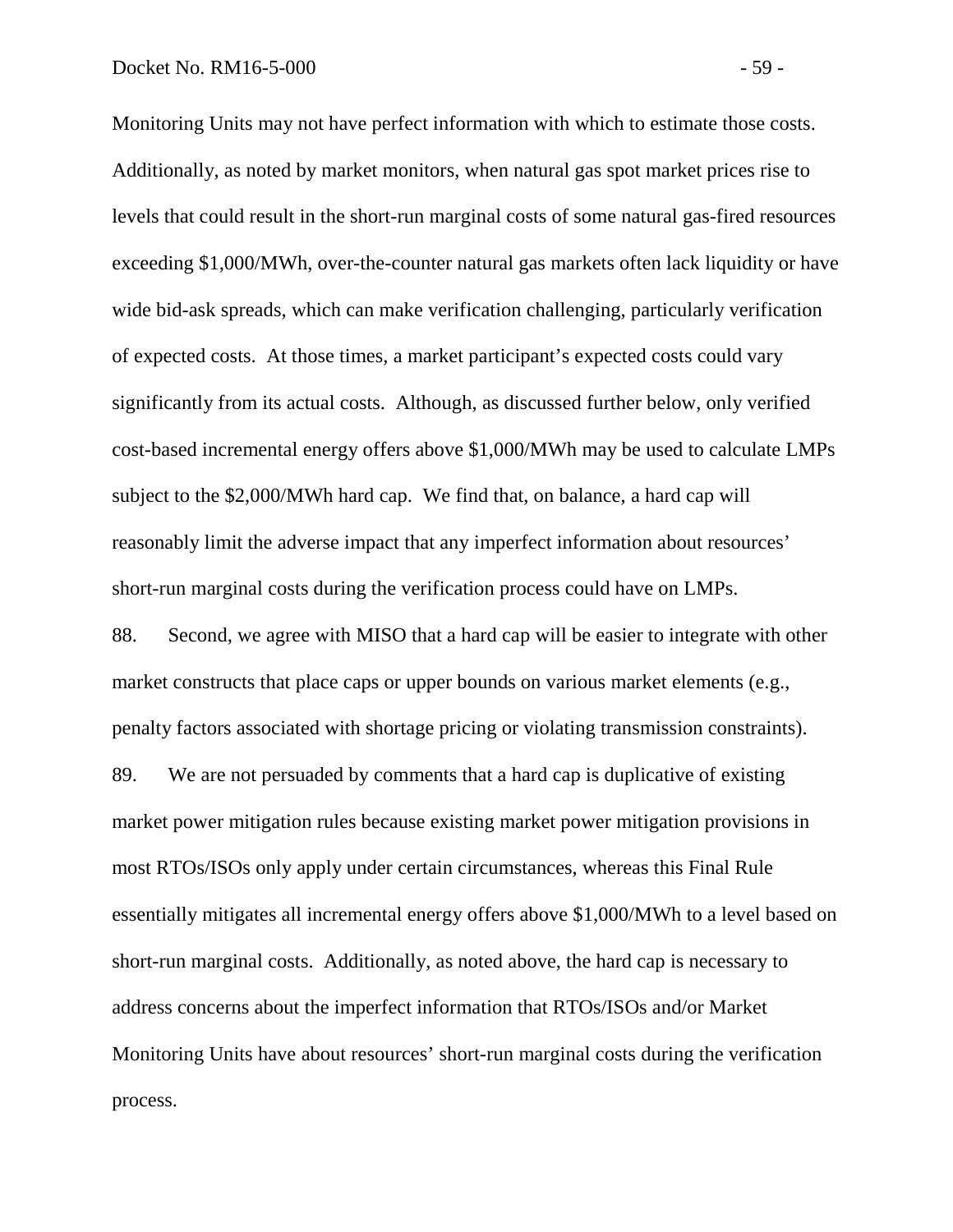Monitoring Units may not have perfect information with which to estimate those costs. Additionally, as noted by market monitors, when natural gas spot market prices rise to levels that could result in the short-run marginal costs of some natural gas-fired resources exceeding \$1,000/MWh, over-the-counter natural gas markets often lack liquidity or have wide bid-ask spreads, which can make verification challenging, particularly verification of expected costs. At those times, a market participant's expected costs could vary significantly from its actual costs. Although, as discussed further below, only verified cost-based incremental energy offers above \$1,000/MWh may be used to calculate LMPs subject to the \$2,000/MWh hard cap. We find that, on balance, a hard cap will reasonably limit the adverse impact that any imperfect information about resources' short-run marginal costs during the verification process could have on LMPs.

88. Second, we agree with MISO that a hard cap will be easier to integrate with other market constructs that place caps or upper bounds on various market elements (e.g., penalty factors associated with shortage pricing or violating transmission constraints). 89. We are not persuaded by comments that a hard cap is duplicative of existing market power mitigation rules because existing market power mitigation provisions in most RTOs/ISOs only apply under certain circumstances, whereas this Final Rule essentially mitigates all incremental energy offers above \$1,000/MWh to a level based on short-run marginal costs. Additionally, as noted above, the hard cap is necessary to address concerns about the imperfect information that RTOs/ISOs and/or Market Monitoring Units have about resources' short-run marginal costs during the verification process.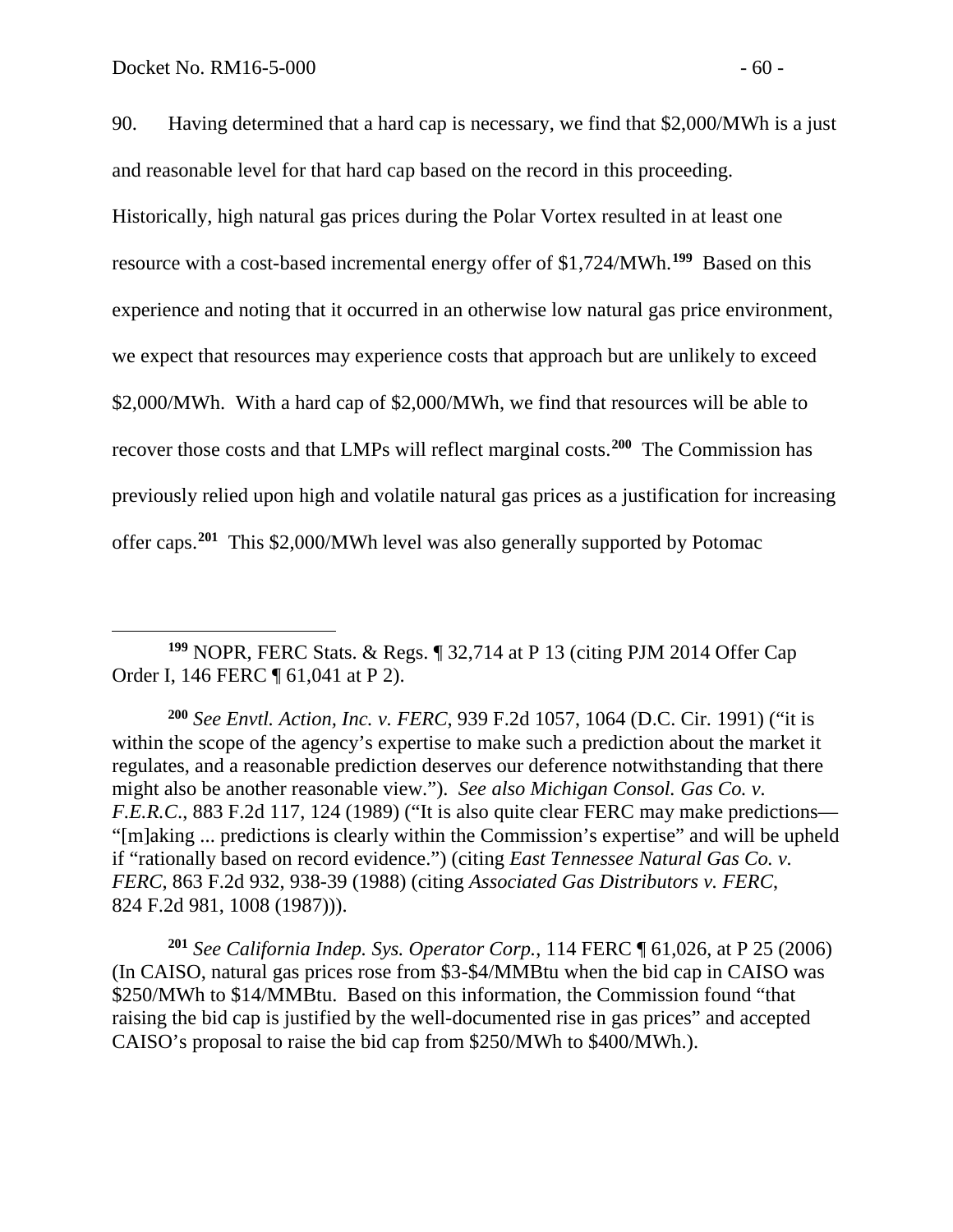90. Having determined that a hard cap is necessary, we find that \$2,000/MWh is a just and reasonable level for that hard cap based on the record in this proceeding. Historically, high natural gas prices during the Polar Vortex resulted in at least one resource with a cost-based incremental energy offer of \$1,724/MWh.**[199](#page-61-0)** Based on this experience and noting that it occurred in an otherwise low natural gas price environment, we expect that resources may experience costs that approach but are unlikely to exceed \$2,000/MWh. With a hard cap of \$2,000/MWh, we find that resources will be able to recover those costs and that LMPs will reflect marginal costs.**[200](#page-61-1)** The Commission has previously relied upon high and volatile natural gas prices as a justification for increasing offer caps.**[201](#page-61-2)** This \$2,000/MWh level was also generally supported by Potomac

<span id="page-61-0"></span>**<sup>199</sup>** NOPR, FERC Stats. & Regs. ¶ 32,714 at P 13 (citing PJM 2014 Offer Cap Order I, 146 FERC ¶ 61,041 at P 2).

<span id="page-61-1"></span>**<sup>200</sup>** *See Envtl. Action, Inc. v. FERC*, 939 F.2d 1057, 1064 (D.C. Cir. 1991) ("it is within the scope of the agency's expertise to make such a prediction about the market it regulates, and a reasonable prediction deserves our deference notwithstanding that there might also be another reasonable view."). *See also Michigan Consol. Gas Co. v. F.E.R.C*., 883 F.2d 117, 124 (1989) ("It is also quite clear FERC may make predictions— "[m]aking ... predictions is clearly within the Commission's expertise" and will be upheld if "rationally based on record evidence.") (citing *East Tennessee Natural Gas Co. v. FERC*, 863 F.2d 932, 938-39 (1988) (citing *Associated Gas Distributors v. FERC*, 824 F.2d 981, 1008 (1987))).

<span id="page-61-2"></span>**<sup>201</sup>** *See California Indep. Sys. Operator Corp.*, 114 FERC ¶ 61,026, at P 25 (2006) (In CAISO, natural gas prices rose from \$3-\$4/MMBtu when the bid cap in CAISO was \$250/MWh to \$14/MMBtu. Based on this information, the Commission found "that raising the bid cap is justified by the well-documented rise in gas prices" and accepted CAISO's proposal to raise the bid cap from \$250/MWh to \$400/MWh.).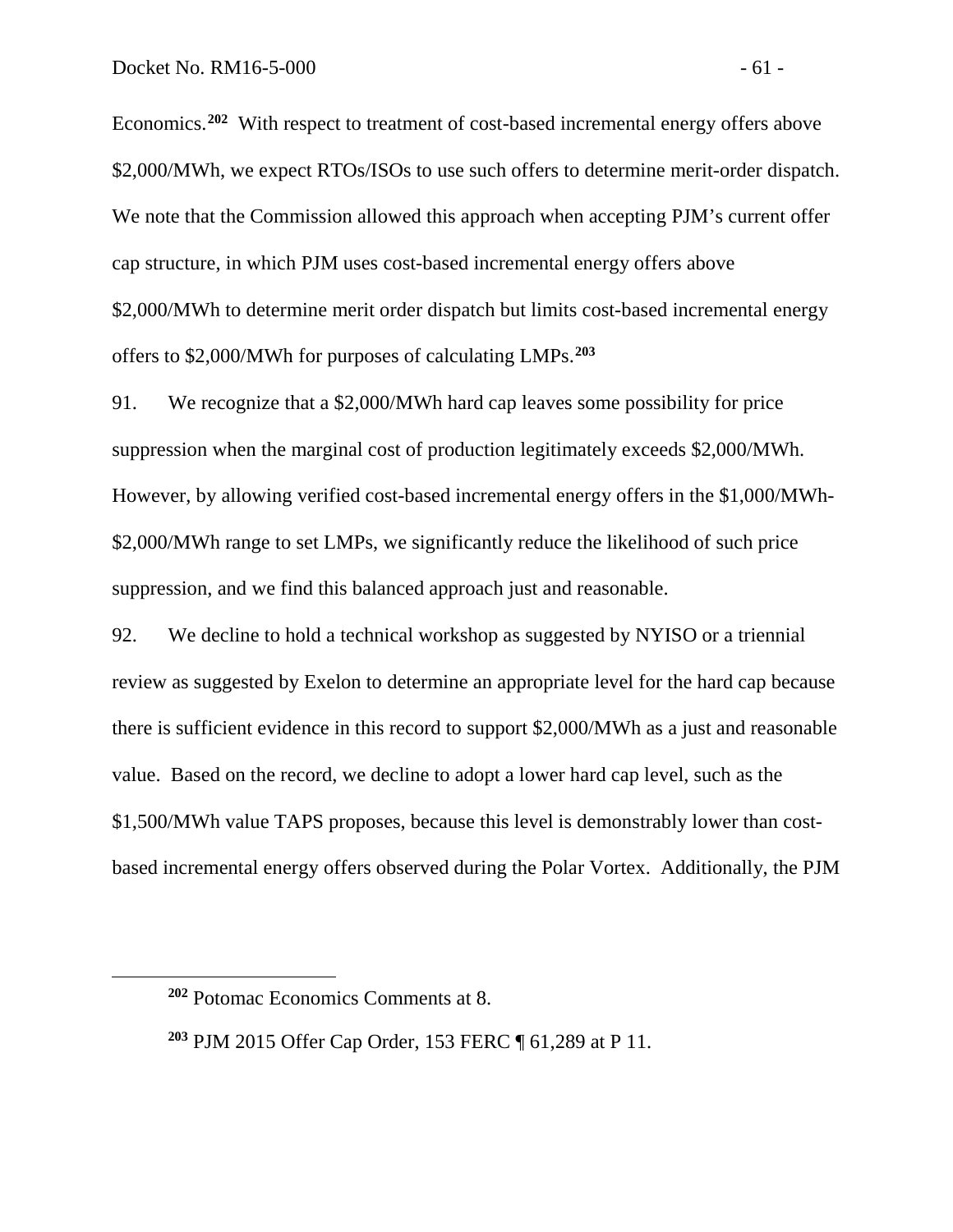Economics.**[202](#page-62-0)** With respect to treatment of cost-based incremental energy offers above \$2,000/MWh, we expect RTOs/ISOs to use such offers to determine merit-order dispatch. We note that the Commission allowed this approach when accepting PJM's current offer cap structure, in which PJM uses cost-based incremental energy offers above \$2,000/MWh to determine merit order dispatch but limits cost-based incremental energy offers to \$2,000/MWh for purposes of calculating LMPs.**[203](#page-62-1)**

91. We recognize that a \$2,000/MWh hard cap leaves some possibility for price suppression when the marginal cost of production legitimately exceeds \$2,000/MWh. However, by allowing verified cost-based incremental energy offers in the \$1,000/MWh- \$2,000/MWh range to set LMPs, we significantly reduce the likelihood of such price suppression, and we find this balanced approach just and reasonable.

92. We decline to hold a technical workshop as suggested by NYISO or a triennial review as suggested by Exelon to determine an appropriate level for the hard cap because there is sufficient evidence in this record to support \$2,000/MWh as a just and reasonable value. Based on the record, we decline to adopt a lower hard cap level, such as the \$1,500/MWh value TAPS proposes, because this level is demonstrably lower than costbased incremental energy offers observed during the Polar Vortex. Additionally, the PJM

<span id="page-62-0"></span>**<sup>202</sup>** Potomac Economics Comments at 8.

<span id="page-62-1"></span>**<sup>203</sup>** PJM 2015 Offer Cap Order, 153 FERC ¶ 61,289 at P 11.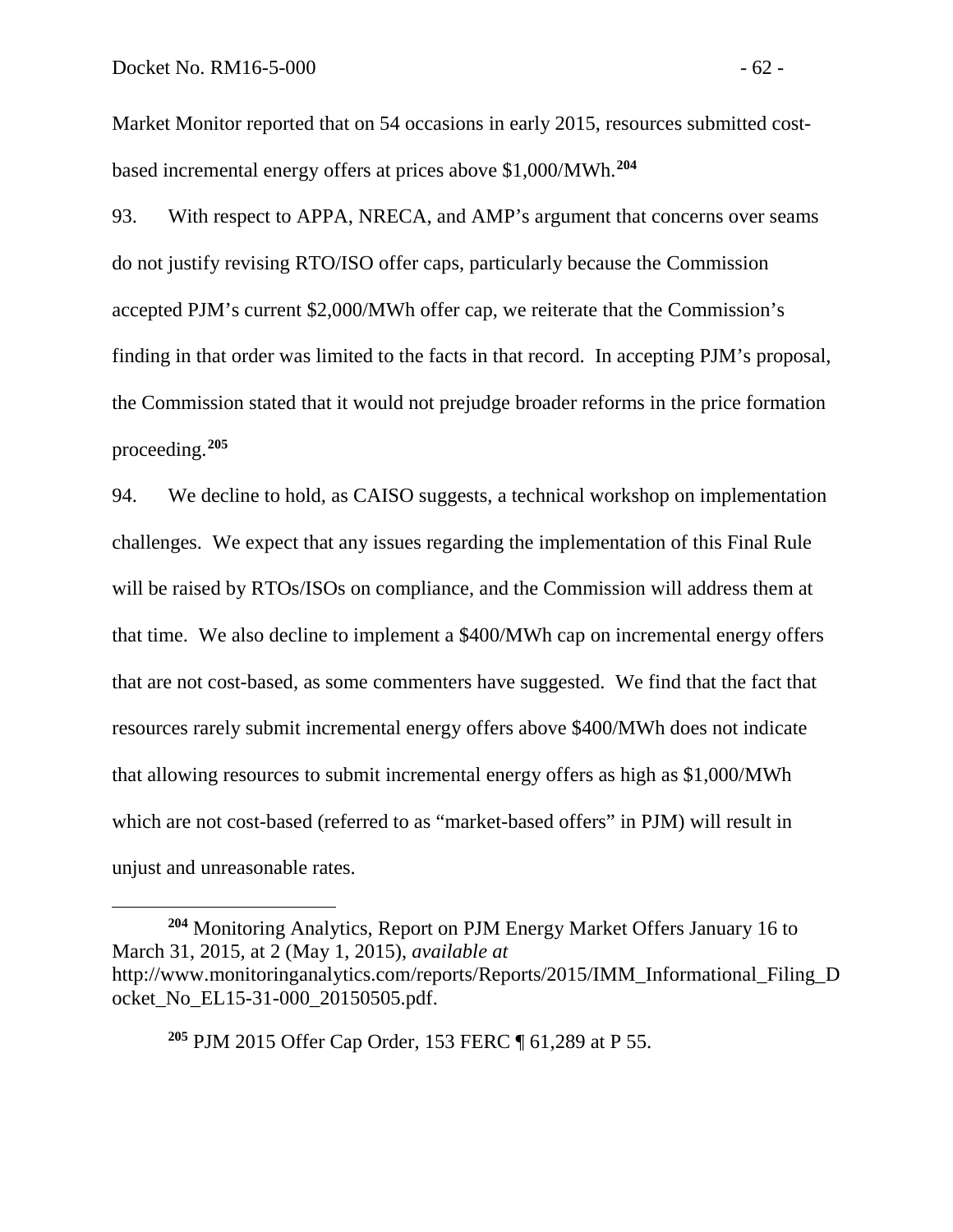Market Monitor reported that on 54 occasions in early 2015, resources submitted costbased incremental energy offers at prices above \$1,000/MWh.**[204](#page-63-0)**

93. With respect to APPA, NRECA, and AMP's argument that concerns over seams do not justify revising RTO/ISO offer caps, particularly because the Commission accepted PJM's current \$2,000/MWh offer cap, we reiterate that the Commission's finding in that order was limited to the facts in that record. In accepting PJM's proposal, the Commission stated that it would not prejudge broader reforms in the price formation proceeding.**[205](#page-63-1)**

94. We decline to hold, as CAISO suggests, a technical workshop on implementation challenges. We expect that any issues regarding the implementation of this Final Rule will be raised by RTOs/ISOs on compliance, and the Commission will address them at that time. We also decline to implement a \$400/MWh cap on incremental energy offers that are not cost-based, as some commenters have suggested. We find that the fact that resources rarely submit incremental energy offers above \$400/MWh does not indicate that allowing resources to submit incremental energy offers as high as \$1,000/MWh which are not cost-based (referred to as "market-based offers" in PJM) will result in unjust and unreasonable rates.

**<sup>205</sup>** PJM 2015 Offer Cap Order, 153 FERC ¶ 61,289 at P 55.

<span id="page-63-1"></span><span id="page-63-0"></span>**<sup>204</sup>** Monitoring Analytics, Report on PJM Energy Market Offers January 16 to March 31, 2015*,* at 2 (May 1, 2015), *available at* http://www.monitoringanalytics.com/reports/Reports/2015/IMM\_Informational\_Filing\_D ocket\_No\_EL15-31-000\_20150505.pdf.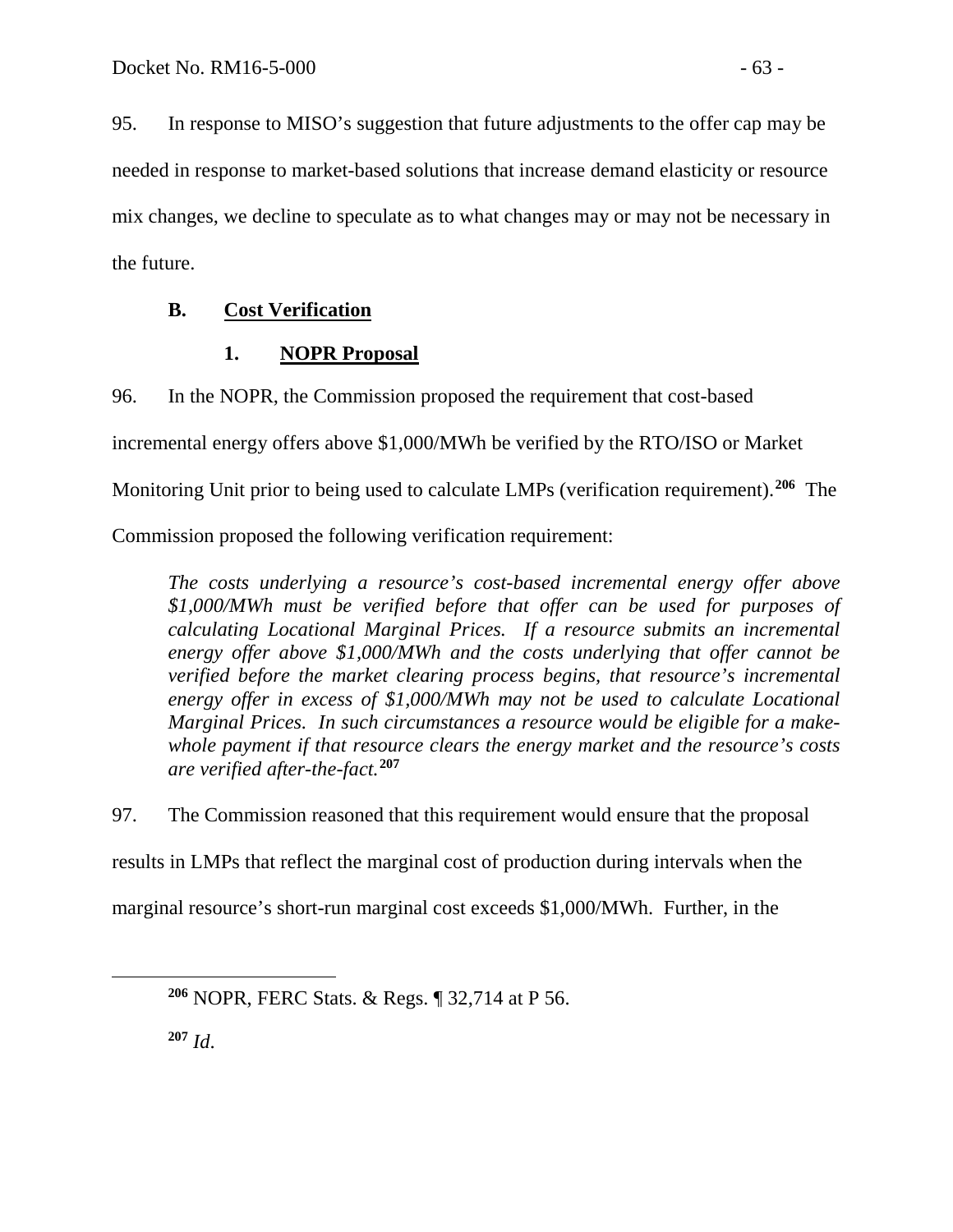95. In response to MISO's suggestion that future adjustments to the offer cap may be needed in response to market-based solutions that increase demand elasticity or resource mix changes, we decline to speculate as to what changes may or may not be necessary in the future.

# **B. Cost Verification**

# **1. NOPR Proposal**

96. In the NOPR, the Commission proposed the requirement that cost-based

incremental energy offers above \$1,000/MWh be verified by the RTO/ISO or Market

Monitoring Unit prior to being used to calculate LMPs (verification requirement).**[206](#page-64-0)** The

Commission proposed the following verification requirement:

*The costs underlying a resource's cost-based incremental energy offer above \$1,000/MWh must be verified before that offer can be used for purposes of calculating Locational Marginal Prices. If a resource submits an incremental energy offer above \$1,000/MWh and the costs underlying that offer cannot be verified before the market clearing process begins, that resource's incremental energy offer in excess of \$1,000/MWh may not be used to calculate Locational Marginal Prices. In such circumstances a resource would be eligible for a makewhole payment if that resource clears the energy market and the resource's costs are verified after-the-fact.***[207](#page-64-1)**

97. The Commission reasoned that this requirement would ensure that the proposal

results in LMPs that reflect the marginal cost of production during intervals when the

<span id="page-64-0"></span>marginal resource's short-run marginal cost exceeds \$1,000/MWh. Further, in the

<span id="page-64-1"></span>**<sup>207</sup>** *Id*.

**<sup>206</sup>** NOPR, FERC Stats. & Regs. ¶ 32,714 at P 56.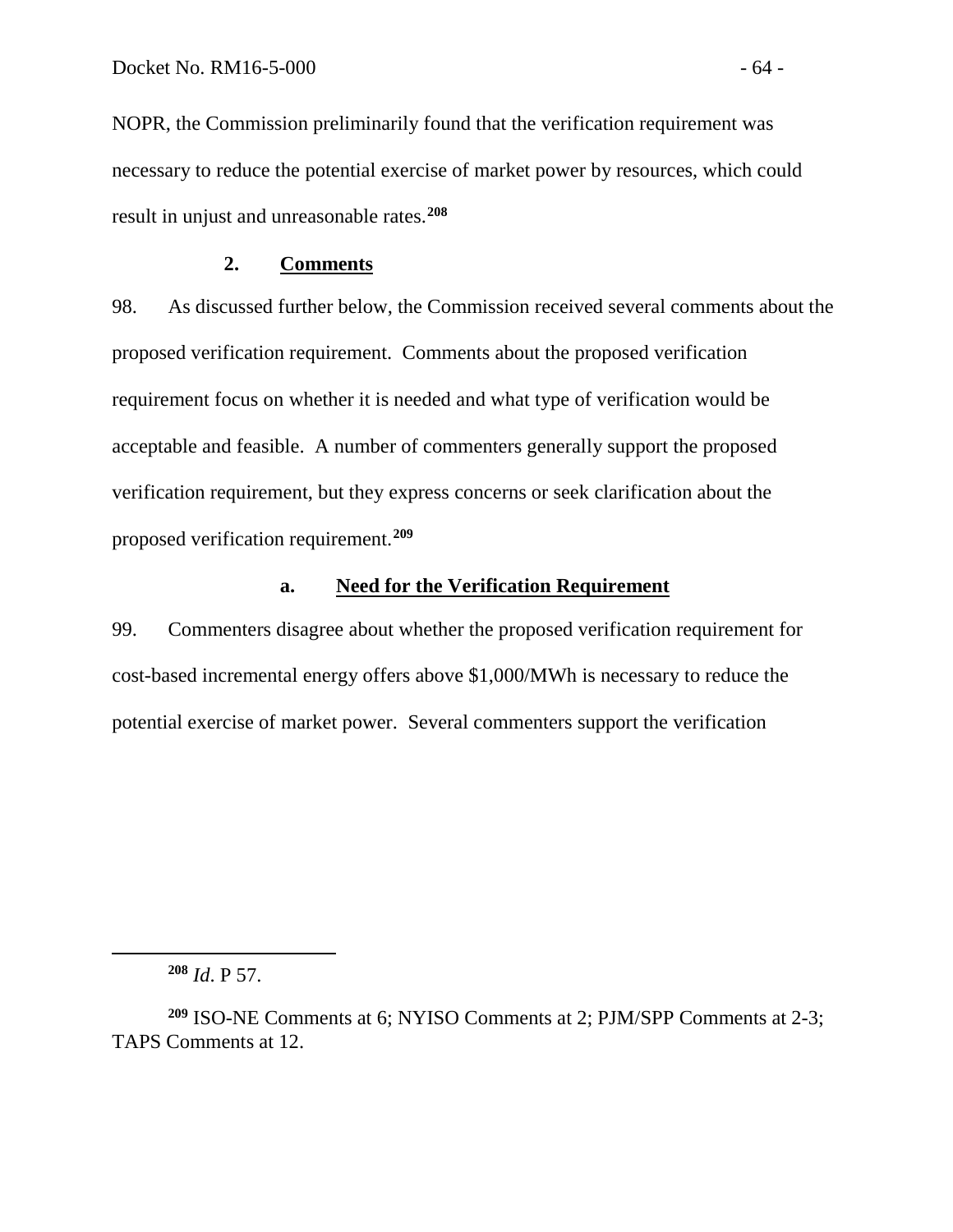NOPR, the Commission preliminarily found that the verification requirement was necessary to reduce the potential exercise of market power by resources, which could result in unjust and unreasonable rates.**[208](#page-65-0)**

### **2. Comments**

98. As discussed further below, the Commission received several comments about the proposed verification requirement. Comments about the proposed verification requirement focus on whether it is needed and what type of verification would be acceptable and feasible. A number of commenters generally support the proposed verification requirement, but they express concerns or seek clarification about the proposed verification requirement.**[209](#page-65-1)**

### **a. Need for the Verification Requirement**

99. Commenters disagree about whether the proposed verification requirement for cost-based incremental energy offers above \$1,000/MWh is necessary to reduce the potential exercise of market power. Several commenters support the verification

**<sup>208</sup>** *Id*. P 57.

<span id="page-65-1"></span><span id="page-65-0"></span>**<sup>209</sup>** ISO-NE Comments at 6; NYISO Comments at 2; PJM/SPP Comments at 2-3; TAPS Comments at 12.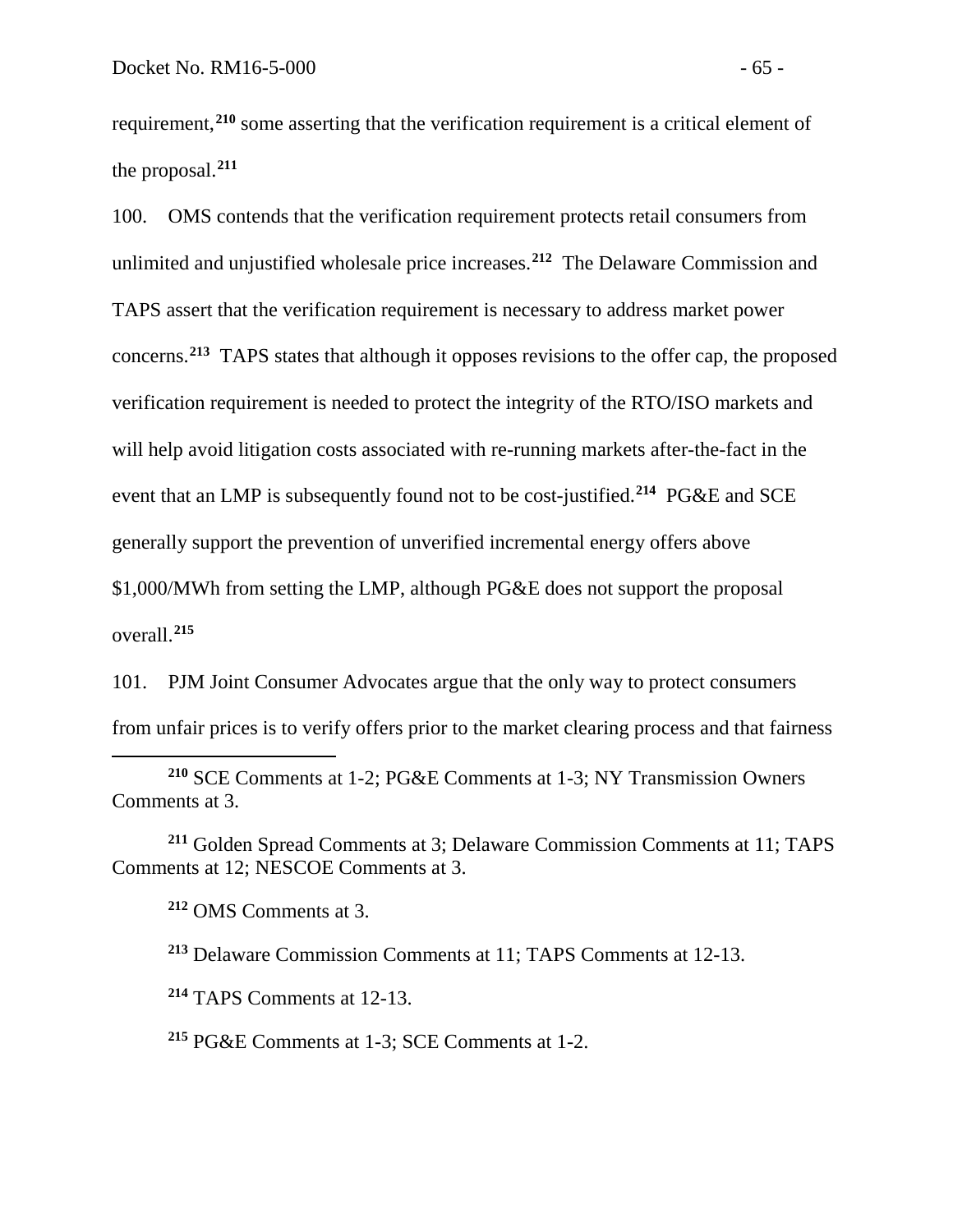requirement,**[210](#page-66-0)** some asserting that the verification requirement is a critical element of the proposal.**[211](#page-66-1)**

100. OMS contends that the verification requirement protects retail consumers from unlimited and unjustified wholesale price increases.**[212](#page-66-2)** The Delaware Commission and TAPS assert that the verification requirement is necessary to address market power concerns.**[213](#page-66-3)** TAPS states that although it opposes revisions to the offer cap, the proposed verification requirement is needed to protect the integrity of the RTO/ISO markets and will help avoid litigation costs associated with re-running markets after-the-fact in the event that an LMP is subsequently found not to be cost-justified.**[214](#page-66-4)** PG&E and SCE generally support the prevention of unverified incremental energy offers above \$1,000/MWh from setting the LMP, although PG&E does not support the proposal overall.**[215](#page-66-5)**

101. PJM Joint Consumer Advocates argue that the only way to protect consumers from unfair prices is to verify offers prior to the market clearing process and that fairness

<span id="page-66-0"></span>**<sup>210</sup>** SCE Comments at 1-2; PG&E Comments at 1-3; NY Transmission Owners Comments at 3.

<span id="page-66-3"></span><span id="page-66-2"></span><span id="page-66-1"></span>**<sup>211</sup>** Golden Spread Comments at 3; Delaware Commission Comments at 11; TAPS Comments at 12; NESCOE Comments at 3.

**<sup>212</sup>** OMS Comments at 3.

 $\overline{a}$ 

**<sup>213</sup>** Delaware Commission Comments at 11; TAPS Comments at 12-13.

<span id="page-66-4"></span>**<sup>214</sup>** TAPS Comments at 12-13.

<span id="page-66-5"></span>**<sup>215</sup>** PG&E Comments at 1-3; SCE Comments at 1-2.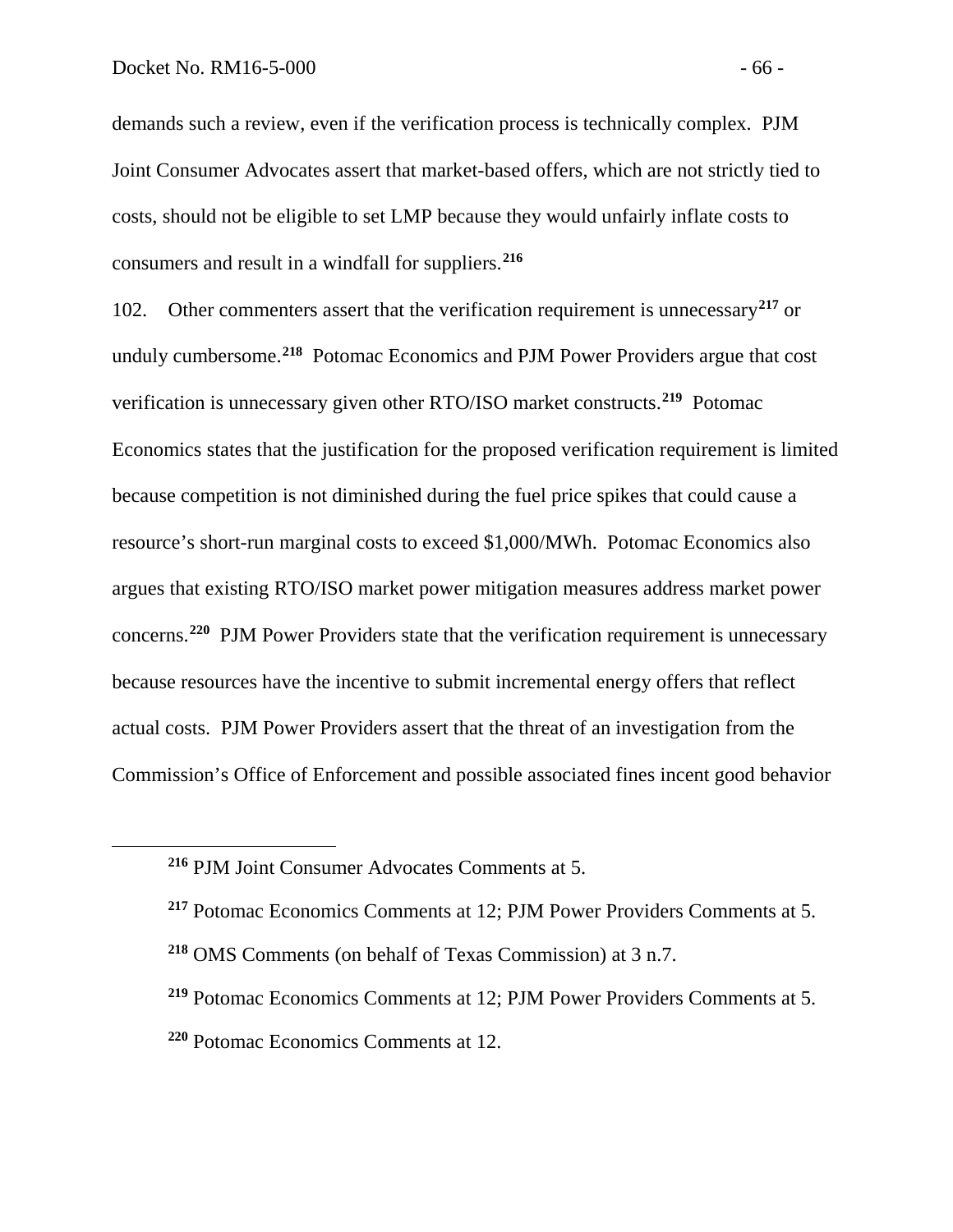demands such a review, even if the verification process is technically complex. PJM Joint Consumer Advocates assert that market-based offers, which are not strictly tied to costs, should not be eligible to set LMP because they would unfairly inflate costs to consumers and result in a windfall for suppliers.**[216](#page-67-0)**

102. Other commenters assert that the verification requirement is unnecessary**[217](#page-67-1)** or unduly cumbersome.**[218](#page-67-2)** Potomac Economics and PJM Power Providers argue that cost verification is unnecessary given other RTO/ISO market constructs.**[219](#page-67-3)** Potomac Economics states that the justification for the proposed verification requirement is limited because competition is not diminished during the fuel price spikes that could cause a resource's short-run marginal costs to exceed \$1,000/MWh. Potomac Economics also argues that existing RTO/ISO market power mitigation measures address market power concerns.**[220](#page-67-4)** PJM Power Providers state that the verification requirement is unnecessary because resources have the incentive to submit incremental energy offers that reflect actual costs. PJM Power Providers assert that the threat of an investigation from the Commission's Office of Enforcement and possible associated fines incent good behavior

<span id="page-67-4"></span><span id="page-67-3"></span>**<sup>219</sup>** Potomac Economics Comments at 12; PJM Power Providers Comments at 5. **<sup>220</sup>** Potomac Economics Comments at 12.

<span id="page-67-0"></span>**<sup>216</sup>** PJM Joint Consumer Advocates Comments at 5.

<span id="page-67-1"></span>**<sup>217</sup>** Potomac Economics Comments at 12; PJM Power Providers Comments at 5.

<span id="page-67-2"></span>**<sup>218</sup>** OMS Comments (on behalf of Texas Commission) at 3 n.7.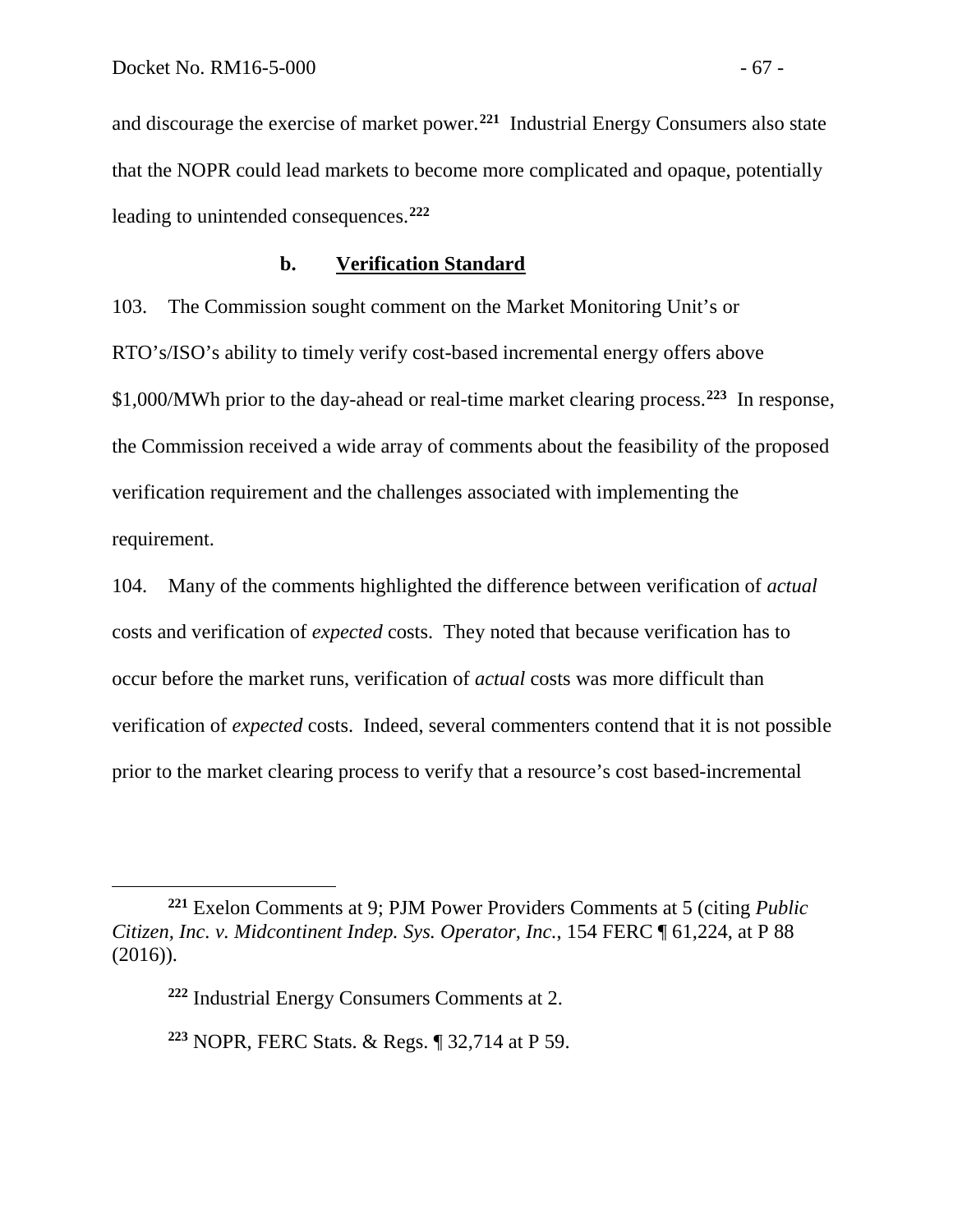and discourage the exercise of market power.**[221](#page-68-0)** Industrial Energy Consumers also state that the NOPR could lead markets to become more complicated and opaque, potentially leading to unintended consequences.**[222](#page-68-1)**

### **b. Verification Standard**

103. The Commission sought comment on the Market Monitoring Unit's or RTO's/ISO's ability to timely verify cost-based incremental energy offers above \$1,000/MWh prior to the day-ahead or real-time market clearing process.**[223](#page-68-2)** In response, the Commission received a wide array of comments about the feasibility of the proposed verification requirement and the challenges associated with implementing the requirement.

104. Many of the comments highlighted the difference between verification of *actual*  costs and verification of *expected* costs. They noted that because verification has to occur before the market runs, verification of *actual* costs was more difficult than verification of *expected* costs. Indeed, several commenters contend that it is not possible prior to the market clearing process to verify that a resource's cost based-incremental

<span id="page-68-1"></span><span id="page-68-0"></span>**<sup>221</sup>** Exelon Comments at 9; PJM Power Providers Comments at 5 (citing *Public Citizen, Inc. v. Midcontinent Indep. Sys. Operator, Inc.*, 154 FERC ¶ 61,224, at P 88 (2016)).

**<sup>222</sup>** Industrial Energy Consumers Comments at 2.

<span id="page-68-2"></span>**<sup>223</sup>** NOPR, FERC Stats. & Regs. ¶ 32,714 at P 59.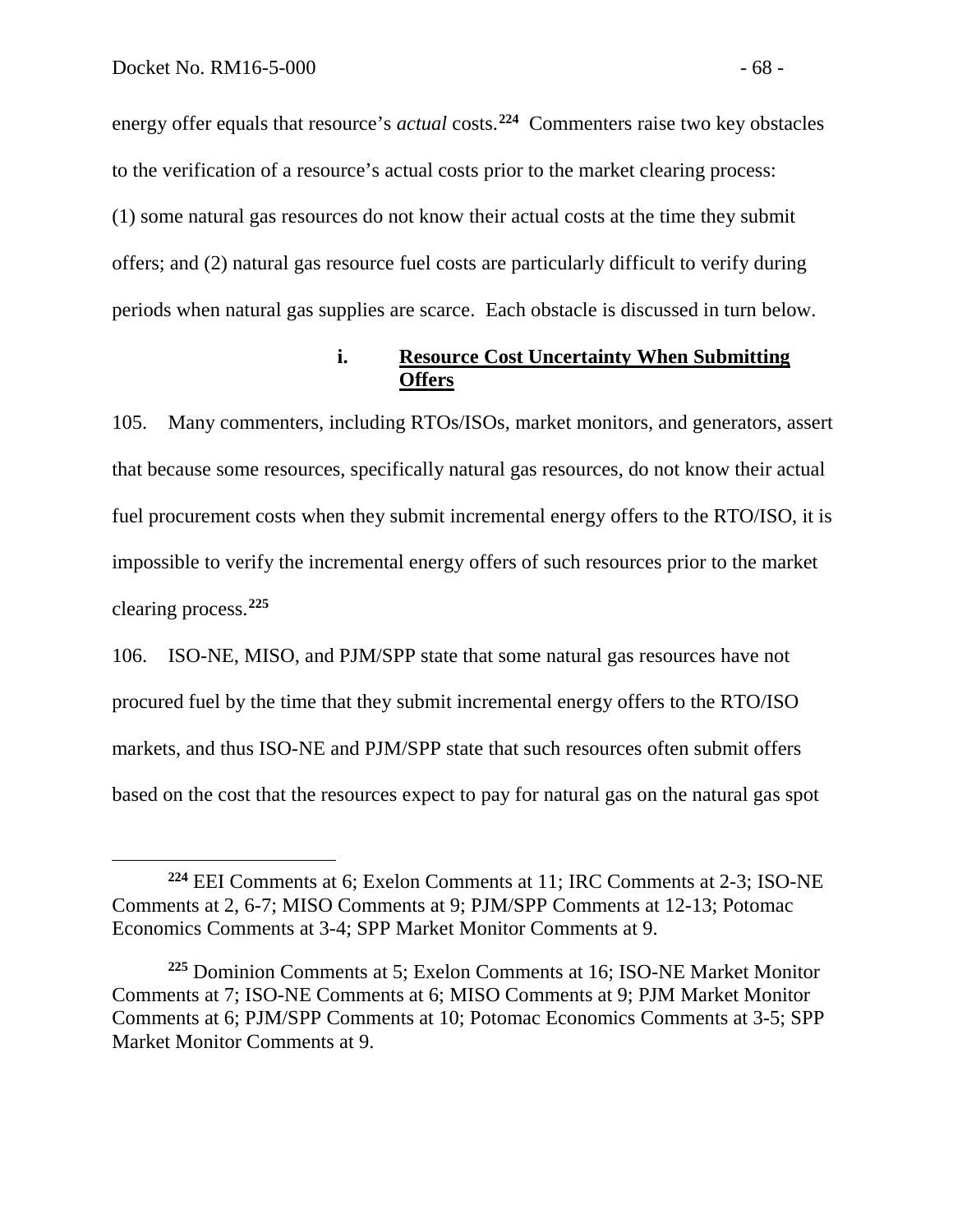energy offer equals that resource's *actual* costs.**[224](#page-69-0)** Commenters raise two key obstacles to the verification of a resource's actual costs prior to the market clearing process: (1) some natural gas resources do not know their actual costs at the time they submit offers; and (2) natural gas resource fuel costs are particularly difficult to verify during periods when natural gas supplies are scarce. Each obstacle is discussed in turn below.

## **i. Resource Cost Uncertainty When Submitting Offers**

105. Many commenters, including RTOs/ISOs, market monitors, and generators, assert that because some resources, specifically natural gas resources, do not know their actual fuel procurement costs when they submit incremental energy offers to the RTO/ISO, it is impossible to verify the incremental energy offers of such resources prior to the market clearing process.**[225](#page-69-1)**

106. ISO-NE, MISO, and PJM/SPP state that some natural gas resources have not procured fuel by the time that they submit incremental energy offers to the RTO/ISO markets, and thus ISO-NE and PJM/SPP state that such resources often submit offers based on the cost that the resources expect to pay for natural gas on the natural gas spot

<span id="page-69-0"></span>**<sup>224</sup>** EEI Comments at 6; Exelon Comments at 11; IRC Comments at 2-3; ISO-NE Comments at 2, 6-7; MISO Comments at 9; PJM/SPP Comments at 12-13; Potomac Economics Comments at 3-4; SPP Market Monitor Comments at 9.

<span id="page-69-1"></span>**<sup>225</sup>** Dominion Comments at 5; Exelon Comments at 16; ISO-NE Market Monitor Comments at 7; ISO-NE Comments at 6; MISO Comments at 9; PJM Market Monitor Comments at 6; PJM/SPP Comments at 10; Potomac Economics Comments at 3-5; SPP Market Monitor Comments at 9.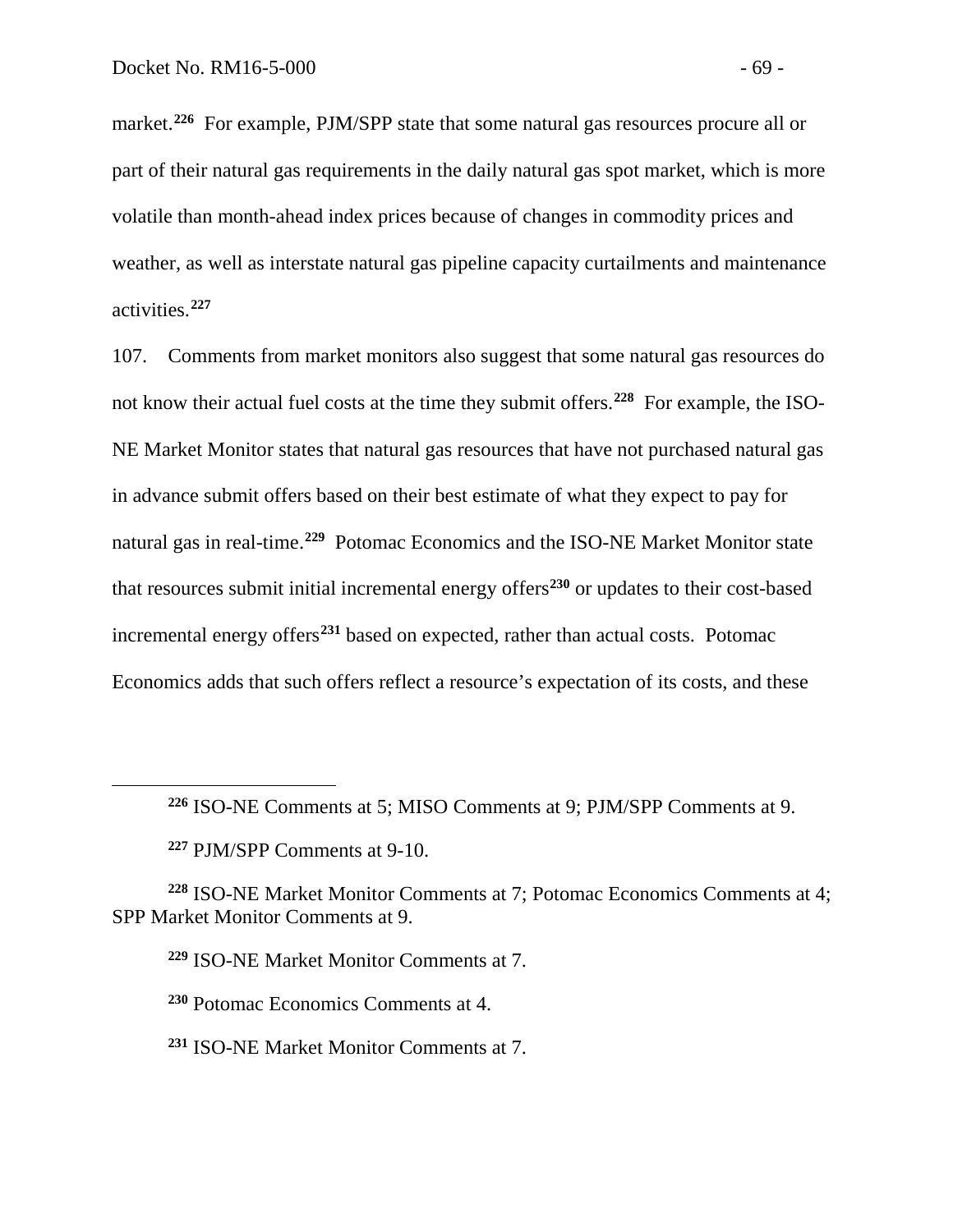market.<sup>[226](#page-70-0)</sup> For example, PJM/SPP state that some natural gas resources procure all or part of their natural gas requirements in the daily natural gas spot market, which is more volatile than month-ahead index prices because of changes in commodity prices and weather, as well as interstate natural gas pipeline capacity curtailments and maintenance activities.**[227](#page-70-1)**

107. Comments from market monitors also suggest that some natural gas resources do not know their actual fuel costs at the time they submit offers.**[228](#page-70-2)** For example, the ISO-NE Market Monitor states that natural gas resources that have not purchased natural gas in advance submit offers based on their best estimate of what they expect to pay for natural gas in real-time.**[229](#page-70-3)** Potomac Economics and the ISO-NE Market Monitor state that resources submit initial incremental energy offers**[230](#page-70-4)** or updates to their cost-based incremental energy offers**[231](#page-70-5)** based on expected, rather than actual costs. Potomac Economics adds that such offers reflect a resource's expectation of its costs, and these

**<sup>226</sup>** ISO-NE Comments at 5; MISO Comments at 9; PJM/SPP Comments at 9.

**<sup>227</sup>** PJM/SPP Comments at 9-10.

<span id="page-70-4"></span><span id="page-70-3"></span><span id="page-70-2"></span><span id="page-70-1"></span><span id="page-70-0"></span>**<sup>228</sup>** ISO-NE Market Monitor Comments at 7; Potomac Economics Comments at 4; SPP Market Monitor Comments at 9.

**<sup>229</sup>** ISO-NE Market Monitor Comments at 7.

**<sup>230</sup>** Potomac Economics Comments at 4.

<span id="page-70-5"></span>**<sup>231</sup>** ISO-NE Market Monitor Comments at 7.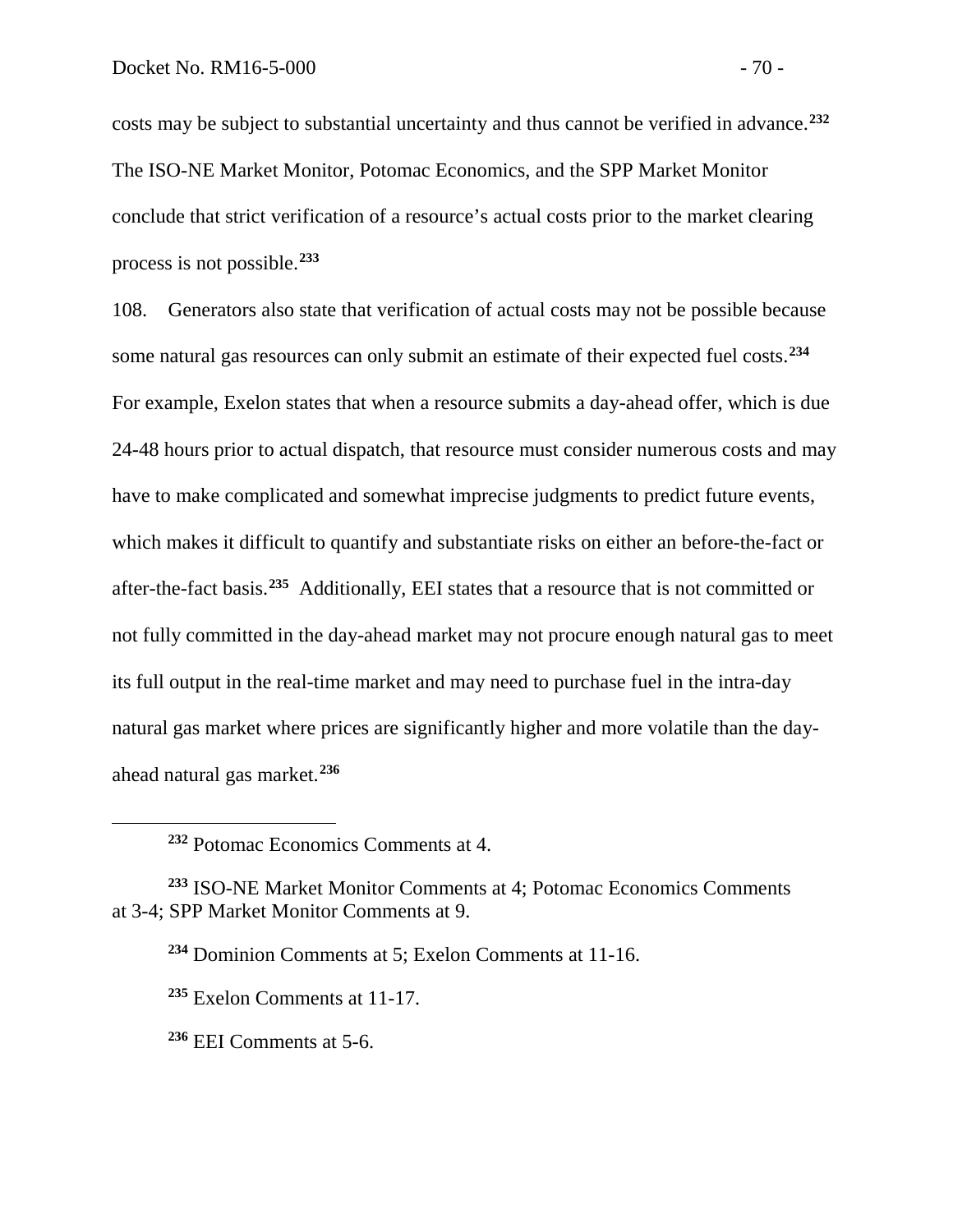costs may be subject to substantial uncertainty and thus cannot be verified in advance.**[232](#page-71-0)** The ISO-NE Market Monitor, Potomac Economics, and the SPP Market Monitor conclude that strict verification of a resource's actual costs prior to the market clearing process is not possible.**[233](#page-71-1)**

108. Generators also state that verification of actual costs may not be possible because some natural gas resources can only submit an estimate of their expected fuel costs.**[234](#page-71-2)** For example, Exelon states that when a resource submits a day-ahead offer, which is due 24-48 hours prior to actual dispatch, that resource must consider numerous costs and may have to make complicated and somewhat imprecise judgments to predict future events, which makes it difficult to quantify and substantiate risks on either an before-the-fact or after-the-fact basis.**[235](#page-71-3)** Additionally, EEI states that a resource that is not committed or not fully committed in the day-ahead market may not procure enough natural gas to meet its full output in the real-time market and may need to purchase fuel in the intra-day natural gas market where prices are significantly higher and more volatile than the dayahead natural gas market.**[236](#page-71-4)**

<span id="page-71-3"></span><span id="page-71-2"></span><span id="page-71-1"></span><span id="page-71-0"></span>**<sup>233</sup>** ISO-NE Market Monitor Comments at 4; Potomac Economics Comments at 3-4; SPP Market Monitor Comments at 9.

**<sup>234</sup>** Dominion Comments at 5; Exelon Comments at 11-16.

**<sup>235</sup>** Exelon Comments at 11-17.

<span id="page-71-4"></span>**<sup>236</sup>** EEI Comments at 5-6.

**<sup>232</sup>** Potomac Economics Comments at 4.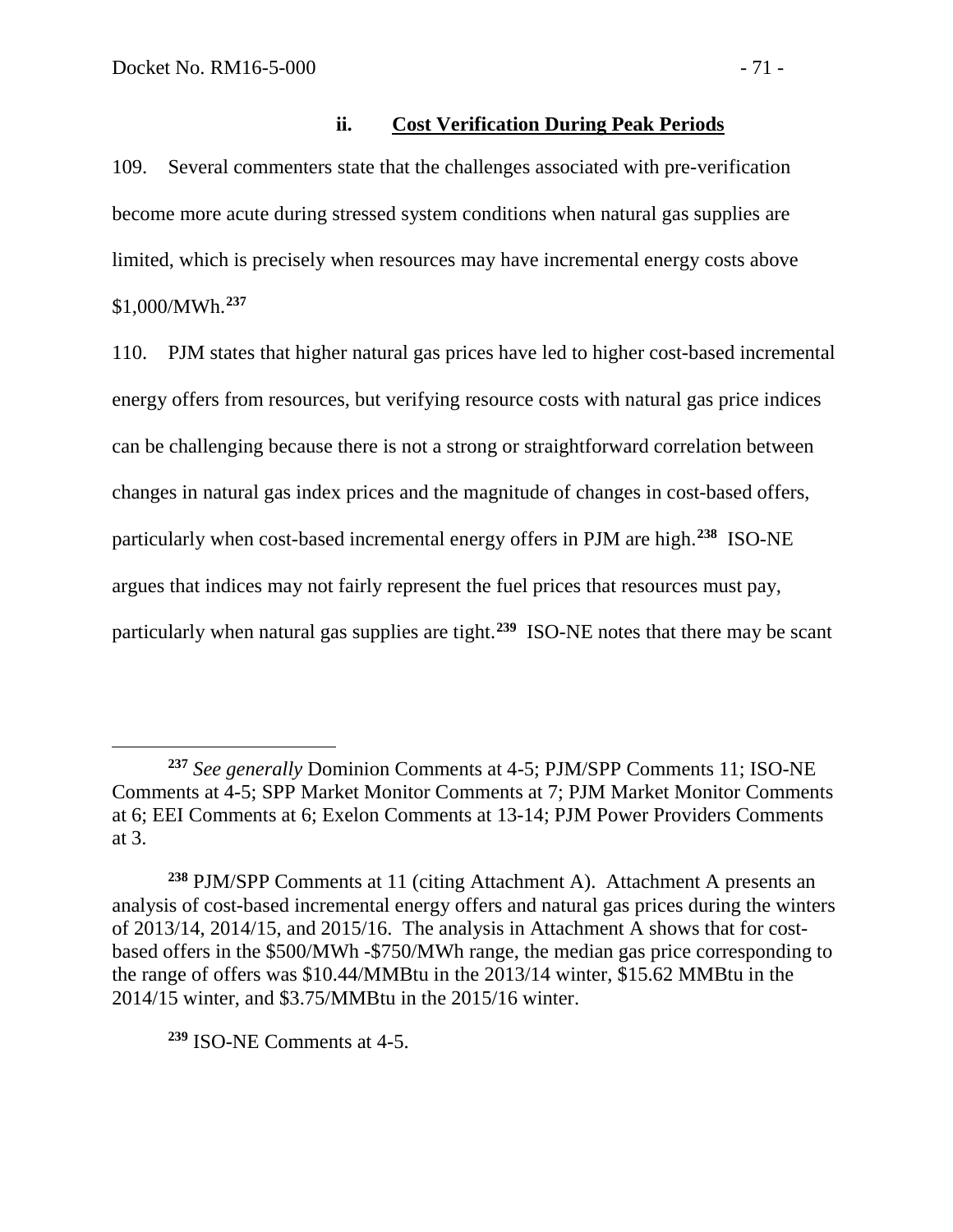#### **ii. Cost Verification During Peak Periods**

109. Several commenters state that the challenges associated with pre-verification become more acute during stressed system conditions when natural gas supplies are limited, which is precisely when resources may have incremental energy costs above \$1,000/MWh.**[237](#page-72-0)**

110. PJM states that higher natural gas prices have led to higher cost-based incremental energy offers from resources, but verifying resource costs with natural gas price indices can be challenging because there is not a strong or straightforward correlation between changes in natural gas index prices and the magnitude of changes in cost-based offers, particularly when cost-based incremental energy offers in PJM are high.**[238](#page-72-1)** ISO-NE argues that indices may not fairly represent the fuel prices that resources must pay, particularly when natural gas supplies are tight.**[239](#page-72-2)** ISO-NE notes that there may be scant

<span id="page-72-2"></span>**<sup>239</sup>** ISO-NE Comments at 4-5.

<span id="page-72-0"></span>**<sup>237</sup>** *See generally* Dominion Comments at 4-5; PJM/SPP Comments 11; ISO-NE Comments at 4-5; SPP Market Monitor Comments at 7; PJM Market Monitor Comments at 6; EEI Comments at 6; Exelon Comments at 13-14; PJM Power Providers Comments at 3.

<span id="page-72-1"></span>**<sup>238</sup>** PJM/SPP Comments at 11 (citing Attachment A). Attachment A presents an analysis of cost-based incremental energy offers and natural gas prices during the winters of 2013/14, 2014/15, and 2015/16. The analysis in Attachment A shows that for costbased offers in the \$500/MWh -\$750/MWh range, the median gas price corresponding to the range of offers was \$10.44/MMBtu in the 2013/14 winter, \$15.62 MMBtu in the 2014/15 winter, and \$3.75/MMBtu in the 2015/16 winter.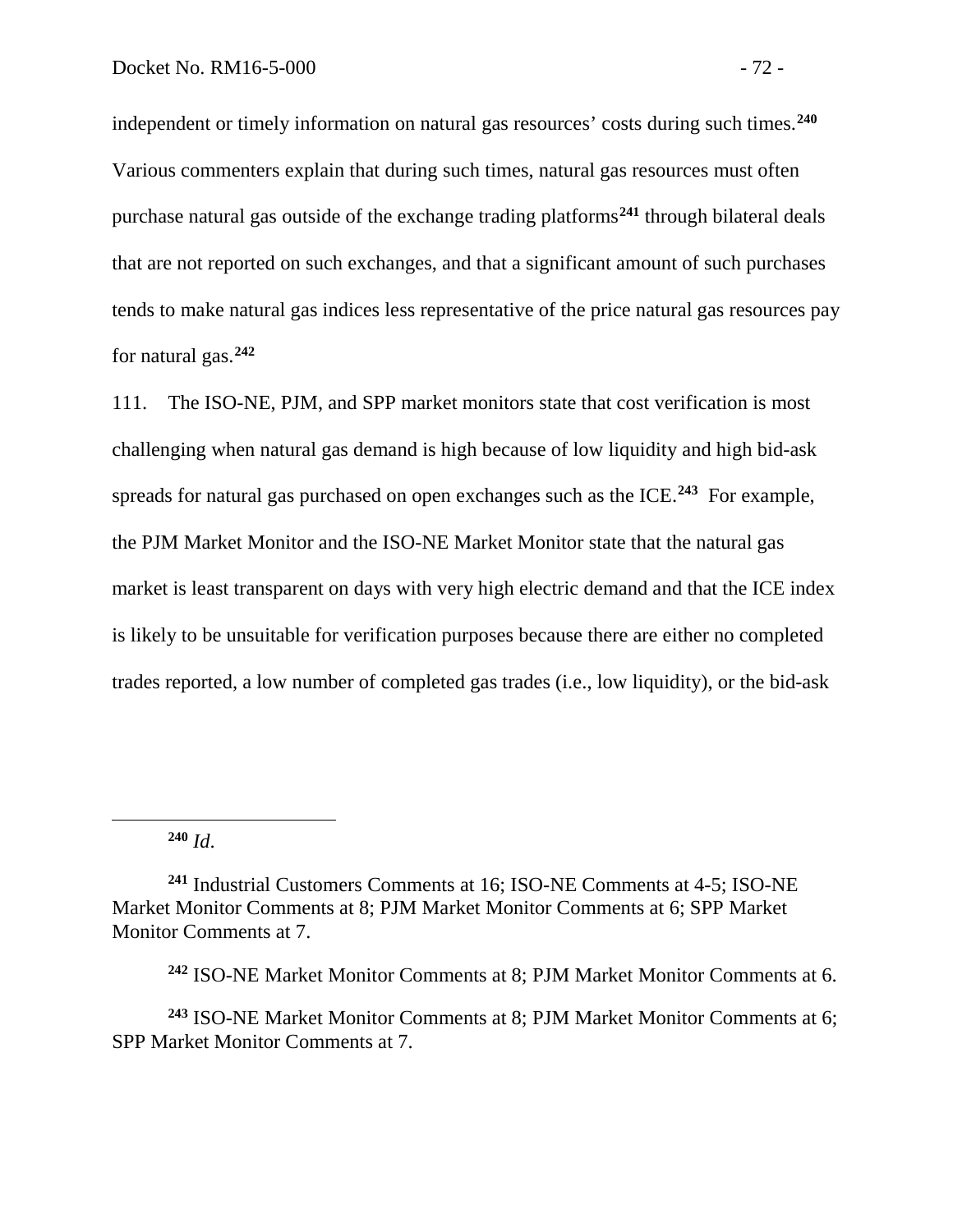independent or timely information on natural gas resources' costs during such times.**[240](#page-73-0)** Various commenters explain that during such times, natural gas resources must often purchase natural gas outside of the exchange trading platforms**[241](#page-73-1)** through bilateral deals that are not reported on such exchanges, and that a significant amount of such purchases tends to make natural gas indices less representative of the price natural gas resources pay for natural gas.**[242](#page-73-2)**

111. The ISO-NE, PJM, and SPP market monitors state that cost verification is most challenging when natural gas demand is high because of low liquidity and high bid-ask spreads for natural gas purchased on open exchanges such as the ICE.**[243](#page-73-3)** For example, the PJM Market Monitor and the ISO-NE Market Monitor state that the natural gas market is least transparent on days with very high electric demand and that the ICE index is likely to be unsuitable for verification purposes because there are either no completed trades reported, a low number of completed gas trades (i.e., low liquidity), or the bid-ask

**<sup>240</sup>** *Id*.

<span id="page-73-0"></span> $\overline{a}$ 

**<sup>242</sup>** ISO-NE Market Monitor Comments at 8; PJM Market Monitor Comments at 6.

<span id="page-73-3"></span><span id="page-73-2"></span>**<sup>243</sup>** ISO-NE Market Monitor Comments at 8; PJM Market Monitor Comments at 6; SPP Market Monitor Comments at 7.

<span id="page-73-1"></span>**<sup>241</sup>** Industrial Customers Comments at 16; ISO-NE Comments at 4-5; ISO-NE Market Monitor Comments at 8; PJM Market Monitor Comments at 6; SPP Market Monitor Comments at 7.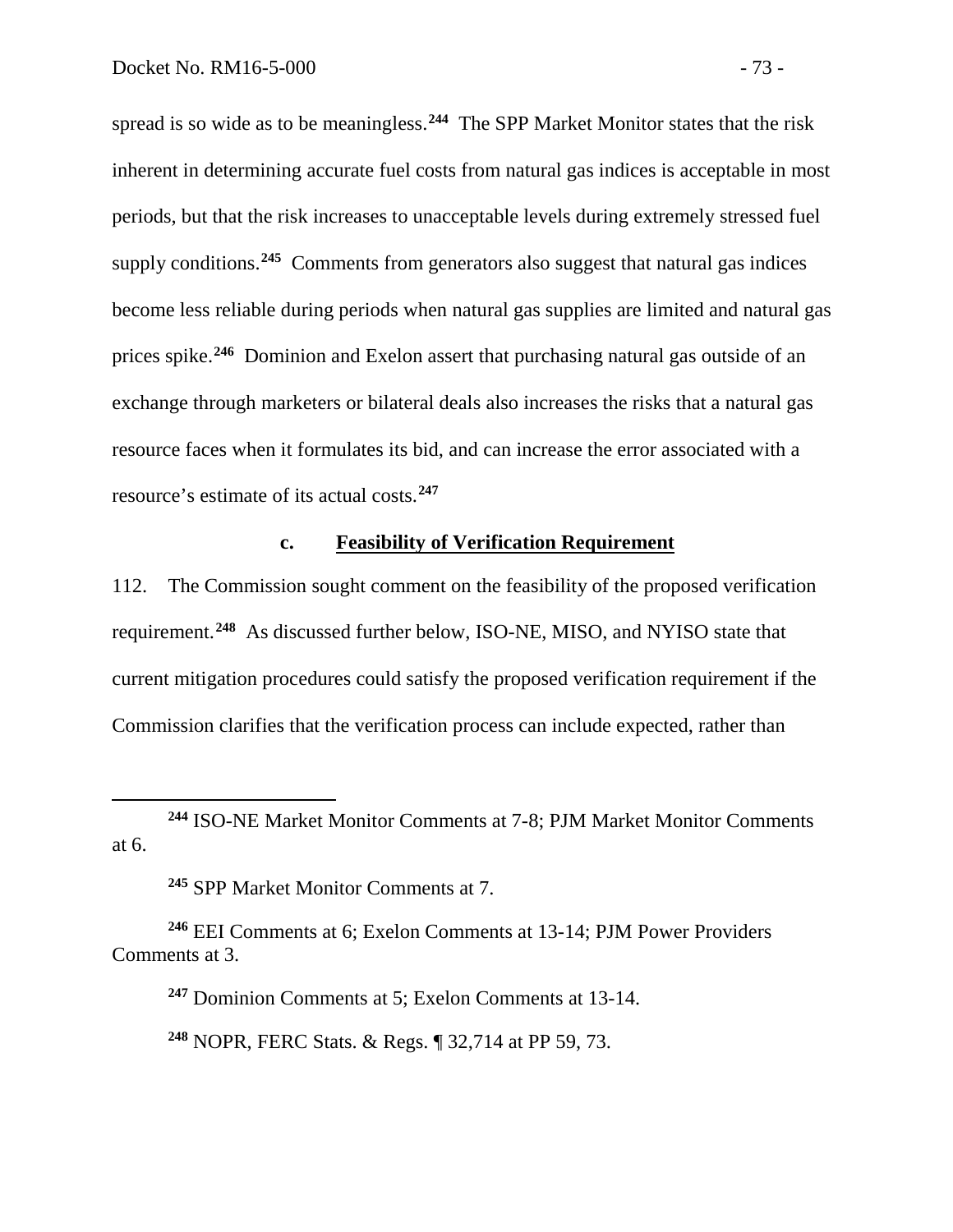spread is so wide as to be meaningless.**[244](#page-74-0)** The SPP Market Monitor states that the risk inherent in determining accurate fuel costs from natural gas indices is acceptable in most periods, but that the risk increases to unacceptable levels during extremely stressed fuel supply conditions.**[245](#page-74-1)** Comments from generators also suggest that natural gas indices become less reliable during periods when natural gas supplies are limited and natural gas prices spike.**[246](#page-74-2)** Dominion and Exelon assert that purchasing natural gas outside of an exchange through marketers or bilateral deals also increases the risks that a natural gas resource faces when it formulates its bid, and can increase the error associated with a resource's estimate of its actual costs.**[247](#page-74-3)**

#### **c. Feasibility of Verification Requirement**

112. The Commission sought comment on the feasibility of the proposed verification requirement.**[248](#page-74-4)** As discussed further below, ISO-NE, MISO, and NYISO state that current mitigation procedures could satisfy the proposed verification requirement if the Commission clarifies that the verification process can include expected, rather than

**<sup>245</sup>** SPP Market Monitor Comments at 7.

 $\overline{a}$ 

<span id="page-74-4"></span><span id="page-74-3"></span><span id="page-74-2"></span><span id="page-74-1"></span>**<sup>246</sup>** EEI Comments at 6; Exelon Comments at 13-14; PJM Power Providers Comments at 3.

**<sup>247</sup>** Dominion Comments at 5; Exelon Comments at 13-14. **<sup>248</sup>** NOPR, FERC Stats. & Regs. ¶ 32,714 at PP 59, 73.

<span id="page-74-0"></span>**<sup>244</sup>** ISO-NE Market Monitor Comments at 7-8; PJM Market Monitor Comments at 6.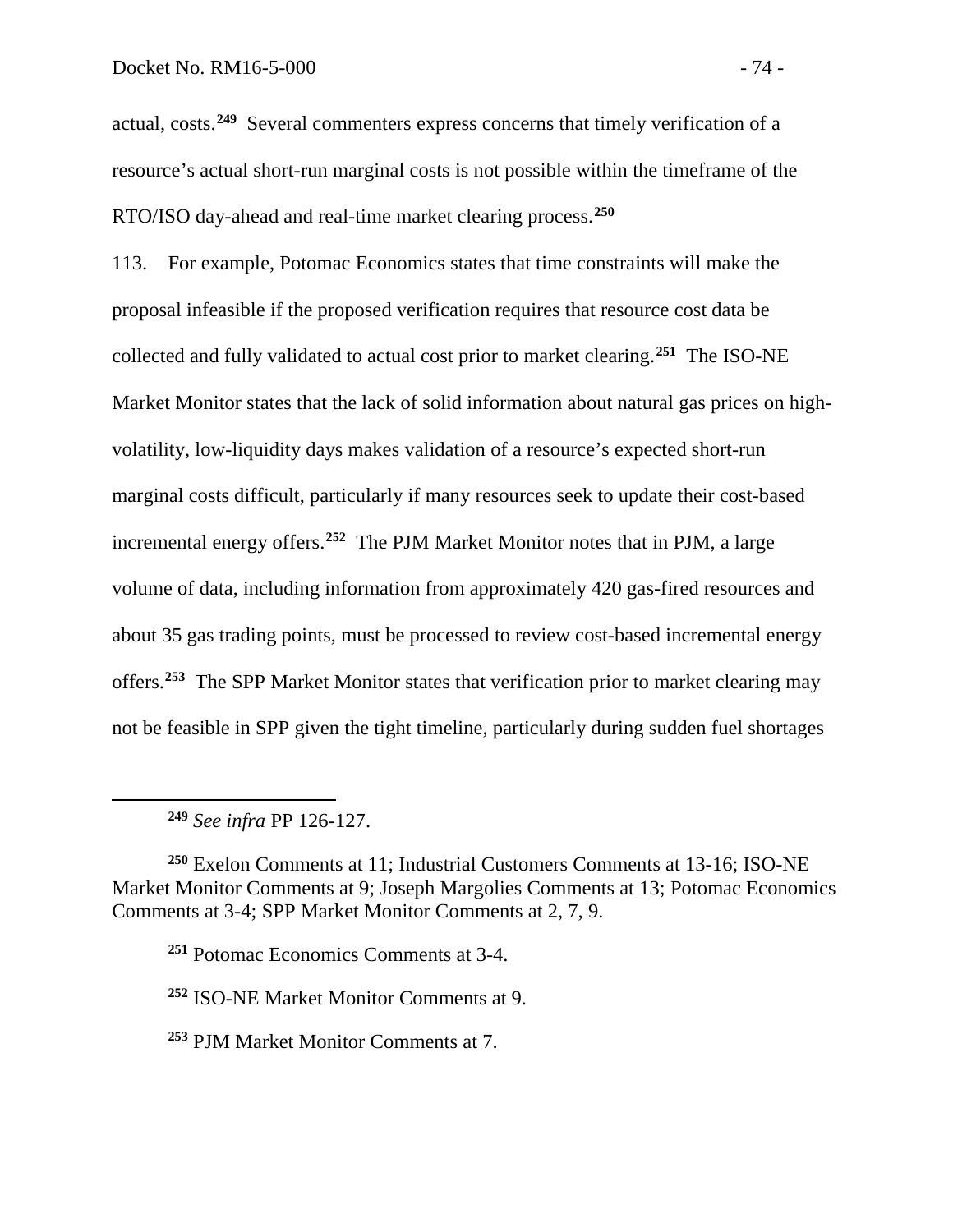actual, costs.**[249](#page-75-0)** Several commenters express concerns that timely verification of a resource's actual short-run marginal costs is not possible within the timeframe of the RTO/ISO day-ahead and real-time market clearing process.**[250](#page-75-1)**

113. For example, Potomac Economics states that time constraints will make the proposal infeasible if the proposed verification requires that resource cost data be collected and fully validated to actual cost prior to market clearing.**[251](#page-75-2)** The ISO-NE Market Monitor states that the lack of solid information about natural gas prices on highvolatility, low-liquidity days makes validation of a resource's expected short-run marginal costs difficult, particularly if many resources seek to update their cost-based incremental energy offers.**[252](#page-75-3)** The PJM Market Monitor notes that in PJM, a large volume of data, including information from approximately 420 gas-fired resources and about 35 gas trading points, must be processed to review cost-based incremental energy offers.**[253](#page-75-4)** The SPP Market Monitor states that verification prior to market clearing may not be feasible in SPP given the tight timeline, particularly during sudden fuel shortages

<span id="page-75-0"></span> $\overline{a}$ 

**<sup>251</sup>** Potomac Economics Comments at 3-4.

<span id="page-75-3"></span>**<sup>252</sup>** ISO-NE Market Monitor Comments at 9.

<span id="page-75-4"></span>**<sup>253</sup>** PJM Market Monitor Comments at 7.

**<sup>249</sup>** *See infra* PP 126-127.

<span id="page-75-2"></span><span id="page-75-1"></span>**<sup>250</sup>** Exelon Comments at 11; Industrial Customers Comments at 13-16; ISO-NE Market Monitor Comments at 9; Joseph Margolies Comments at 13; Potomac Economics Comments at 3-4; SPP Market Monitor Comments at 2, 7, 9.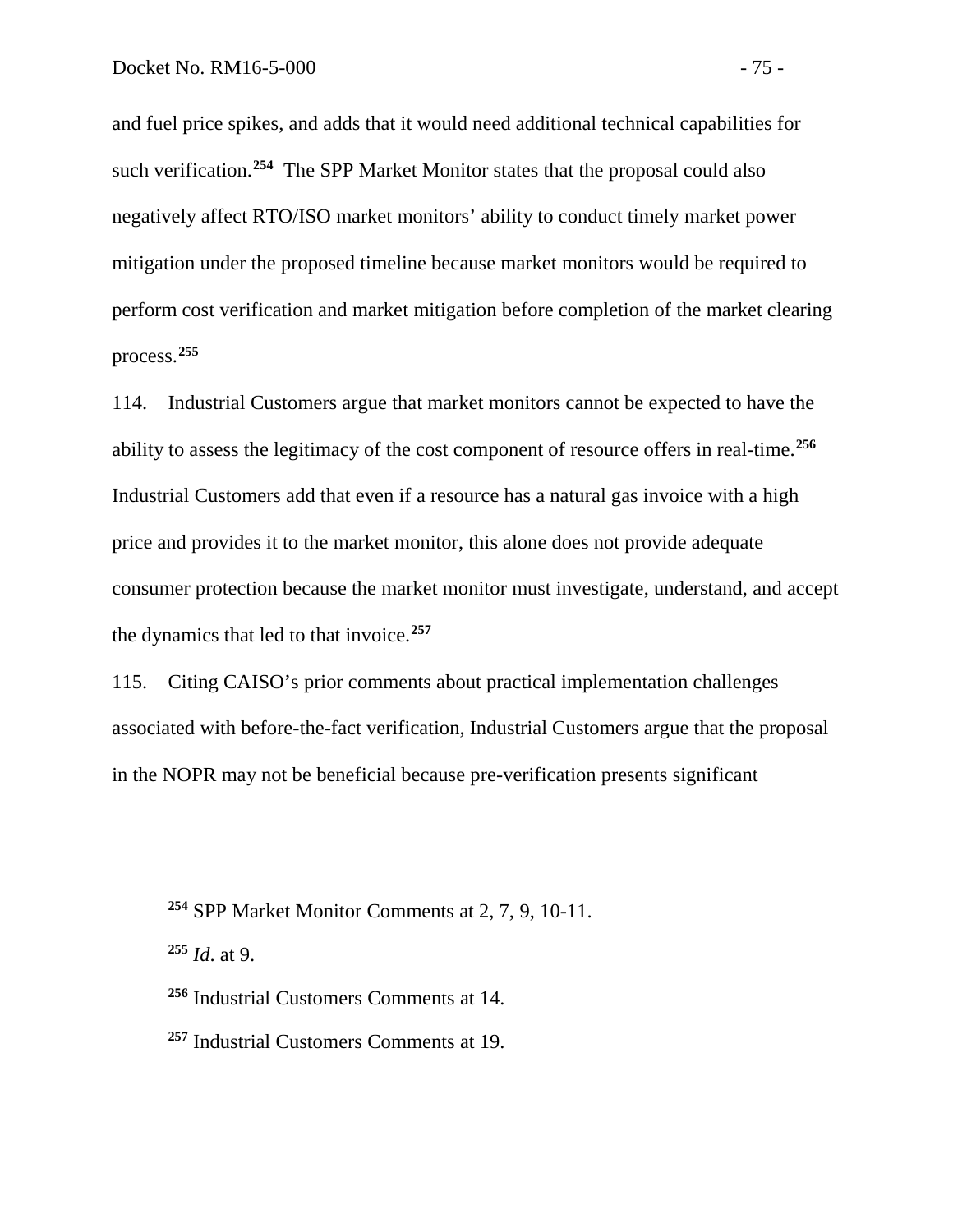and fuel price spikes, and adds that it would need additional technical capabilities for such verification.**[254](#page-76-0)** The SPP Market Monitor states that the proposal could also negatively affect RTO/ISO market monitors' ability to conduct timely market power mitigation under the proposed timeline because market monitors would be required to perform cost verification and market mitigation before completion of the market clearing process.**[255](#page-76-1)**

114. Industrial Customers argue that market monitors cannot be expected to have the ability to assess the legitimacy of the cost component of resource offers in real-time. **[256](#page-76-2)** Industrial Customers add that even if a resource has a natural gas invoice with a high price and provides it to the market monitor, this alone does not provide adequate consumer protection because the market monitor must investigate, understand, and accept the dynamics that led to that invoice.**[257](#page-76-3)**

115. Citing CAISO's prior comments about practical implementation challenges associated with before-the-fact verification, Industrial Customers argue that the proposal in the NOPR may not be beneficial because pre-verification presents significant

<span id="page-76-1"></span>**<sup>255</sup>** *Id*. at 9.

<span id="page-76-0"></span>**<sup>254</sup>** SPP Market Monitor Comments at 2, 7, 9, 10-11.

<span id="page-76-2"></span>**<sup>256</sup>** Industrial Customers Comments at 14.

<span id="page-76-3"></span>**<sup>257</sup>** Industrial Customers Comments at 19.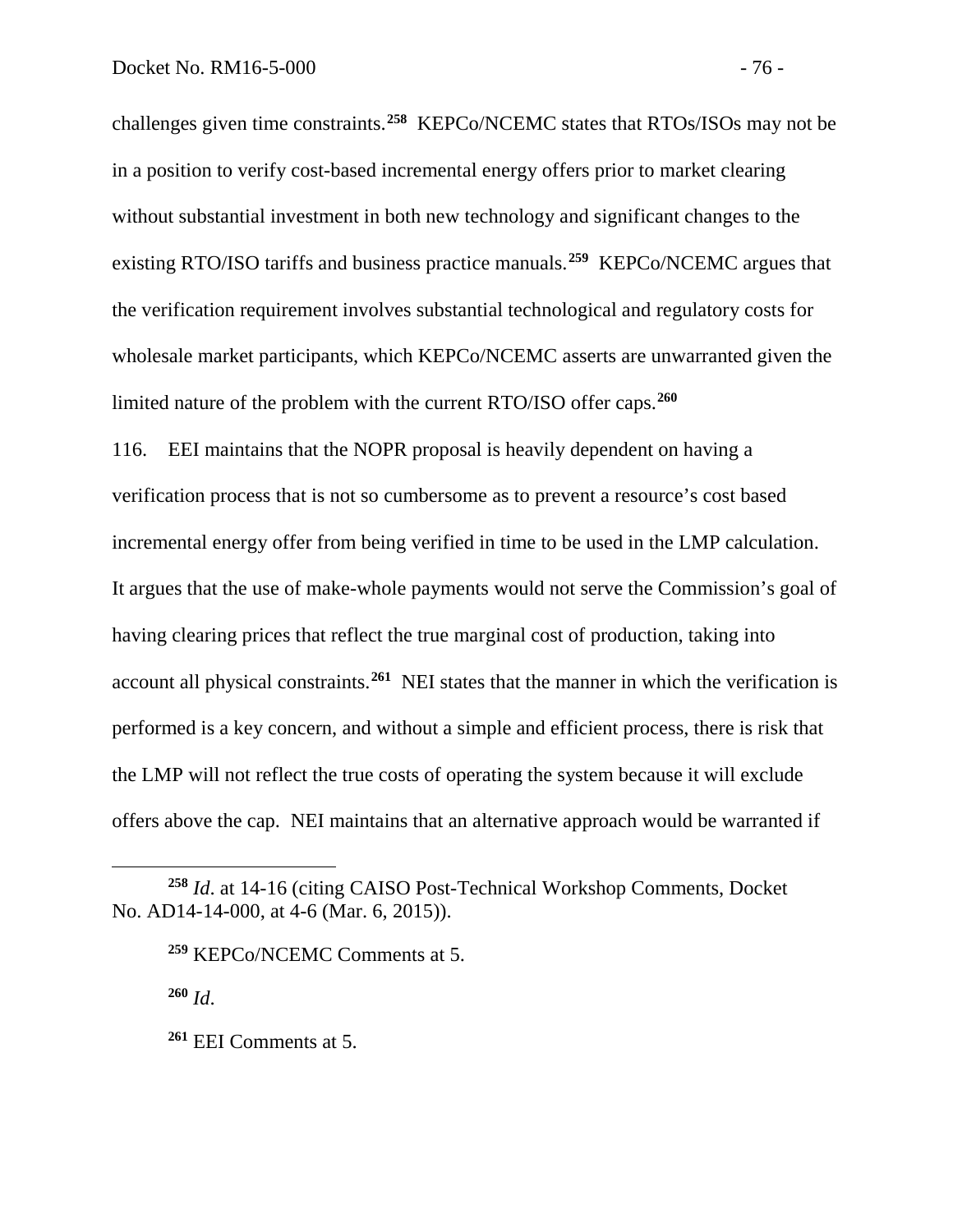challenges given time constraints.**[258](#page-77-0)** KEPCo/NCEMC states that RTOs/ISOs may not be in a position to verify cost-based incremental energy offers prior to market clearing without substantial investment in both new technology and significant changes to the existing RTO/ISO tariffs and business practice manuals.**[259](#page-77-1)** KEPCo/NCEMC argues that the verification requirement involves substantial technological and regulatory costs for wholesale market participants, which KEPCo/NCEMC asserts are unwarranted given the limited nature of the problem with the current RTO/ISO offer caps.**[260](#page-77-2)**

116. EEI maintains that the NOPR proposal is heavily dependent on having a verification process that is not so cumbersome as to prevent a resource's cost based incremental energy offer from being verified in time to be used in the LMP calculation. It argues that the use of make-whole payments would not serve the Commission's goal of having clearing prices that reflect the true marginal cost of production, taking into account all physical constraints.**[261](#page-77-3)** NEI states that the manner in which the verification is performed is a key concern, and without a simple and efficient process, there is risk that the LMP will not reflect the true costs of operating the system because it will exclude offers above the cap. NEI maintains that an alternative approach would be warranted if

**<sup>260</sup>** *Id*.

<span id="page-77-2"></span><span id="page-77-1"></span><span id="page-77-0"></span>**<sup>258</sup>** *Id*. at 14-16 (citing CAISO Post-Technical Workshop Comments, Docket No. AD14-14-000, at 4-6 (Mar. 6, 2015)).

**<sup>259</sup>** KEPCo/NCEMC Comments at 5.

<span id="page-77-3"></span>**<sup>261</sup>** EEI Comments at 5.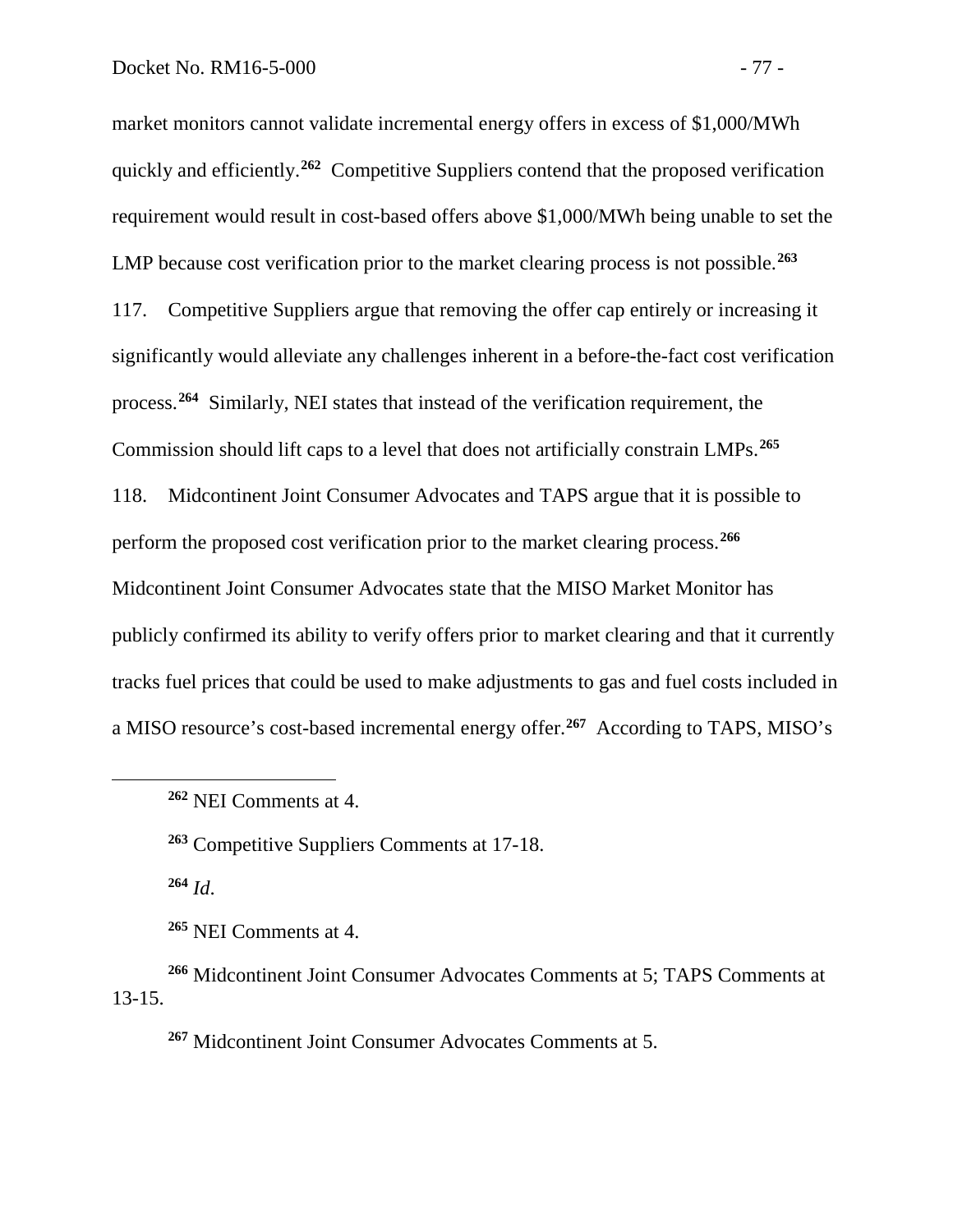market monitors cannot validate incremental energy offers in excess of \$1,000/MWh quickly and efficiently.**[262](#page-78-0)** Competitive Suppliers contend that the proposed verification requirement would result in cost-based offers above \$1,000/MWh being unable to set the LMP because cost verification prior to the market clearing process is not possible. **[263](#page-78-1)** 117. Competitive Suppliers argue that removing the offer cap entirely or increasing it significantly would alleviate any challenges inherent in a before-the-fact cost verification process.**[264](#page-78-2)** Similarly, NEI states that instead of the verification requirement, the Commission should lift caps to a level that does not artificially constrain LMPs.**[265](#page-78-3)** 118. Midcontinent Joint Consumer Advocates and TAPS argue that it is possible to perform the proposed cost verification prior to the market clearing process. **[266](#page-78-4)** Midcontinent Joint Consumer Advocates state that the MISO Market Monitor has publicly confirmed its ability to verify offers prior to market clearing and that it currently tracks fuel prices that could be used to make adjustments to gas and fuel costs included in a MISO resource's cost-based incremental energy offer.**[267](#page-78-5)** According to TAPS, MISO's

**<sup>264</sup>** *Id*.

<span id="page-78-1"></span><span id="page-78-0"></span> $\overline{a}$ 

**<sup>265</sup>** NEI Comments at 4.

**<sup>267</sup>** Midcontinent Joint Consumer Advocates Comments at 5.

**<sup>262</sup>** NEI Comments at 4.

**<sup>263</sup>** Competitive Suppliers Comments at 17-18.

<span id="page-78-5"></span><span id="page-78-4"></span><span id="page-78-3"></span><span id="page-78-2"></span>**<sup>266</sup>** Midcontinent Joint Consumer Advocates Comments at 5; TAPS Comments at 13-15.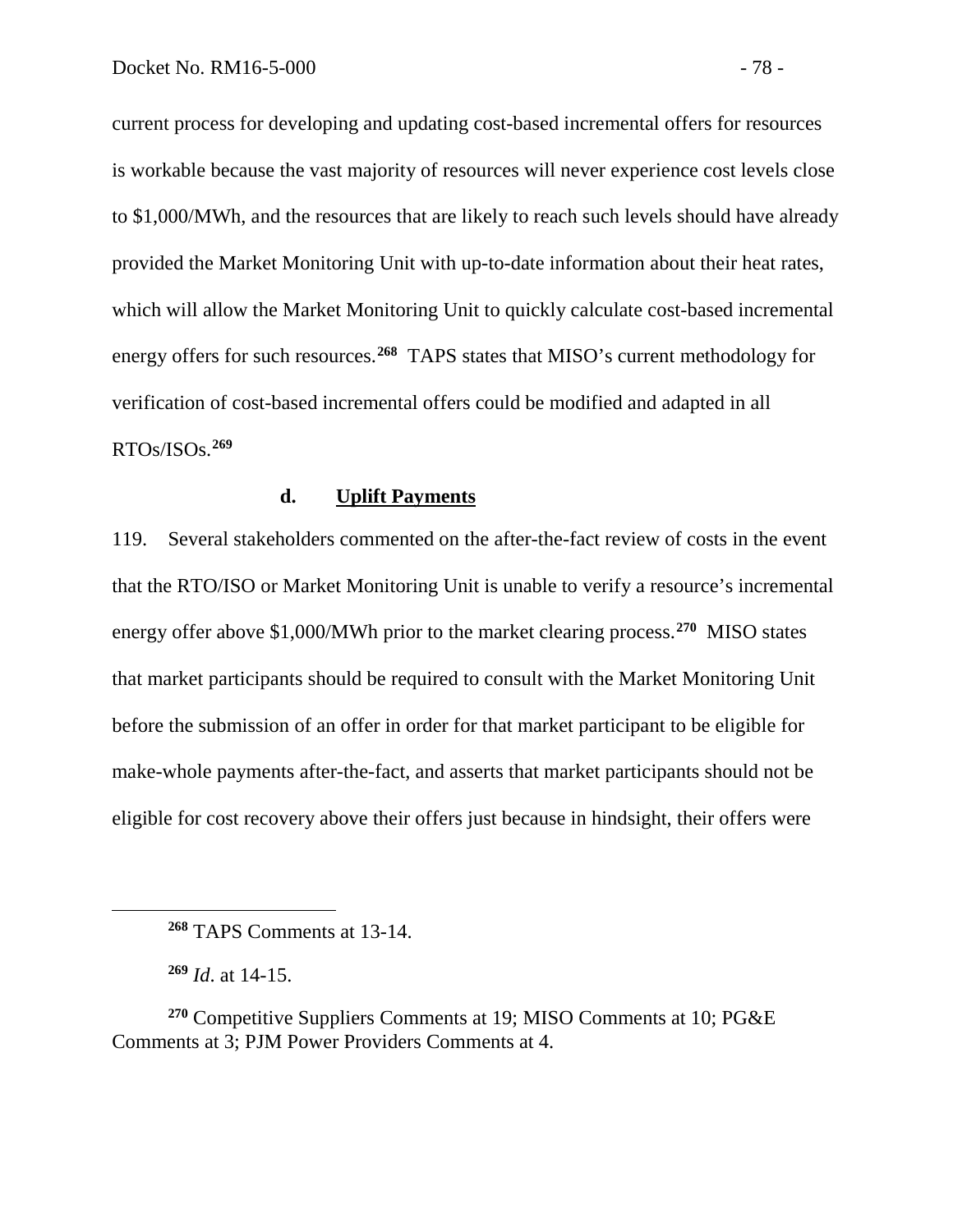current process for developing and updating cost-based incremental offers for resources is workable because the vast majority of resources will never experience cost levels close to \$1,000/MWh, and the resources that are likely to reach such levels should have already provided the Market Monitoring Unit with up-to-date information about their heat rates, which will allow the Market Monitoring Unit to quickly calculate cost-based incremental energy offers for such resources.**[268](#page-79-0)** TAPS states that MISO's current methodology for verification of cost-based incremental offers could be modified and adapted in all RTOs/ISOs.**[269](#page-79-1)**

#### **d. Uplift Payments**

119. Several stakeholders commented on the after-the-fact review of costs in the event that the RTO/ISO or Market Monitoring Unit is unable to verify a resource's incremental energy offer above \$1,000/MWh prior to the market clearing process.**[270](#page-79-2)** MISO states that market participants should be required to consult with the Market Monitoring Unit before the submission of an offer in order for that market participant to be eligible for make-whole payments after-the-fact, and asserts that market participants should not be eligible for cost recovery above their offers just because in hindsight, their offers were

<span id="page-79-0"></span> $\overline{a}$ 

<span id="page-79-2"></span><span id="page-79-1"></span>**<sup>270</sup>** Competitive Suppliers Comments at 19; MISO Comments at 10; PG&E Comments at 3; PJM Power Providers Comments at 4.

**<sup>268</sup>** TAPS Comments at 13-14.

**<sup>269</sup>** *Id*. at 14-15.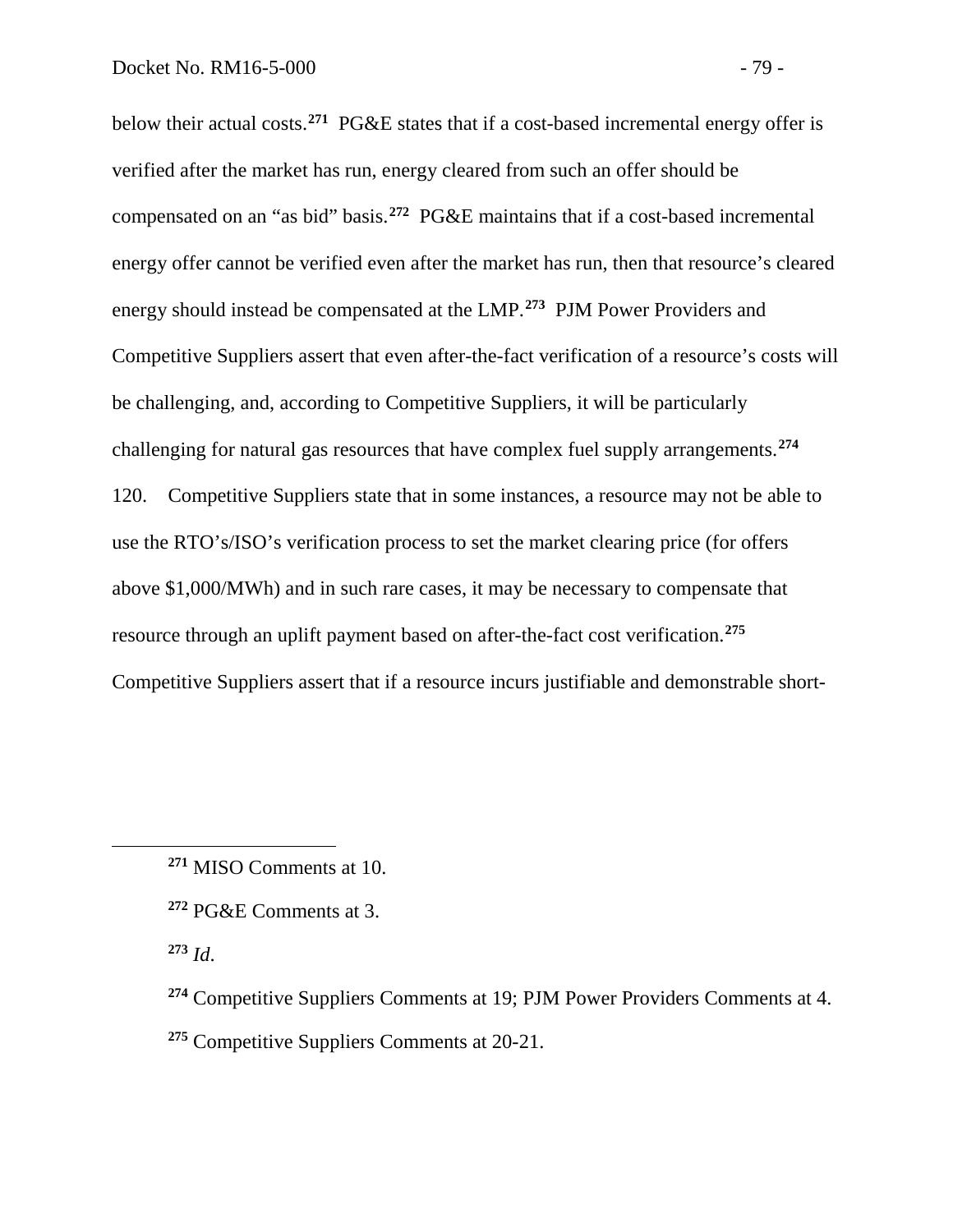below their actual costs.**[271](#page-80-0)** PG&E states that if a cost-based incremental energy offer is verified after the market has run, energy cleared from such an offer should be compensated on an "as bid" basis.**[272](#page-80-1)** PG&E maintains that if a cost-based incremental energy offer cannot be verified even after the market has run, then that resource's cleared energy should instead be compensated at the LMP.**[273](#page-80-2)** PJM Power Providers and Competitive Suppliers assert that even after-the-fact verification of a resource's costs will be challenging, and, according to Competitive Suppliers, it will be particularly challenging for natural gas resources that have complex fuel supply arrangements.**[274](#page-80-3)** 120. Competitive Suppliers state that in some instances, a resource may not be able to use the RTO's/ISO's verification process to set the market clearing price (for offers above \$1,000/MWh) and in such rare cases, it may be necessary to compensate that resource through an uplift payment based on after-the-fact cost verification.**[275](#page-80-4)** Competitive Suppliers assert that if a resource incurs justifiable and demonstrable short-

<span id="page-80-1"></span>**<sup>272</sup>** PG&E Comments at 3.

<span id="page-80-2"></span>**<sup>273</sup>** *Id*.

<span id="page-80-0"></span>**<sup>271</sup>** MISO Comments at 10.

<span id="page-80-3"></span>**<sup>274</sup>** Competitive Suppliers Comments at 19; PJM Power Providers Comments at 4.

<span id="page-80-4"></span>**<sup>275</sup>** Competitive Suppliers Comments at 20-21.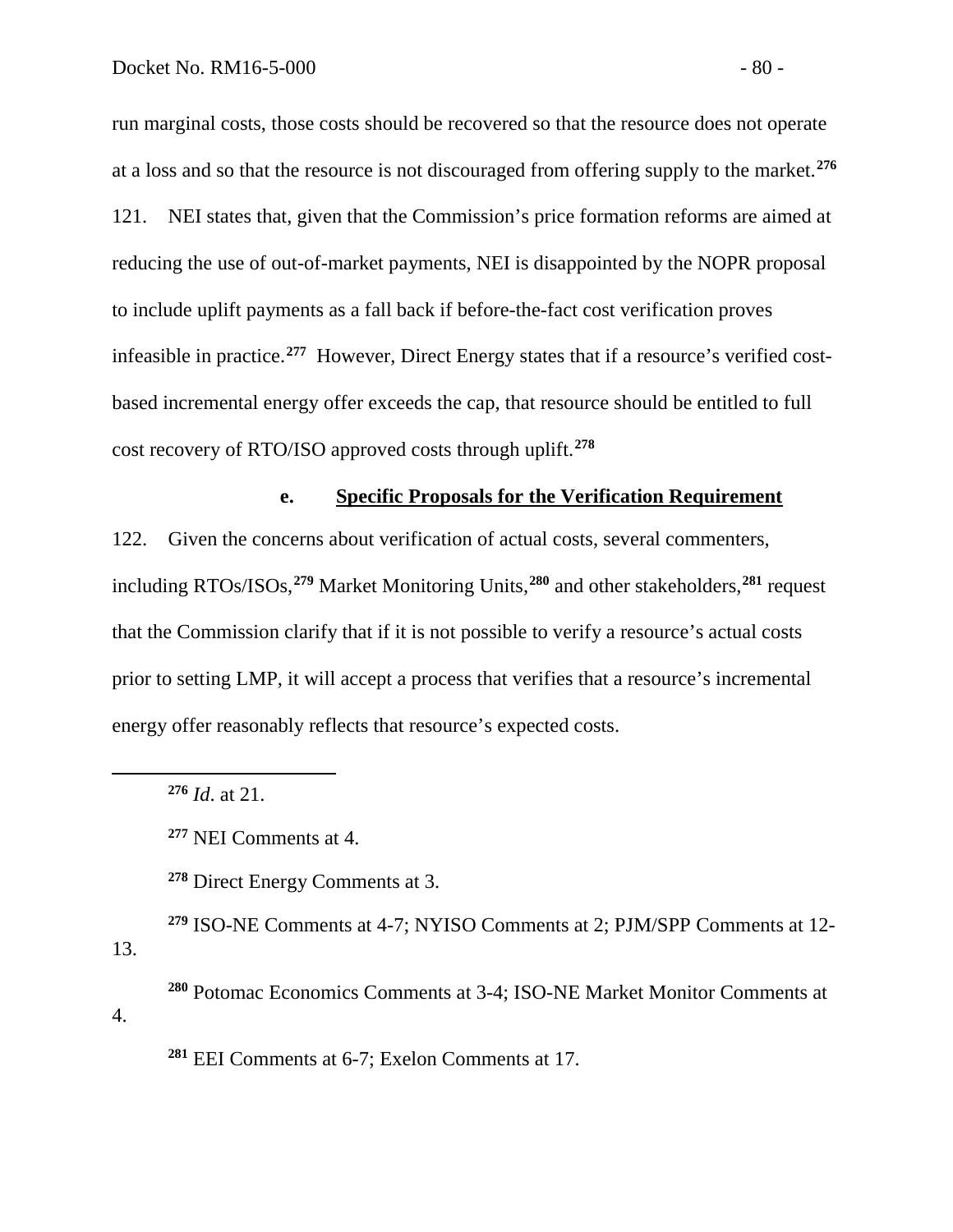run marginal costs, those costs should be recovered so that the resource does not operate at a loss and so that the resource is not discouraged from offering supply to the market.**[276](#page-81-0)** 121. NEI states that, given that the Commission's price formation reforms are aimed at reducing the use of out-of-market payments, NEI is disappointed by the NOPR proposal to include uplift payments as a fall back if before-the-fact cost verification proves infeasible in practice.**[277](#page-81-1)** However, Direct Energy states that if a resource's verified costbased incremental energy offer exceeds the cap, that resource should be entitled to full cost recovery of RTO/ISO approved costs through uplift.**[278](#page-81-2)**

## **e. Specific Proposals for the Verification Requirement**

122. Given the concerns about verification of actual costs, several commenters, including RTOs/ISOs,**[279](#page-81-3)** Market Monitoring Units,**[280](#page-81-4)** and other stakeholders,**[281](#page-81-5)** request that the Commission clarify that if it is not possible to verify a resource's actual costs prior to setting LMP, it will accept a process that verifies that a resource's incremental energy offer reasonably reflects that resource's expected costs.

<span id="page-81-1"></span><span id="page-81-0"></span> $\overline{a}$ 

<span id="page-81-5"></span><span id="page-81-4"></span>4.

**<sup>278</sup>** Direct Energy Comments at 3.

<span id="page-81-3"></span><span id="page-81-2"></span>**<sup>279</sup>** ISO-NE Comments at 4-7; NYISO Comments at 2; PJM/SPP Comments at 12- 13.

**<sup>280</sup>** Potomac Economics Comments at 3-4; ISO-NE Market Monitor Comments at

**<sup>281</sup>** EEI Comments at 6-7; Exelon Comments at 17.

**<sup>276</sup>** *Id*. at 21.

**<sup>277</sup>** NEI Comments at 4.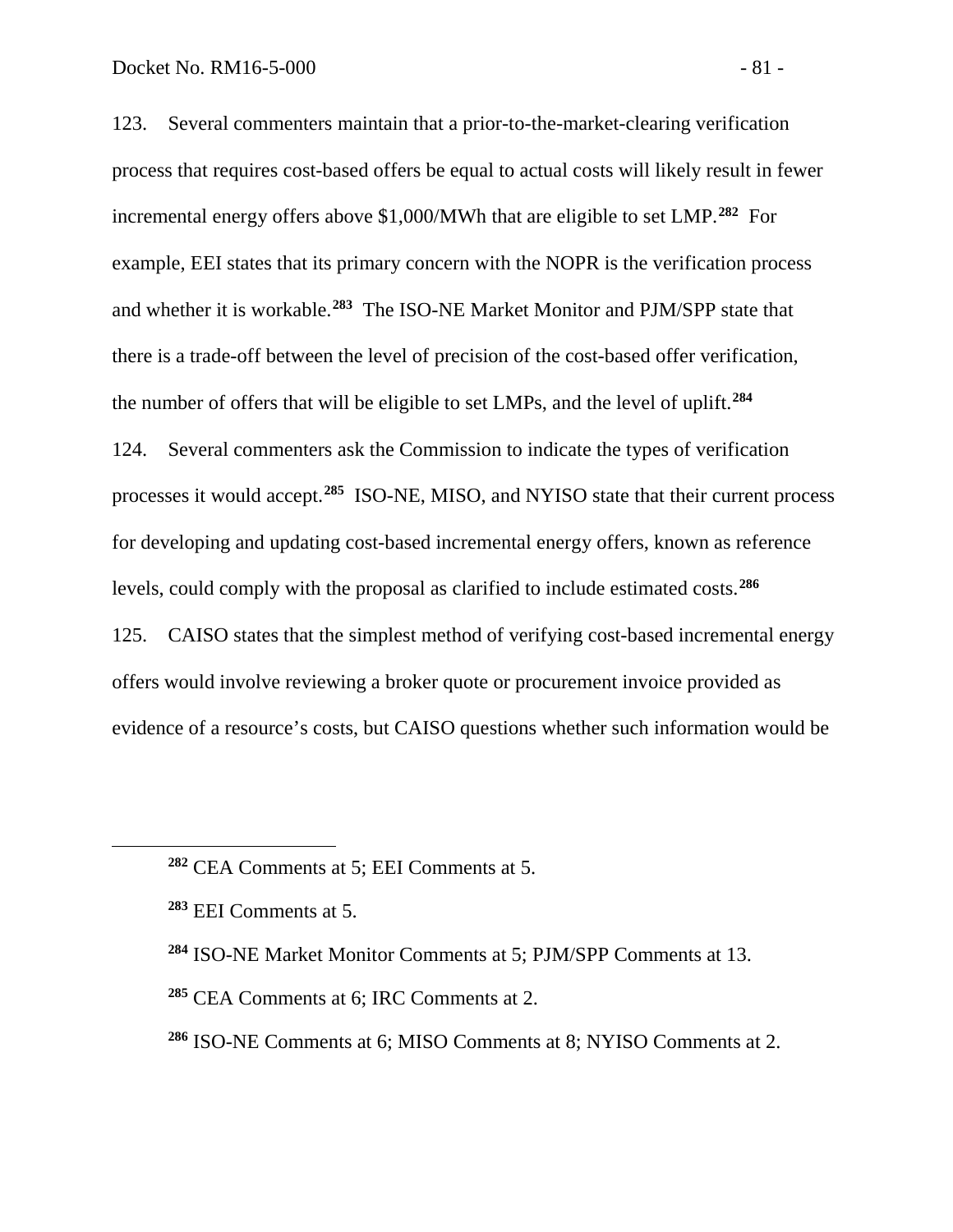123. Several commenters maintain that a prior-to-the-market-clearing verification process that requires cost-based offers be equal to actual costs will likely result in fewer incremental energy offers above \$1,000/MWh that are eligible to set LMP.**[282](#page-82-0)** For example, EEI states that its primary concern with the NOPR is the verification process and whether it is workable.**[283](#page-82-1)** The ISO-NE Market Monitor and PJM/SPP state that there is a trade-off between the level of precision of the cost-based offer verification, the number of offers that will be eligible to set LMPs, and the level of uplift.**[284](#page-82-2)** 124. Several commenters ask the Commission to indicate the types of verification processes it would accept.**[285](#page-82-3)** ISO-NE, MISO, and NYISO state that their current process for developing and updating cost-based incremental energy offers, known as reference levels, could comply with the proposal as clarified to include estimated costs. **[286](#page-82-4)** 125. CAISO states that the simplest method of verifying cost-based incremental energy

offers would involve reviewing a broker quote or procurement invoice provided as evidence of a resource's costs, but CAISO questions whether such information would be

- <span id="page-82-3"></span>**<sup>285</sup>** CEA Comments at 6; IRC Comments at 2.
- <span id="page-82-4"></span>**<sup>286</sup>** ISO-NE Comments at 6; MISO Comments at 8; NYISO Comments at 2.

<span id="page-82-0"></span>**<sup>282</sup>** CEA Comments at 5; EEI Comments at 5.

<span id="page-82-1"></span>**<sup>283</sup>** EEI Comments at 5.

<span id="page-82-2"></span>**<sup>284</sup>** ISO-NE Market Monitor Comments at 5; PJM/SPP Comments at 13.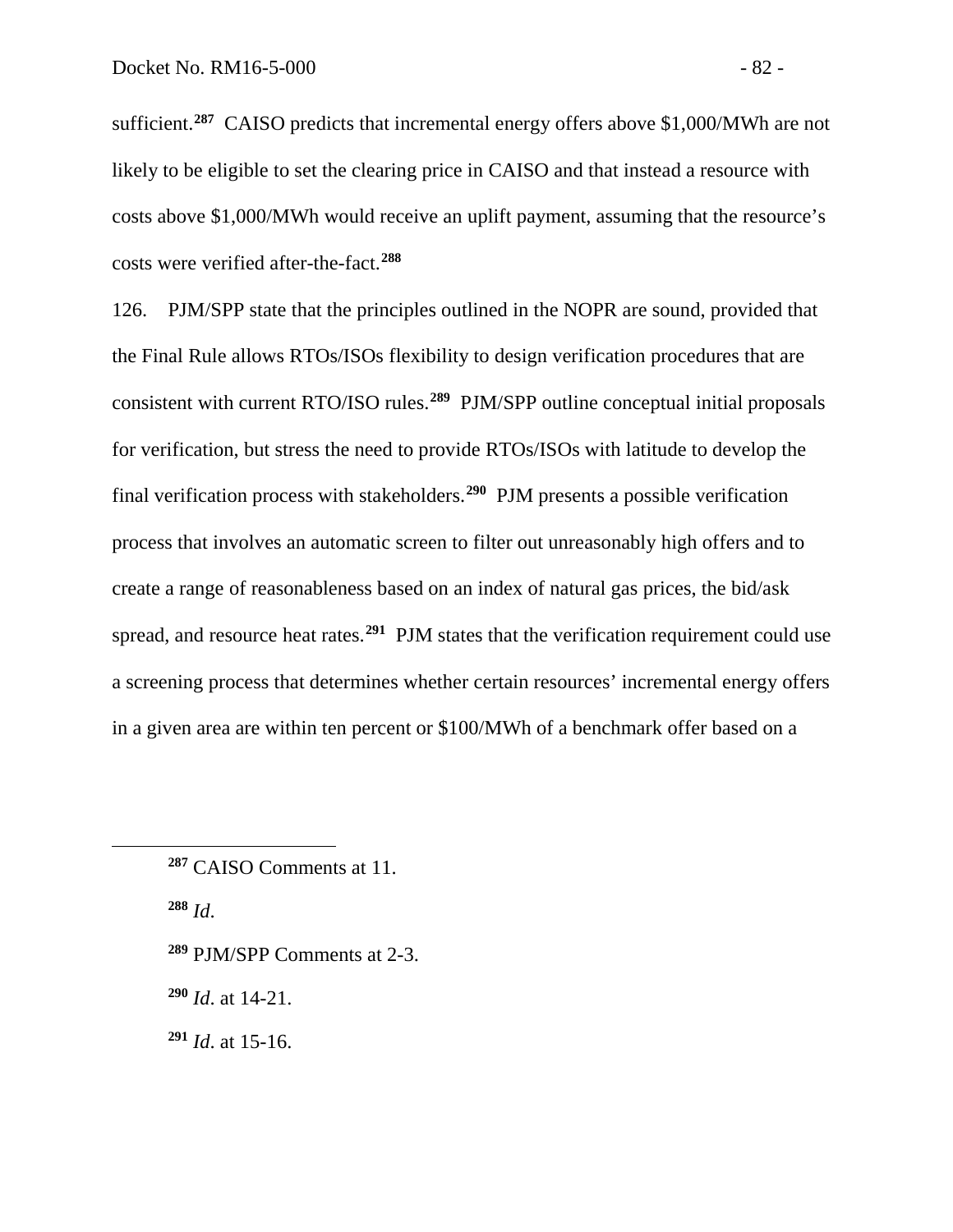sufficient.**[287](#page-83-0)** CAISO predicts that incremental energy offers above \$1,000/MWh are not likely to be eligible to set the clearing price in CAISO and that instead a resource with costs above \$1,000/MWh would receive an uplift payment, assuming that the resource's costs were verified after-the-fact.**[288](#page-83-1)**

126. PJM/SPP state that the principles outlined in the NOPR are sound, provided that the Final Rule allows RTOs/ISOs flexibility to design verification procedures that are consistent with current RTO/ISO rules.**[289](#page-83-2)** PJM/SPP outline conceptual initial proposals for verification, but stress the need to provide RTOs/ISOs with latitude to develop the final verification process with stakeholders. **[290](#page-83-3)** PJM presents a possible verification process that involves an automatic screen to filter out unreasonably high offers and to create a range of reasonableness based on an index of natural gas prices, the bid/ask spread, and resource heat rates.<sup>[291](#page-83-4)</sup> PJM states that the verification requirement could use a screening process that determines whether certain resources' incremental energy offers in a given area are within ten percent or \$100/MWh of a benchmark offer based on a

**<sup>288</sup>** *Id*.

<span id="page-83-2"></span><span id="page-83-1"></span><span id="page-83-0"></span> $\overline{a}$ 

- **<sup>289</sup>** PJM/SPP Comments at 2-3.
- <span id="page-83-3"></span>**<sup>290</sup>** *Id*. at 14-21.

<span id="page-83-4"></span>**<sup>291</sup>** *Id*. at 15-16.

**<sup>287</sup>** CAISO Comments at 11.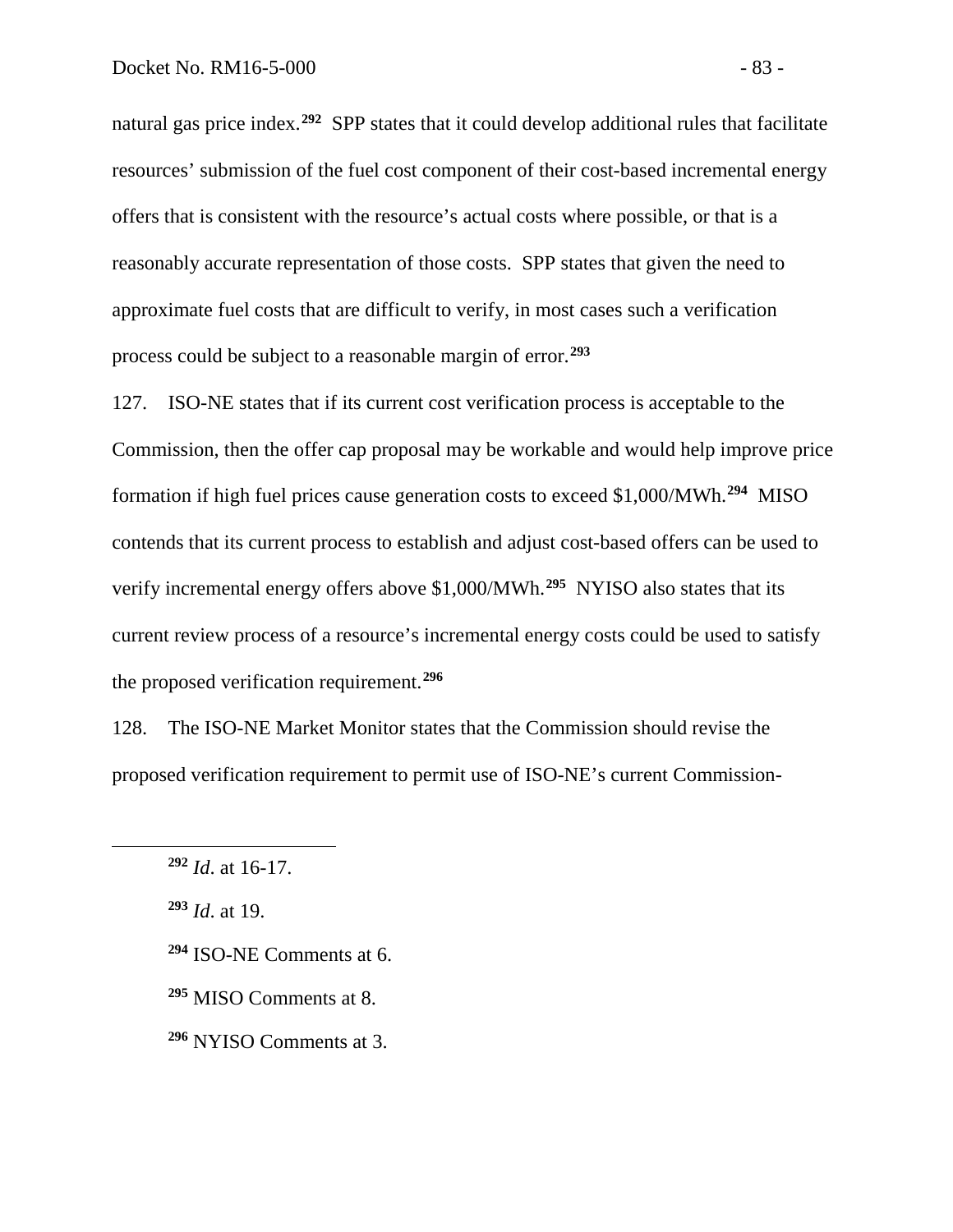natural gas price index.**[292](#page-84-0)** SPP states that it could develop additional rules that facilitate resources' submission of the fuel cost component of their cost-based incremental energy offers that is consistent with the resource's actual costs where possible, or that is a reasonably accurate representation of those costs. SPP states that given the need to approximate fuel costs that are difficult to verify, in most cases such a verification process could be subject to a reasonable margin of error.**[293](#page-84-1)**

127. ISO-NE states that if its current cost verification process is acceptable to the Commission, then the offer cap proposal may be workable and would help improve price formation if high fuel prices cause generation costs to exceed \$1,000/MWh.**[294](#page-84-2)** MISO contends that its current process to establish and adjust cost-based offers can be used to verify incremental energy offers above \$1,000/MWh.**[295](#page-84-3)** NYISO also states that its current review process of a resource's incremental energy costs could be used to satisfy the proposed verification requirement.**[296](#page-84-4)**

128. The ISO-NE Market Monitor states that the Commission should revise the proposed verification requirement to permit use of ISO-NE's current Commission-

<span id="page-84-1"></span>**<sup>293</sup>** *Id*. at 19.

- <span id="page-84-2"></span>**<sup>294</sup>** ISO-NE Comments at 6.
- <span id="page-84-3"></span>**<sup>295</sup>** MISO Comments at 8.
- <span id="page-84-4"></span>**<sup>296</sup>** NYISO Comments at 3.

<span id="page-84-0"></span>**<sup>292</sup>** *Id*. at 16-17.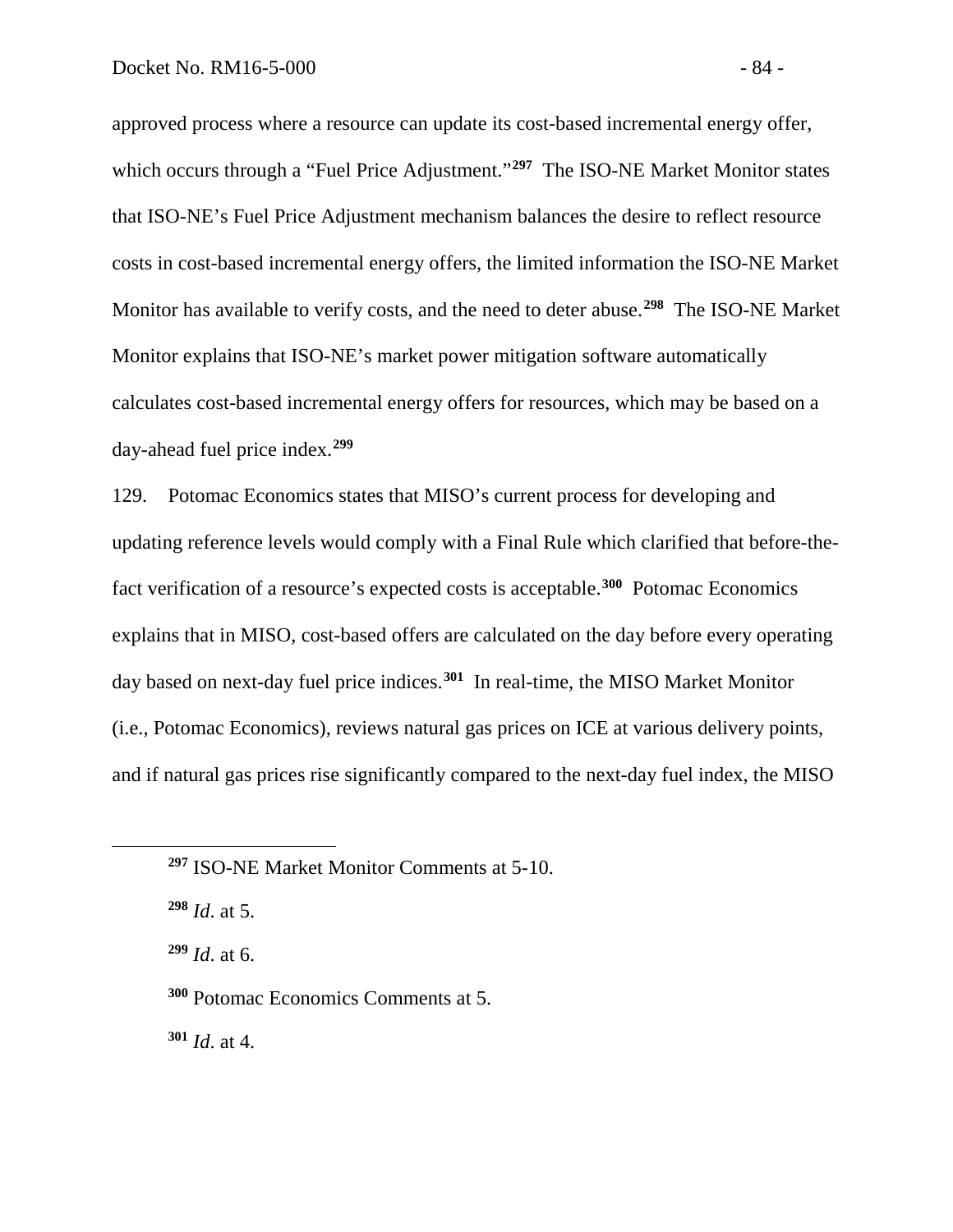approved process where a resource can update its cost-based incremental energy offer, which occurs through a "Fuel Price Adjustment."<sup>[297](#page-85-0)</sup> The ISO-NE Market Monitor states that ISO-NE's Fuel Price Adjustment mechanism balances the desire to reflect resource costs in cost-based incremental energy offers, the limited information the ISO-NE Market Monitor has available to verify costs, and the need to deter abuse.**[298](#page-85-1)** The ISO-NE Market Monitor explains that ISO-NE's market power mitigation software automatically calculates cost-based incremental energy offers for resources, which may be based on a day-ahead fuel price index.**[299](#page-85-2)**

129. Potomac Economics states that MISO's current process for developing and updating reference levels would comply with a Final Rule which clarified that before-thefact verification of a resource's expected costs is acceptable.**[300](#page-85-3)** Potomac Economics explains that in MISO, cost-based offers are calculated on the day before every operating day based on next-day fuel price indices.**[301](#page-85-4)** In real-time, the MISO Market Monitor (i.e., Potomac Economics), reviews natural gas prices on ICE at various delivery points, and if natural gas prices rise significantly compared to the next-day fuel index, the MISO

**<sup>298</sup>** *Id*. at 5.

<span id="page-85-2"></span><span id="page-85-1"></span><span id="page-85-0"></span> $\overline{a}$ 

**<sup>299</sup>** *Id*. at 6.

<span id="page-85-3"></span>**<sup>300</sup>** Potomac Economics Comments at 5.

<span id="page-85-4"></span>**<sup>301</sup>** *Id*. at 4.

**<sup>297</sup>** ISO-NE Market Monitor Comments at 5-10.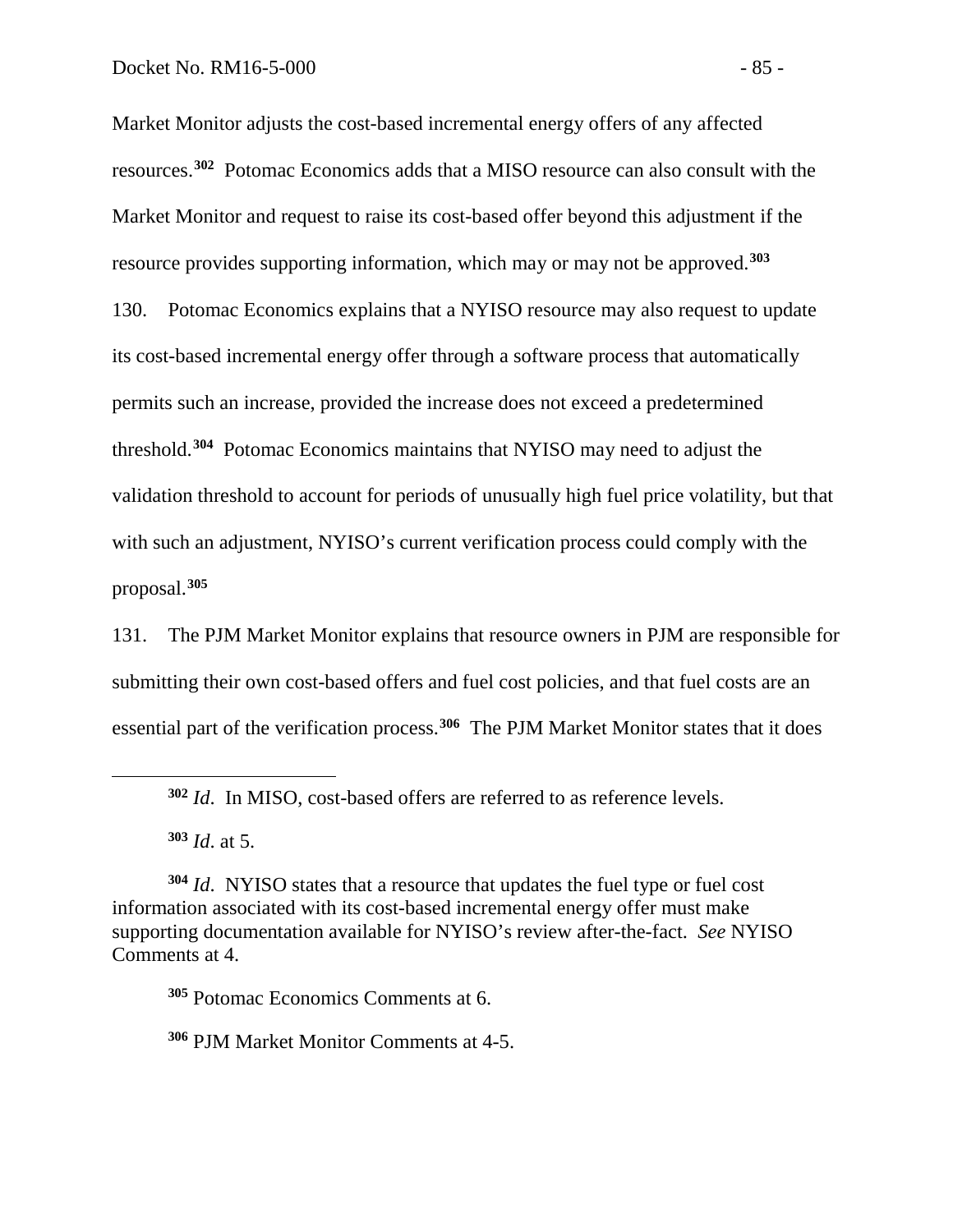Market Monitor adjusts the cost-based incremental energy offers of any affected resources.**[302](#page-86-0)** Potomac Economics adds that a MISO resource can also consult with the Market Monitor and request to raise its cost-based offer beyond this adjustment if the resource provides supporting information, which may or may not be approved.**[303](#page-86-1)** 130. Potomac Economics explains that a NYISO resource may also request to update its cost-based incremental energy offer through a software process that automatically permits such an increase, provided the increase does not exceed a predetermined threshold.**[304](#page-86-2)** Potomac Economics maintains that NYISO may need to adjust the validation threshold to account for periods of unusually high fuel price volatility, but that with such an adjustment, NYISO's current verification process could comply with the proposal.**[305](#page-86-3)**

131. The PJM Market Monitor explains that resource owners in PJM are responsible for submitting their own cost-based offers and fuel cost policies, and that fuel costs are an essential part of the verification process.**[306](#page-86-4)** The PJM Market Monitor states that it does

**<sup>303</sup>** *Id*. at 5.

<span id="page-86-0"></span> $\overline{a}$ 

**<sup>305</sup>** Potomac Economics Comments at 6.

<span id="page-86-4"></span>**<sup>306</sup>** PJM Market Monitor Comments at 4-5.

**<sup>302</sup>** *Id*. In MISO, cost-based offers are referred to as reference levels.

<span id="page-86-3"></span><span id="page-86-2"></span><span id="page-86-1"></span>**<sup>304</sup>** *Id*. NYISO states that a resource that updates the fuel type or fuel cost information associated with its cost-based incremental energy offer must make supporting documentation available for NYISO's review after-the-fact. *See* NYISO Comments at 4.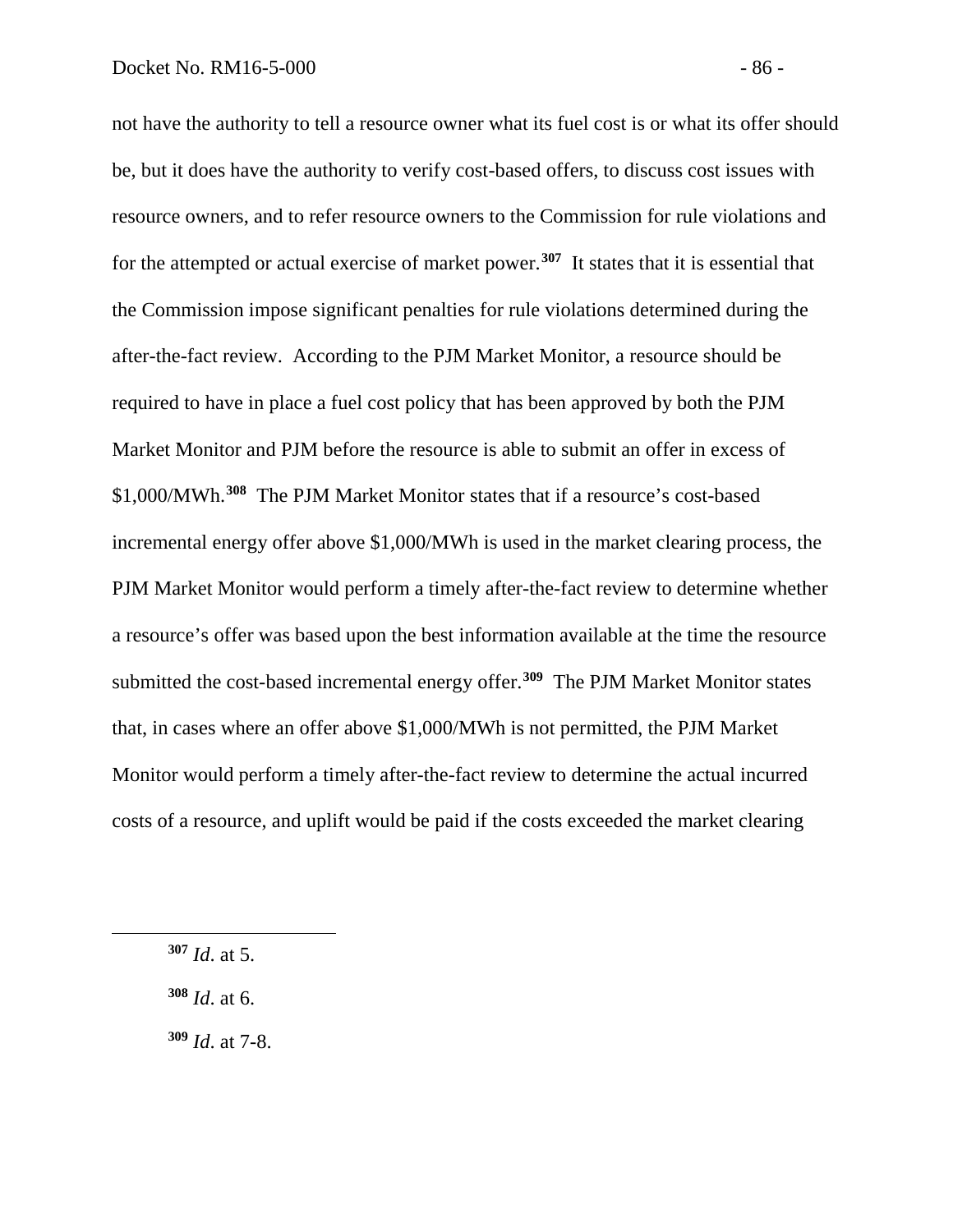not have the authority to tell a resource owner what its fuel cost is or what its offer should be, but it does have the authority to verify cost-based offers, to discuss cost issues with resource owners, and to refer resource owners to the Commission for rule violations and for the attempted or actual exercise of market power.**[307](#page-87-0)** It states that it is essential that the Commission impose significant penalties for rule violations determined during the after-the-fact review. According to the PJM Market Monitor, a resource should be required to have in place a fuel cost policy that has been approved by both the PJM Market Monitor and PJM before the resource is able to submit an offer in excess of \$1,000/MWh.**[308](#page-87-1)** The PJM Market Monitor states that if a resource's cost-based incremental energy offer above \$1,000/MWh is used in the market clearing process, the PJM Market Monitor would perform a timely after-the-fact review to determine whether a resource's offer was based upon the best information available at the time the resource submitted the cost-based incremental energy offer.**[309](#page-87-2)** The PJM Market Monitor states that, in cases where an offer above \$1,000/MWh is not permitted, the PJM Market Monitor would perform a timely after-the-fact review to determine the actual incurred costs of a resource, and uplift would be paid if the costs exceeded the market clearing

<span id="page-87-2"></span><span id="page-87-1"></span><span id="page-87-0"></span> $\overline{a}$ 

**<sup>308</sup>** *Id*. at 6.

**<sup>309</sup>** *Id*. at 7-8.

**<sup>307</sup>** *Id*. at 5.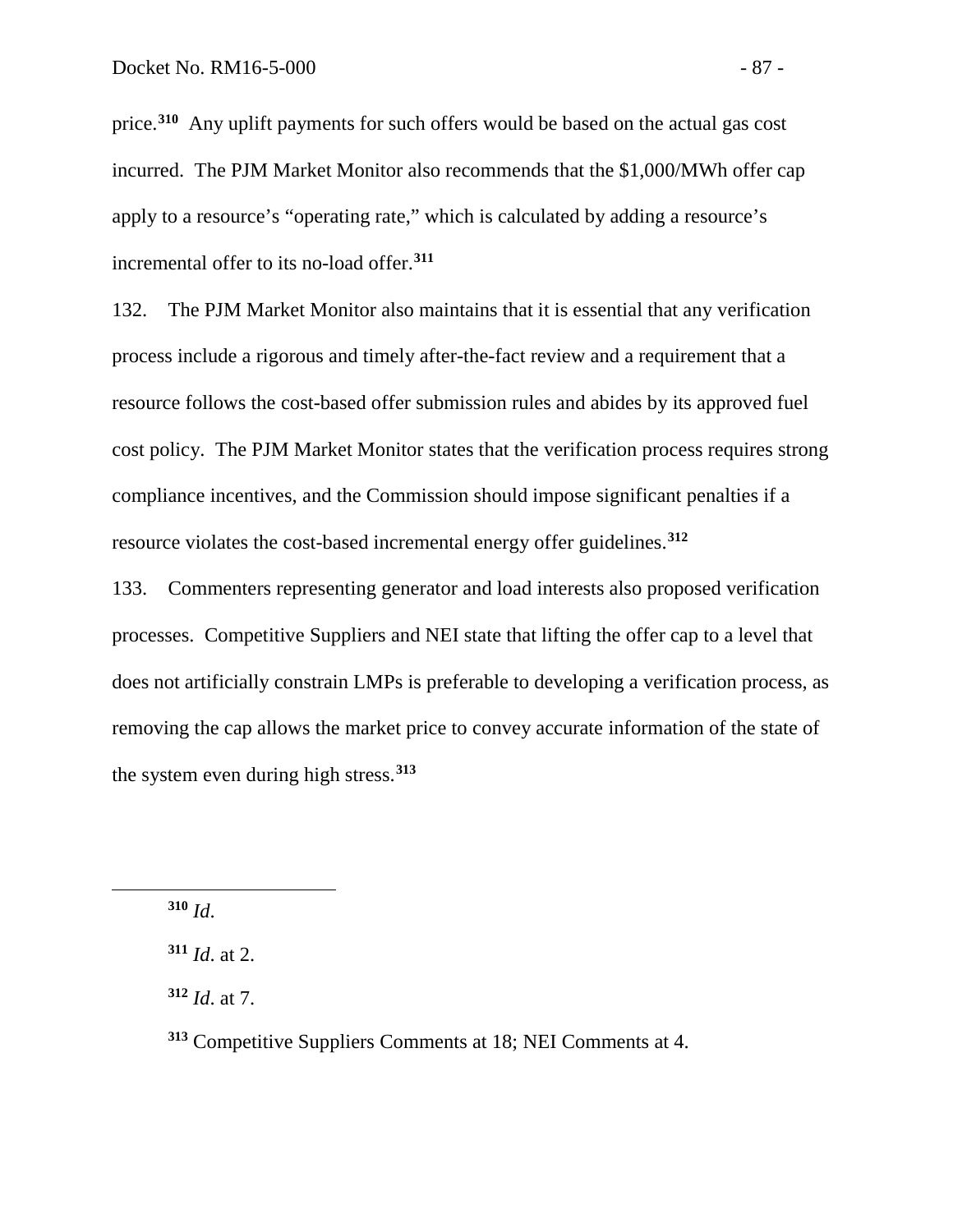price. **[310](#page-88-0)** Any uplift payments for such offers would be based on the actual gas cost incurred. The PJM Market Monitor also recommends that the \$1,000/MWh offer cap apply to a resource's "operating rate," which is calculated by adding a resource's incremental offer to its no-load offer.**[311](#page-88-1)**

132. The PJM Market Monitor also maintains that it is essential that any verification process include a rigorous and timely after-the-fact review and a requirement that a resource follows the cost-based offer submission rules and abides by its approved fuel cost policy. The PJM Market Monitor states that the verification process requires strong compliance incentives, and the Commission should impose significant penalties if a resource violates the cost-based incremental energy offer guidelines.**[312](#page-88-2)**

133. Commenters representing generator and load interests also proposed verification processes. Competitive Suppliers and NEI state that lifting the offer cap to a level that does not artificially constrain LMPs is preferable to developing a verification process, as removing the cap allows the market price to convey accurate information of the state of the system even during high stress.**[313](#page-88-3)**

<span id="page-88-0"></span>**<sup>310</sup>** *Id*.

<span id="page-88-1"></span>**<sup>311</sup>** *Id*. at 2.

<span id="page-88-2"></span>**<sup>312</sup>** *Id*. at 7.

<span id="page-88-3"></span>**<sup>313</sup>** Competitive Suppliers Comments at 18; NEI Comments at 4.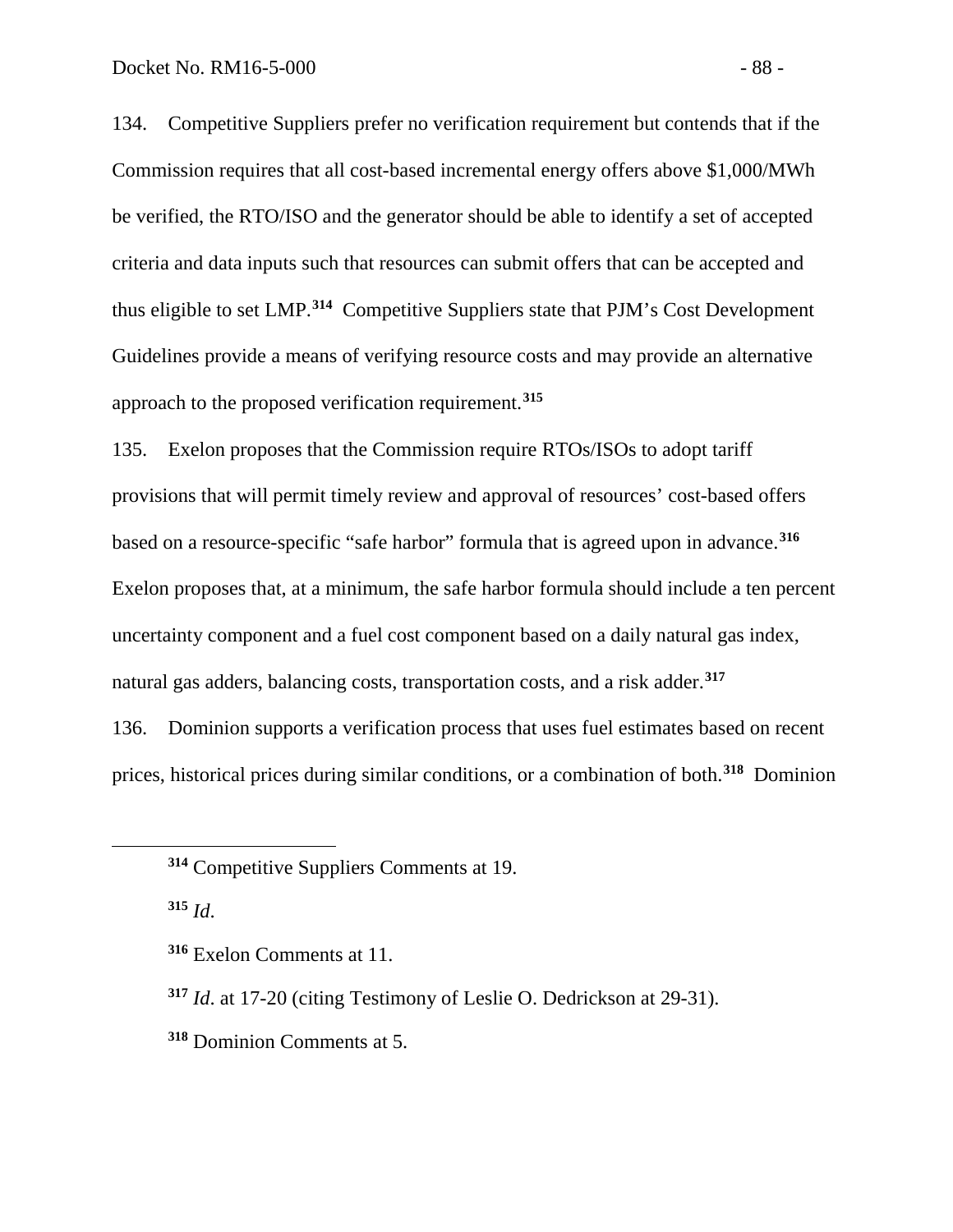134. Competitive Suppliers prefer no verification requirement but contends that if the Commission requires that all cost-based incremental energy offers above \$1,000/MWh be verified, the RTO/ISO and the generator should be able to identify a set of accepted criteria and data inputs such that resources can submit offers that can be accepted and thus eligible to set LMP.**[314](#page-89-0)** Competitive Suppliers state that PJM's Cost Development Guidelines provide a means of verifying resource costs and may provide an alternative approach to the proposed verification requirement.**[315](#page-89-1)**

135. Exelon proposes that the Commission require RTOs/ISOs to adopt tariff provisions that will permit timely review and approval of resources' cost-based offers based on a resource-specific "safe harbor" formula that is agreed upon in advance.**[316](#page-89-2)** Exelon proposes that, at a minimum, the safe harbor formula should include a ten percent uncertainty component and a fuel cost component based on a daily natural gas index, natural gas adders, balancing costs, transportation costs, and a risk adder.**[317](#page-89-3)**

136. Dominion supports a verification process that uses fuel estimates based on recent prices, historical prices during similar conditions, or a combination of both.**[318](#page-89-4)** Dominion

**<sup>315</sup>** *Id*.

<span id="page-89-2"></span><span id="page-89-1"></span><span id="page-89-0"></span> $\overline{a}$ 

<span id="page-89-4"></span>**<sup>318</sup>** Dominion Comments at 5.

**<sup>314</sup>** Competitive Suppliers Comments at 19.

**<sup>316</sup>** Exelon Comments at 11.

<span id="page-89-3"></span>**<sup>317</sup>** *Id*. at 17-20 (citing Testimony of Leslie O. Dedrickson at 29-31).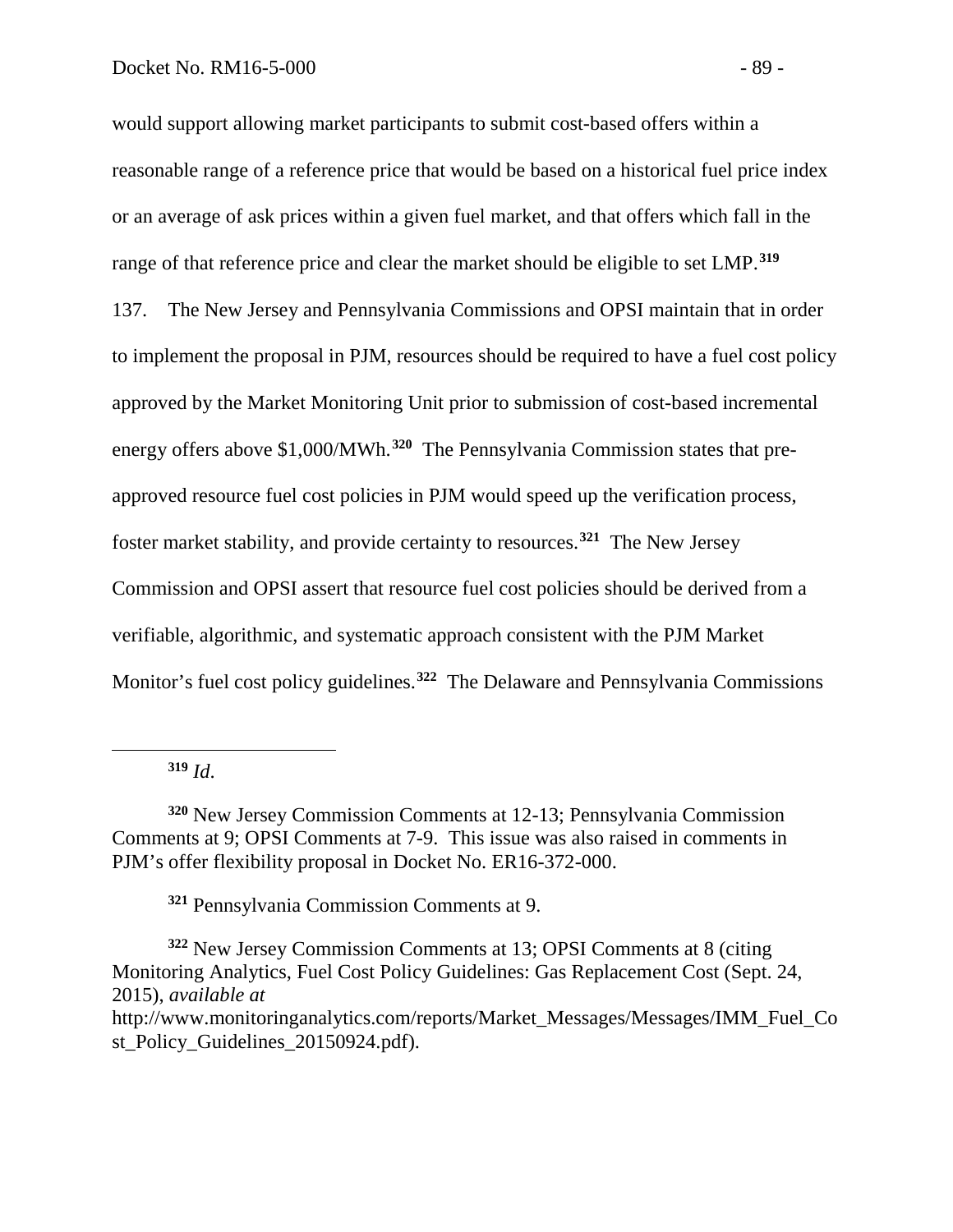would support allowing market participants to submit cost-based offers within a reasonable range of a reference price that would be based on a historical fuel price index or an average of ask prices within a given fuel market, and that offers which fall in the range of that reference price and clear the market should be eligible to set LMP.**[319](#page-90-0)** 137. The New Jersey and Pennsylvania Commissions and OPSI maintain that in order to implement the proposal in PJM, resources should be required to have a fuel cost policy approved by the Market Monitoring Unit prior to submission of cost-based incremental energy offers above \$1,000/MWh.**[320](#page-90-1)** The Pennsylvania Commission states that preapproved resource fuel cost policies in PJM would speed up the verification process, foster market stability, and provide certainty to resources.**[321](#page-90-2)** The New Jersey Commission and OPSI assert that resource fuel cost policies should be derived from a verifiable, algorithmic, and systematic approach consistent with the PJM Market Monitor's fuel cost policy guidelines.**[322](#page-90-3)** The Delaware and Pennsylvania Commissions

**<sup>319</sup>** *Id*.

<span id="page-90-0"></span> $\overline{a}$ 

<span id="page-90-1"></span>**<sup>320</sup>** New Jersey Commission Comments at 12-13; Pennsylvania Commission Comments at 9; OPSI Comments at 7-9. This issue was also raised in comments in PJM's offer flexibility proposal in Docket No. ER16-372-000.

**<sup>321</sup>** Pennsylvania Commission Comments at 9.

<span id="page-90-3"></span><span id="page-90-2"></span>**<sup>322</sup>** New Jersey Commission Comments at 13; OPSI Comments at 8 (citing Monitoring Analytics, Fuel Cost Policy Guidelines: Gas Replacement Cost (Sept. 24, 2015), *available at* 

http://www.monitoringanalytics.com/reports/Market\_Messages/Messages/IMM\_Fuel\_Co st\_Policy\_Guidelines\_20150924.pdf).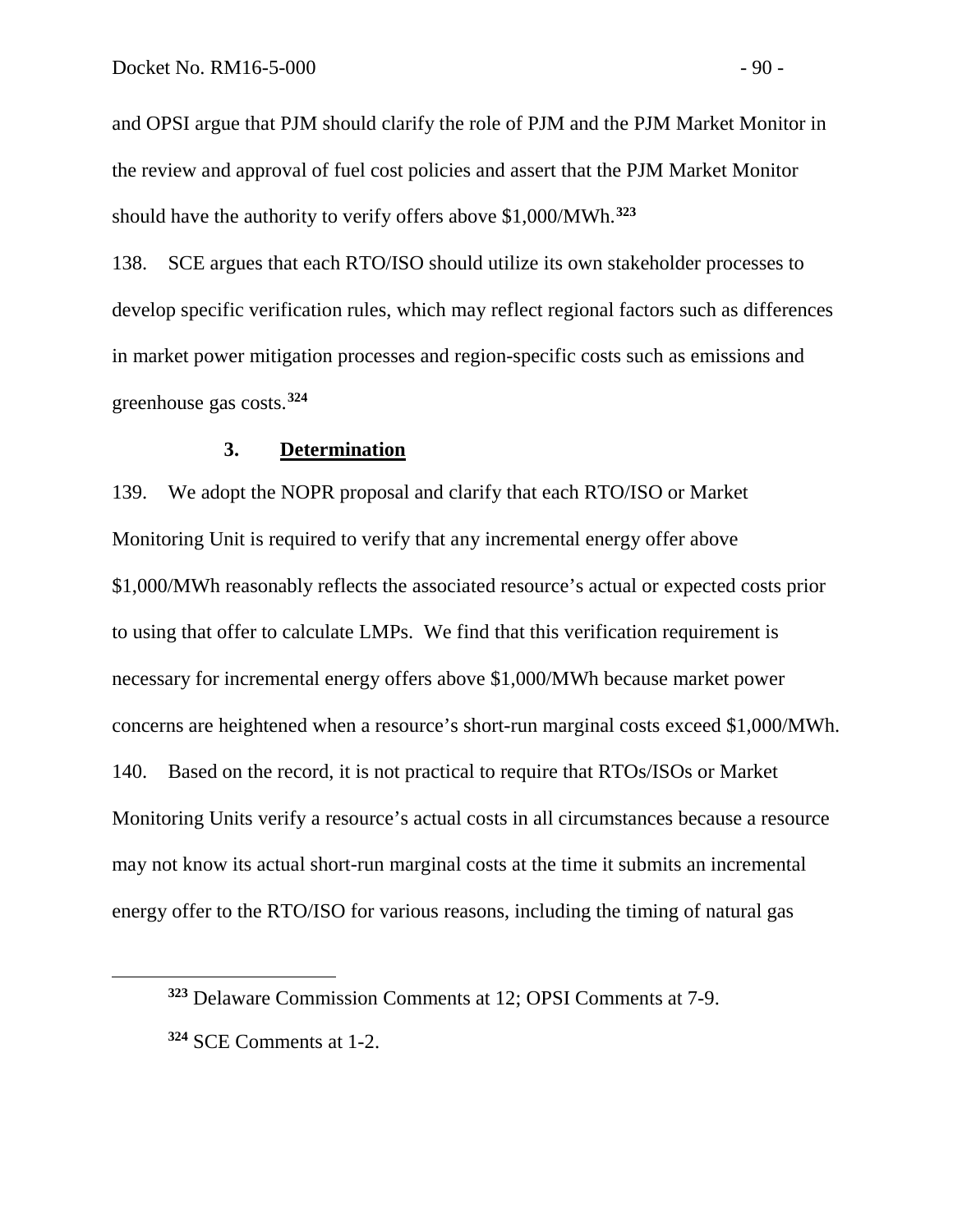<span id="page-91-1"></span><span id="page-91-0"></span> $\overline{a}$ 

and OPSI argue that PJM should clarify the role of PJM and the PJM Market Monitor in the review and approval of fuel cost policies and assert that the PJM Market Monitor should have the authority to verify offers above \$1,000/MWh.**[323](#page-91-0)**

138. SCE argues that each RTO/ISO should utilize its own stakeholder processes to develop specific verification rules, which may reflect regional factors such as differences in market power mitigation processes and region-specific costs such as emissions and greenhouse gas costs.**[324](#page-91-1)**

#### **3. Determination**

139. We adopt the NOPR proposal and clarify that each RTO/ISO or Market Monitoring Unit is required to verify that any incremental energy offer above \$1,000/MWh reasonably reflects the associated resource's actual or expected costs prior to using that offer to calculate LMPs. We find that this verification requirement is necessary for incremental energy offers above \$1,000/MWh because market power concerns are heightened when a resource's short-run marginal costs exceed \$1,000/MWh. 140. Based on the record, it is not practical to require that RTOs/ISOs or Market Monitoring Units verify a resource's actual costs in all circumstances because a resource may not know its actual short-run marginal costs at the time it submits an incremental energy offer to the RTO/ISO for various reasons, including the timing of natural gas

**<sup>323</sup>** Delaware Commission Comments at 12; OPSI Comments at 7-9. **<sup>324</sup>** SCE Comments at 1-2.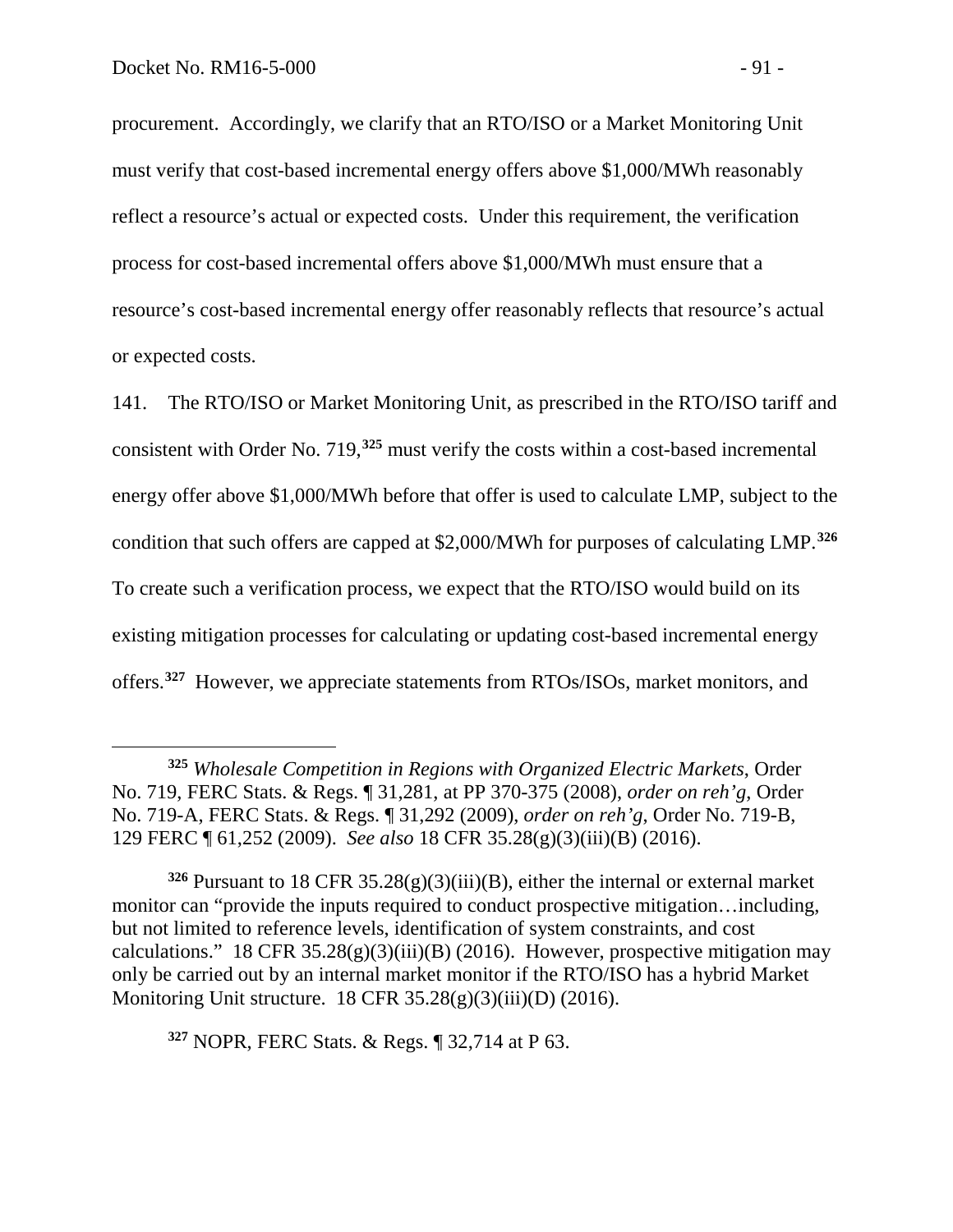$\overline{a}$ 

procurement. Accordingly, we clarify that an RTO/ISO or a Market Monitoring Unit must verify that cost-based incremental energy offers above \$1,000/MWh reasonably reflect a resource's actual or expected costs. Under this requirement, the verification process for cost-based incremental offers above \$1,000/MWh must ensure that a resource's cost-based incremental energy offer reasonably reflects that resource's actual or expected costs.

141. The RTO/ISO or Market Monitoring Unit, as prescribed in the RTO/ISO tariff and consistent with Order No. 719,**[325](#page-92-0)** must verify the costs within a cost-based incremental energy offer above \$1,000/MWh before that offer is used to calculate LMP, subject to the condition that such offers are capped at \$2,000/MWh for purposes of calculating LMP. **[326](#page-92-1)** To create such a verification process, we expect that the RTO/ISO would build on its existing mitigation processes for calculating or updating cost-based incremental energy offers.**[327](#page-92-2)** However, we appreciate statements from RTOs/ISOs, market monitors, and

<span id="page-92-2"></span>**<sup>327</sup>** NOPR, FERC Stats. & Regs. ¶ 32,714 at P 63.

<span id="page-92-0"></span>**<sup>325</sup>** *Wholesale Competition in Regions with Organized Electric Markets*, Order No. 719, FERC Stats. & Regs. ¶ 31,281, at PP 370-375 (2008), *order on reh'g*, Order No. 719-A, FERC Stats. & Regs. ¶ 31,292 (2009), *order on reh'g*, Order No. 719-B, 129 FERC ¶ 61,252 (2009). *See also* 18 CFR 35.28(g)(3)(iii)(B) (2016).

<span id="page-92-1"></span>**<sup>326</sup>** Pursuant to 18 CFR 35.28(g)(3)(iii)(B), either the internal or external market monitor can "provide the inputs required to conduct prospective mitigation…including, but not limited to reference levels, identification of system constraints, and cost calculations." 18 CFR  $35.28(g)(3)(iii)(B)$  (2016). However, prospective mitigation may only be carried out by an internal market monitor if the RTO/ISO has a hybrid Market Monitoring Unit structure.  $18 \text{ CFR } 35.28(g)(3)(iii)(D)$  (2016).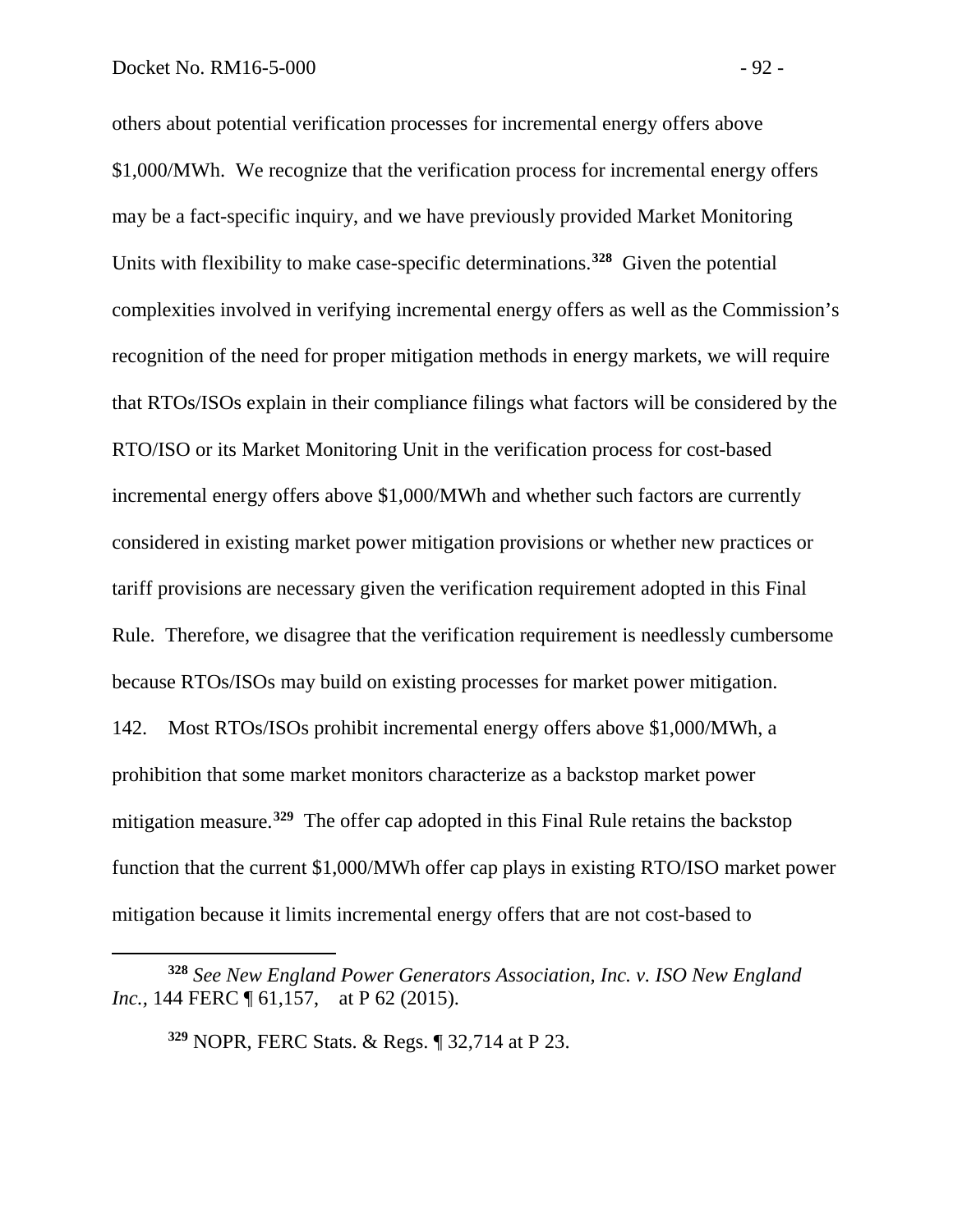others about potential verification processes for incremental energy offers above \$1,000/MWh. We recognize that the verification process for incremental energy offers may be a fact-specific inquiry, and we have previously provided Market Monitoring Units with flexibility to make case-specific determinations.**[328](#page-93-0)** Given the potential complexities involved in verifying incremental energy offers as well as the Commission's recognition of the need for proper mitigation methods in energy markets, we will require that RTOs/ISOs explain in their compliance filings what factors will be considered by the RTO/ISO or its Market Monitoring Unit in the verification process for cost-based incremental energy offers above \$1,000/MWh and whether such factors are currently considered in existing market power mitigation provisions or whether new practices or tariff provisions are necessary given the verification requirement adopted in this Final Rule. Therefore, we disagree that the verification requirement is needlessly cumbersome because RTOs/ISOs may build on existing processes for market power mitigation. 142. Most RTOs/ISOs prohibit incremental energy offers above \$1,000/MWh, a prohibition that some market monitors characterize as a backstop market power mitigation measure.**[329](#page-93-1)** The offer cap adopted in this Final Rule retains the backstop function that the current \$1,000/MWh offer cap plays in existing RTO/ISO market power mitigation because it limits incremental energy offers that are not cost-based to

**<sup>329</sup>** NOPR, FERC Stats. & Regs. ¶ 32,714 at P 23.

<span id="page-93-1"></span><span id="page-93-0"></span>**<sup>328</sup>** *See New England Power Generators Association, Inc. v. ISO New England Inc.,* 144 FERC **[61,157,** at P 62 (2015).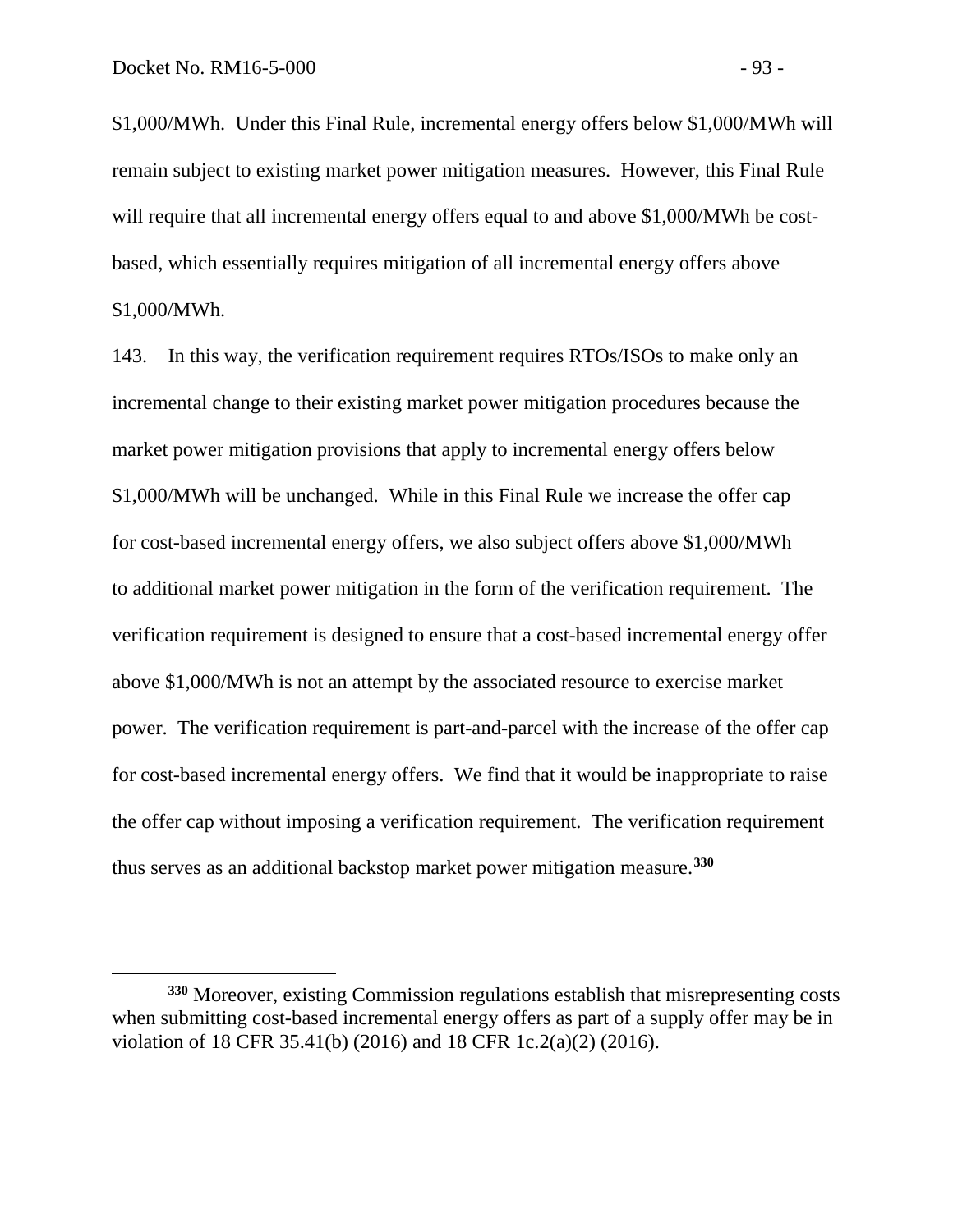$\overline{a}$ 

\$1,000/MWh. Under this Final Rule, incremental energy offers below \$1,000/MWh will remain subject to existing market power mitigation measures. However, this Final Rule will require that all incremental energy offers equal to and above \$1,000/MWh be costbased, which essentially requires mitigation of all incremental energy offers above \$1,000/MWh.

143. In this way, the verification requirement requires RTOs/ISOs to make only an incremental change to their existing market power mitigation procedures because the market power mitigation provisions that apply to incremental energy offers below \$1,000/MWh will be unchanged. While in this Final Rule we increase the offer cap for cost-based incremental energy offers, we also subject offers above \$1,000/MWh to additional market power mitigation in the form of the verification requirement. The verification requirement is designed to ensure that a cost-based incremental energy offer above \$1,000/MWh is not an attempt by the associated resource to exercise market power. The verification requirement is part-and-parcel with the increase of the offer cap for cost-based incremental energy offers. We find that it would be inappropriate to raise the offer cap without imposing a verification requirement. The verification requirement thus serves as an additional backstop market power mitigation measure. **[330](#page-94-0)**

<span id="page-94-0"></span>**<sup>330</sup>** Moreover, existing Commission regulations establish that misrepresenting costs when submitting cost-based incremental energy offers as part of a supply offer may be in violation of 18 CFR 35.41(b) (2016) and 18 CFR 1c.2(a)(2) (2016).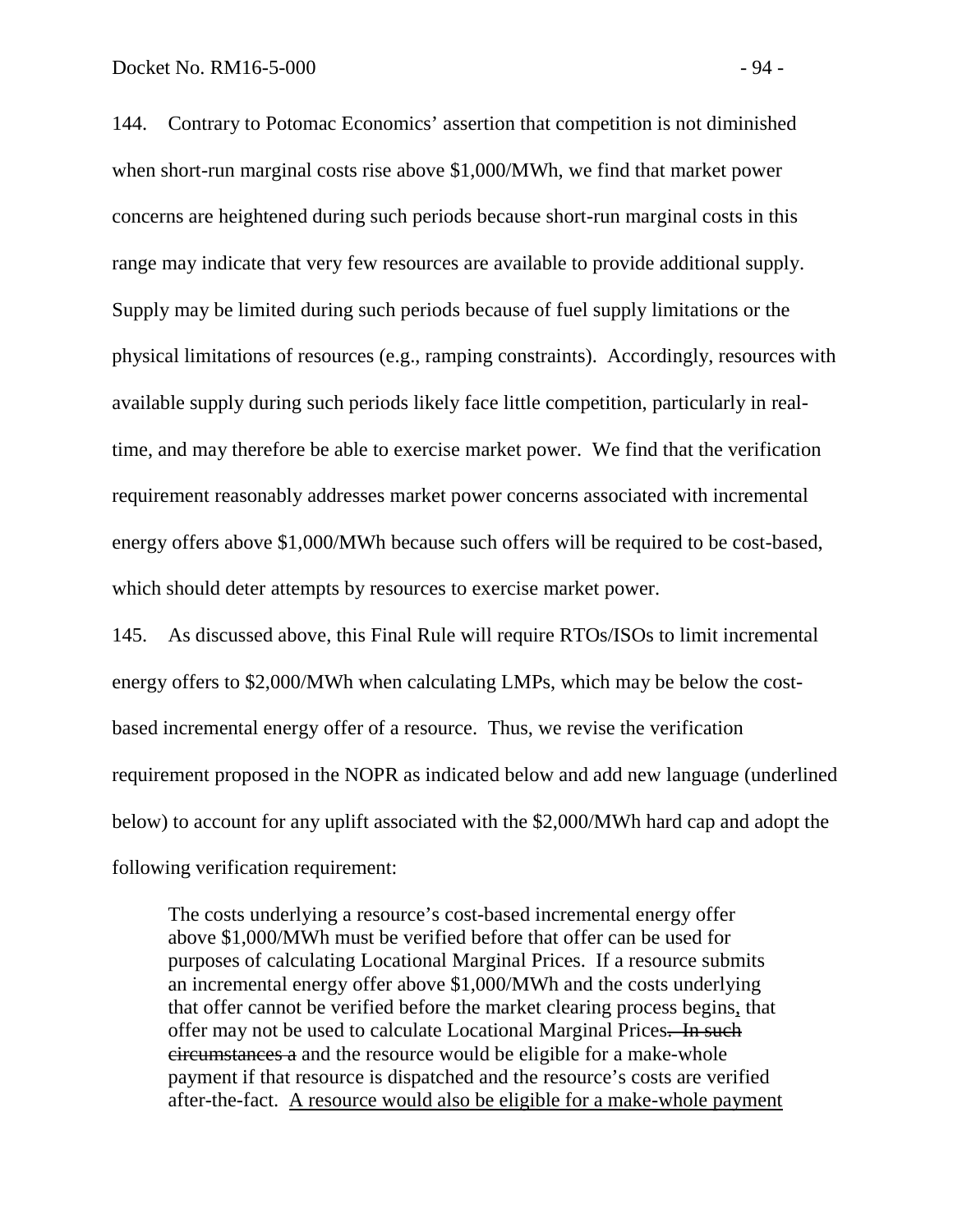144. Contrary to Potomac Economics' assertion that competition is not diminished when short-run marginal costs rise above \$1,000/MWh, we find that market power concerns are heightened during such periods because short-run marginal costs in this range may indicate that very few resources are available to provide additional supply. Supply may be limited during such periods because of fuel supply limitations or the physical limitations of resources (e.g., ramping constraints). Accordingly, resources with available supply during such periods likely face little competition, particularly in realtime, and may therefore be able to exercise market power. We find that the verification requirement reasonably addresses market power concerns associated with incremental energy offers above \$1,000/MWh because such offers will be required to be cost-based, which should deter attempts by resources to exercise market power.

145. As discussed above, this Final Rule will require RTOs/ISOs to limit incremental energy offers to \$2,000/MWh when calculating LMPs, which may be below the costbased incremental energy offer of a resource. Thus, we revise the verification requirement proposed in the NOPR as indicated below and add new language (underlined below) to account for any uplift associated with the \$2,000/MWh hard cap and adopt the following verification requirement:

The costs underlying a resource's cost-based incremental energy offer above \$1,000/MWh must be verified before that offer can be used for purposes of calculating Locational Marginal Prices. If a resource submits an incremental energy offer above \$1,000/MWh and the costs underlying that offer cannot be verified before the market clearing process begins, that offer may not be used to calculate Locational Marginal Prices. In such circumstances a and the resource would be eligible for a make-whole payment if that resource is dispatched and the resource's costs are verified after-the-fact. A resource would also be eligible for a make-whole payment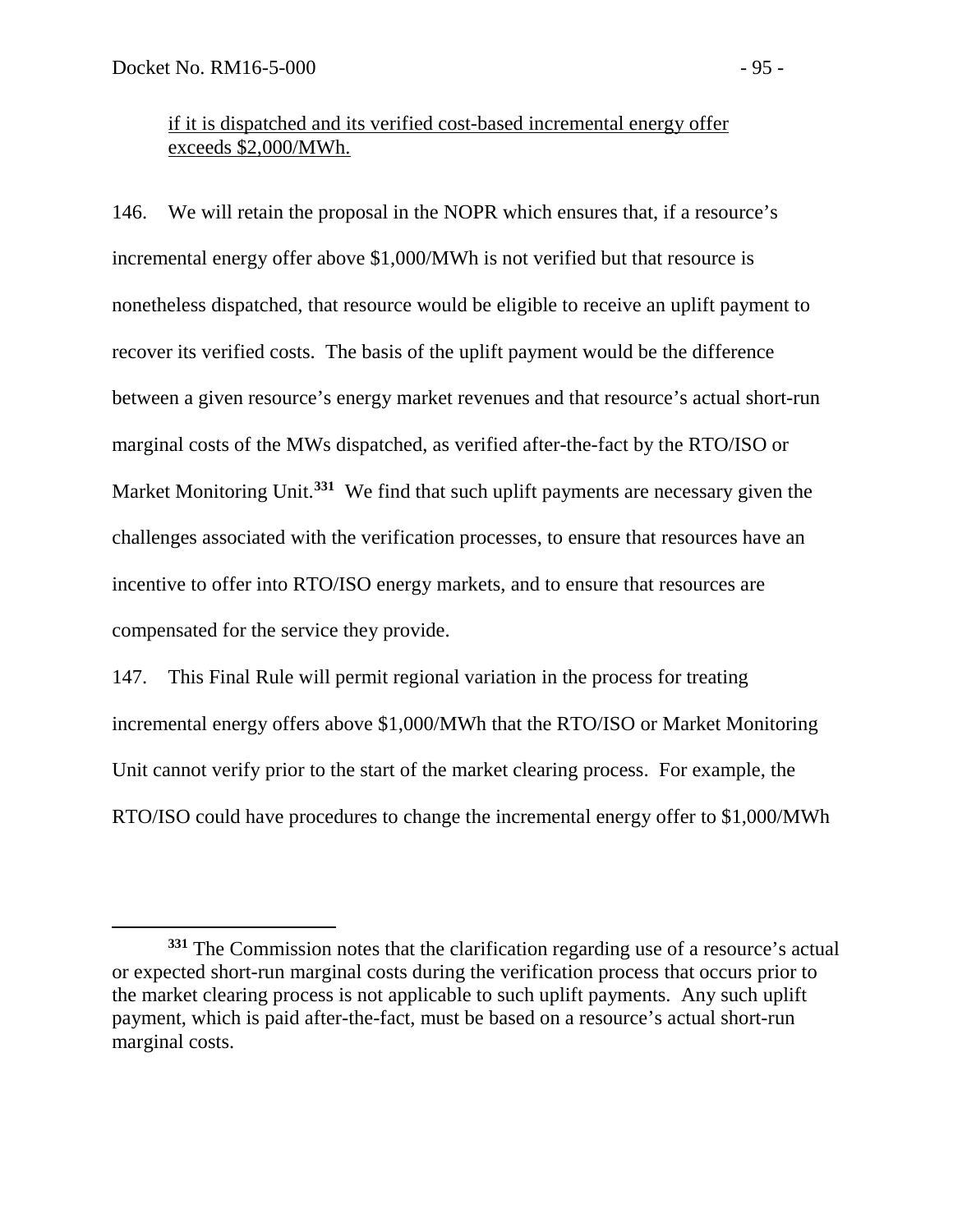$\overline{a}$ 

### if it is dispatched and its verified cost-based incremental energy offer exceeds \$2,000/MWh.

146. We will retain the proposal in the NOPR which ensures that, if a resource's incremental energy offer above \$1,000/MWh is not verified but that resource is nonetheless dispatched, that resource would be eligible to receive an uplift payment to recover its verified costs. The basis of the uplift payment would be the difference between a given resource's energy market revenues and that resource's actual short-run marginal costs of the MWs dispatched, as verified after-the-fact by the RTO/ISO or Market Monitoring Unit. **[331](#page-96-0)** We find that such uplift payments are necessary given the challenges associated with the verification processes, to ensure that resources have an incentive to offer into RTO/ISO energy markets, and to ensure that resources are compensated for the service they provide.

147. This Final Rule will permit regional variation in the process for treating incremental energy offers above \$1,000/MWh that the RTO/ISO or Market Monitoring Unit cannot verify prior to the start of the market clearing process. For example, the RTO/ISO could have procedures to change the incremental energy offer to \$1,000/MWh

<span id="page-96-0"></span>**<sup>331</sup>** The Commission notes that the clarification regarding use of a resource's actual or expected short-run marginal costs during the verification process that occurs prior to the market clearing process is not applicable to such uplift payments. Any such uplift payment, which is paid after-the-fact, must be based on a resource's actual short-run marginal costs.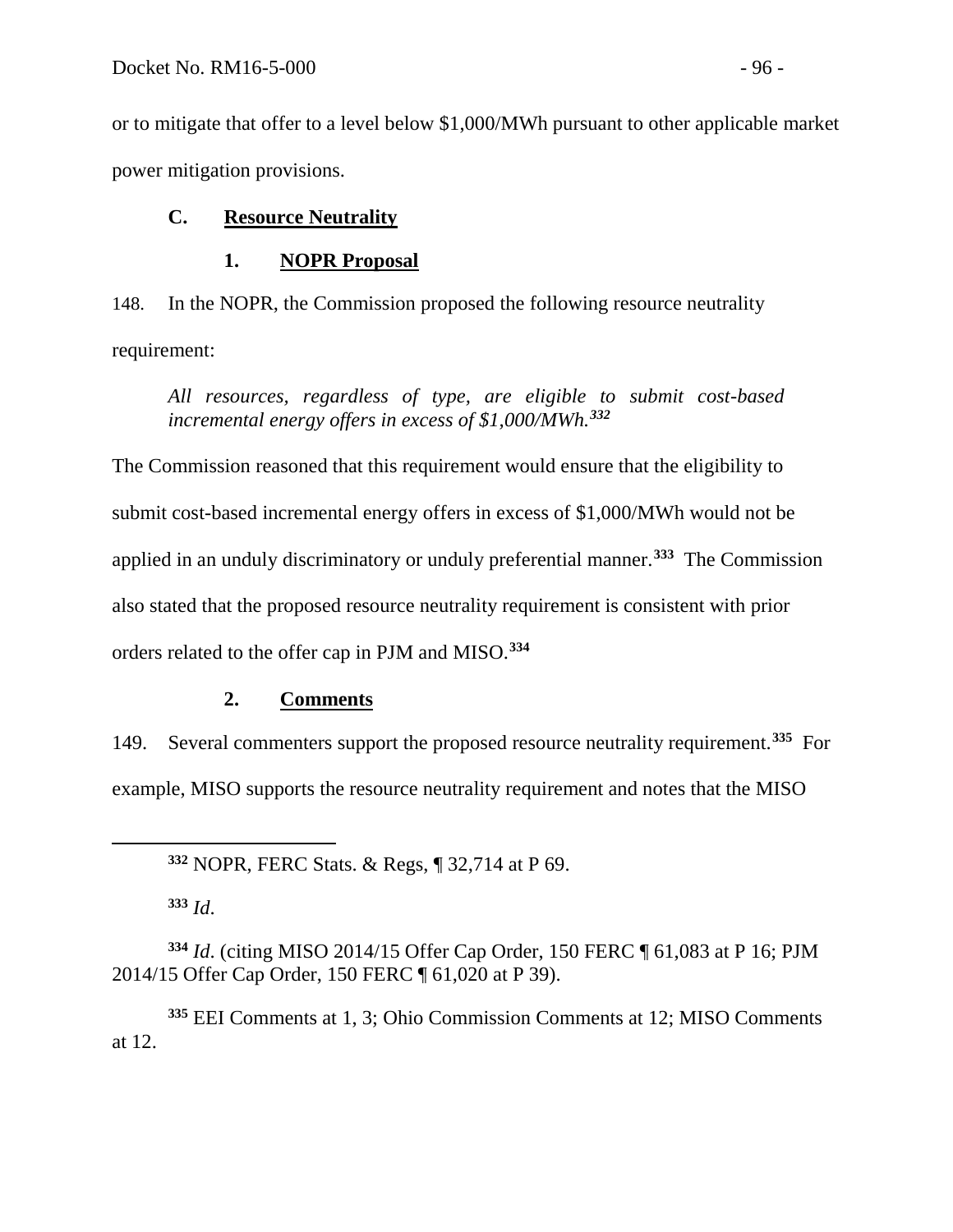or to mitigate that offer to a level below \$1,000/MWh pursuant to other applicable market power mitigation provisions.

# **C. Resource Neutrality**

### **1. NOPR Proposal**

148. In the NOPR, the Commission proposed the following resource neutrality requirement:

*All resources, regardless of type, are eligible to submit cost-based incremental energy offers in excess of \$1,000/MWh.[332](#page-97-0)*

The Commission reasoned that this requirement would ensure that the eligibility to submit cost-based incremental energy offers in excess of \$1,000/MWh would not be applied in an unduly discriminatory or unduly preferential manner.**[333](#page-97-1)** The Commission also stated that the proposed resource neutrality requirement is consistent with prior orders related to the offer cap in PJM and MISO.**[334](#page-97-2)**

### **2. Comments**

149. Several commenters support the proposed resource neutrality requirement.**[335](#page-97-3)** For example, MISO supports the resource neutrality requirement and notes that the MISO

**<sup>332</sup>** NOPR, FERC Stats. & Regs, ¶ 32,714 at P 69.

**<sup>333</sup>** *Id*.

<span id="page-97-0"></span> $\overline{a}$ 

<span id="page-97-2"></span><span id="page-97-1"></span>**<sup>334</sup>** *Id*. (citing MISO 2014/15 Offer Cap Order, 150 FERC ¶ 61,083 at P 16; PJM 2014/15 Offer Cap Order, 150 FERC ¶ 61,020 at P 39).

<span id="page-97-3"></span>**<sup>335</sup>** EEI Comments at 1, 3; Ohio Commission Comments at 12; MISO Comments at 12.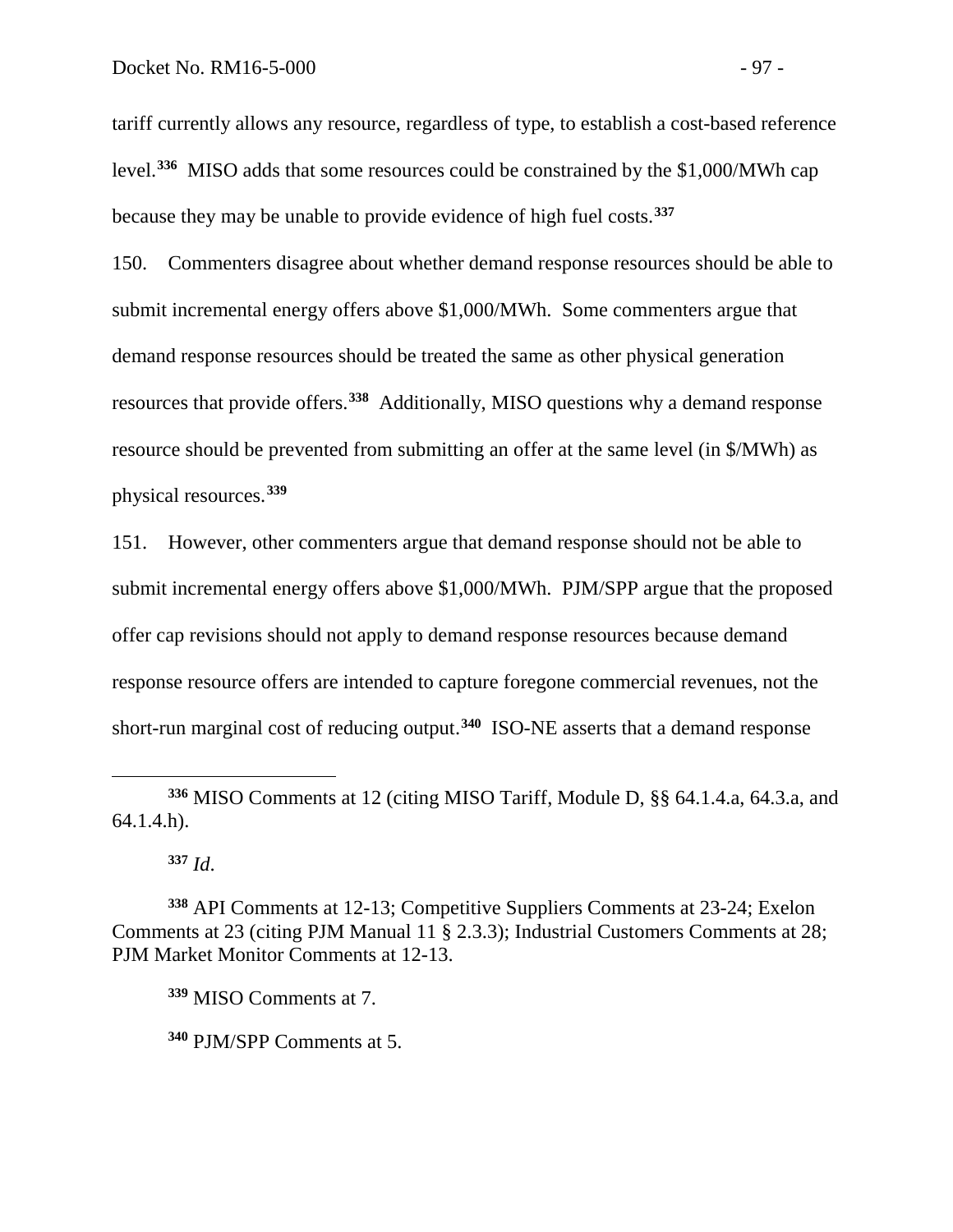tariff currently allows any resource, regardless of type, to establish a cost-based reference level.**[336](#page-98-0)** MISO adds that some resources could be constrained by the \$1,000/MWh cap because they may be unable to provide evidence of high fuel costs.**[337](#page-98-1)**

150. Commenters disagree about whether demand response resources should be able to submit incremental energy offers above \$1,000/MWh. Some commenters argue that demand response resources should be treated the same as other physical generation resources that provide offers.**[338](#page-98-2)** Additionally, MISO questions why a demand response resource should be prevented from submitting an offer at the same level (in \$/MWh) as physical resources.**[339](#page-98-3)**

151. However, other commenters argue that demand response should not be able to submit incremental energy offers above \$1,000/MWh. PJM/SPP argue that the proposed offer cap revisions should not apply to demand response resources because demand response resource offers are intended to capture foregone commercial revenues, not the short-run marginal cost of reducing output.**[340](#page-98-4)** ISO-NE asserts that a demand response

**<sup>337</sup>** *Id*.

 $\overline{a}$ 

**<sup>339</sup>** MISO Comments at 7.

<span id="page-98-4"></span>**<sup>340</sup>** PJM/SPP Comments at 5.

<span id="page-98-0"></span>**<sup>336</sup>** MISO Comments at 12 (citing MISO Tariff, Module D, §§ 64.1.4.a, 64.3.a, and 64.1.4.h).

<span id="page-98-3"></span><span id="page-98-2"></span><span id="page-98-1"></span>**<sup>338</sup>** API Comments at 12-13; Competitive Suppliers Comments at 23-24; Exelon Comments at 23 (citing PJM Manual 11 § 2.3.3); Industrial Customers Comments at 28; PJM Market Monitor Comments at 12-13.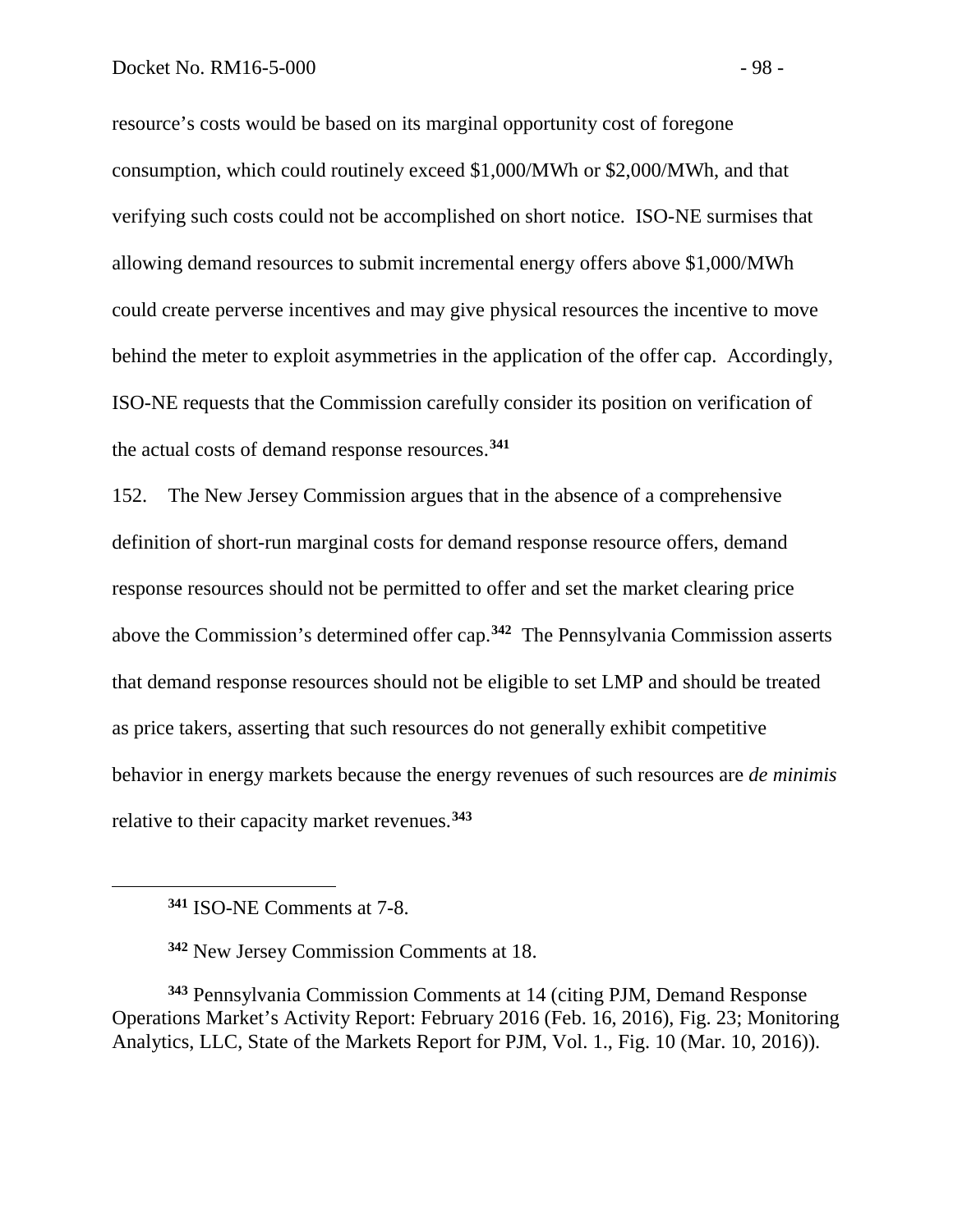resource's costs would be based on its marginal opportunity cost of foregone consumption, which could routinely exceed \$1,000/MWh or \$2,000/MWh, and that verifying such costs could not be accomplished on short notice. ISO-NE surmises that allowing demand resources to submit incremental energy offers above \$1,000/MWh could create perverse incentives and may give physical resources the incentive to move behind the meter to exploit asymmetries in the application of the offer cap. Accordingly, ISO-NE requests that the Commission carefully consider its position on verification of the actual costs of demand response resources.**[341](#page-99-0)**

152. The New Jersey Commission argues that in the absence of a comprehensive definition of short-run marginal costs for demand response resource offers, demand response resources should not be permitted to offer and set the market clearing price above the Commission's determined offer cap.**[342](#page-99-1)** The Pennsylvania Commission asserts that demand response resources should not be eligible to set LMP and should be treated as price takers, asserting that such resources do not generally exhibit competitive behavior in energy markets because the energy revenues of such resources are *de minimis* relative to their capacity market revenues.**[343](#page-99-2)**

**<sup>341</sup>** ISO-NE Comments at 7-8.

<span id="page-99-0"></span> $\overline{a}$ 

**<sup>342</sup>** New Jersey Commission Comments at 18.

<span id="page-99-2"></span><span id="page-99-1"></span>**<sup>343</sup>** Pennsylvania Commission Comments at 14 (citing PJM, Demand Response Operations Market's Activity Report: February 2016 (Feb. 16, 2016), Fig. 23; Monitoring Analytics, LLC, State of the Markets Report for PJM, Vol. 1., Fig. 10 (Mar. 10, 2016)).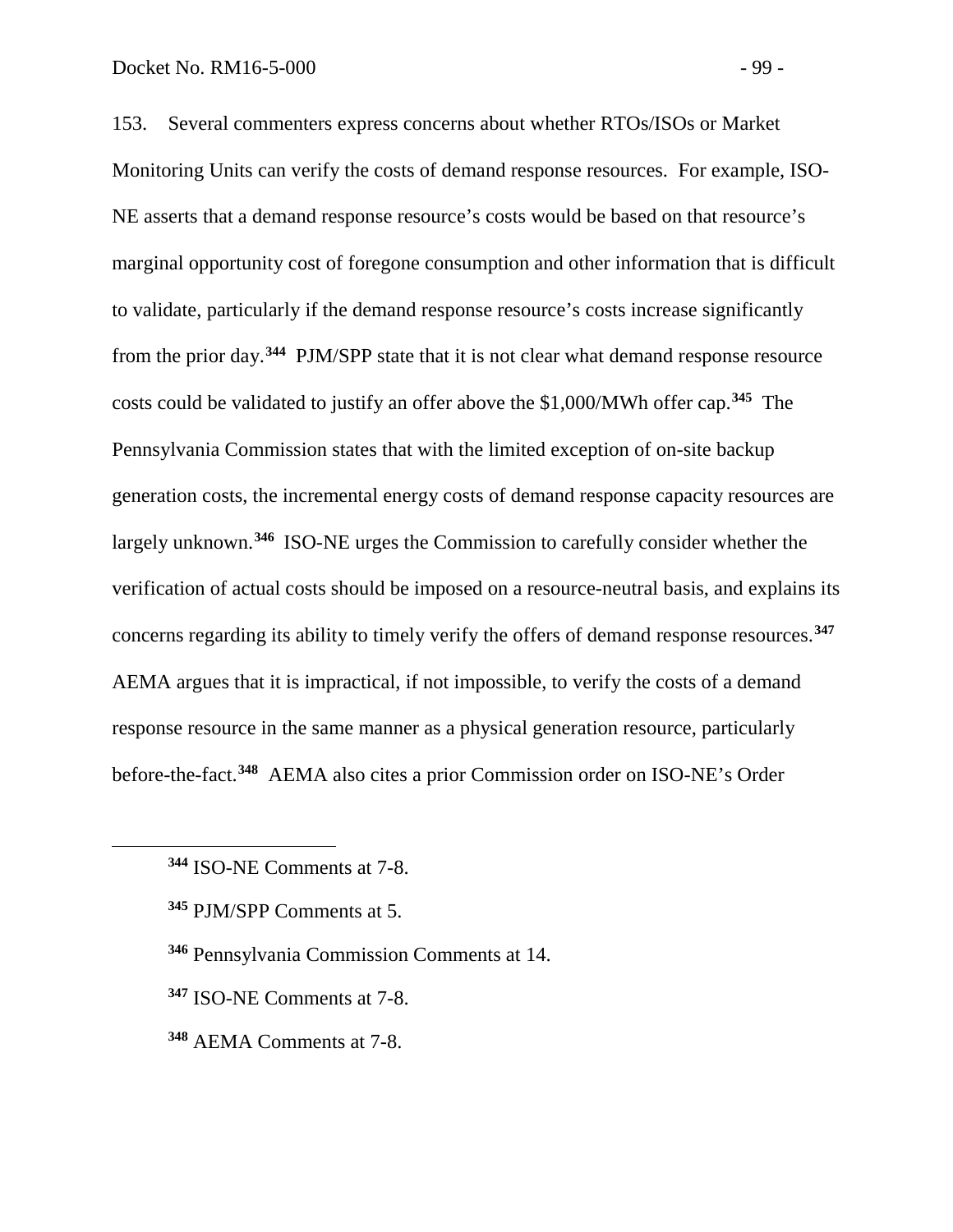153. Several commenters express concerns about whether RTOs/ISOs or Market Monitoring Units can verify the costs of demand response resources. For example, ISO-NE asserts that a demand response resource's costs would be based on that resource's marginal opportunity cost of foregone consumption and other information that is difficult to validate, particularly if the demand response resource's costs increase significantly from the prior day.**[344](#page-100-0)** PJM/SPP state that it is not clear what demand response resource costs could be validated to justify an offer above the \$1,000/MWh offer cap.**[345](#page-100-1)** The Pennsylvania Commission states that with the limited exception of on-site backup generation costs, the incremental energy costs of demand response capacity resources are largely unknown.**[346](#page-100-2)** ISO-NE urges the Commission to carefully consider whether the verification of actual costs should be imposed on a resource-neutral basis, and explains its concerns regarding its ability to timely verify the offers of demand response resources.**[347](#page-100-3)** AEMA argues that it is impractical, if not impossible, to verify the costs of a demand response resource in the same manner as a physical generation resource, particularly before-the-fact.**[348](#page-100-4)** AEMA also cites a prior Commission order on ISO-NE's Order

- <span id="page-100-2"></span>**<sup>346</sup>** Pennsylvania Commission Comments at 14.
- <span id="page-100-3"></span>**<sup>347</sup>** ISO-NE Comments at 7-8.
- <span id="page-100-4"></span>**<sup>348</sup>** AEMA Comments at 7-8.

<span id="page-100-0"></span>**<sup>344</sup>** ISO-NE Comments at 7-8.

<span id="page-100-1"></span>**<sup>345</sup>** PJM/SPP Comments at 5.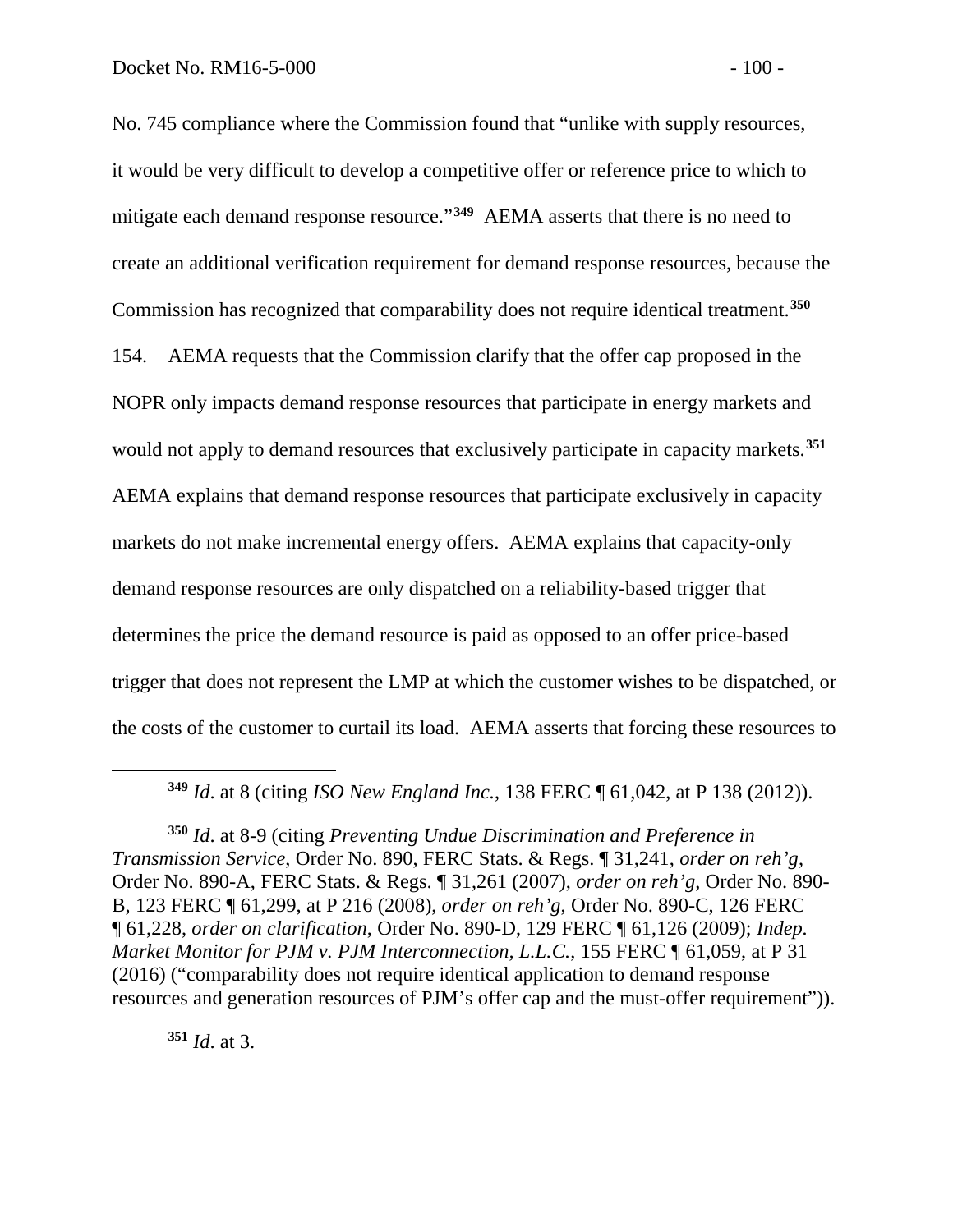No. 745 compliance where the Commission found that "unlike with supply resources, it would be very difficult to develop a competitive offer or reference price to which to mitigate each demand response resource."**[349](#page-101-0)** AEMA asserts that there is no need to create an additional verification requirement for demand response resources, because the Commission has recognized that comparability does not require identical treatment.**[350](#page-101-1)**

154. AEMA requests that the Commission clarify that the offer cap proposed in the NOPR only impacts demand response resources that participate in energy markets and would not apply to demand resources that exclusively participate in capacity markets.**[351](#page-101-2)** AEMA explains that demand response resources that participate exclusively in capacity markets do not make incremental energy offers. AEMA explains that capacity-only demand response resources are only dispatched on a reliability-based trigger that determines the price the demand resource is paid as opposed to an offer price-based trigger that does not represent the LMP at which the customer wishes to be dispatched, or the costs of the customer to curtail its load. AEMA asserts that forcing these resources to

<span id="page-101-2"></span>**<sup>351</sup>** *Id*. at 3.

**<sup>349</sup>** *Id*. at 8 (citing *ISO New England Inc.*, 138 FERC ¶ 61,042, at P 138 (2012)).

<span id="page-101-1"></span><span id="page-101-0"></span>**<sup>350</sup>** *Id*. at 8-9 (citing *Preventing Undue Discrimination and Preference in Transmission Service*, Order No. 890, FERC Stats. & Regs. ¶ 31,241, *order on reh'g*, Order No. 890-A, FERC Stats. & Regs. ¶ 31,261 (2007), *order on reh'g*, Order No. 890- B, 123 FERC ¶ 61,299, at P 216 (2008), *order on reh'g*, Order No. 890-C, 126 FERC ¶ 61,228, *order on clarification*, Order No. 890-D, 129 FERC ¶ 61,126 (2009); *Indep. Market Monitor for PJM v. PJM Interconnection, L.L.C.*, 155 FERC ¶ 61,059, at P 31 (2016) ("comparability does not require identical application to demand response resources and generation resources of PJM's offer cap and the must-offer requirement")).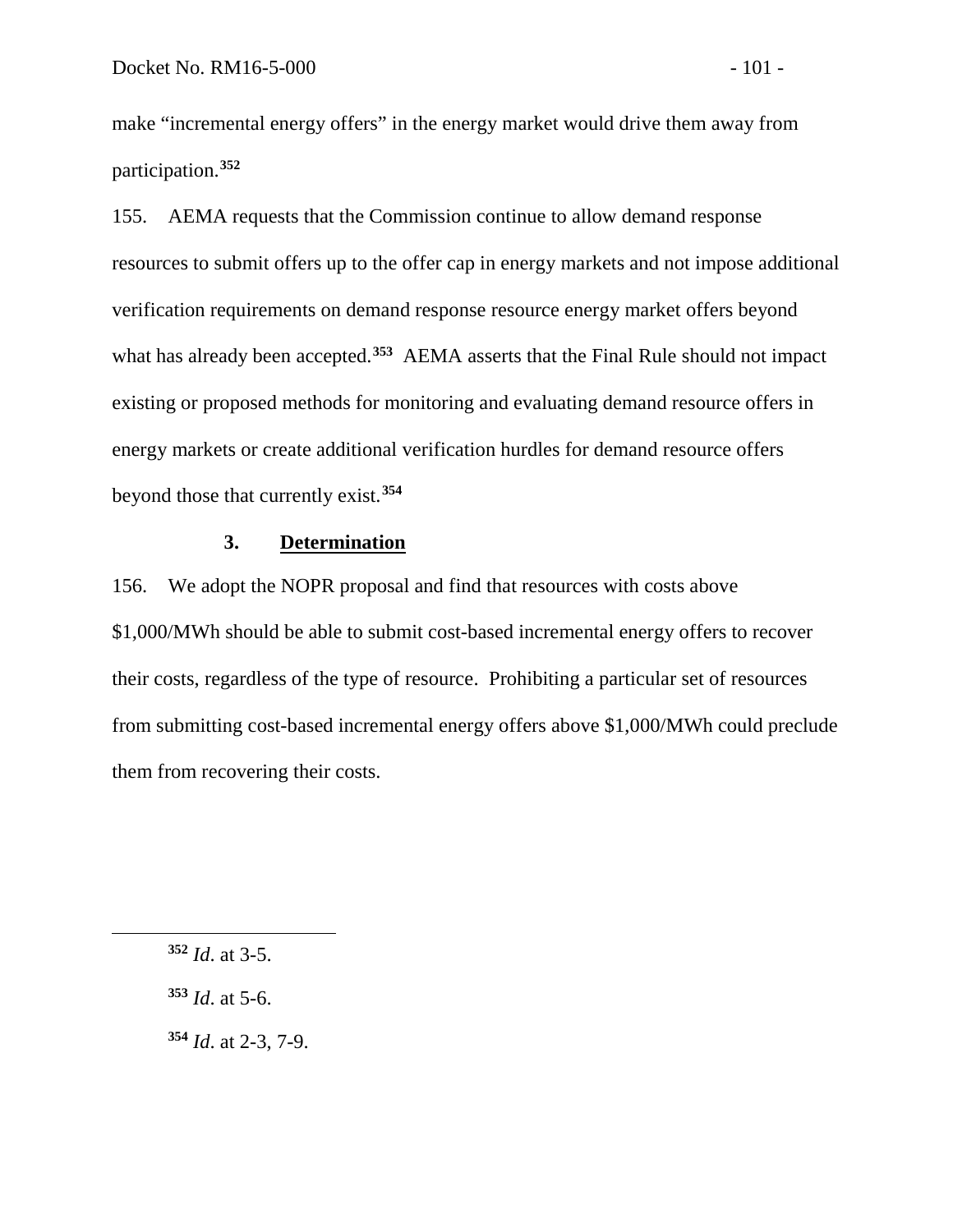make "incremental energy offers" in the energy market would drive them away from participation.**[352](#page-102-0)**

155. AEMA requests that the Commission continue to allow demand response resources to submit offers up to the offer cap in energy markets and not impose additional verification requirements on demand response resource energy market offers beyond what has already been accepted.<sup>[353](#page-102-1)</sup> AEMA asserts that the Final Rule should not impact existing or proposed methods for monitoring and evaluating demand resource offers in energy markets or create additional verification hurdles for demand resource offers beyond those that currently exist.**[354](#page-102-2)**

### **3. Determination**

156. We adopt the NOPR proposal and find that resources with costs above \$1,000/MWh should be able to submit cost-based incremental energy offers to recover their costs, regardless of the type of resource. Prohibiting a particular set of resources from submitting cost-based incremental energy offers above \$1,000/MWh could preclude them from recovering their costs.

- <span id="page-102-1"></span>**<sup>353</sup>** *Id*. at 5-6.
- <span id="page-102-2"></span>**<sup>354</sup>** *Id*. at 2-3, 7-9.

<span id="page-102-0"></span>**<sup>352</sup>** *Id*. at 3-5.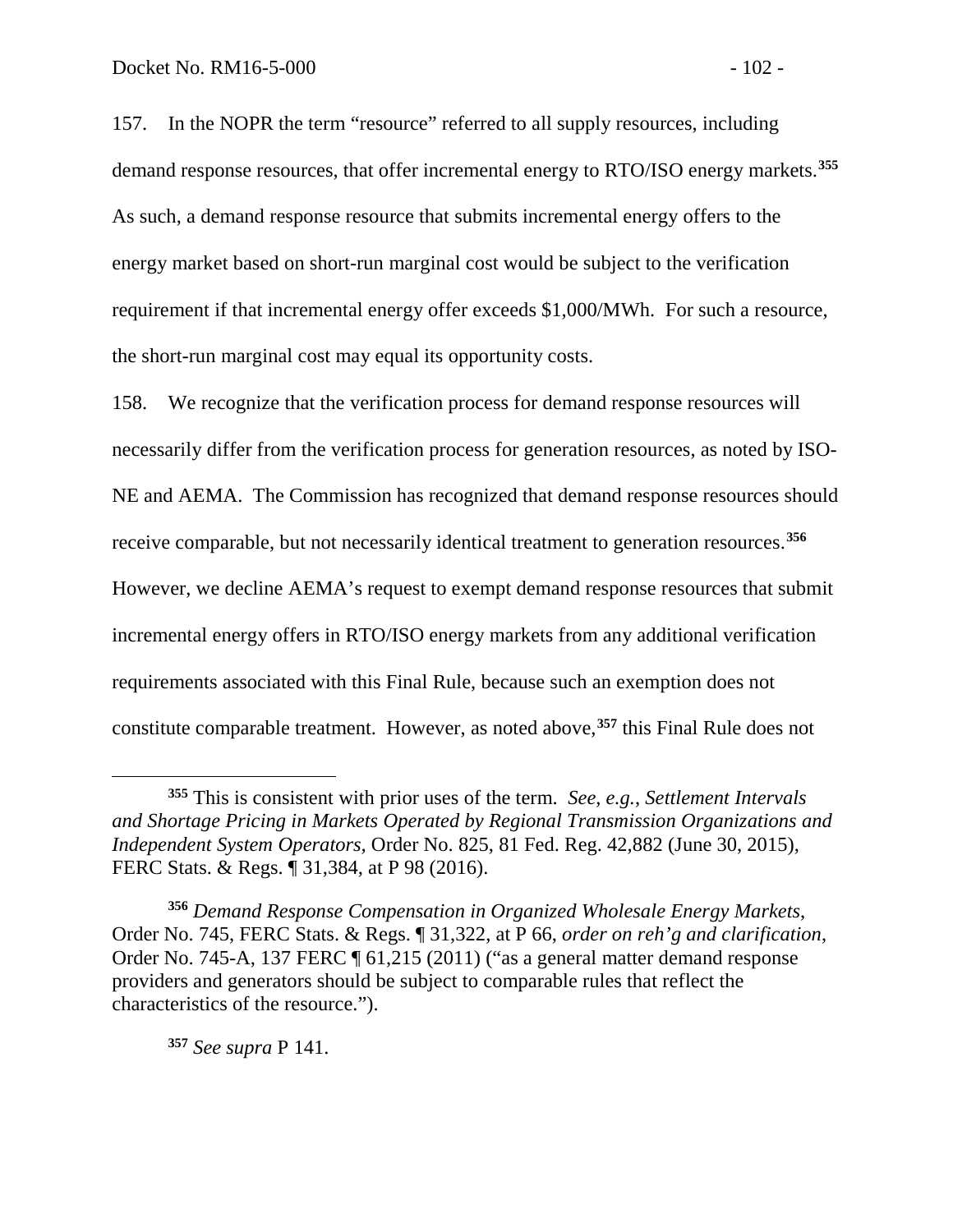157. In the NOPR the term "resource" referred to all supply resources, including demand response resources, that offer incremental energy to RTO/ISO energy markets.**[355](#page-103-0)** As such, a demand response resource that submits incremental energy offers to the energy market based on short-run marginal cost would be subject to the verification requirement if that incremental energy offer exceeds \$1,000/MWh. For such a resource, the short-run marginal cost may equal its opportunity costs.

158. We recognize that the verification process for demand response resources will necessarily differ from the verification process for generation resources, as noted by ISO-NE and AEMA. The Commission has recognized that demand response resources should receive comparable, but not necessarily identical treatment to generation resources.**[356](#page-103-1)** However, we decline AEMA's request to exempt demand response resources that submit incremental energy offers in RTO/ISO energy markets from any additional verification requirements associated with this Final Rule, because such an exemption does not constitute comparable treatment. However, as noted above,**[357](#page-103-2)** this Final Rule does not

<span id="page-103-2"></span>**<sup>357</sup>** *See supra* P 141.

<span id="page-103-0"></span>**<sup>355</sup>** This is consistent with prior uses of the term. *See, e.g.*, *Settlement Intervals and Shortage Pricing in Markets Operated by Regional Transmission Organizations and Independent System Operators,* Order No. 825, 81 Fed. Reg. 42,882 (June 30, 2015), FERC Stats. & Regs. ¶ 31,384, at P 98 (2016).

<span id="page-103-1"></span>**<sup>356</sup>** *Demand Response Compensation in Organized Wholesale Energy Markets*, Order No. 745, FERC Stats. & Regs. ¶ 31,322, at P 66, *order on reh'g and clarification*, Order No. 745-A, 137 FERC ¶ 61,215 (2011) ("as a general matter demand response providers and generators should be subject to comparable rules that reflect the characteristics of the resource.").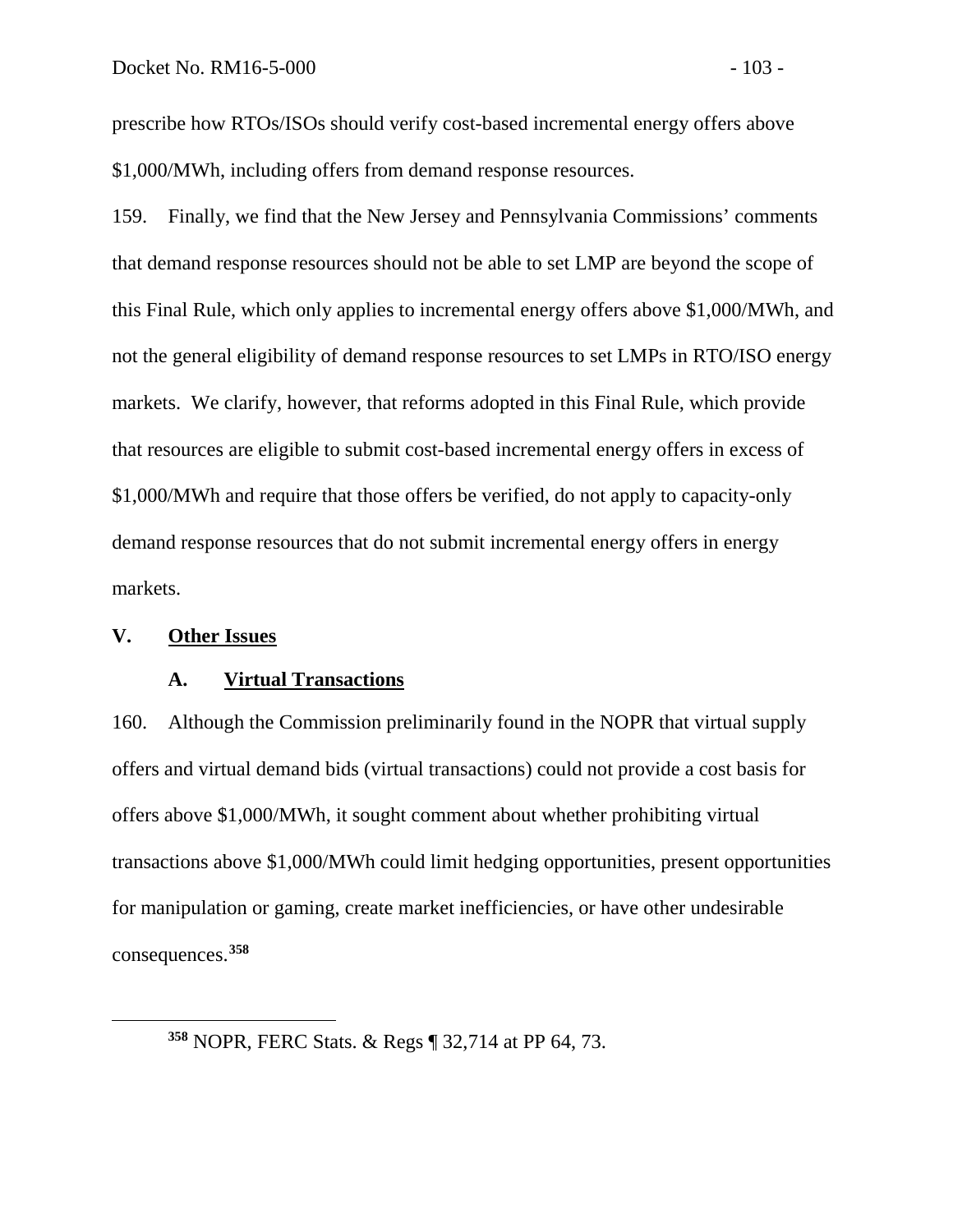prescribe how RTOs/ISOs should verify cost-based incremental energy offers above \$1,000/MWh, including offers from demand response resources.

159. Finally, we find that the New Jersey and Pennsylvania Commissions' comments that demand response resources should not be able to set LMP are beyond the scope of this Final Rule, which only applies to incremental energy offers above \$1,000/MWh, and not the general eligibility of demand response resources to set LMPs in RTO/ISO energy markets. We clarify, however, that reforms adopted in this Final Rule, which provide that resources are eligible to submit cost-based incremental energy offers in excess of \$1,000/MWh and require that those offers be verified, do not apply to capacity-only demand response resources that do not submit incremental energy offers in energy markets.

### **V. Other Issues**

<span id="page-104-0"></span> $\overline{a}$ 

#### **A. Virtual Transactions**

160. Although the Commission preliminarily found in the NOPR that virtual supply offers and virtual demand bids (virtual transactions) could not provide a cost basis for offers above \$1,000/MWh, it sought comment about whether prohibiting virtual transactions above \$1,000/MWh could limit hedging opportunities, present opportunities for manipulation or gaming, create market inefficiencies, or have other undesirable consequences.**[358](#page-104-0)**

**<sup>358</sup>** NOPR, FERC Stats. & Regs ¶ 32,714 at PP 64, 73.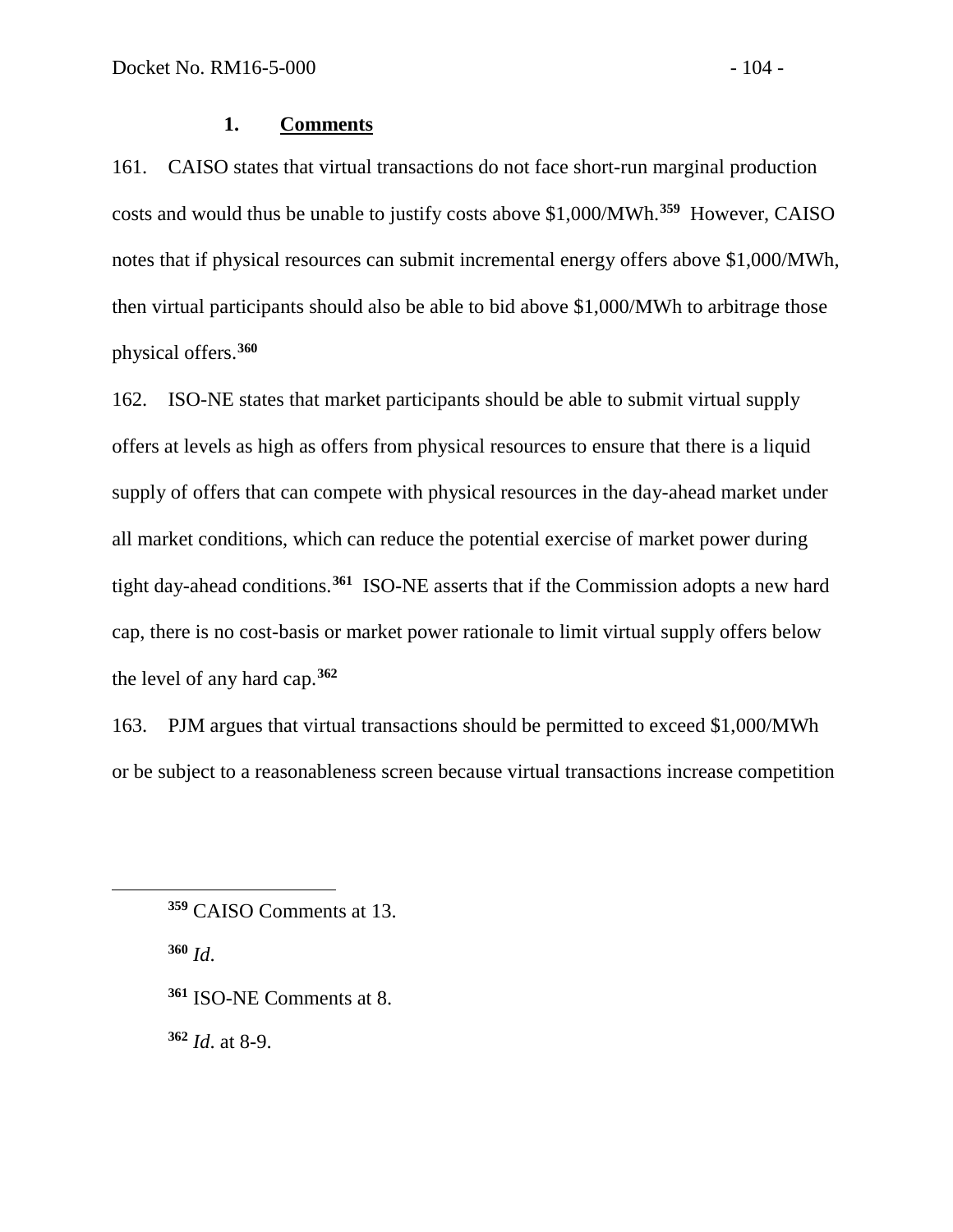#### **1. Comments**

161. CAISO states that virtual transactions do not face short-run marginal production costs and would thus be unable to justify costs above \$1,000/MWh.**[359](#page-105-0)** However, CAISO notes that if physical resources can submit incremental energy offers above \$1,000/MWh, then virtual participants should also be able to bid above \$1,000/MWh to arbitrage those physical offers.**[360](#page-105-1)**

162. ISO-NE states that market participants should be able to submit virtual supply offers at levels as high as offers from physical resources to ensure that there is a liquid supply of offers that can compete with physical resources in the day-ahead market under all market conditions, which can reduce the potential exercise of market power during tight day-ahead conditions.**[361](#page-105-2)** ISO-NE asserts that if the Commission adopts a new hard cap, there is no cost-basis or market power rationale to limit virtual supply offers below the level of any hard cap.**[362](#page-105-3)**

163. PJM argues that virtual transactions should be permitted to exceed \$1,000/MWh or be subject to a reasonableness screen because virtual transactions increase competition

**<sup>360</sup>** *Id*.

<span id="page-105-2"></span><span id="page-105-1"></span><span id="page-105-0"></span> $\overline{a}$ 

**<sup>361</sup>** ISO-NE Comments at 8.

<span id="page-105-3"></span>**<sup>362</sup>** *Id*. at 8-9.

**<sup>359</sup>** CAISO Comments at 13.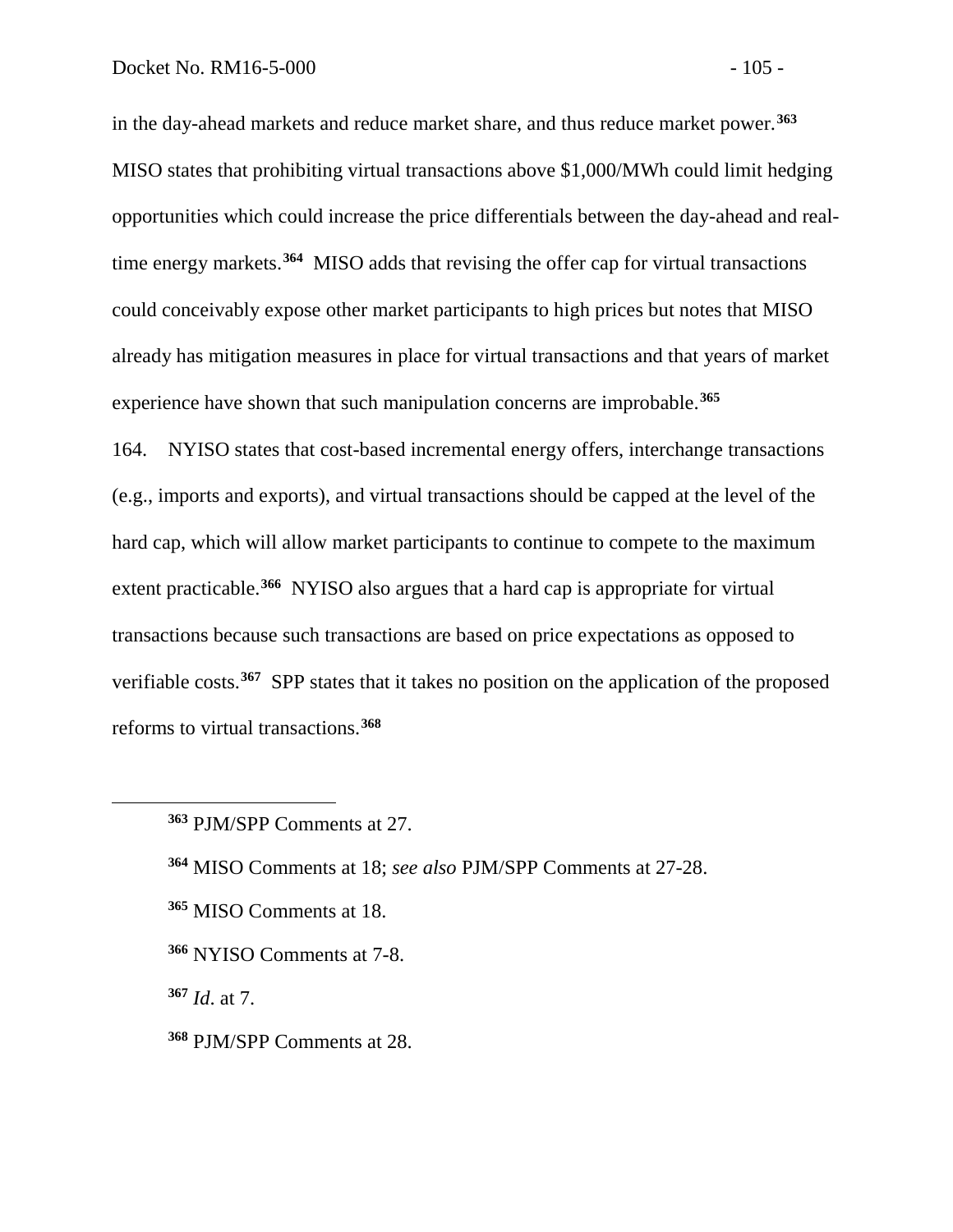in the day-ahead markets and reduce market share, and thus reduce market power.**[363](#page-106-0)** MISO states that prohibiting virtual transactions above \$1,000/MWh could limit hedging opportunities which could increase the price differentials between the day-ahead and realtime energy markets.**[364](#page-106-1)** MISO adds that revising the offer cap for virtual transactions could conceivably expose other market participants to high prices but notes that MISO already has mitigation measures in place for virtual transactions and that years of market experience have shown that such manipulation concerns are improbable.**[365](#page-106-2)**

164. NYISO states that cost-based incremental energy offers, interchange transactions (e.g., imports and exports), and virtual transactions should be capped at the level of the hard cap, which will allow market participants to continue to compete to the maximum extent practicable.**[366](#page-106-3)** NYISO also argues that a hard cap is appropriate for virtual transactions because such transactions are based on price expectations as opposed to verifiable costs.**[367](#page-106-4)** SPP states that it takes no position on the application of the proposed reforms to virtual transactions.**[368](#page-106-5)**

<span id="page-106-4"></span>**<sup>367</sup>** *Id*. at 7.

<span id="page-106-0"></span>**<sup>363</sup>** PJM/SPP Comments at 27.

<span id="page-106-1"></span>**<sup>364</sup>** MISO Comments at 18; *see also* PJM/SPP Comments at 27-28.

<span id="page-106-2"></span>**<sup>365</sup>** MISO Comments at 18.

<span id="page-106-3"></span>**<sup>366</sup>** NYISO Comments at 7-8.

<span id="page-106-5"></span>**<sup>368</sup>** PJM/SPP Comments at 28.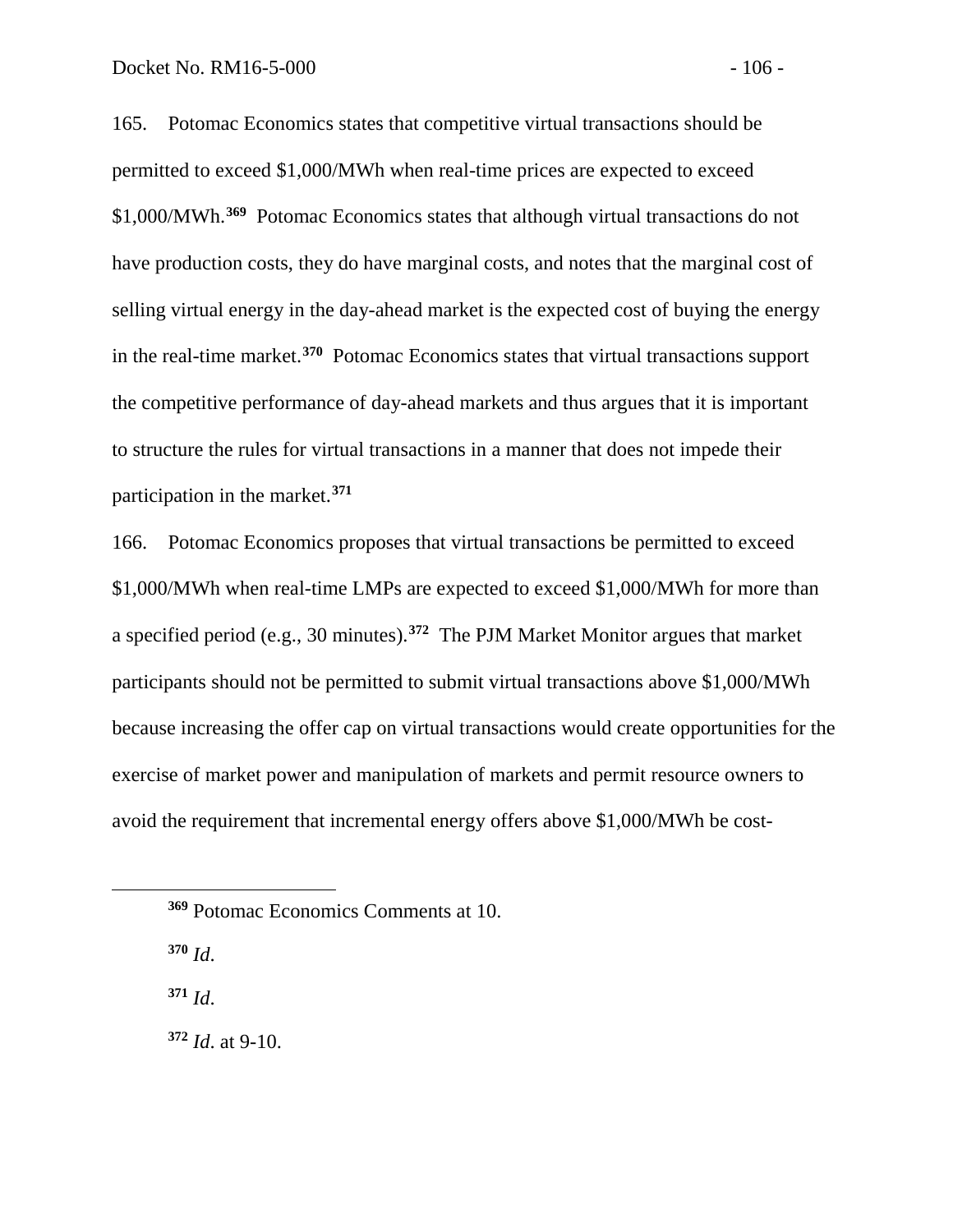165. Potomac Economics states that competitive virtual transactions should be permitted to exceed \$1,000/MWh when real-time prices are expected to exceed \$1,000/MWh.**[369](#page-107-0)** Potomac Economics states that although virtual transactions do not have production costs, they do have marginal costs, and notes that the marginal cost of selling virtual energy in the day-ahead market is the expected cost of buying the energy in the real-time market.**[370](#page-107-1)** Potomac Economics states that virtual transactions support the competitive performance of day-ahead markets and thus argues that it is important to structure the rules for virtual transactions in a manner that does not impede their participation in the market.**[371](#page-107-2)**

166. Potomac Economics proposes that virtual transactions be permitted to exceed \$1,000/MWh when real-time LMPs are expected to exceed \$1,000/MWh for more than a specified period (e.g., 30 minutes).**[372](#page-107-3)** The PJM Market Monitor argues that market participants should not be permitted to submit virtual transactions above \$1,000/MWh because increasing the offer cap on virtual transactions would create opportunities for the exercise of market power and manipulation of markets and permit resource owners to avoid the requirement that incremental energy offers above \$1,000/MWh be cost-

**<sup>370</sup>** *Id*.

<span id="page-107-2"></span><span id="page-107-1"></span><span id="page-107-0"></span> $\overline{a}$ 

**<sup>371</sup>** *Id*.

<span id="page-107-3"></span>**<sup>372</sup>** *Id*. at 9-10.

**<sup>369</sup>** Potomac Economics Comments at 10.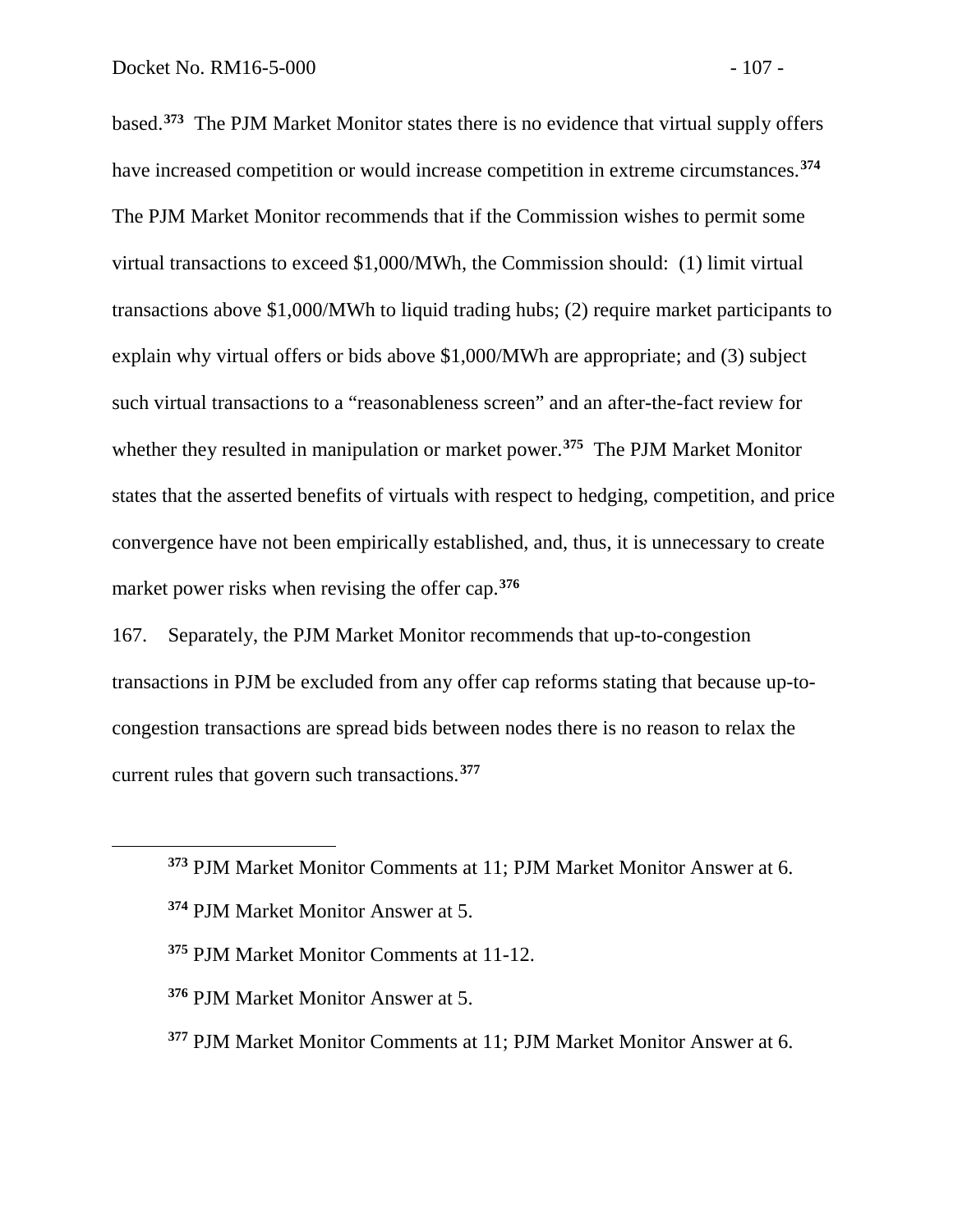based.**[373](#page-108-0)** The PJM Market Monitor states there is no evidence that virtual supply offers have increased competition or would increase competition in extreme circumstances.**[374](#page-108-1)** The PJM Market Monitor recommends that if the Commission wishes to permit some virtual transactions to exceed \$1,000/MWh, the Commission should: (1) limit virtual transactions above \$1,000/MWh to liquid trading hubs; (2) require market participants to explain why virtual offers or bids above \$1,000/MWh are appropriate; and (3) subject such virtual transactions to a "reasonableness screen" and an after-the-fact review for whether they resulted in manipulation or market power.**[375](#page-108-2)** The PJM Market Monitor states that the asserted benefits of virtuals with respect to hedging, competition, and price convergence have not been empirically established, and, thus, it is unnecessary to create market power risks when revising the offer cap.**[376](#page-108-3)**

167. Separately, the PJM Market Monitor recommends that up-to-congestion transactions in PJM be excluded from any offer cap reforms stating that because up-tocongestion transactions are spread bids between nodes there is no reason to relax the current rules that govern such transactions.**[377](#page-108-4)**

<span id="page-108-1"></span><span id="page-108-0"></span>**<sup>373</sup>** PJM Market Monitor Comments at 11; PJM Market Monitor Answer at 6. **<sup>374</sup>** PJM Market Monitor Answer at 5.

<span id="page-108-2"></span>**<sup>375</sup>** PJM Market Monitor Comments at 11-12.

<span id="page-108-3"></span>**<sup>376</sup>** PJM Market Monitor Answer at 5.

<span id="page-108-4"></span>**<sup>377</sup>** PJM Market Monitor Comments at 11; PJM Market Monitor Answer at 6.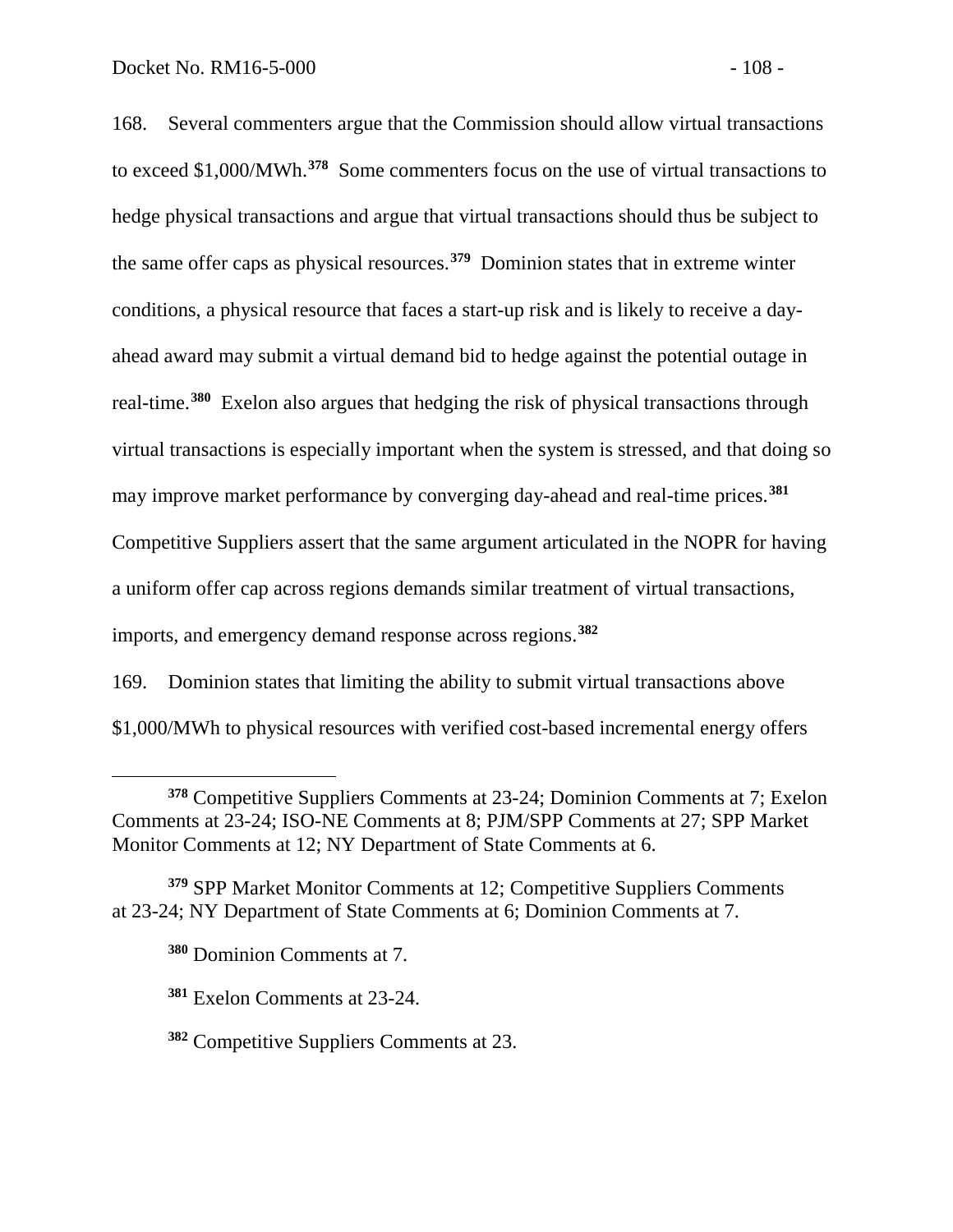168. Several commenters argue that the Commission should allow virtual transactions to exceed \$1,000/MWh.**[378](#page-109-0)** Some commenters focus on the use of virtual transactions to hedge physical transactions and argue that virtual transactions should thus be subject to the same offer caps as physical resources.**[379](#page-109-1)** Dominion states that in extreme winter conditions, a physical resource that faces a start-up risk and is likely to receive a dayahead award may submit a virtual demand bid to hedge against the potential outage in real-time.**[380](#page-109-2)** Exelon also argues that hedging the risk of physical transactions through virtual transactions is especially important when the system is stressed, and that doing so may improve market performance by converging day-ahead and real-time prices.**[381](#page-109-3)** Competitive Suppliers assert that the same argument articulated in the NOPR for having

a uniform offer cap across regions demands similar treatment of virtual transactions,

imports, and emergency demand response across regions. **[382](#page-109-4)**

169. Dominion states that limiting the ability to submit virtual transactions above

\$1,000/MWh to physical resources with verified cost-based incremental energy offers

<span id="page-109-3"></span><span id="page-109-2"></span><span id="page-109-1"></span>**<sup>379</sup>** SPP Market Monitor Comments at 12; Competitive Suppliers Comments at 23-24; NY Department of State Comments at 6; Dominion Comments at 7.

<span id="page-109-0"></span>**<sup>378</sup>** Competitive Suppliers Comments at 23-24; Dominion Comments at 7; Exelon Comments at 23-24; ISO-NE Comments at 8; PJM/SPP Comments at 27; SPP Market Monitor Comments at 12; NY Department of State Comments at 6.

**<sup>380</sup>** Dominion Comments at 7.

**<sup>381</sup>** Exelon Comments at 23-24.

<span id="page-109-4"></span>**<sup>382</sup>** Competitive Suppliers Comments at 23.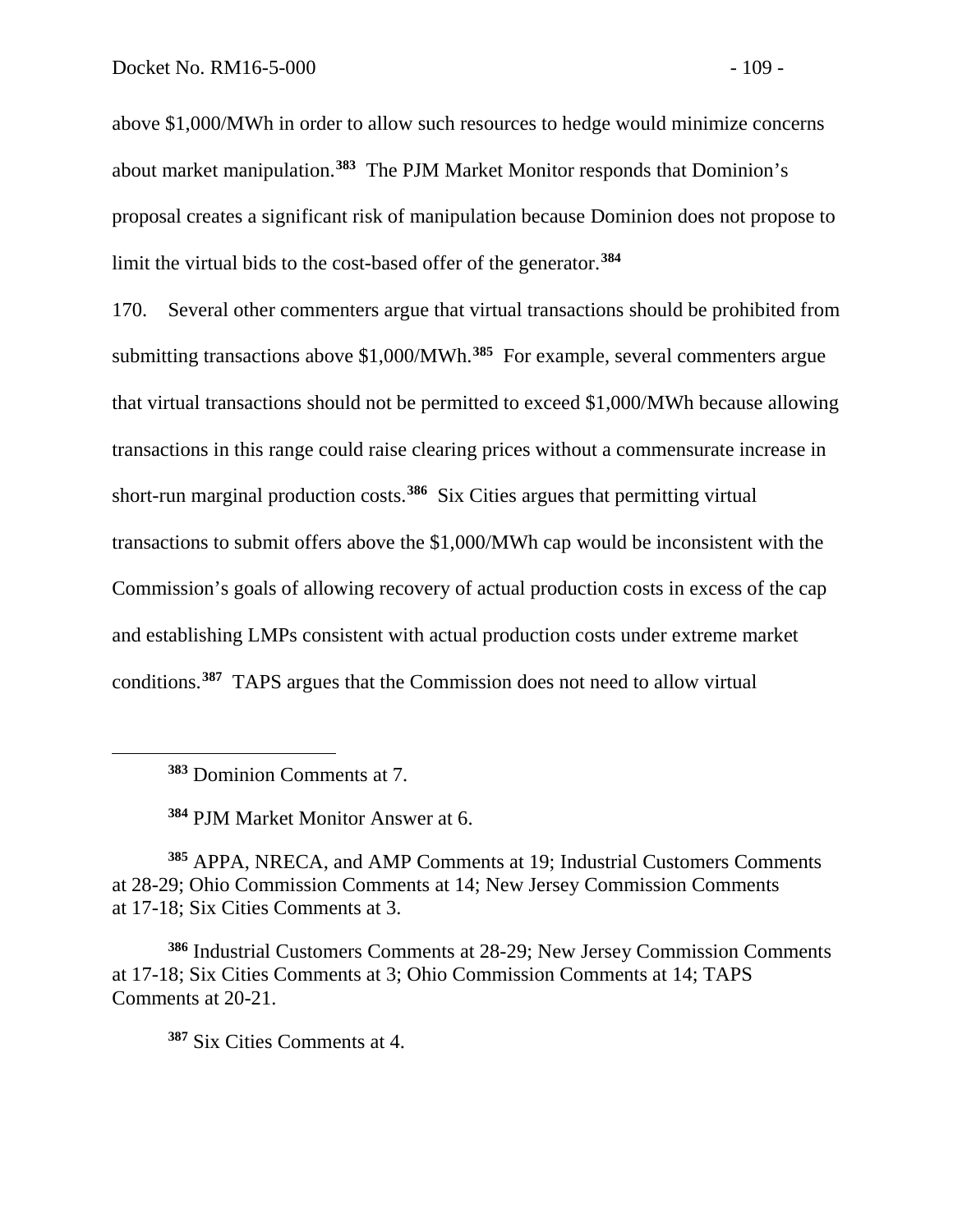above \$1,000/MWh in order to allow such resources to hedge would minimize concerns about market manipulation.**[383](#page-110-0)** The PJM Market Monitor responds that Dominion's proposal creates a significant risk of manipulation because Dominion does not propose to limit the virtual bids to the cost-based offer of the generator.**[384](#page-110-1)**

170. Several other commenters argue that virtual transactions should be prohibited from submitting transactions above \$1,000/MWh.**[385](#page-110-2)** For example, several commenters argue that virtual transactions should not be permitted to exceed \$1,000/MWh because allowing transactions in this range could raise clearing prices without a commensurate increase in short-run marginal production costs.**[386](#page-110-3)** Six Cities argues that permitting virtual transactions to submit offers above the \$1,000/MWh cap would be inconsistent with the Commission's goals of allowing recovery of actual production costs in excess of the cap and establishing LMPs consistent with actual production costs under extreme market conditions.**[387](#page-110-4)** TAPS argues that the Commission does not need to allow virtual

**<sup>383</sup>** Dominion Comments at 7.

<span id="page-110-0"></span> $\overline{a}$ 

**<sup>384</sup>** PJM Market Monitor Answer at 6.

<span id="page-110-2"></span><span id="page-110-1"></span>**<sup>385</sup>** APPA, NRECA, and AMP Comments at 19; Industrial Customers Comments at 28-29; Ohio Commission Comments at 14; New Jersey Commission Comments at 17-18; Six Cities Comments at 3.

<span id="page-110-4"></span><span id="page-110-3"></span>**<sup>386</sup>** Industrial Customers Comments at 28-29; New Jersey Commission Comments at 17-18; Six Cities Comments at 3; Ohio Commission Comments at 14; TAPS Comments at 20-21.

**<sup>387</sup>** Six Cities Comments at 4.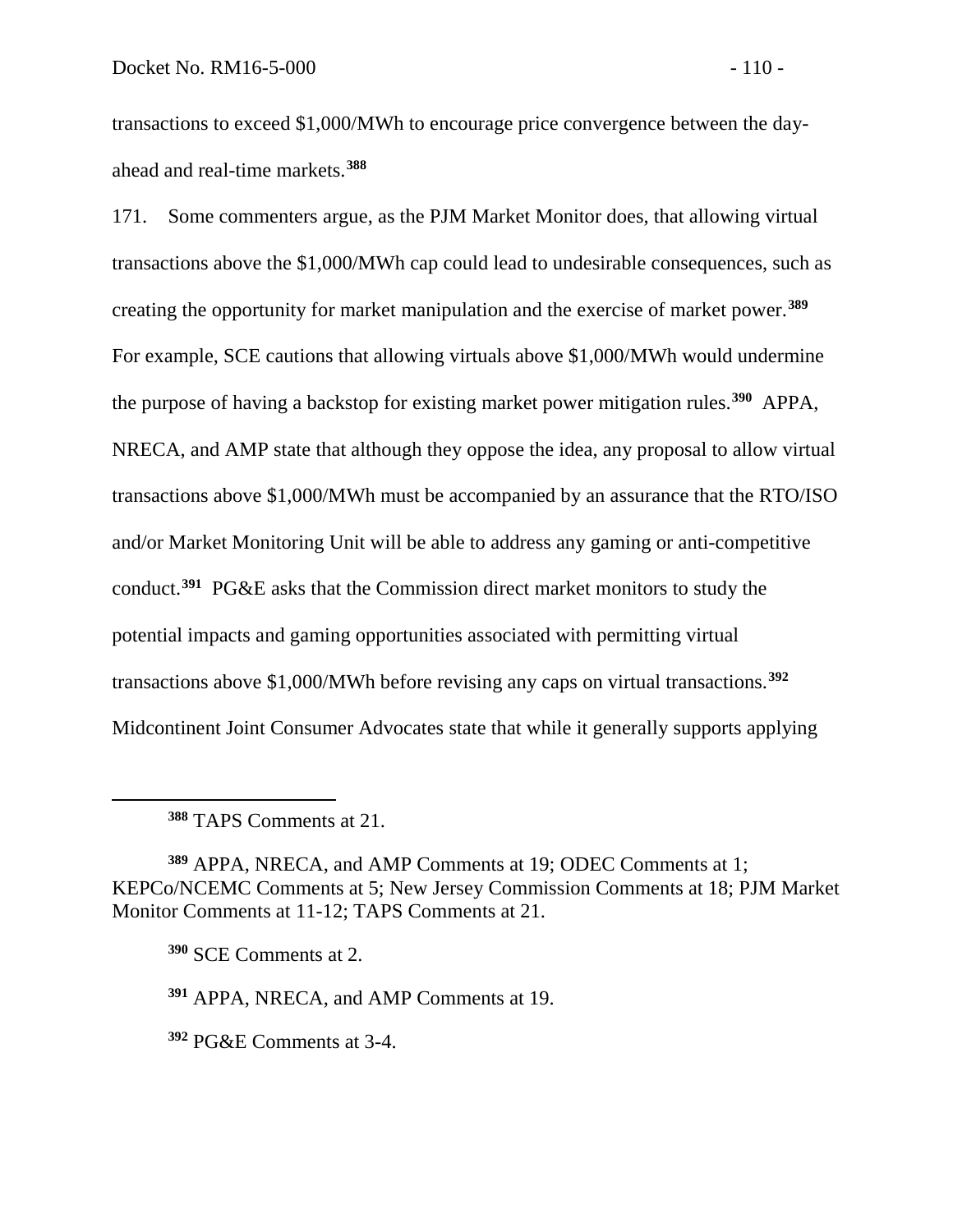transactions to exceed \$1,000/MWh to encourage price convergence between the dayahead and real-time markets.**[388](#page-111-0)**

171. Some commenters argue, as the PJM Market Monitor does, that allowing virtual transactions above the \$1,000/MWh cap could lead to undesirable consequences, such as creating the opportunity for market manipulation and the exercise of market power. **[389](#page-111-1)** For example, SCE cautions that allowing virtuals above \$1,000/MWh would undermine the purpose of having a backstop for existing market power mitigation rules.**[390](#page-111-2)** APPA, NRECA, and AMP state that although they oppose the idea, any proposal to allow virtual transactions above \$1,000/MWh must be accompanied by an assurance that the RTO/ISO and/or Market Monitoring Unit will be able to address any gaming or anti-competitive conduct.**[391](#page-111-3)** PG&E asks that the Commission direct market monitors to study the potential impacts and gaming opportunities associated with permitting virtual transactions above \$1,000/MWh before revising any caps on virtual transactions.**[392](#page-111-4)** Midcontinent Joint Consumer Advocates state that while it generally supports applying

**<sup>388</sup>** TAPS Comments at 21.

<span id="page-111-2"></span><span id="page-111-1"></span><span id="page-111-0"></span>**<sup>389</sup>** APPA, NRECA, and AMP Comments at 19; ODEC Comments at 1; KEPCo/NCEMC Comments at 5; New Jersey Commission Comments at 18; PJM Market Monitor Comments at 11-12; TAPS Comments at 21.

**<sup>390</sup>** SCE Comments at 2.

<span id="page-111-3"></span>**<sup>391</sup>** APPA, NRECA, and AMP Comments at 19.

<span id="page-111-4"></span>**<sup>392</sup>** PG&E Comments at 3-4.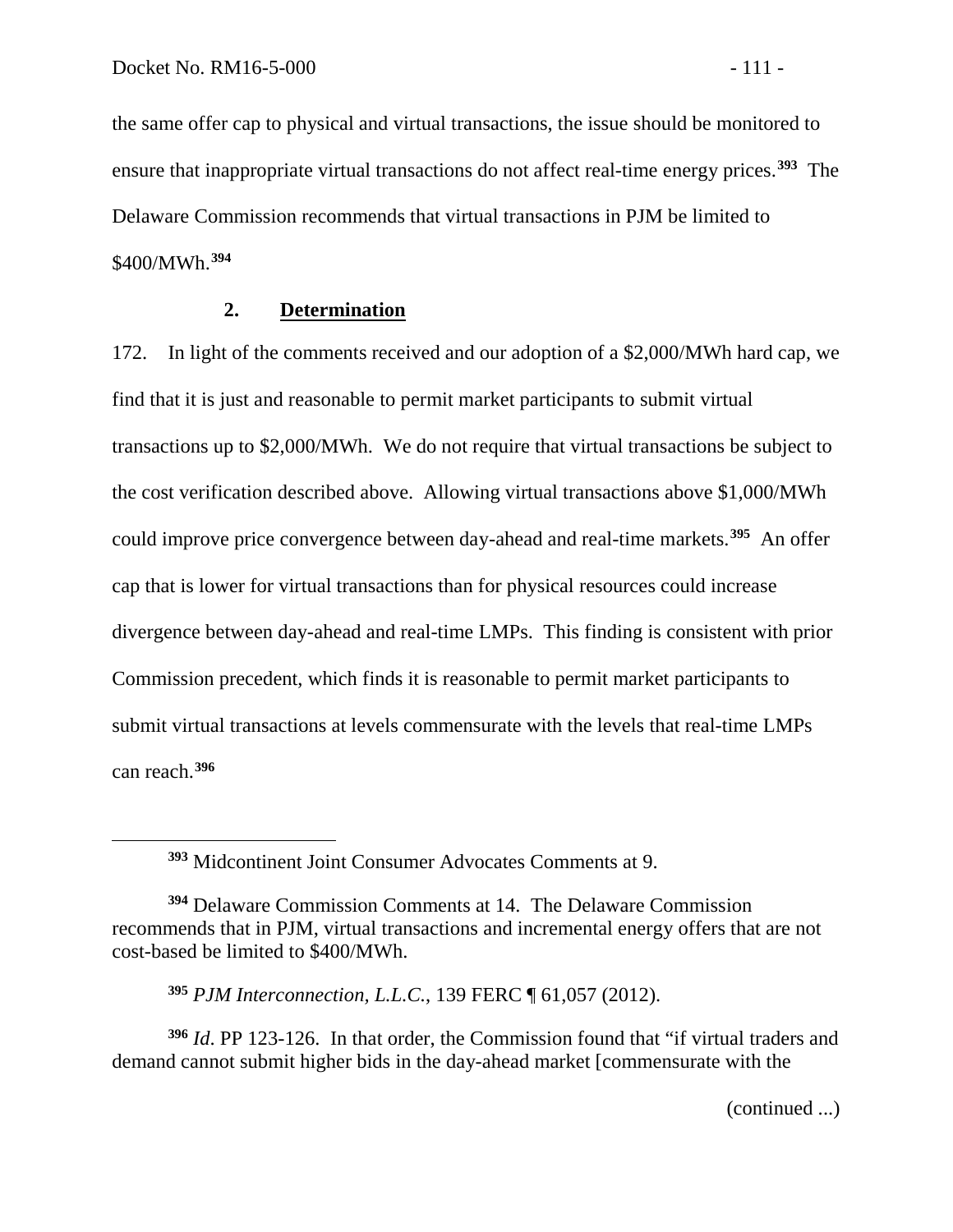<span id="page-112-0"></span> $\overline{a}$ 

the same offer cap to physical and virtual transactions, the issue should be monitored to ensure that inappropriate virtual transactions do not affect real-time energy prices.**[393](#page-112-0)** The Delaware Commission recommends that virtual transactions in PJM be limited to \$400/MWh.**[394](#page-112-1)**

## **2. Determination**

172. In light of the comments received and our adoption of a \$2,000/MWh hard cap, we find that it is just and reasonable to permit market participants to submit virtual transactions up to \$2,000/MWh. We do not require that virtual transactions be subject to the cost verification described above. Allowing virtual transactions above \$1,000/MWh could improve price convergence between day-ahead and real-time markets.**[395](#page-112-2)** An offer cap that is lower for virtual transactions than for physical resources could increase divergence between day-ahead and real-time LMPs. This finding is consistent with prior Commission precedent, which finds it is reasonable to permit market participants to submit virtual transactions at levels commensurate with the levels that real-time LMPs can reach.**[396](#page-112-3)**

**<sup>393</sup>** Midcontinent Joint Consumer Advocates Comments at 9.

(continued ...)

<span id="page-112-1"></span>**<sup>394</sup>** Delaware Commission Comments at 14. The Delaware Commission recommends that in PJM, virtual transactions and incremental energy offers that are not cost-based be limited to \$400/MWh.

**<sup>395</sup>** *PJM Interconnection, L.L.C.*, 139 FERC ¶ 61,057 (2012).

<span id="page-112-3"></span><span id="page-112-2"></span>**<sup>396</sup>** *Id*. PP 123-126. In that order, the Commission found that "if virtual traders and demand cannot submit higher bids in the day-ahead market [commensurate with the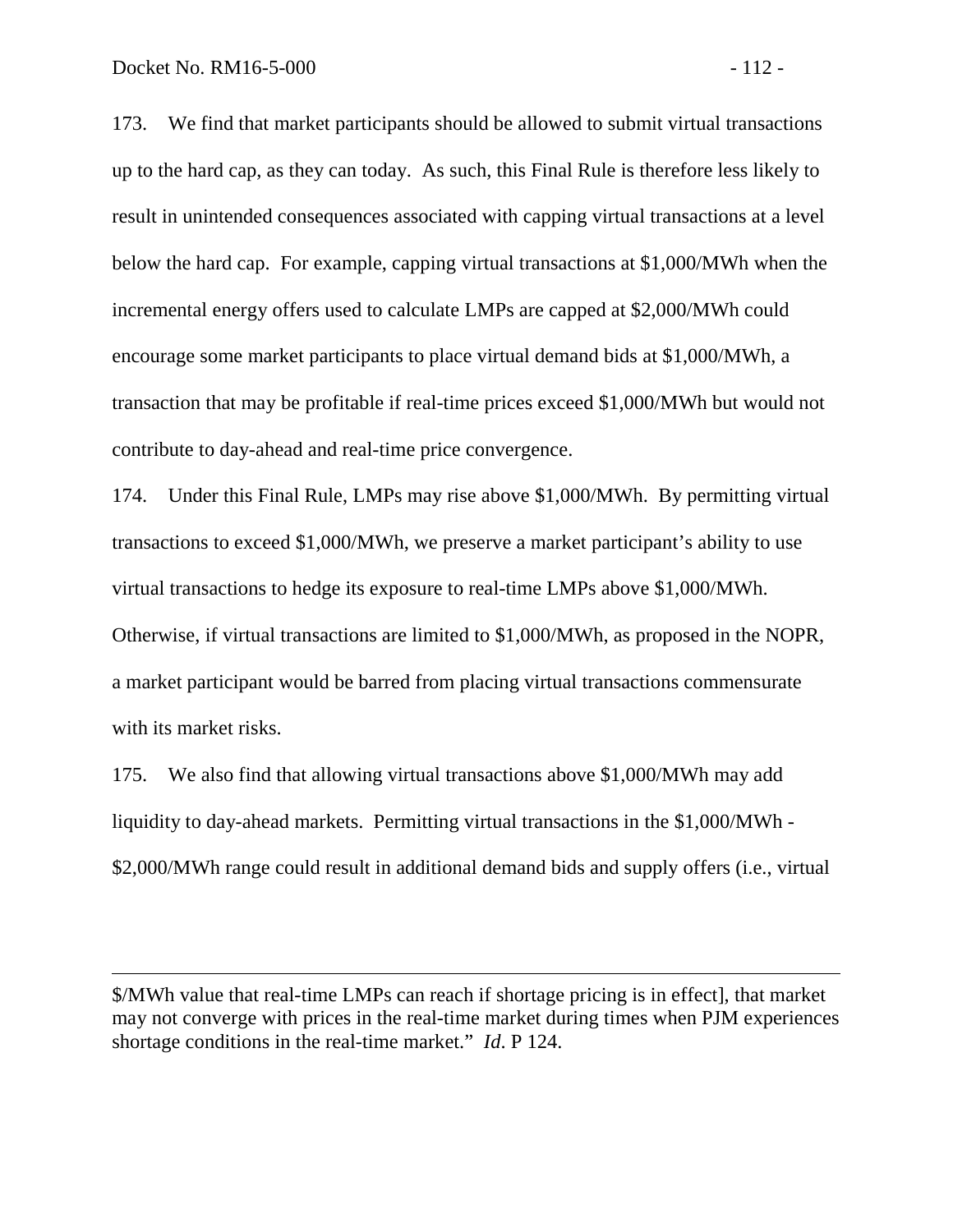$\overline{a}$ 

173. We find that market participants should be allowed to submit virtual transactions up to the hard cap, as they can today. As such, this Final Rule is therefore less likely to result in unintended consequences associated with capping virtual transactions at a level below the hard cap. For example, capping virtual transactions at \$1,000/MWh when the incremental energy offers used to calculate LMPs are capped at \$2,000/MWh could encourage some market participants to place virtual demand bids at \$1,000/MWh, a transaction that may be profitable if real-time prices exceed \$1,000/MWh but would not contribute to day-ahead and real-time price convergence.

174. Under this Final Rule, LMPs may rise above \$1,000/MWh. By permitting virtual transactions to exceed \$1,000/MWh, we preserve a market participant's ability to use virtual transactions to hedge its exposure to real-time LMPs above \$1,000/MWh. Otherwise, if virtual transactions are limited to \$1,000/MWh, as proposed in the NOPR, a market participant would be barred from placing virtual transactions commensurate with its market risks.

175. We also find that allowing virtual transactions above \$1,000/MWh may add liquidity to day-ahead markets. Permitting virtual transactions in the \$1,000/MWh - \$2,000/MWh range could result in additional demand bids and supply offers (i.e., virtual

\$/MWh value that real-time LMPs can reach if shortage pricing is in effect], that market may not converge with prices in the real-time market during times when PJM experiences shortage conditions in the real-time market." *Id*. P 124.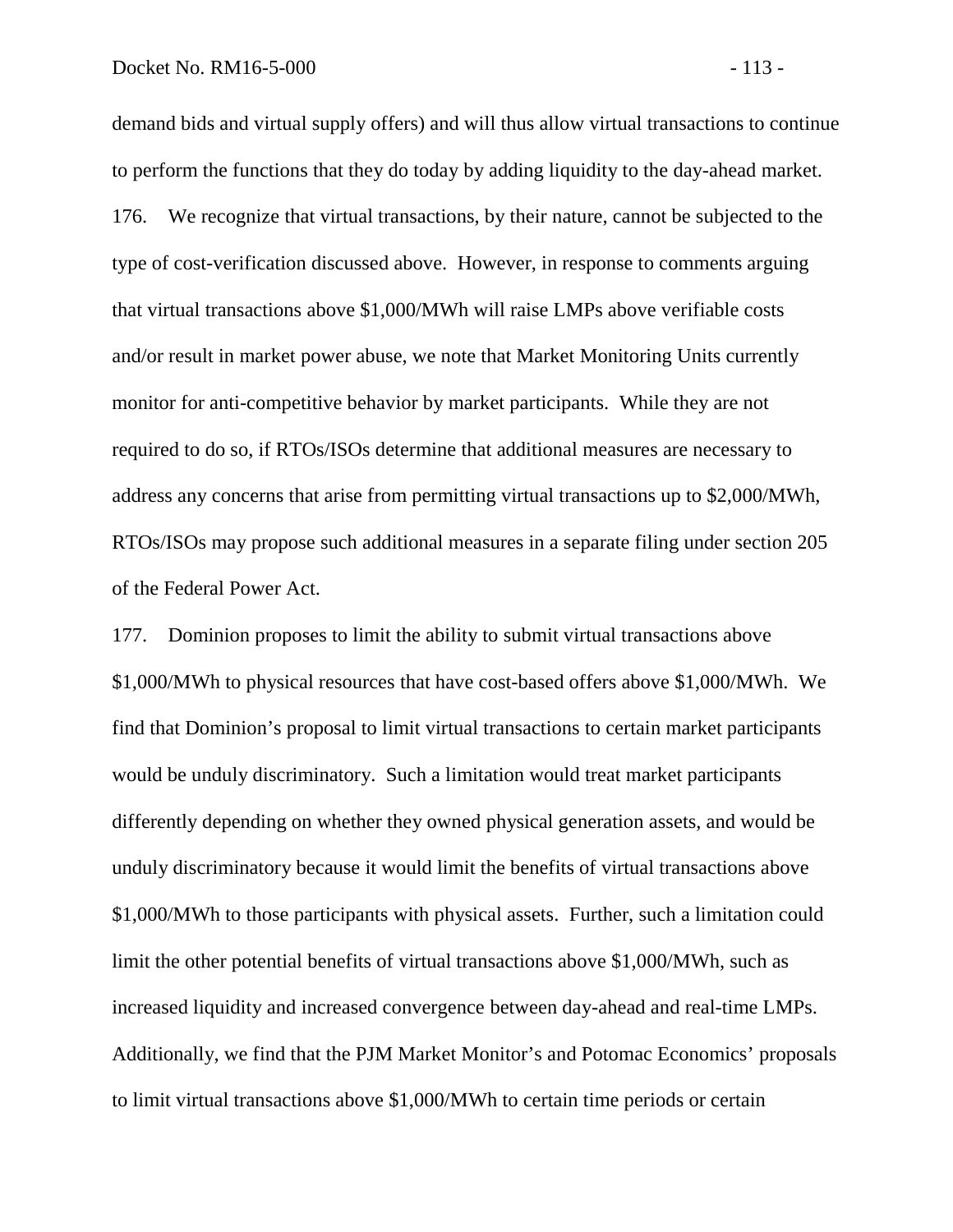demand bids and virtual supply offers) and will thus allow virtual transactions to continue to perform the functions that they do today by adding liquidity to the day-ahead market. 176. We recognize that virtual transactions, by their nature, cannot be subjected to the type of cost-verification discussed above. However, in response to comments arguing that virtual transactions above \$1,000/MWh will raise LMPs above verifiable costs and/or result in market power abuse, we note that Market Monitoring Units currently monitor for anti-competitive behavior by market participants. While they are not required to do so, if RTOs/ISOs determine that additional measures are necessary to address any concerns that arise from permitting virtual transactions up to \$2,000/MWh, RTOs/ISOs may propose such additional measures in a separate filing under section 205 of the Federal Power Act.

177. Dominion proposes to limit the ability to submit virtual transactions above \$1,000/MWh to physical resources that have cost-based offers above \$1,000/MWh. We find that Dominion's proposal to limit virtual transactions to certain market participants would be unduly discriminatory. Such a limitation would treat market participants differently depending on whether they owned physical generation assets, and would be unduly discriminatory because it would limit the benefits of virtual transactions above \$1,000/MWh to those participants with physical assets. Further, such a limitation could limit the other potential benefits of virtual transactions above \$1,000/MWh, such as increased liquidity and increased convergence between day-ahead and real-time LMPs. Additionally, we find that the PJM Market Monitor's and Potomac Economics' proposals to limit virtual transactions above \$1,000/MWh to certain time periods or certain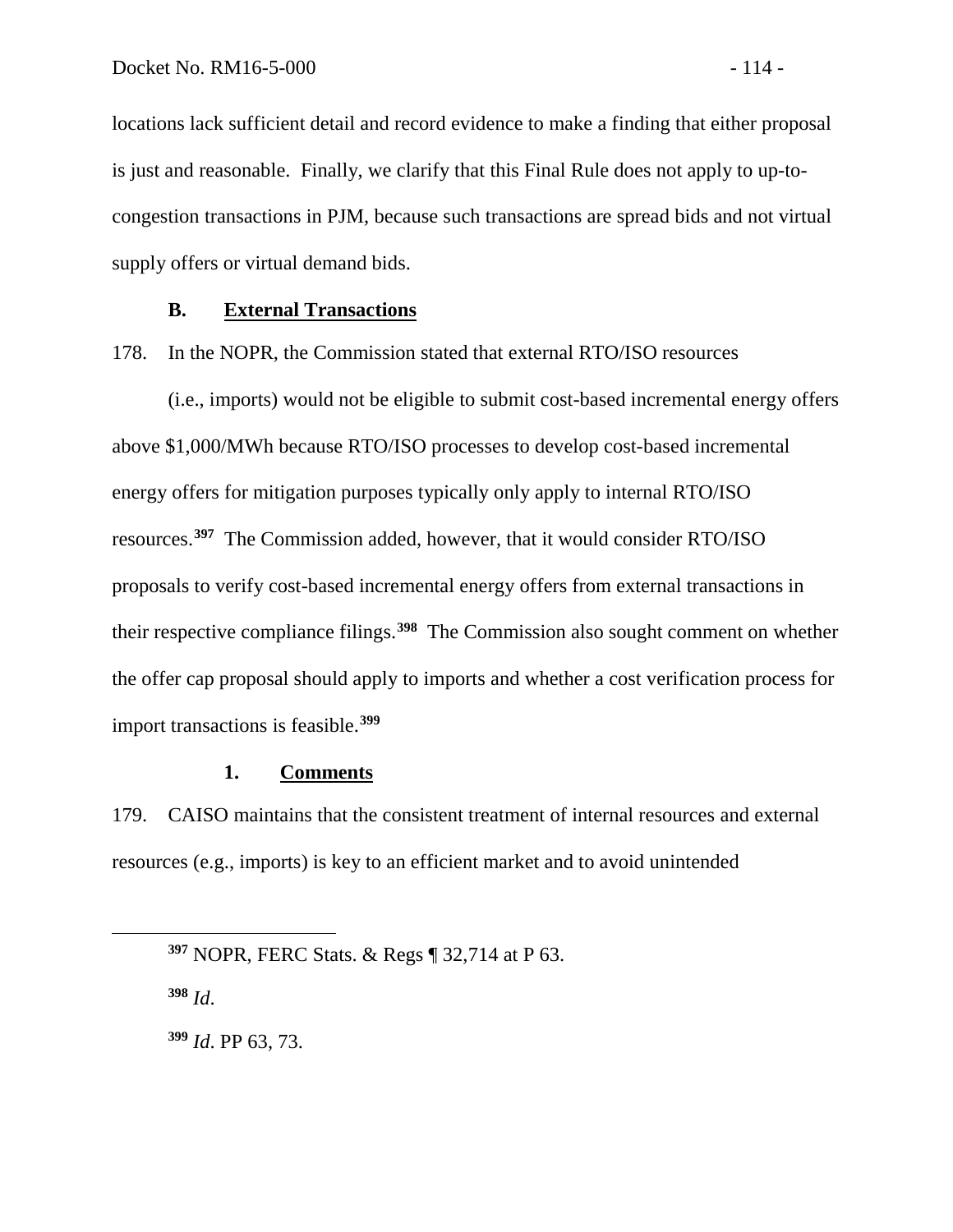locations lack sufficient detail and record evidence to make a finding that either proposal is just and reasonable. Finally, we clarify that this Final Rule does not apply to up-tocongestion transactions in PJM, because such transactions are spread bids and not virtual supply offers or virtual demand bids.

## **B. External Transactions**

178. In the NOPR, the Commission stated that external RTO/ISO resources

(i.e., imports) would not be eligible to submit cost-based incremental energy offers above \$1,000/MWh because RTO/ISO processes to develop cost-based incremental energy offers for mitigation purposes typically only apply to internal RTO/ISO resources.**[397](#page-115-0)** The Commission added, however, that it would consider RTO/ISO proposals to verify cost-based incremental energy offers from external transactions in their respective compliance filings.**[398](#page-115-1)** The Commission also sought comment on whether the offer cap proposal should apply to imports and whether a cost verification process for import transactions is feasible.**[399](#page-115-2)**

## **1. Comments**

179. CAISO maintains that the consistent treatment of internal resources and external resources (e.g., imports) is key to an efficient market and to avoid unintended

**<sup>398</sup>** *Id*.

<span id="page-115-2"></span><span id="page-115-1"></span><span id="page-115-0"></span> $\overline{a}$ 

**<sup>399</sup>** *Id*. PP 63, 73.

**<sup>397</sup>** NOPR, FERC Stats. & Regs ¶ 32,714 at P 63.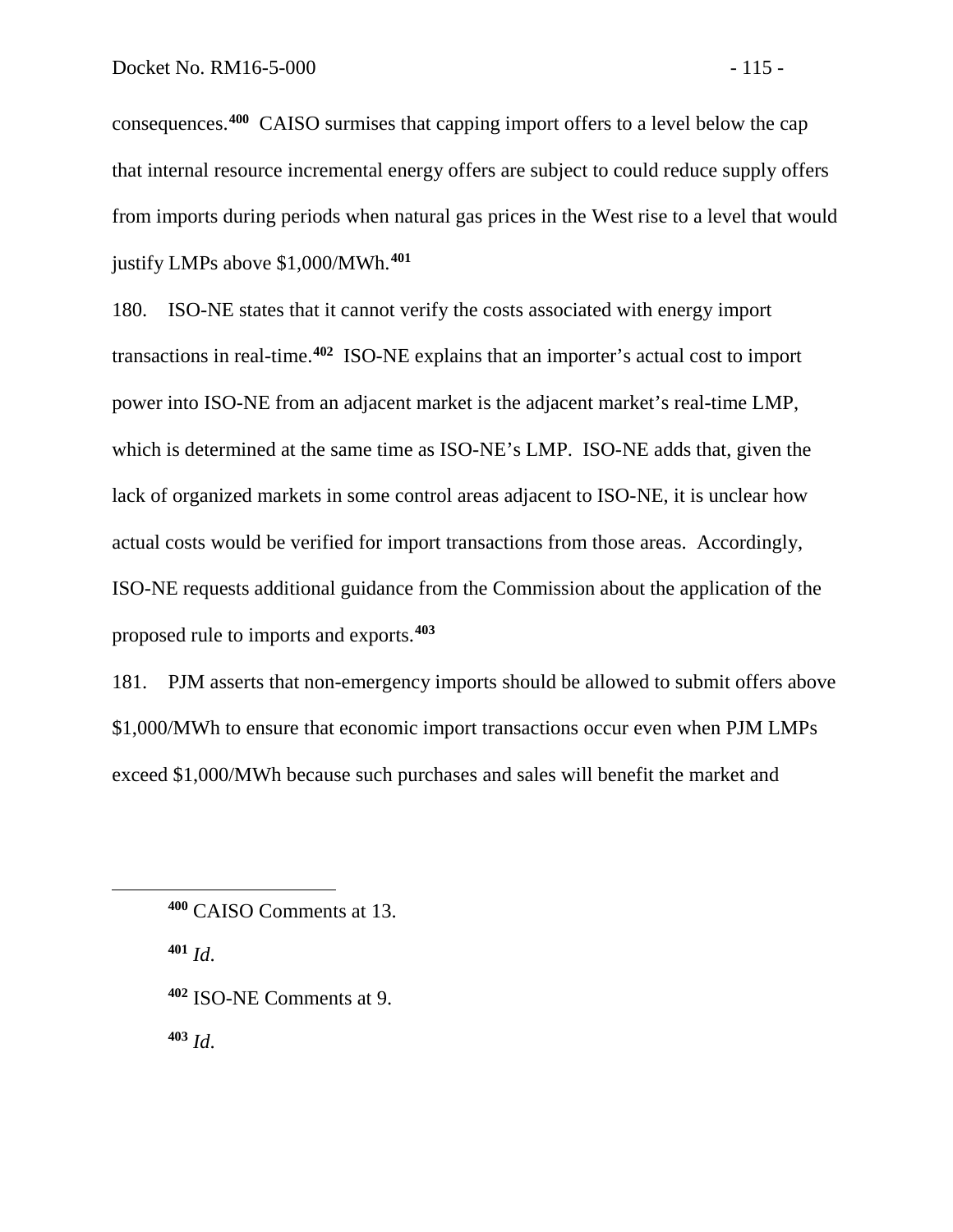consequences.**[400](#page-116-0)** CAISO surmises that capping import offers to a level below the cap that internal resource incremental energy offers are subject to could reduce supply offers from imports during periods when natural gas prices in the West rise to a level that would justify LMPs above \$1,000/MWh.**[401](#page-116-1)**

180. ISO-NE states that it cannot verify the costs associated with energy import transactions in real-time.**[402](#page-116-2)** ISO-NE explains that an importer's actual cost to import power into ISO-NE from an adjacent market is the adjacent market's real-time LMP, which is determined at the same time as ISO-NE's LMP. ISO-NE adds that, given the lack of organized markets in some control areas adjacent to ISO-NE, it is unclear how actual costs would be verified for import transactions from those areas. Accordingly, ISO-NE requests additional guidance from the Commission about the application of the proposed rule to imports and exports.**[403](#page-116-3)**

181. PJM asserts that non-emergency imports should be allowed to submit offers above \$1,000/MWh to ensure that economic import transactions occur even when PJM LMPs exceed \$1,000/MWh because such purchases and sales will benefit the market and

**<sup>401</sup>** *Id*.

<span id="page-116-2"></span><span id="page-116-1"></span><span id="page-116-0"></span> $\overline{a}$ 

**<sup>402</sup>** ISO-NE Comments at 9.

<span id="page-116-3"></span>**<sup>403</sup>** *Id*.

**<sup>400</sup>** CAISO Comments at 13.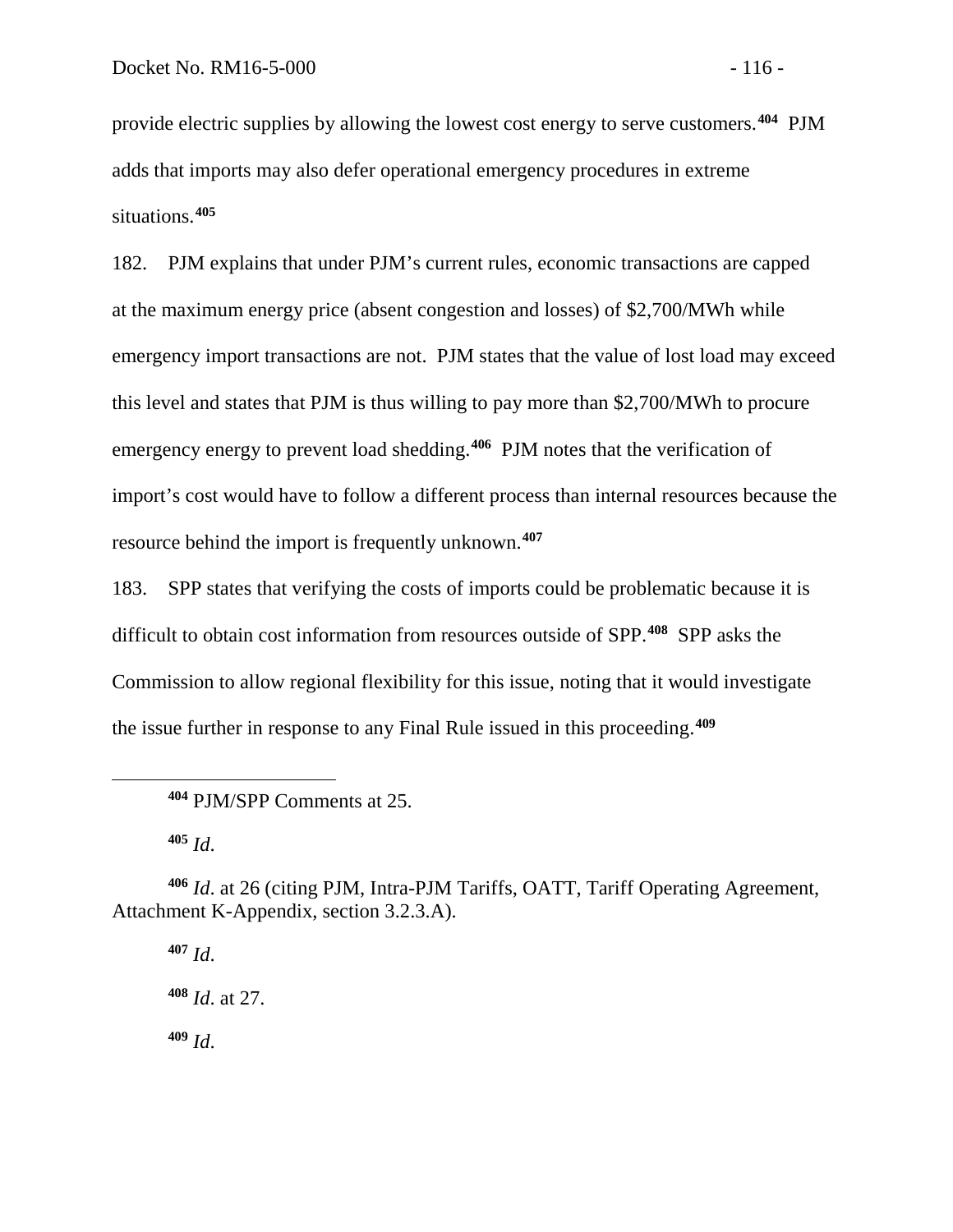provide electric supplies by allowing the lowest cost energy to serve customers.**[404](#page-117-0)** PJM adds that imports may also defer operational emergency procedures in extreme situations.**[405](#page-117-1)**

182. PJM explains that under PJM's current rules, economic transactions are capped at the maximum energy price (absent congestion and losses) of \$2,700/MWh while emergency import transactions are not. PJM states that the value of lost load may exceed this level and states that PJM is thus willing to pay more than \$2,700/MWh to procure emergency energy to prevent load shedding.**[406](#page-117-2)** PJM notes that the verification of import's cost would have to follow a different process than internal resources because the resource behind the import is frequently unknown.**[407](#page-117-3)**

183. SPP states that verifying the costs of imports could be problematic because it is difficult to obtain cost information from resources outside of SPP.**[408](#page-117-4)** SPP asks the Commission to allow regional flexibility for this issue, noting that it would investigate the issue further in response to any Final Rule issued in this proceeding.**[409](#page-117-5)**

**<sup>405</sup>** *Id*.

<span id="page-117-0"></span> $\overline{a}$ 

<span id="page-117-4"></span><span id="page-117-3"></span><span id="page-117-2"></span><span id="page-117-1"></span>**<sup>406</sup>** *Id*. at 26 (citing PJM, Intra-PJM Tariffs, OATT, Tariff Operating Agreement, Attachment K-Appendix, section 3.2.3.A).

<span id="page-117-5"></span>**<sup>407</sup>** *Id*. **<sup>408</sup>** *Id*. at 27. **<sup>409</sup>** *Id*.

**<sup>404</sup>** PJM/SPP Comments at 25.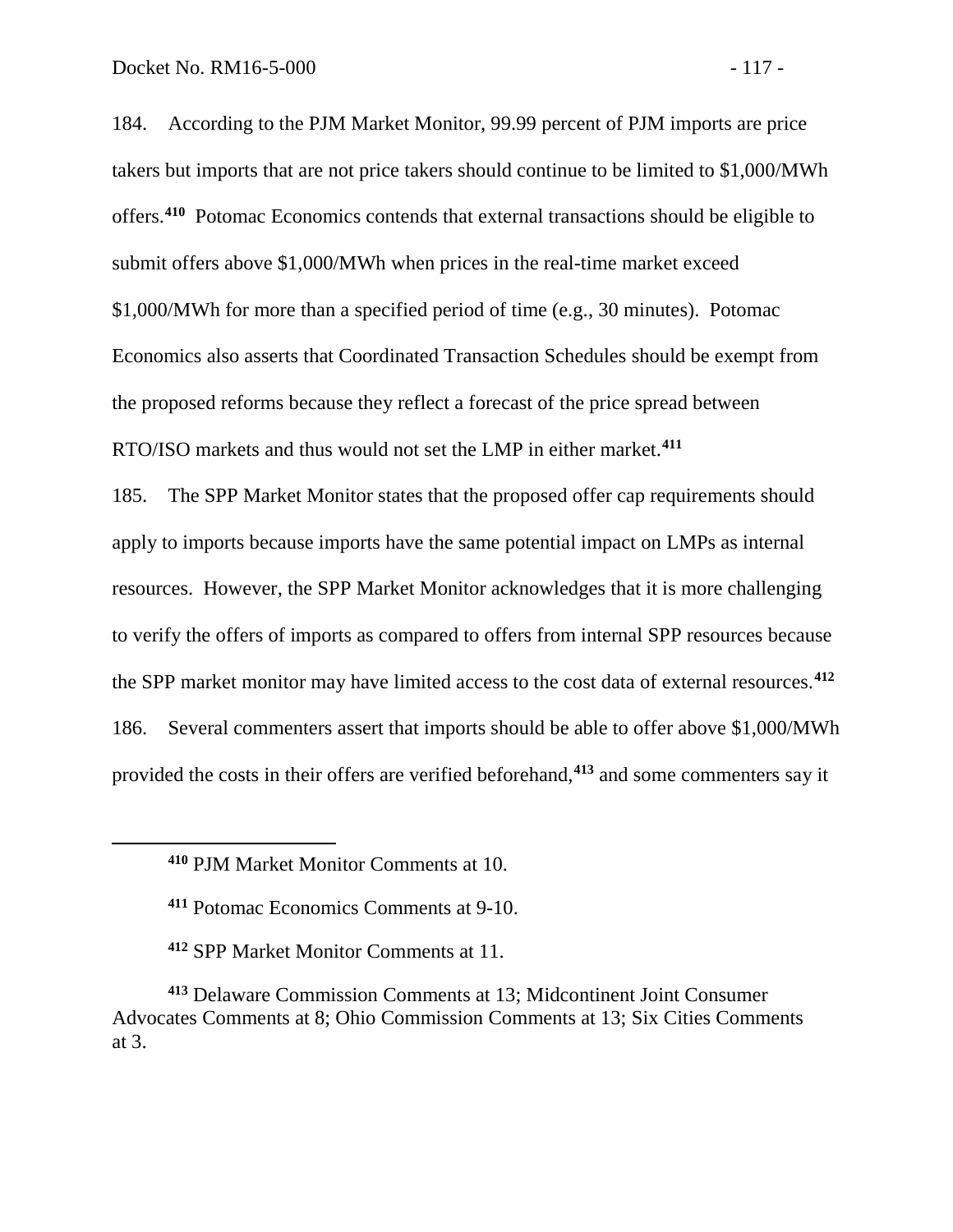184. According to the PJM Market Monitor, 99.99 percent of PJM imports are price takers but imports that are not price takers should continue to be limited to \$1,000/MWh offers.**[410](#page-118-0)** Potomac Economics contends that external transactions should be eligible to submit offers above \$1,000/MWh when prices in the real-time market exceed \$1,000/MWh for more than a specified period of time (e.g., 30 minutes). Potomac Economics also asserts that Coordinated Transaction Schedules should be exempt from the proposed reforms because they reflect a forecast of the price spread between RTO/ISO markets and thus would not set the LMP in either market.**[411](#page-118-1)**

185. The SPP Market Monitor states that the proposed offer cap requirements should apply to imports because imports have the same potential impact on LMPs as internal resources. However, the SPP Market Monitor acknowledges that it is more challenging to verify the offers of imports as compared to offers from internal SPP resources because the SPP market monitor may have limited access to the cost data of external resources.**[412](#page-118-2)** 186. Several commenters assert that imports should be able to offer above \$1,000/MWh provided the costs in their offers are verified beforehand,**[413](#page-118-3)** and some commenters say it

<span id="page-118-0"></span>**<sup>410</sup>** PJM Market Monitor Comments at 10.

**<sup>411</sup>** Potomac Economics Comments at 9-10.

**<sup>412</sup>** SPP Market Monitor Comments at 11.

<span id="page-118-3"></span><span id="page-118-2"></span><span id="page-118-1"></span>**<sup>413</sup>** Delaware Commission Comments at 13; Midcontinent Joint Consumer Advocates Comments at 8; Ohio Commission Comments at 13; Six Cities Comments at 3.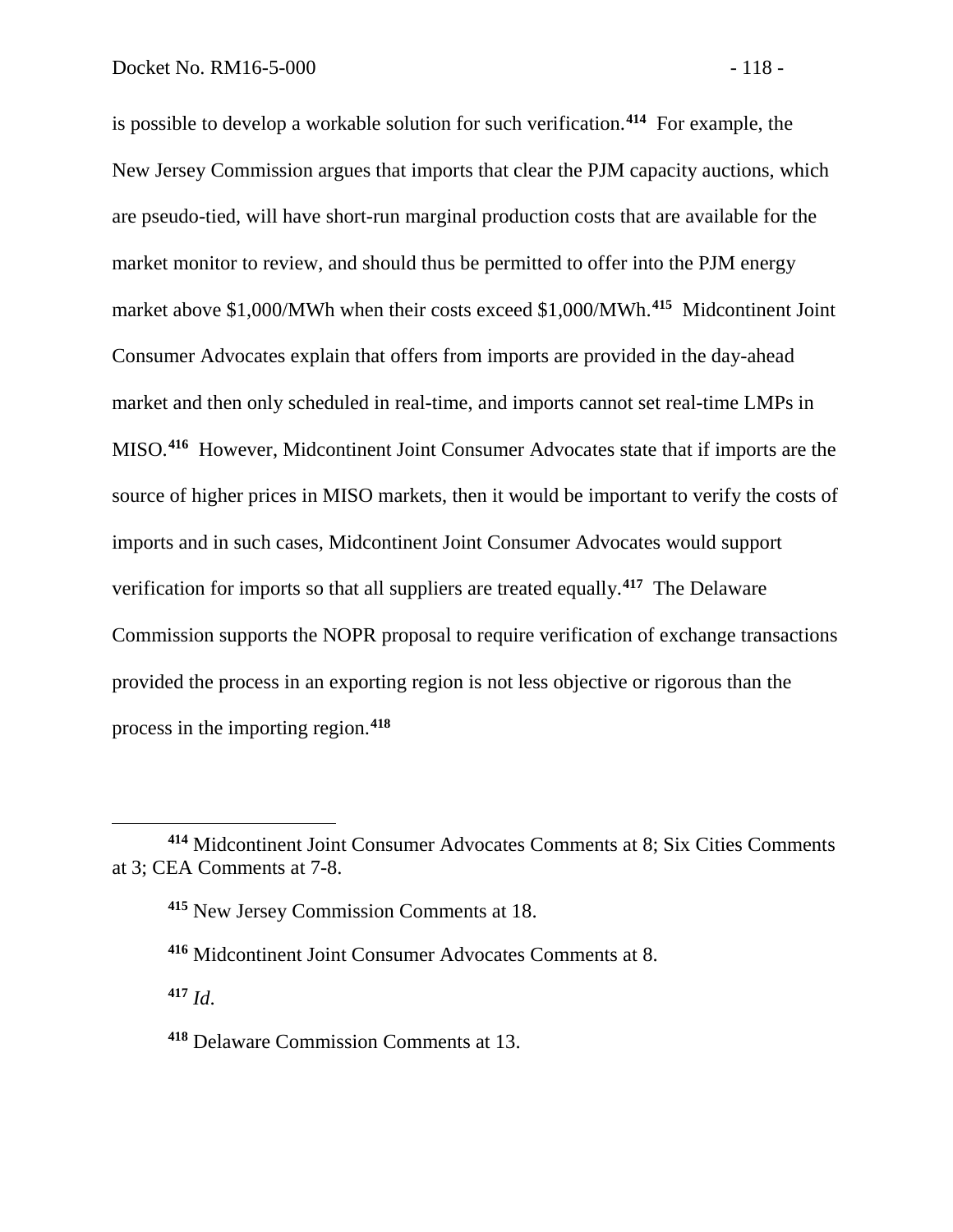is possible to develop a workable solution for such verification.**[414](#page-119-0)** For example, the New Jersey Commission argues that imports that clear the PJM capacity auctions, which are pseudo-tied, will have short-run marginal production costs that are available for the market monitor to review, and should thus be permitted to offer into the PJM energy market above \$1,000/MWh when their costs exceed \$1,000/MWh.**[415](#page-119-1)** Midcontinent Joint Consumer Advocates explain that offers from imports are provided in the day-ahead market and then only scheduled in real-time, and imports cannot set real-time LMPs in MISO.**[416](#page-119-2)** However, Midcontinent Joint Consumer Advocates state that if imports are the source of higher prices in MISO markets, then it would be important to verify the costs of imports and in such cases, Midcontinent Joint Consumer Advocates would support verification for imports so that all suppliers are treated equally.**[417](#page-119-3)** The Delaware Commission supports the NOPR proposal to require verification of exchange transactions provided the process in an exporting region is not less objective or rigorous than the process in the importing region.**[418](#page-119-4)**

<span id="page-119-3"></span>**<sup>417</sup>** *Id*.

<span id="page-119-2"></span><span id="page-119-1"></span><span id="page-119-0"></span>**<sup>414</sup>** Midcontinent Joint Consumer Advocates Comments at 8; Six Cities Comments at 3; CEA Comments at 7-8.

**<sup>415</sup>** New Jersey Commission Comments at 18.

**<sup>416</sup>** Midcontinent Joint Consumer Advocates Comments at 8.

<span id="page-119-4"></span>**<sup>418</sup>** Delaware Commission Comments at 13.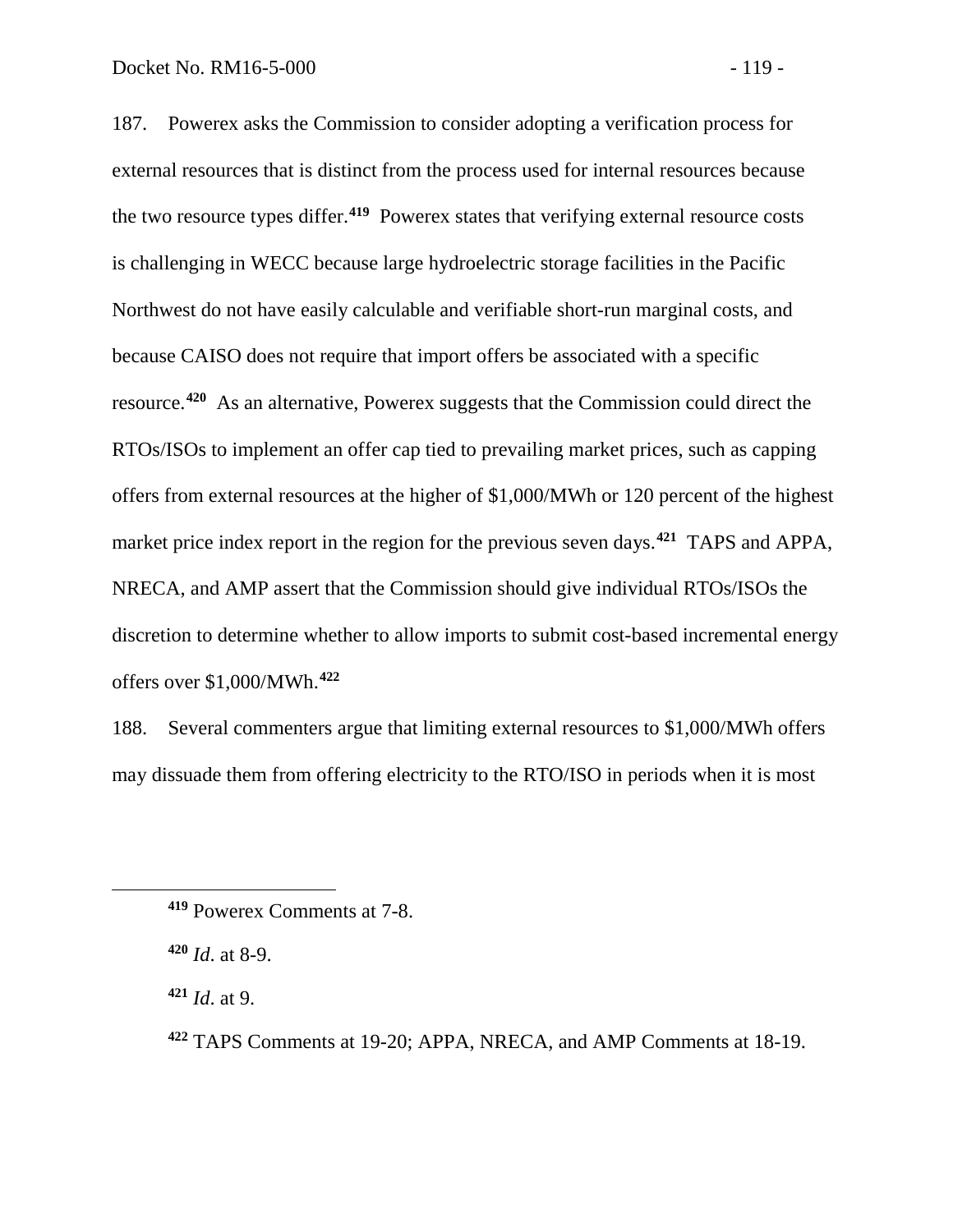187. Powerex asks the Commission to consider adopting a verification process for external resources that is distinct from the process used for internal resources because the two resource types differ.**[419](#page-120-0)** Powerex states that verifying external resource costs is challenging in WECC because large hydroelectric storage facilities in the Pacific Northwest do not have easily calculable and verifiable short-run marginal costs, and because CAISO does not require that import offers be associated with a specific resource.**[420](#page-120-1)** As an alternative, Powerex suggests that the Commission could direct the RTOs/ISOs to implement an offer cap tied to prevailing market prices, such as capping offers from external resources at the higher of \$1,000/MWh or 120 percent of the highest market price index report in the region for the previous seven days.**[421](#page-120-2)** TAPS and APPA, NRECA, and AMP assert that the Commission should give individual RTOs/ISOs the discretion to determine whether to allow imports to submit cost-based incremental energy offers over \$1,000/MWh.**[422](#page-120-3)**

188. Several commenters argue that limiting external resources to \$1,000/MWh offers may dissuade them from offering electricity to the RTO/ISO in periods when it is most

<span id="page-120-0"></span>**<sup>419</sup>** Powerex Comments at 7-8.

<span id="page-120-1"></span>**<sup>420</sup>** *Id*. at 8-9.

<span id="page-120-2"></span>**<sup>421</sup>** *Id*. at 9.

<span id="page-120-3"></span>**<sup>422</sup>** TAPS Comments at 19-20; APPA, NRECA, and AMP Comments at 18-19.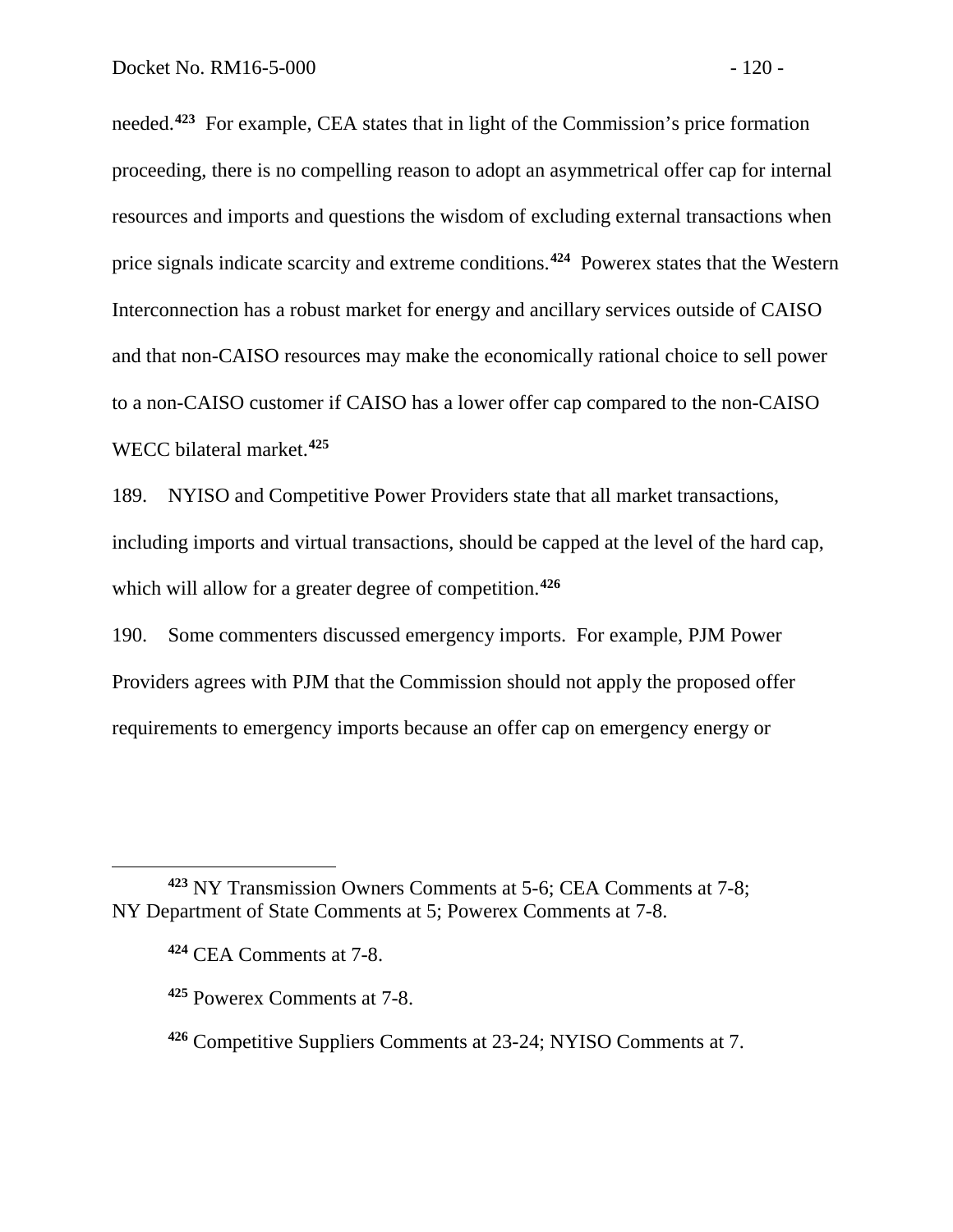needed.**[423](#page-121-0)** For example, CEA states that in light of the Commission's price formation proceeding, there is no compelling reason to adopt an asymmetrical offer cap for internal resources and imports and questions the wisdom of excluding external transactions when price signals indicate scarcity and extreme conditions.**[424](#page-121-1)** Powerex states that the Western Interconnection has a robust market for energy and ancillary services outside of CAISO and that non-CAISO resources may make the economically rational choice to sell power to a non-CAISO customer if CAISO has a lower offer cap compared to the non-CAISO WECC bilateral market.**[425](#page-121-2)**

189. NYISO and Competitive Power Providers state that all market transactions, including imports and virtual transactions, should be capped at the level of the hard cap, which will allow for a greater degree of competition.**[426](#page-121-3)**

190. Some commenters discussed emergency imports. For example, PJM Power Providers agrees with PJM that the Commission should not apply the proposed offer requirements to emergency imports because an offer cap on emergency energy or

<span id="page-121-2"></span><span id="page-121-1"></span><span id="page-121-0"></span>**<sup>423</sup>** NY Transmission Owners Comments at 5-6; CEA Comments at 7-8; NY Department of State Comments at 5; Powerex Comments at 7-8.

**<sup>424</sup>** CEA Comments at 7-8.

**<sup>425</sup>** Powerex Comments at 7-8.

<span id="page-121-3"></span>**<sup>426</sup>** Competitive Suppliers Comments at 23-24; NYISO Comments at 7.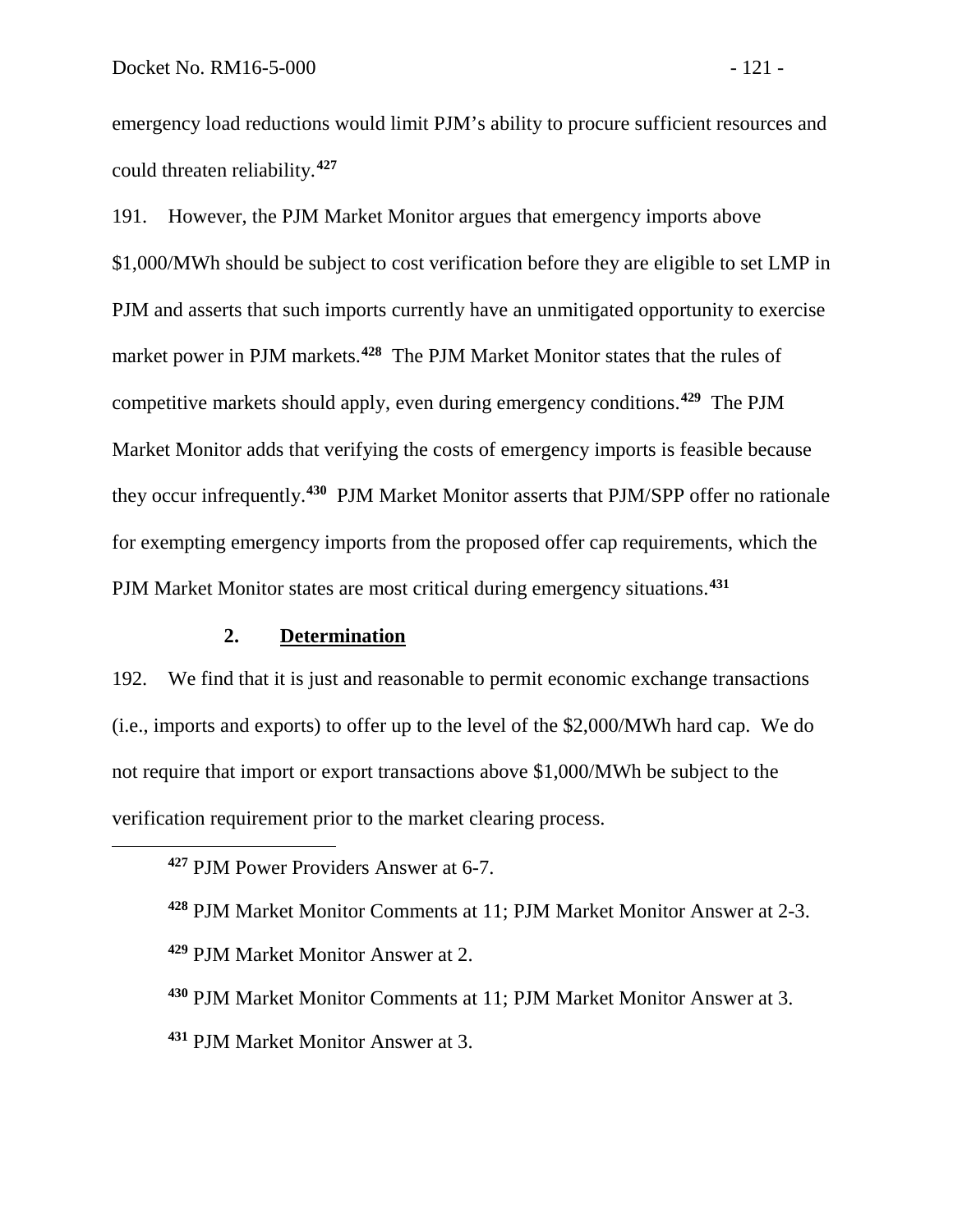emergency load reductions would limit PJM's ability to procure sufficient resources and could threaten reliability.**[427](#page-122-0)**

191. However, the PJM Market Monitor argues that emergency imports above \$1,000/MWh should be subject to cost verification before they are eligible to set LMP in PJM and asserts that such imports currently have an unmitigated opportunity to exercise market power in PJM markets.**[428](#page-122-1)** The PJM Market Monitor states that the rules of competitive markets should apply, even during emergency conditions.**[429](#page-122-2)** The PJM Market Monitor adds that verifying the costs of emergency imports is feasible because they occur infrequently.**[430](#page-122-3)** PJM Market Monitor asserts that PJM/SPP offer no rationale for exempting emergency imports from the proposed offer cap requirements, which the PJM Market Monitor states are most critical during emergency situations.**[431](#page-122-4)**

### **2. Determination**

192. We find that it is just and reasonable to permit economic exchange transactions (i.e., imports and exports) to offer up to the level of the \$2,000/MWh hard cap. We do not require that import or export transactions above \$1,000/MWh be subject to the verification requirement prior to the market clearing process.

<span id="page-122-2"></span><span id="page-122-1"></span><span id="page-122-0"></span> $\overline{a}$ 

**<sup>428</sup>** PJM Market Monitor Comments at 11; PJM Market Monitor Answer at 2-3. **<sup>429</sup>** PJM Market Monitor Answer at 2.

<span id="page-122-4"></span><span id="page-122-3"></span>**<sup>430</sup>** PJM Market Monitor Comments at 11; PJM Market Monitor Answer at 3. **<sup>431</sup>** PJM Market Monitor Answer at 3.

**<sup>427</sup>** PJM Power Providers Answer at 6-7.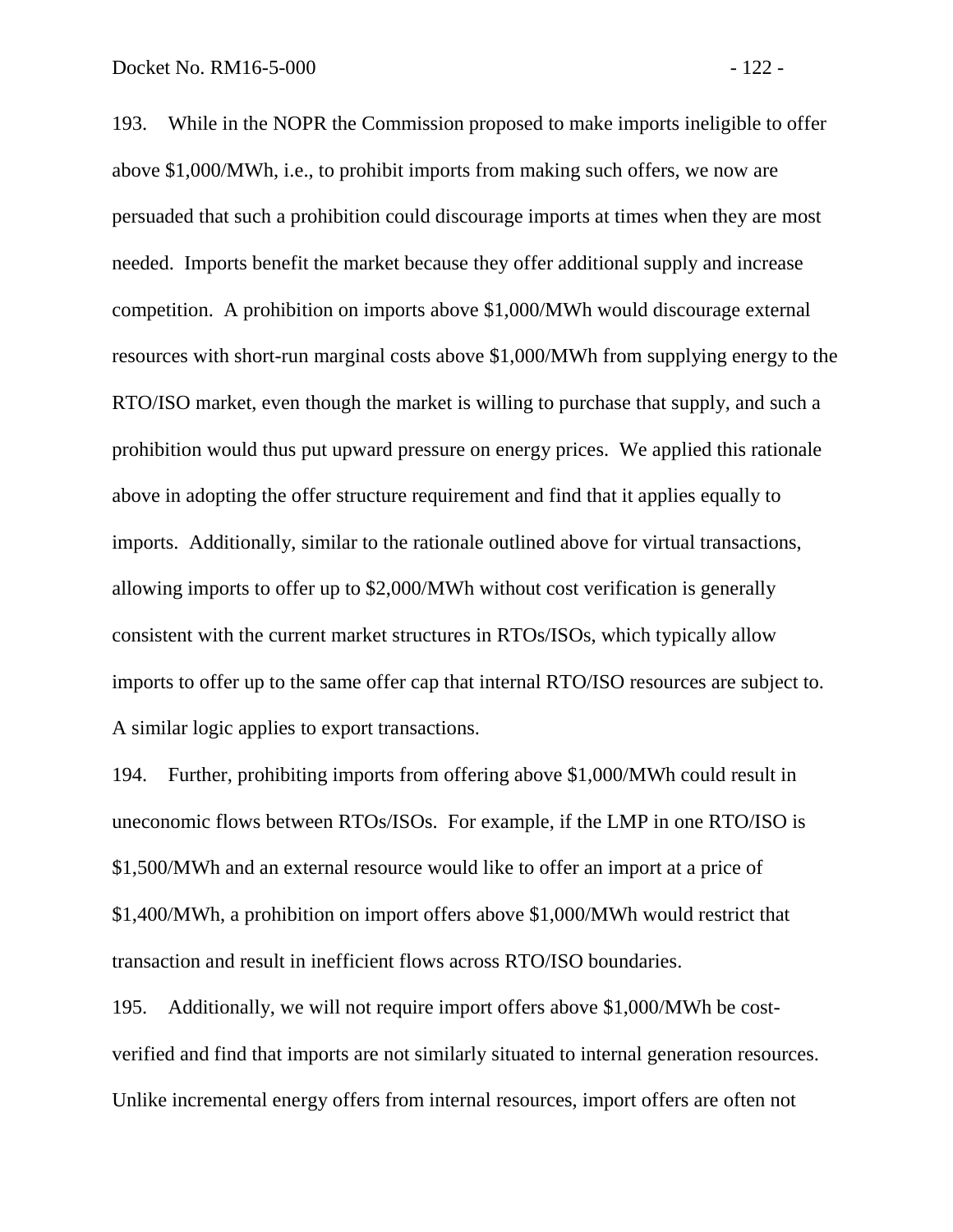193. While in the NOPR the Commission proposed to make imports ineligible to offer above \$1,000/MWh, i.e., to prohibit imports from making such offers, we now are persuaded that such a prohibition could discourage imports at times when they are most needed. Imports benefit the market because they offer additional supply and increase competition. A prohibition on imports above \$1,000/MWh would discourage external resources with short-run marginal costs above \$1,000/MWh from supplying energy to the RTO/ISO market, even though the market is willing to purchase that supply, and such a prohibition would thus put upward pressure on energy prices. We applied this rationale above in adopting the offer structure requirement and find that it applies equally to imports. Additionally, similar to the rationale outlined above for virtual transactions, allowing imports to offer up to \$2,000/MWh without cost verification is generally consistent with the current market structures in RTOs/ISOs, which typically allow imports to offer up to the same offer cap that internal RTO/ISO resources are subject to. A similar logic applies to export transactions.

194. Further, prohibiting imports from offering above \$1,000/MWh could result in uneconomic flows between RTOs/ISOs. For example, if the LMP in one RTO/ISO is \$1,500/MWh and an external resource would like to offer an import at a price of \$1,400/MWh, a prohibition on import offers above \$1,000/MWh would restrict that transaction and result in inefficient flows across RTO/ISO boundaries.

195. Additionally, we will not require import offers above \$1,000/MWh be costverified and find that imports are not similarly situated to internal generation resources. Unlike incremental energy offers from internal resources, import offers are often not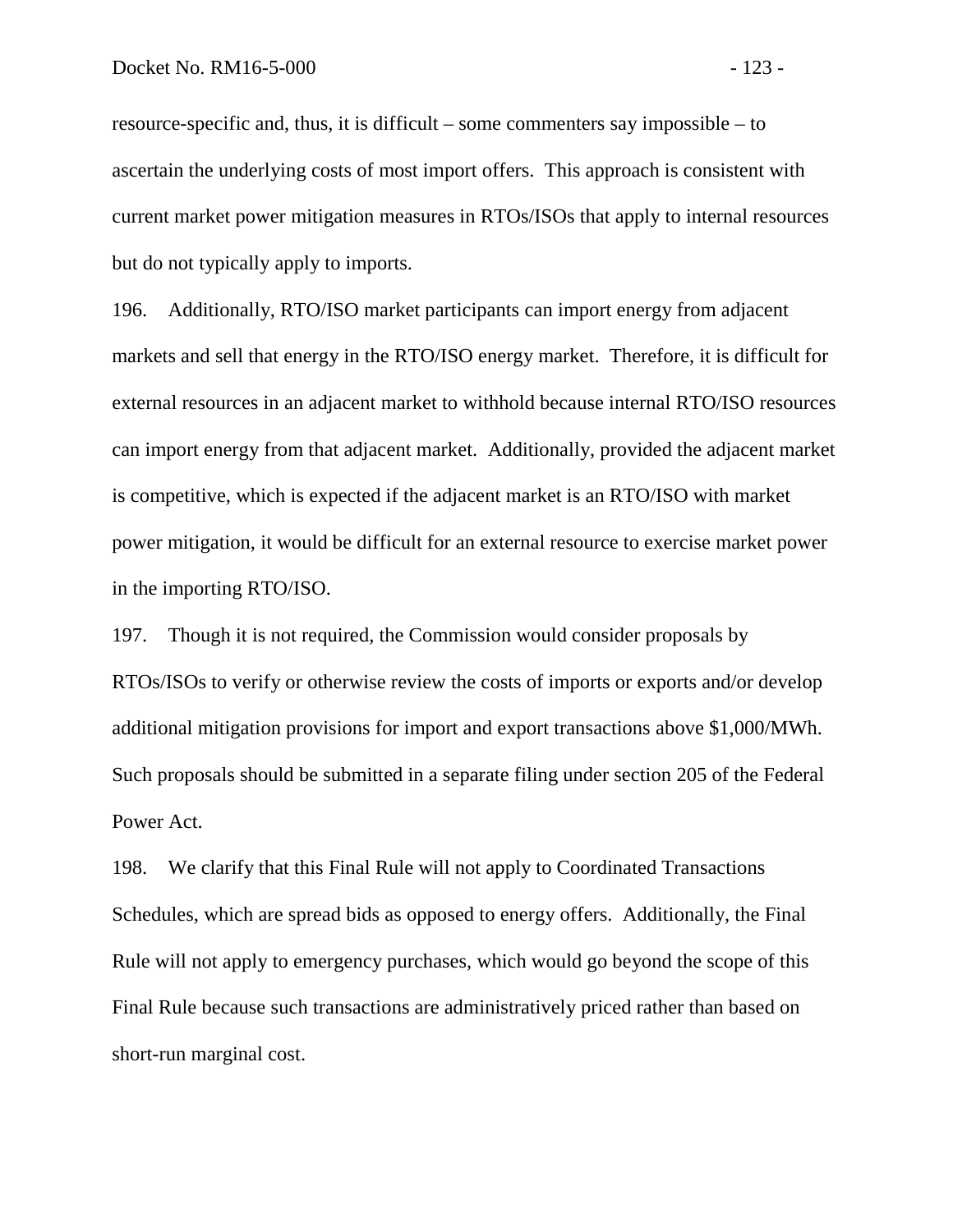resource-specific and, thus, it is difficult – some commenters say impossible – to ascertain the underlying costs of most import offers. This approach is consistent with current market power mitigation measures in RTOs/ISOs that apply to internal resources but do not typically apply to imports.

196. Additionally, RTO/ISO market participants can import energy from adjacent markets and sell that energy in the RTO/ISO energy market. Therefore, it is difficult for external resources in an adjacent market to withhold because internal RTO/ISO resources can import energy from that adjacent market. Additionally, provided the adjacent market is competitive, which is expected if the adjacent market is an RTO/ISO with market power mitigation, it would be difficult for an external resource to exercise market power in the importing RTO/ISO.

197. Though it is not required, the Commission would consider proposals by RTOs/ISOs to verify or otherwise review the costs of imports or exports and/or develop additional mitigation provisions for import and export transactions above \$1,000/MWh. Such proposals should be submitted in a separate filing under section 205 of the Federal Power Act.

198. We clarify that this Final Rule will not apply to Coordinated Transactions Schedules, which are spread bids as opposed to energy offers. Additionally, the Final Rule will not apply to emergency purchases, which would go beyond the scope of this Final Rule because such transactions are administratively priced rather than based on short-run marginal cost.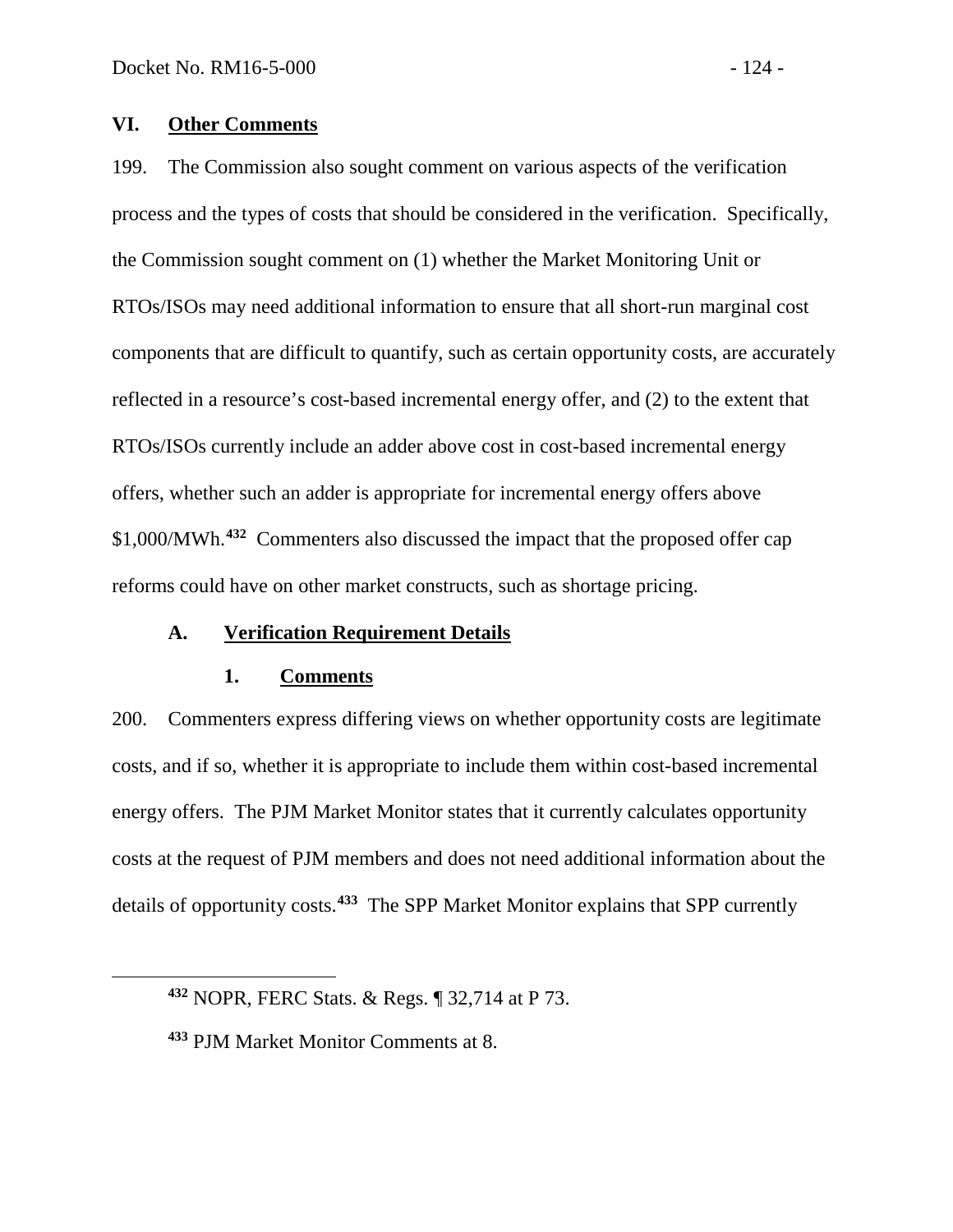## **VI. Other Comments**

199. The Commission also sought comment on various aspects of the verification process and the types of costs that should be considered in the verification. Specifically, the Commission sought comment on (1) whether the Market Monitoring Unit or RTOs/ISOs may need additional information to ensure that all short-run marginal cost components that are difficult to quantify, such as certain opportunity costs, are accurately reflected in a resource's cost-based incremental energy offer, and (2) to the extent that RTOs/ISOs currently include an adder above cost in cost-based incremental energy offers, whether such an adder is appropriate for incremental energy offers above \$1,000/MWh.**[432](#page-125-0)** Commenters also discussed the impact that the proposed offer cap reforms could have on other market constructs, such as shortage pricing.

#### **A. Verification Requirement Details**

#### **1. Comments**

200. Commenters express differing views on whether opportunity costs are legitimate costs, and if so, whether it is appropriate to include them within cost-based incremental energy offers. The PJM Market Monitor states that it currently calculates opportunity costs at the request of PJM members and does not need additional information about the details of opportunity costs.**[433](#page-125-1)** The SPP Market Monitor explains that SPP currently

<span id="page-125-0"></span>**<sup>432</sup>** NOPR, FERC Stats. & Regs. ¶ 32,714 at P 73.

<span id="page-125-1"></span>**<sup>433</sup>** PJM Market Monitor Comments at 8.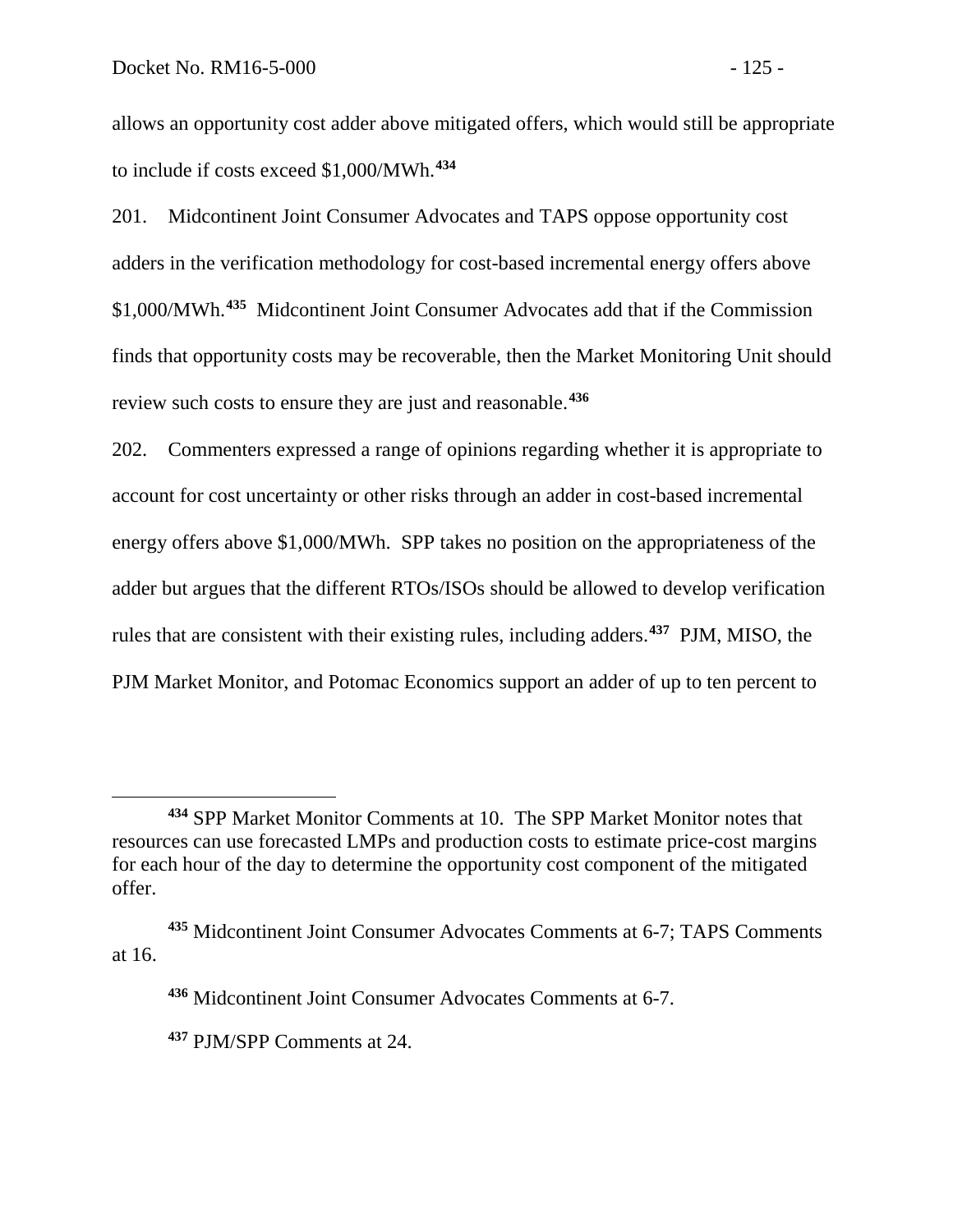allows an opportunity cost adder above mitigated offers, which would still be appropriate to include if costs exceed \$1,000/MWh.**[434](#page-126-0)**

201. Midcontinent Joint Consumer Advocates and TAPS oppose opportunity cost adders in the verification methodology for cost-based incremental energy offers above \$1,000/MWh.**[435](#page-126-1)** Midcontinent Joint Consumer Advocates add that if the Commission finds that opportunity costs may be recoverable, then the Market Monitoring Unit should review such costs to ensure they are just and reasonable.**[436](#page-126-2)**

202. Commenters expressed a range of opinions regarding whether it is appropriate to account for cost uncertainty or other risks through an adder in cost-based incremental energy offers above \$1,000/MWh. SPP takes no position on the appropriateness of the adder but argues that the different RTOs/ISOs should be allowed to develop verification rules that are consistent with their existing rules, including adders.**[437](#page-126-3)** PJM, MISO, the PJM Market Monitor, and Potomac Economics support an adder of up to ten percent to

<span id="page-126-0"></span>**<sup>434</sup>** SPP Market Monitor Comments at 10. The SPP Market Monitor notes that resources can use forecasted LMPs and production costs to estimate price-cost margins for each hour of the day to determine the opportunity cost component of the mitigated offer.

<span id="page-126-3"></span><span id="page-126-2"></span><span id="page-126-1"></span>**<sup>435</sup>** Midcontinent Joint Consumer Advocates Comments at 6-7; TAPS Comments at 16.

**<sup>436</sup>** Midcontinent Joint Consumer Advocates Comments at 6-7.

**<sup>437</sup>** PJM/SPP Comments at 24.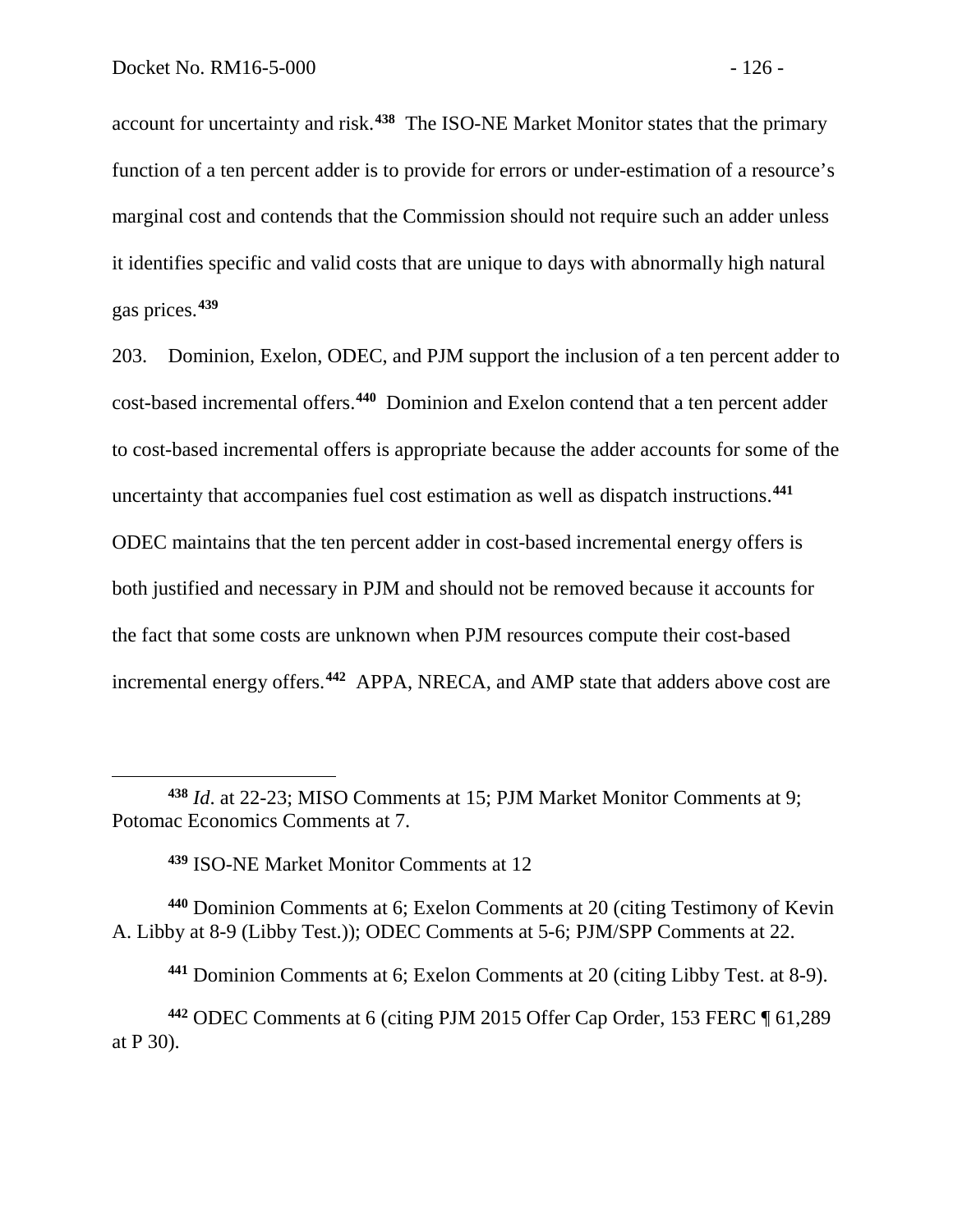$\overline{a}$ 

account for uncertainty and risk.**[438](#page-127-0)** The ISO-NE Market Monitor states that the primary function of a ten percent adder is to provide for errors or under-estimation of a resource's marginal cost and contends that the Commission should not require such an adder unless it identifies specific and valid costs that are unique to days with abnormally high natural gas prices.**[439](#page-127-1)**

203. Dominion, Exelon, ODEC, and PJM support the inclusion of a ten percent adder to cost-based incremental offers.**[440](#page-127-2)** Dominion and Exelon contend that a ten percent adder to cost-based incremental offers is appropriate because the adder accounts for some of the uncertainty that accompanies fuel cost estimation as well as dispatch instructions.**[441](#page-127-3)** ODEC maintains that the ten percent adder in cost-based incremental energy offers is both justified and necessary in PJM and should not be removed because it accounts for the fact that some costs are unknown when PJM resources compute their cost-based incremental energy offers.**[442](#page-127-4)** APPA, NRECA, and AMP state that adders above cost are

<span id="page-127-2"></span><span id="page-127-1"></span>**<sup>440</sup>** Dominion Comments at 6; Exelon Comments at 20 (citing Testimony of Kevin A. Libby at 8-9 (Libby Test.)); ODEC Comments at 5-6; PJM/SPP Comments at 22.

**<sup>441</sup>** Dominion Comments at 6; Exelon Comments at 20 (citing Libby Test. at 8-9).

<span id="page-127-4"></span><span id="page-127-3"></span>**<sup>442</sup>** ODEC Comments at 6 (citing PJM 2015 Offer Cap Order, 153 FERC ¶ 61,289 at P 30).

<span id="page-127-0"></span>**<sup>438</sup>** *Id*. at 22-23; MISO Comments at 15; PJM Market Monitor Comments at 9; Potomac Economics Comments at 7.

**<sup>439</sup>** ISO-NE Market Monitor Comments at 12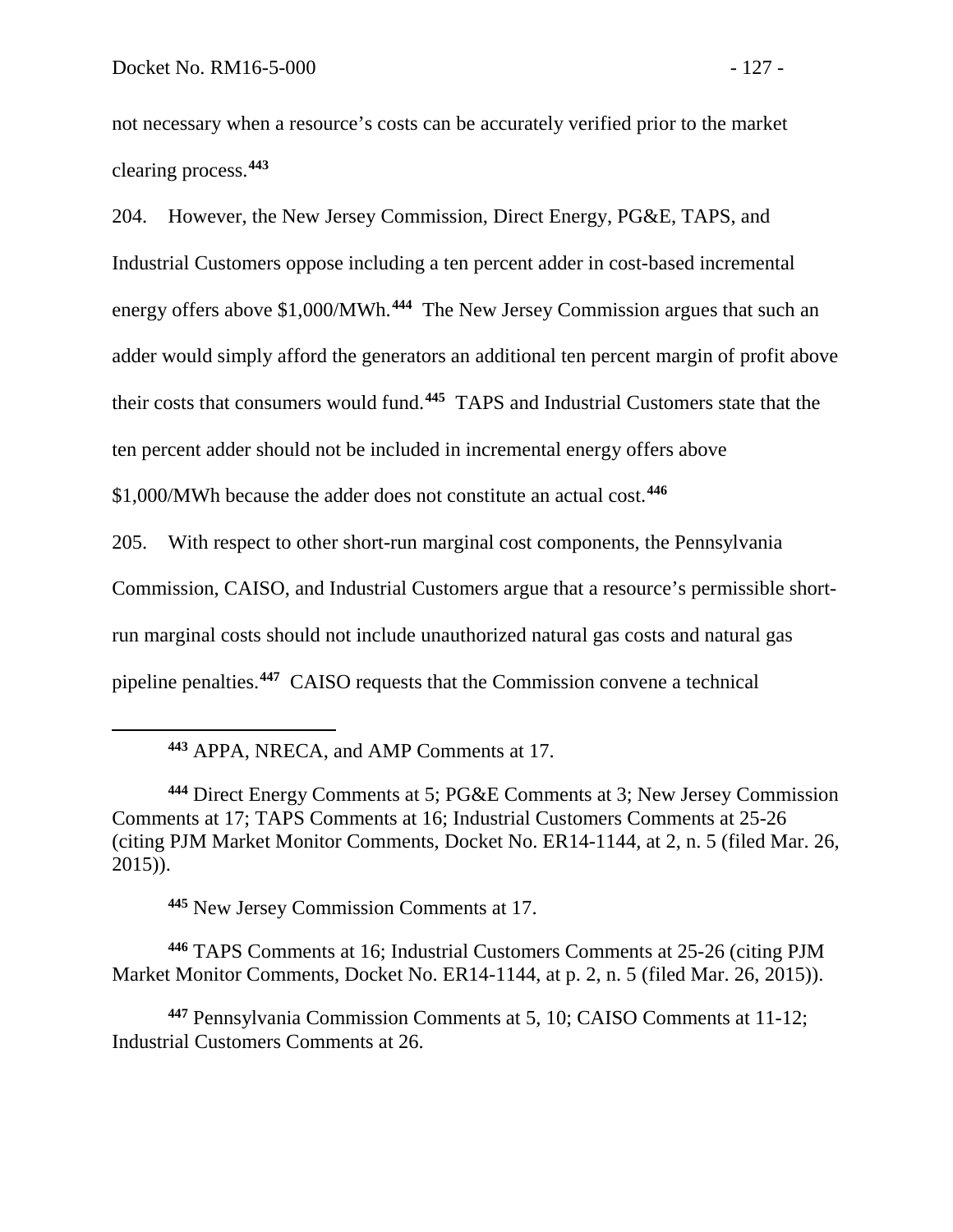<span id="page-128-0"></span> $\overline{a}$ 

not necessary when a resource's costs can be accurately verified prior to the market clearing process. **[443](#page-128-0)**

204. However, the New Jersey Commission, Direct Energy, PG&E, TAPS, and Industrial Customers oppose including a ten percent adder in cost-based incremental energy offers above \$1,000/MWh.<sup>[444](#page-128-1)</sup> The New Jersey Commission argues that such an adder would simply afford the generators an additional ten percent margin of profit above their costs that consumers would fund.**[445](#page-128-2)** TAPS and Industrial Customers state that the ten percent adder should not be included in incremental energy offers above

\$1,000/MWh because the adder does not constitute an actual cost.**[446](#page-128-3)**

205. With respect to other short-run marginal cost components, the Pennsylvania

Commission, CAISO, and Industrial Customers argue that a resource's permissible short-

run marginal costs should not include unauthorized natural gas costs and natural gas

pipeline penalties.**[447](#page-128-4)** CAISO requests that the Commission convene a technical

<span id="page-128-1"></span>**<sup>444</sup>** Direct Energy Comments at 5; PG&E Comments at 3; New Jersey Commission Comments at 17; TAPS Comments at 16; Industrial Customers Comments at 25-26 (citing PJM Market Monitor Comments, Docket No. ER14-1144, at 2, n. 5 (filed Mar. 26, 2015)).

**<sup>445</sup>** New Jersey Commission Comments at 17.

<span id="page-128-3"></span><span id="page-128-2"></span>**<sup>446</sup>** TAPS Comments at 16; Industrial Customers Comments at 25-26 (citing PJM Market Monitor Comments, Docket No. ER14-1144, at p. 2, n. 5 (filed Mar. 26, 2015)).

<span id="page-128-4"></span>**<sup>447</sup>** Pennsylvania Commission Comments at 5, 10; CAISO Comments at 11-12; Industrial Customers Comments at 26.

**<sup>443</sup>** APPA, NRECA, and AMP Comments at 17.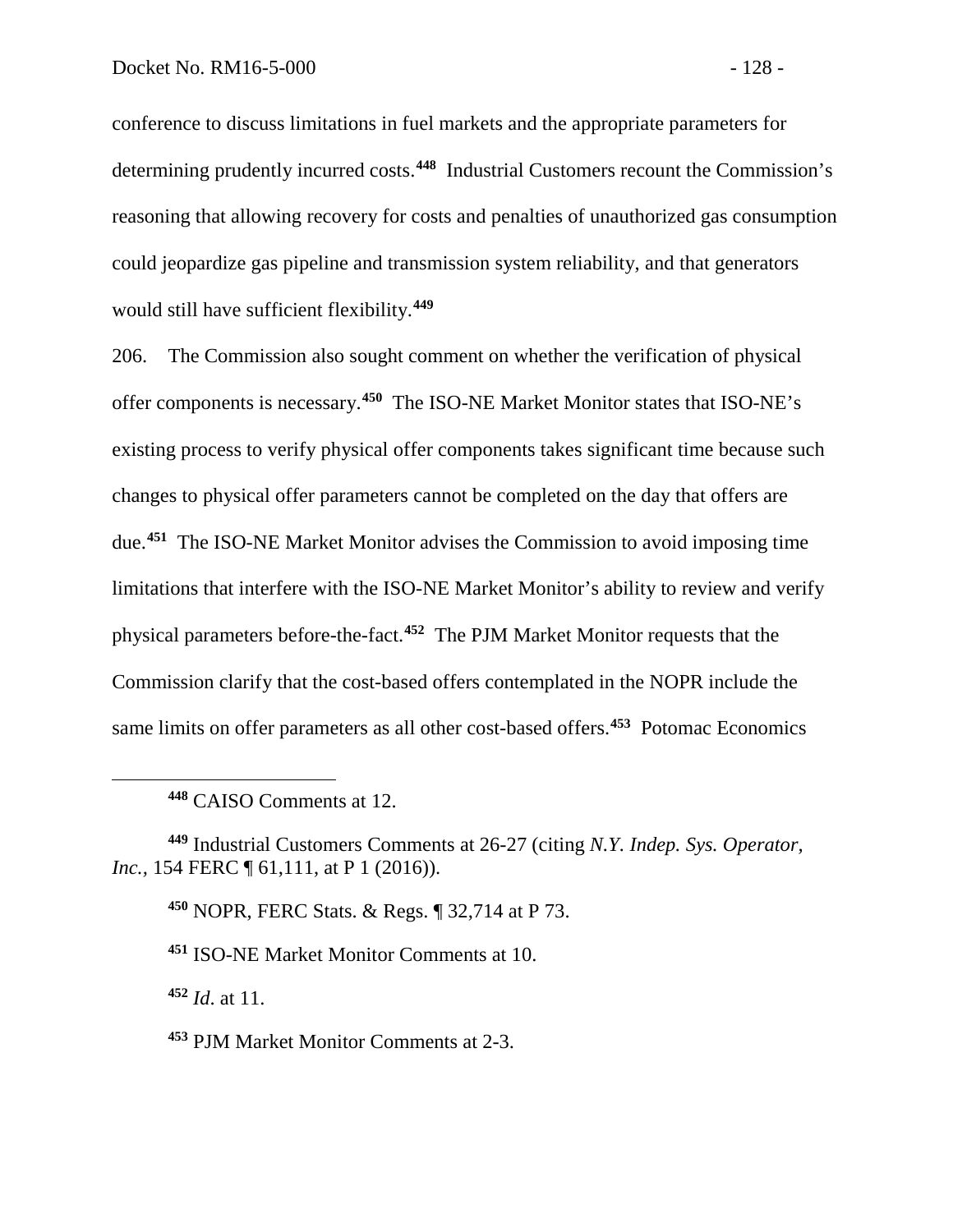conference to discuss limitations in fuel markets and the appropriate parameters for determining prudently incurred costs.**[448](#page-129-0)** Industrial Customers recount the Commission's reasoning that allowing recovery for costs and penalties of unauthorized gas consumption could jeopardize gas pipeline and transmission system reliability, and that generators would still have sufficient flexibility.**[449](#page-129-1)**

206. The Commission also sought comment on whether the verification of physical offer components is necessary.**[450](#page-129-2)** The ISO-NE Market Monitor states that ISO-NE's existing process to verify physical offer components takes significant time because such changes to physical offer parameters cannot be completed on the day that offers are due.**[451](#page-129-3)** The ISO-NE Market Monitor advises the Commission to avoid imposing time limitations that interfere with the ISO-NE Market Monitor's ability to review and verify physical parameters before-the-fact. **[452](#page-129-4)** The PJM Market Monitor requests that the Commission clarify that the cost-based offers contemplated in the NOPR include the same limits on offer parameters as all other cost-based offers.**[453](#page-129-5)** Potomac Economics

**<sup>450</sup>** NOPR, FERC Stats. & Regs. ¶ 32,714 at P 73.

**<sup>451</sup>** ISO-NE Market Monitor Comments at 10.

<span id="page-129-4"></span>**<sup>452</sup>** *Id*. at 11.

<span id="page-129-0"></span> $\overline{a}$ 

<span id="page-129-5"></span>**<sup>453</sup>** PJM Market Monitor Comments at 2-3.

**<sup>448</sup>** CAISO Comments at 12.

<span id="page-129-3"></span><span id="page-129-2"></span><span id="page-129-1"></span>**<sup>449</sup>** Industrial Customers Comments at 26-27 (citing *N.Y. Indep. Sys. Operator, Inc.*, 154 FERC  $\P$  61, 111, at P 1 (2016)).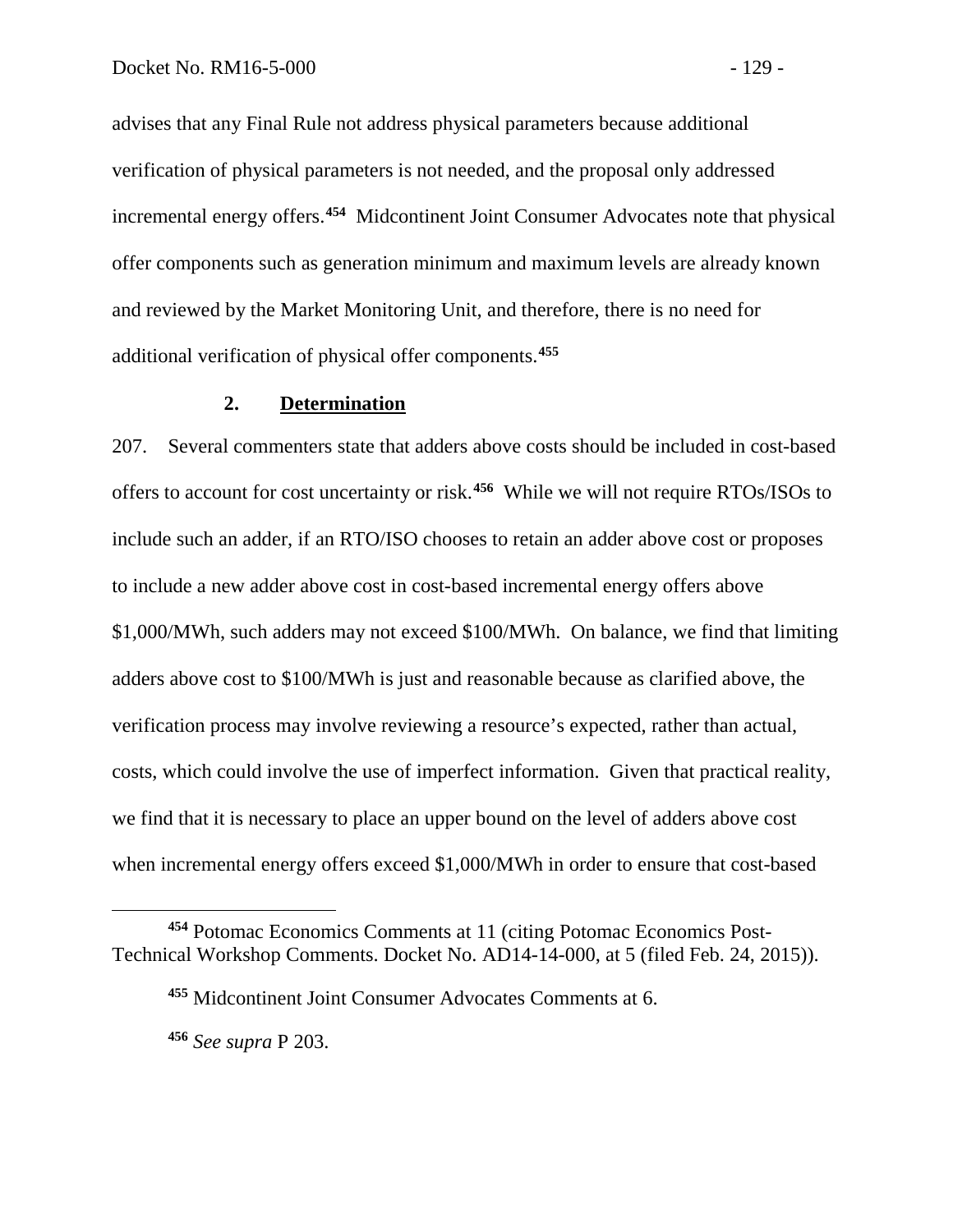advises that any Final Rule not address physical parameters because additional verification of physical parameters is not needed, and the proposal only addressed incremental energy offers.**[454](#page-130-0)** Midcontinent Joint Consumer Advocates note that physical offer components such as generation minimum and maximum levels are already known and reviewed by the Market Monitoring Unit, and therefore, there is no need for additional verification of physical offer components.**[455](#page-130-1)**

### **2. Determination**

207. Several commenters state that adders above costs should be included in cost-based offers to account for cost uncertainty or risk.**[456](#page-130-2)** While we will not require RTOs/ISOs to include such an adder, if an RTO/ISO chooses to retain an adder above cost or proposes to include a new adder above cost in cost-based incremental energy offers above \$1,000/MWh, such adders may not exceed \$100/MWh. On balance, we find that limiting adders above cost to \$100/MWh is just and reasonable because as clarified above, the verification process may involve reviewing a resource's expected, rather than actual, costs, which could involve the use of imperfect information. Given that practical reality, we find that it is necessary to place an upper bound on the level of adders above cost when incremental energy offers exceed \$1,000/MWh in order to ensure that cost-based

<span id="page-130-2"></span><span id="page-130-1"></span><span id="page-130-0"></span>**<sup>454</sup>** Potomac Economics Comments at 11 (citing Potomac Economics Post-Technical Workshop Comments. Docket No. AD14-14-000, at 5 (filed Feb. 24, 2015)).

**<sup>455</sup>** Midcontinent Joint Consumer Advocates Comments at 6.

**<sup>456</sup>** *See supra* P 203.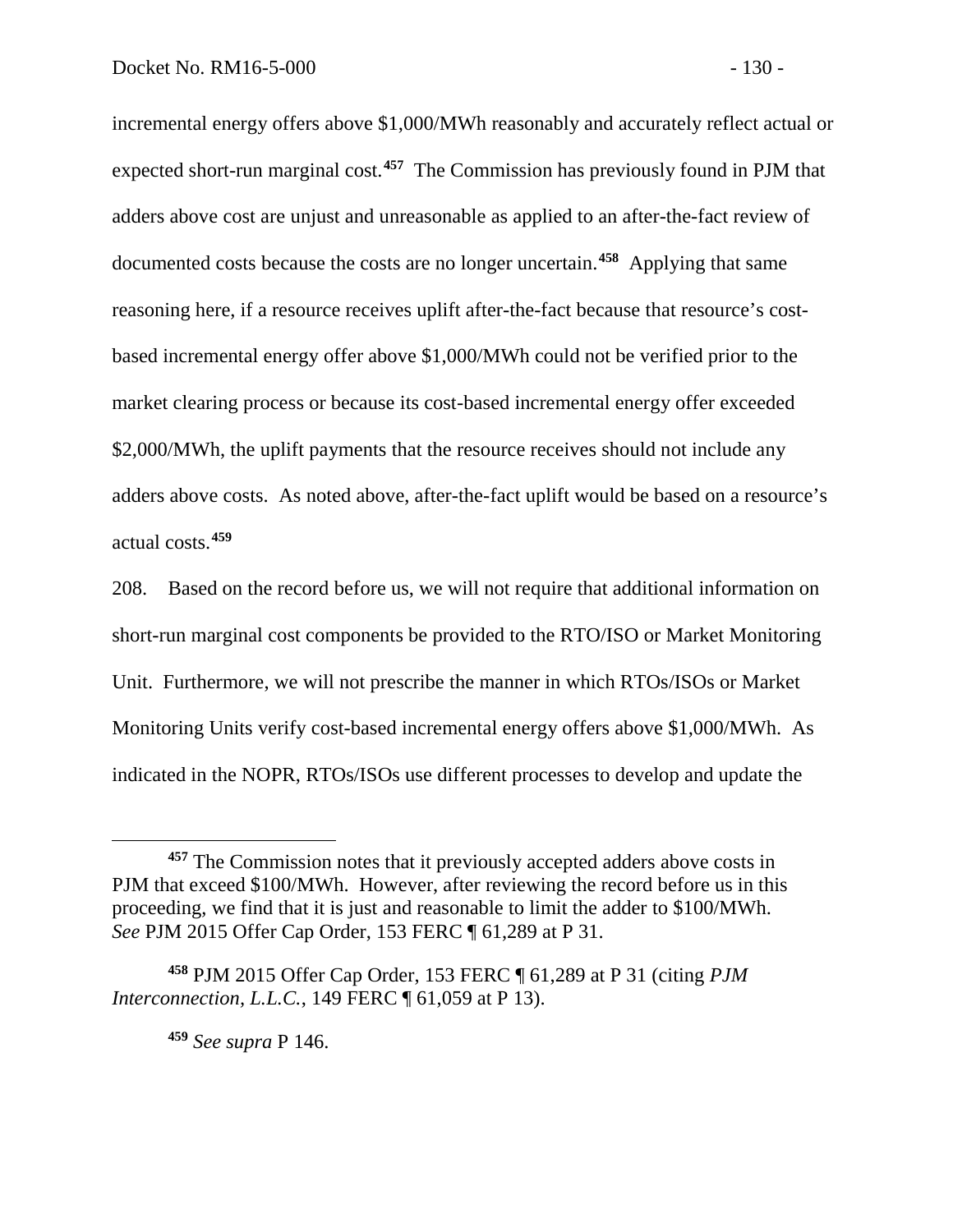incremental energy offers above \$1,000/MWh reasonably and accurately reflect actual or expected short-run marginal cost.**[457](#page-131-0)** The Commission has previously found in PJM that adders above cost are unjust and unreasonable as applied to an after-the-fact review of documented costs because the costs are no longer uncertain.**[458](#page-131-1)** Applying that same reasoning here, if a resource receives uplift after-the-fact because that resource's costbased incremental energy offer above \$1,000/MWh could not be verified prior to the market clearing process or because its cost-based incremental energy offer exceeded \$2,000/MWh, the uplift payments that the resource receives should not include any adders above costs. As noted above, after-the-fact uplift would be based on a resource's actual costs.**[459](#page-131-2)**

208. Based on the record before us, we will not require that additional information on short-run marginal cost components be provided to the RTO/ISO or Market Monitoring Unit. Furthermore, we will not prescribe the manner in which RTOs/ISOs or Market Monitoring Units verify cost-based incremental energy offers above \$1,000/MWh. As indicated in the NOPR, RTOs/ISOs use different processes to develop and update the

**<sup>459</sup>** *See supra* P 146.

<span id="page-131-0"></span>**<sup>457</sup>** The Commission notes that it previously accepted adders above costs in PJM that exceed \$100/MWh. However, after reviewing the record before us in this proceeding, we find that it is just and reasonable to limit the adder to \$100/MWh. *See* PJM 2015 Offer Cap Order, 153 FERC ¶ 61,289 at P 31.

<span id="page-131-2"></span><span id="page-131-1"></span>**<sup>458</sup>** PJM 2015 Offer Cap Order, 153 FERC ¶ 61,289 at P 31 (citing *PJM Interconnection, L.L.C., 149 FERC*  $\sqrt{161,059}$  at P 13).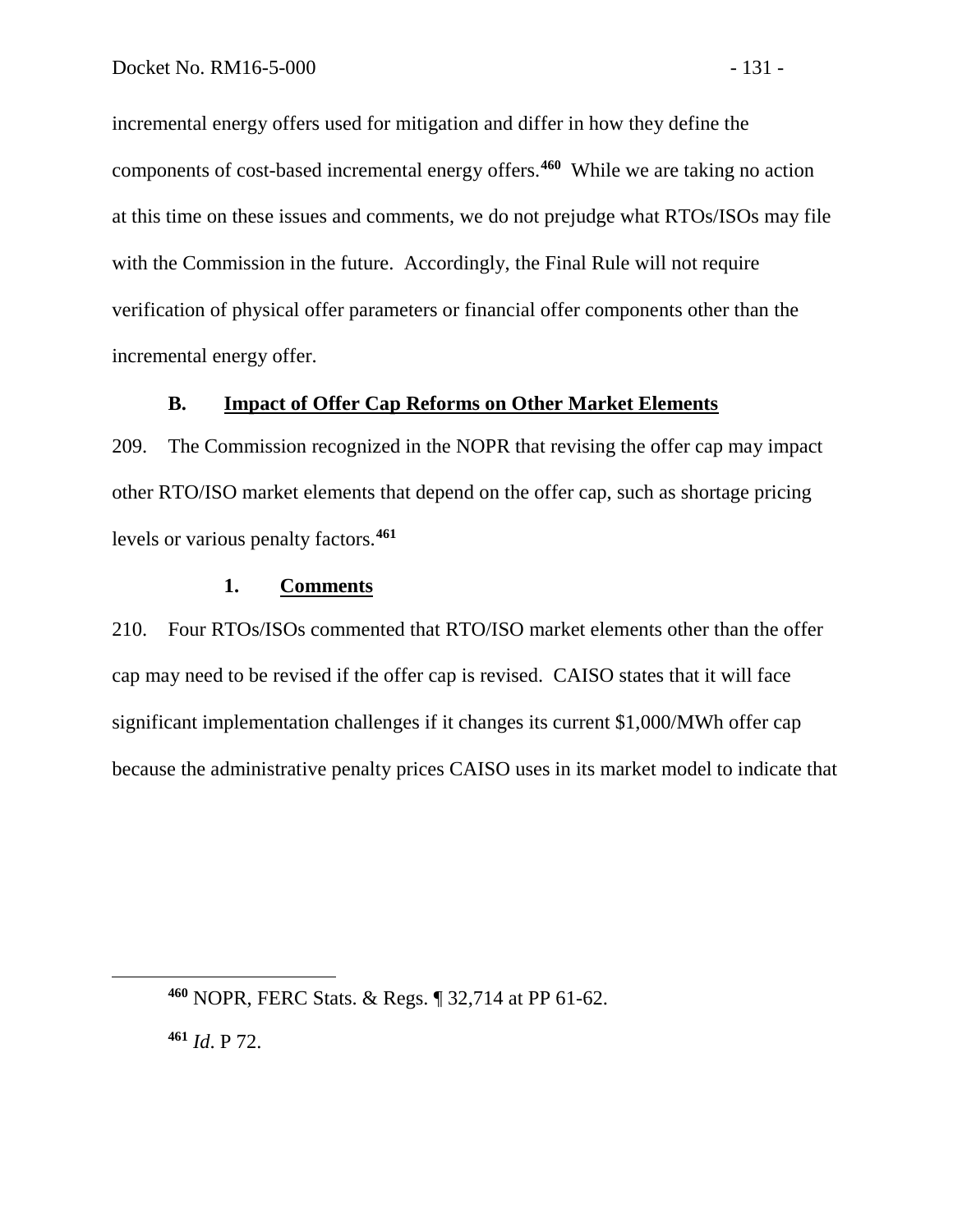incremental energy offers used for mitigation and differ in how they define the components of cost-based incremental energy offers.**[460](#page-132-0)** While we are taking no action at this time on these issues and comments, we do not prejudge what RTOs/ISOs may file with the Commission in the future. Accordingly, the Final Rule will not require verification of physical offer parameters or financial offer components other than the incremental energy offer.

## **B. Impact of Offer Cap Reforms on Other Market Elements**

209. The Commission recognized in the NOPR that revising the offer cap may impact other RTO/ISO market elements that depend on the offer cap, such as shortage pricing levels or various penalty factors.**[461](#page-132-1)**

#### **1. Comments**

210. Four RTOs/ISOs commented that RTO/ISO market elements other than the offer cap may need to be revised if the offer cap is revised. CAISO states that it will face significant implementation challenges if it changes its current \$1,000/MWh offer cap because the administrative penalty prices CAISO uses in its market model to indicate that

<span id="page-132-1"></span>**<sup>461</sup>** *Id*. P 72.

<span id="page-132-0"></span>**<sup>460</sup>** NOPR, FERC Stats. & Regs. ¶ 32,714 at PP 61-62.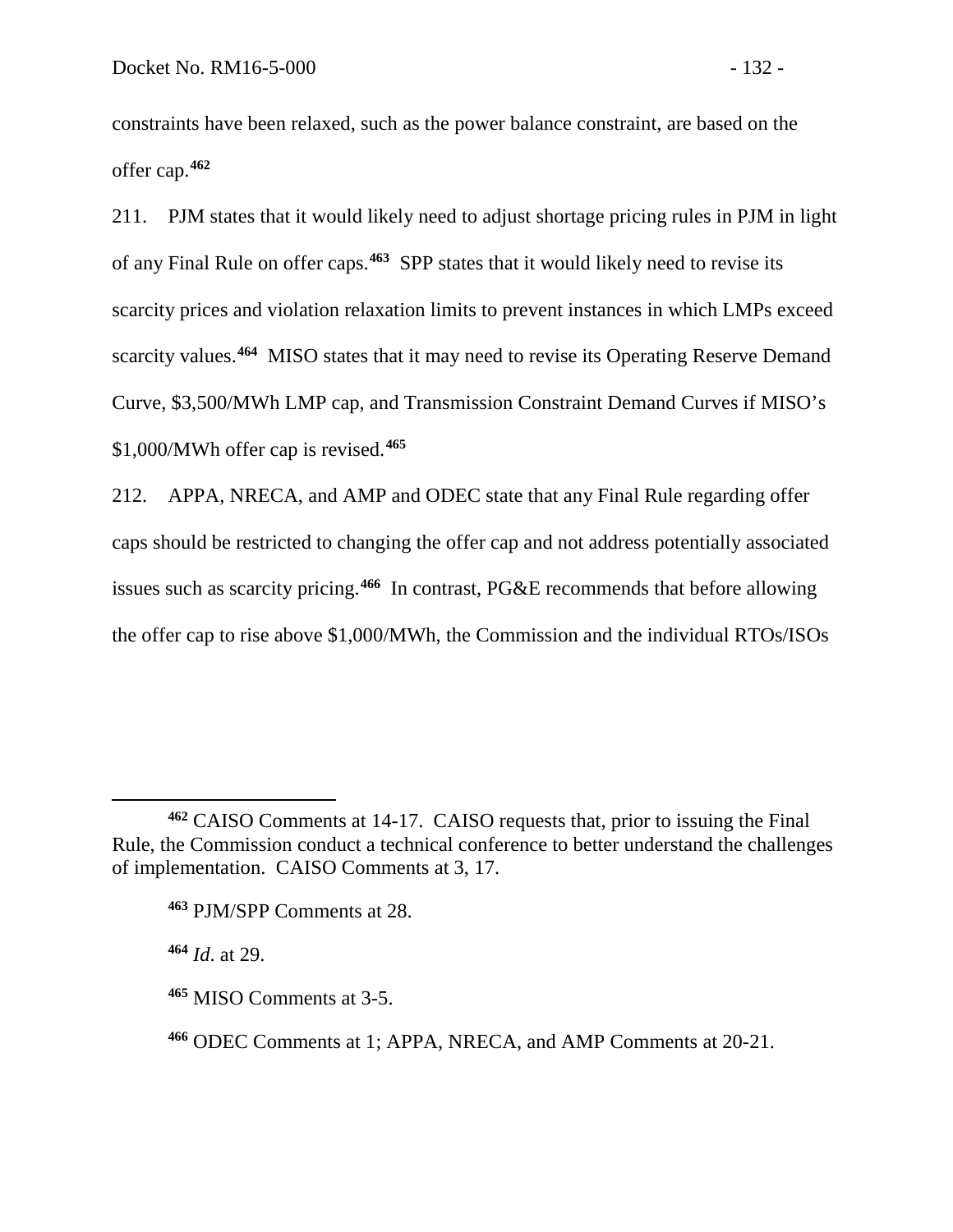constraints have been relaxed, such as the power balance constraint, are based on the offer cap.**[462](#page-133-0)**

211. PJM states that it would likely need to adjust shortage pricing rules in PJM in light of any Final Rule on offer caps.**[463](#page-133-1)** SPP states that it would likely need to revise its scarcity prices and violation relaxation limits to prevent instances in which LMPs exceed scarcity values.**[464](#page-133-2)** MISO states that it may need to revise its Operating Reserve Demand Curve, \$3,500/MWh LMP cap, and Transmission Constraint Demand Curves if MISO's \$1,000/MWh offer cap is revised.**[465](#page-133-3)**

212. APPA, NRECA, and AMP and ODEC state that any Final Rule regarding offer caps should be restricted to changing the offer cap and not address potentially associated issues such as scarcity pricing.**[466](#page-133-4)** In contrast, PG&E recommends that before allowing the offer cap to rise above \$1,000/MWh, the Commission and the individual RTOs/ISOs

<span id="page-133-2"></span>**<sup>464</sup>** *Id*. at 29.

<span id="page-133-1"></span><span id="page-133-0"></span>**<sup>462</sup>** CAISO Comments at 14-17. CAISO requests that, prior to issuing the Final Rule, the Commission conduct a technical conference to better understand the challenges of implementation. CAISO Comments at 3, 17.

**<sup>463</sup>** PJM/SPP Comments at 28.

<span id="page-133-3"></span>**<sup>465</sup>** MISO Comments at 3-5.

<span id="page-133-4"></span>**<sup>466</sup>** ODEC Comments at 1; APPA, NRECA, and AMP Comments at 20-21.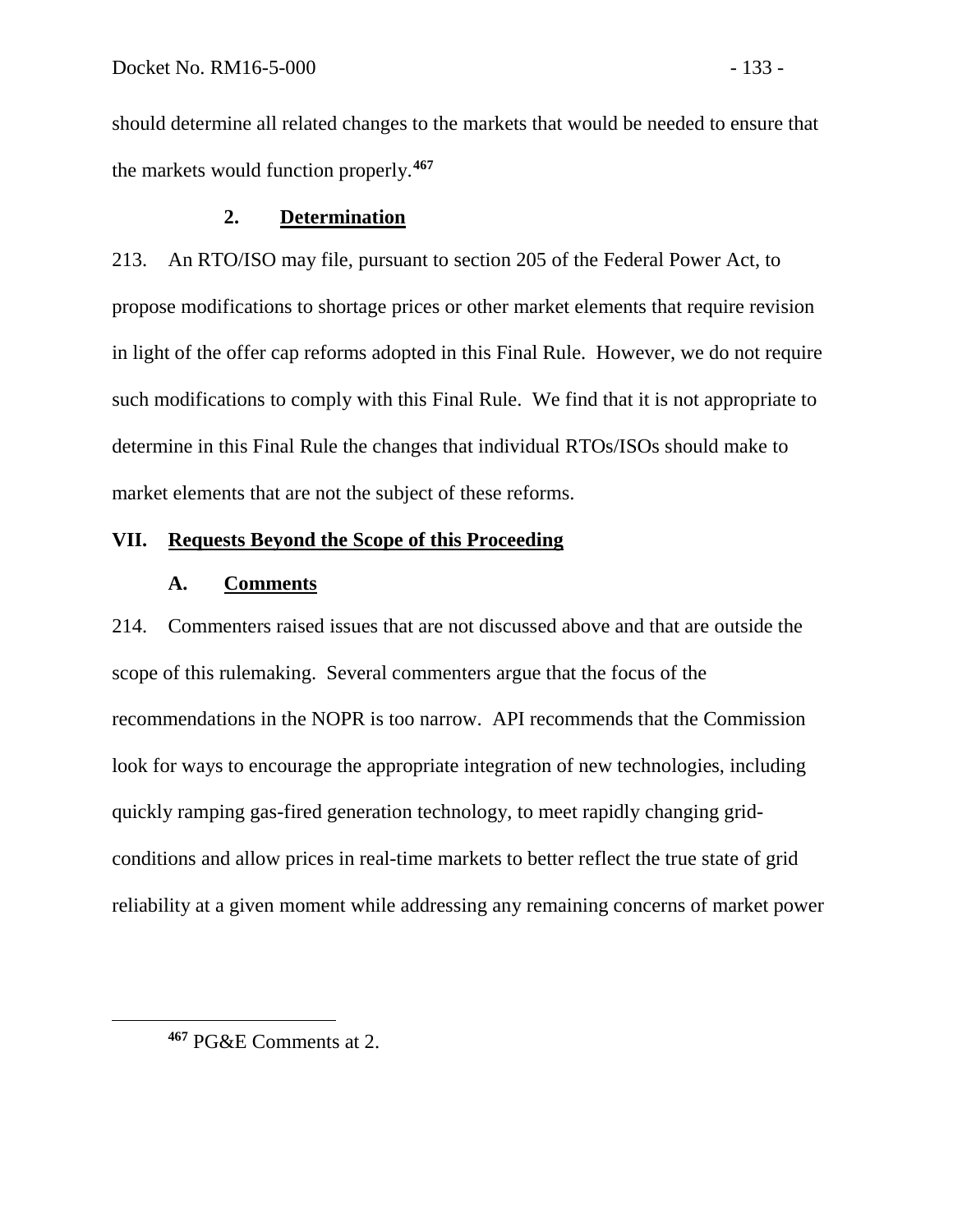should determine all related changes to the markets that would be needed to ensure that the markets would function properly.**[467](#page-134-0)**

# **2. Determination**

213. An RTO/ISO may file, pursuant to section 205 of the Federal Power Act, to propose modifications to shortage prices or other market elements that require revision in light of the offer cap reforms adopted in this Final Rule. However, we do not require such modifications to comply with this Final Rule. We find that it is not appropriate to determine in this Final Rule the changes that individual RTOs/ISOs should make to market elements that are not the subject of these reforms.

# **VII. Requests Beyond the Scope of this Proceeding**

# **A. Comments**

214. Commenters raised issues that are not discussed above and that are outside the scope of this rulemaking. Several commenters argue that the focus of the recommendations in the NOPR is too narrow. API recommends that the Commission look for ways to encourage the appropriate integration of new technologies, including quickly ramping gas-fired generation technology, to meet rapidly changing gridconditions and allow prices in real-time markets to better reflect the true state of grid reliability at a given moment while addressing any remaining concerns of market power

<span id="page-134-0"></span>**<sup>467</sup>** PG&E Comments at 2.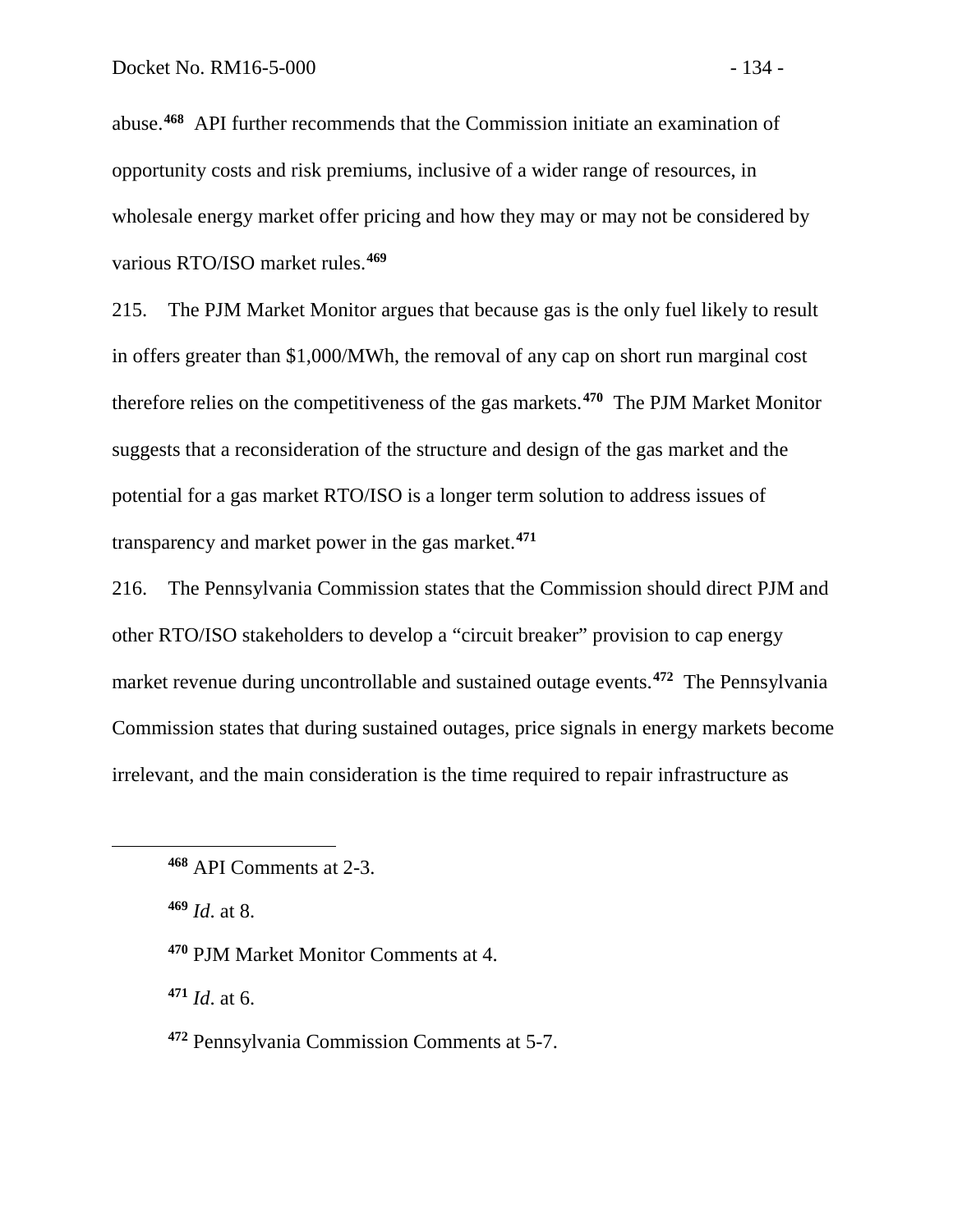abuse.**[468](#page-135-0)** API further recommends that the Commission initiate an examination of opportunity costs and risk premiums, inclusive of a wider range of resources, in wholesale energy market offer pricing and how they may or may not be considered by various RTO/ISO market rules.**[469](#page-135-1)**

215. The PJM Market Monitor argues that because gas is the only fuel likely to result in offers greater than \$1,000/MWh, the removal of any cap on short run marginal cost therefore relies on the competitiveness of the gas markets.**[470](#page-135-2)** The PJM Market Monitor suggests that a reconsideration of the structure and design of the gas market and the potential for a gas market RTO/ISO is a longer term solution to address issues of transparency and market power in the gas market.**[471](#page-135-3)**

216. The Pennsylvania Commission states that the Commission should direct PJM and other RTO/ISO stakeholders to develop a "circuit breaker" provision to cap energy market revenue during uncontrollable and sustained outage events.**[472](#page-135-4)** The Pennsylvania Commission states that during sustained outages, price signals in energy markets become irrelevant, and the main consideration is the time required to repair infrastructure as

**<sup>469</sup>** *Id*. at 8.

<span id="page-135-2"></span><span id="page-135-1"></span><span id="page-135-0"></span> $\overline{a}$ 

**<sup>470</sup>** PJM Market Monitor Comments at 4.

<span id="page-135-3"></span>**<sup>471</sup>** *Id*. at 6.

<span id="page-135-4"></span>**<sup>472</sup>** Pennsylvania Commission Comments at 5-7.

**<sup>468</sup>** API Comments at 2-3.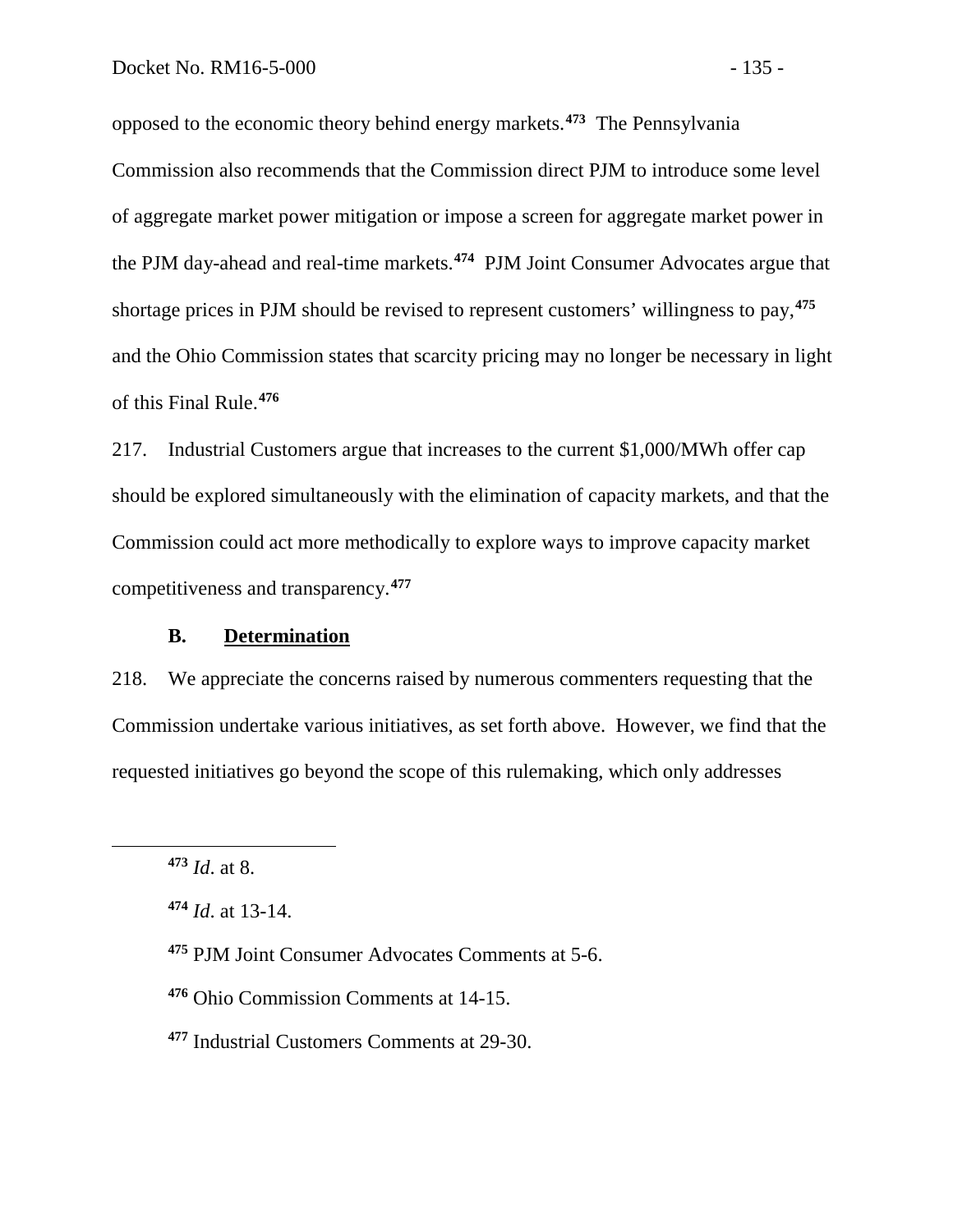opposed to the economic theory behind energy markets.**[473](#page-136-0)** The Pennsylvania Commission also recommends that the Commission direct PJM to introduce some level of aggregate market power mitigation or impose a screen for aggregate market power in the PJM day-ahead and real-time markets.**[474](#page-136-1)** PJM Joint Consumer Advocates argue that shortage prices in PJM should be revised to represent customers' willingness to pay, **[475](#page-136-2)** and the Ohio Commission states that scarcity pricing may no longer be necessary in light of this Final Rule.**[476](#page-136-3)**

217. Industrial Customers argue that increases to the current \$1,000/MWh offer cap should be explored simultaneously with the elimination of capacity markets, and that the Commission could act more methodically to explore ways to improve capacity market competitiveness and transparency.**[477](#page-136-4)**

### **B. Determination**

218. We appreciate the concerns raised by numerous commenters requesting that the Commission undertake various initiatives, as set forth above. However, we find that the requested initiatives go beyond the scope of this rulemaking, which only addresses

<span id="page-136-0"></span>**<sup>473</sup>** *Id*. at 8.

<span id="page-136-1"></span>**<sup>474</sup>** *Id*. at 13-14.

<span id="page-136-2"></span>**<sup>475</sup>** PJM Joint Consumer Advocates Comments at 5-6.

<span id="page-136-3"></span>**<sup>476</sup>** Ohio Commission Comments at 14-15.

<span id="page-136-4"></span>**<sup>477</sup>** Industrial Customers Comments at 29-30.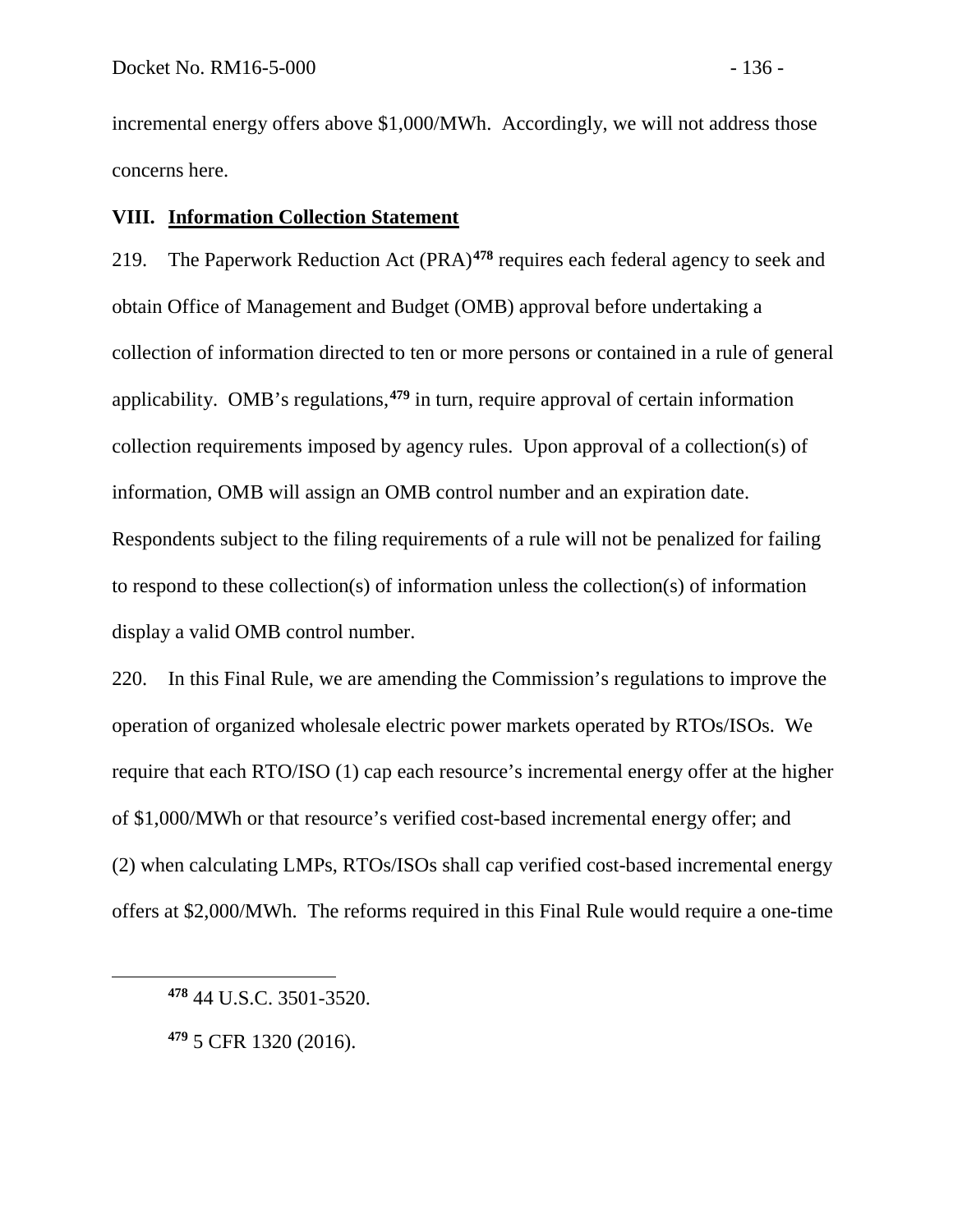incremental energy offers above \$1,000/MWh. Accordingly, we will not address those concerns here.

## **VIII. Information Collection Statement**

219. The Paperwork Reduction Act (PRA)**[478](#page-137-0)** requires each federal agency to seek and obtain Office of Management and Budget (OMB) approval before undertaking a collection of information directed to ten or more persons or contained in a rule of general applicability. OMB's regulations,**[479](#page-137-1)** in turn, require approval of certain information collection requirements imposed by agency rules. Upon approval of a collection(s) of information, OMB will assign an OMB control number and an expiration date. Respondents subject to the filing requirements of a rule will not be penalized for failing to respond to these collection(s) of information unless the collection(s) of information display a valid OMB control number.

220. In this Final Rule, we are amending the Commission's regulations to improve the operation of organized wholesale electric power markets operated by RTOs/ISOs. We require that each RTO/ISO (1) cap each resource's incremental energy offer at the higher of \$1,000/MWh or that resource's verified cost-based incremental energy offer; and (2) when calculating LMPs, RTOs/ISOs shall cap verified cost-based incremental energy offers at \$2,000/MWh. The reforms required in this Final Rule would require a one-time

<span id="page-137-0"></span>**<sup>478</sup>** 44 U.S.C. 3501-3520.

<span id="page-137-1"></span>**<sup>479</sup>** 5 CFR 1320 (2016).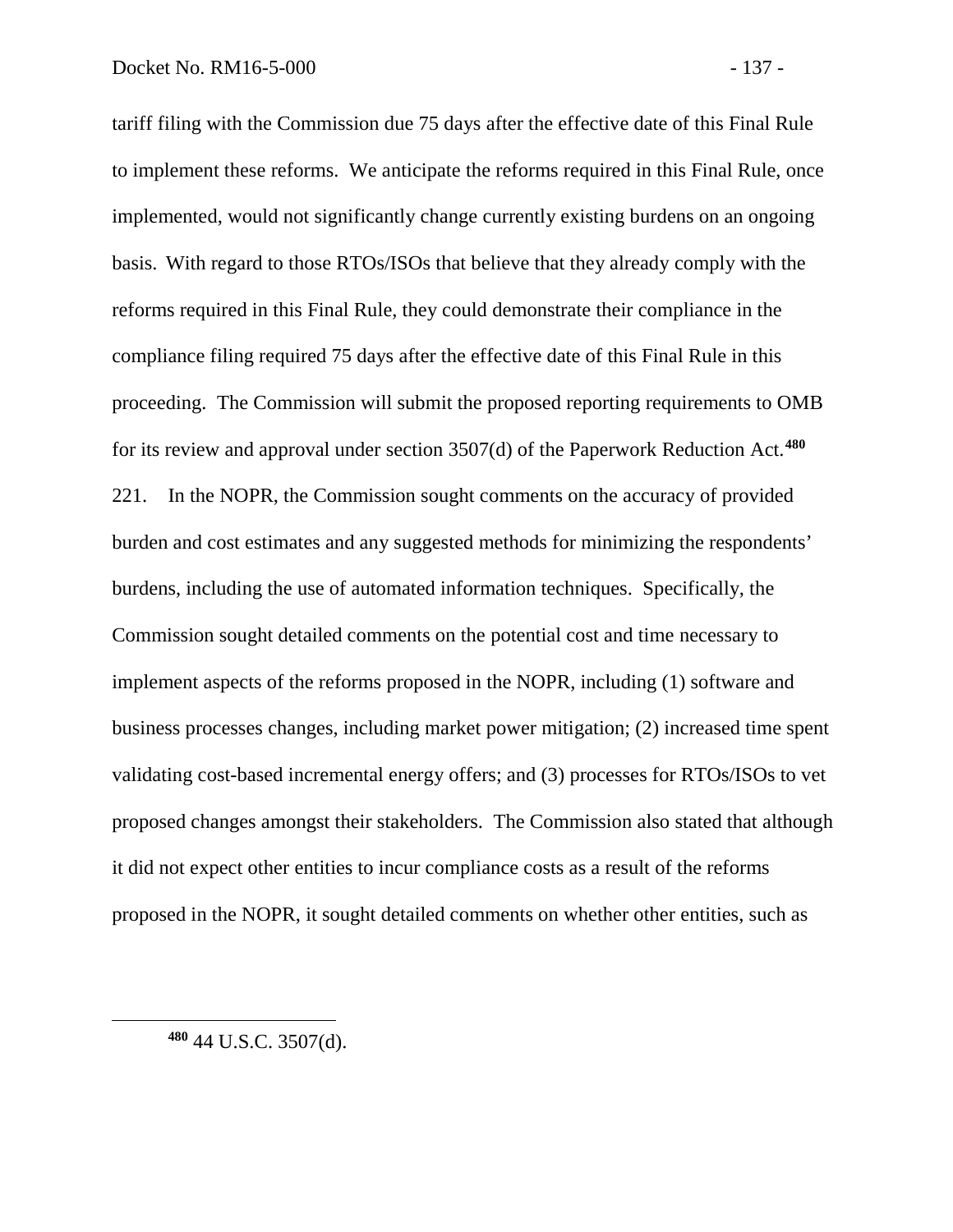tariff filing with the Commission due 75 days after the effective date of this Final Rule to implement these reforms. We anticipate the reforms required in this Final Rule, once implemented, would not significantly change currently existing burdens on an ongoing basis. With regard to those RTOs/ISOs that believe that they already comply with the reforms required in this Final Rule, they could demonstrate their compliance in the compliance filing required 75 days after the effective date of this Final Rule in this proceeding. The Commission will submit the proposed reporting requirements to OMB for its review and approval under section 3507(d) of the Paperwork Reduction Act.**[480](#page-138-0)** 221. In the NOPR, the Commission sought comments on the accuracy of provided burden and cost estimates and any suggested methods for minimizing the respondents' burdens, including the use of automated information techniques. Specifically, the Commission sought detailed comments on the potential cost and time necessary to implement aspects of the reforms proposed in the NOPR, including (1) software and business processes changes, including market power mitigation; (2) increased time spent validating cost-based incremental energy offers; and (3) processes for RTOs/ISOs to vet proposed changes amongst their stakeholders. The Commission also stated that although it did not expect other entities to incur compliance costs as a result of the reforms proposed in the NOPR, it sought detailed comments on whether other entities, such as

<span id="page-138-0"></span>**<sup>480</sup>** 44 U.S.C. 3507(d).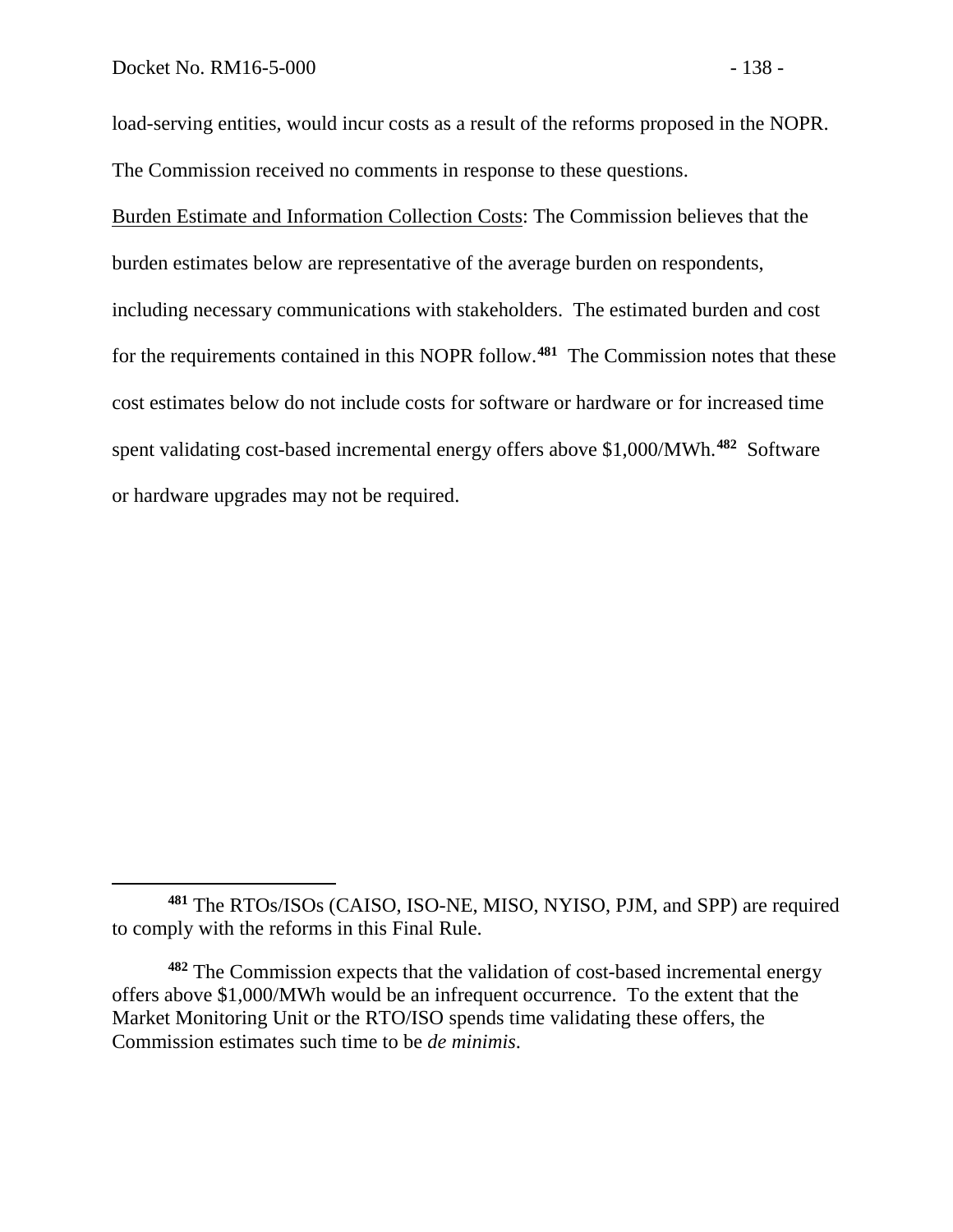$\overline{a}$ 

load-serving entities, would incur costs as a result of the reforms proposed in the NOPR. The Commission received no comments in response to these questions.

Burden Estimate and Information Collection Costs: The Commission believes that the burden estimates below are representative of the average burden on respondents, including necessary communications with stakeholders. The estimated burden and cost for the requirements contained in this NOPR follow.**[481](#page-139-0)** The Commission notes that these cost estimates below do not include costs for software or hardware or for increased time spent validating cost-based incremental energy offers above \$1,000/MWh.**[482](#page-139-1)** Software or hardware upgrades may not be required.

<span id="page-139-0"></span>**<sup>481</sup>** The RTOs/ISOs (CAISO, ISO-NE, MISO, NYISO, PJM, and SPP) are required to comply with the reforms in this Final Rule.

<span id="page-139-1"></span>**<sup>482</sup>** The Commission expects that the validation of cost-based incremental energy offers above \$1,000/MWh would be an infrequent occurrence. To the extent that the Market Monitoring Unit or the RTO/ISO spends time validating these offers, the Commission estimates such time to be *de minimis*.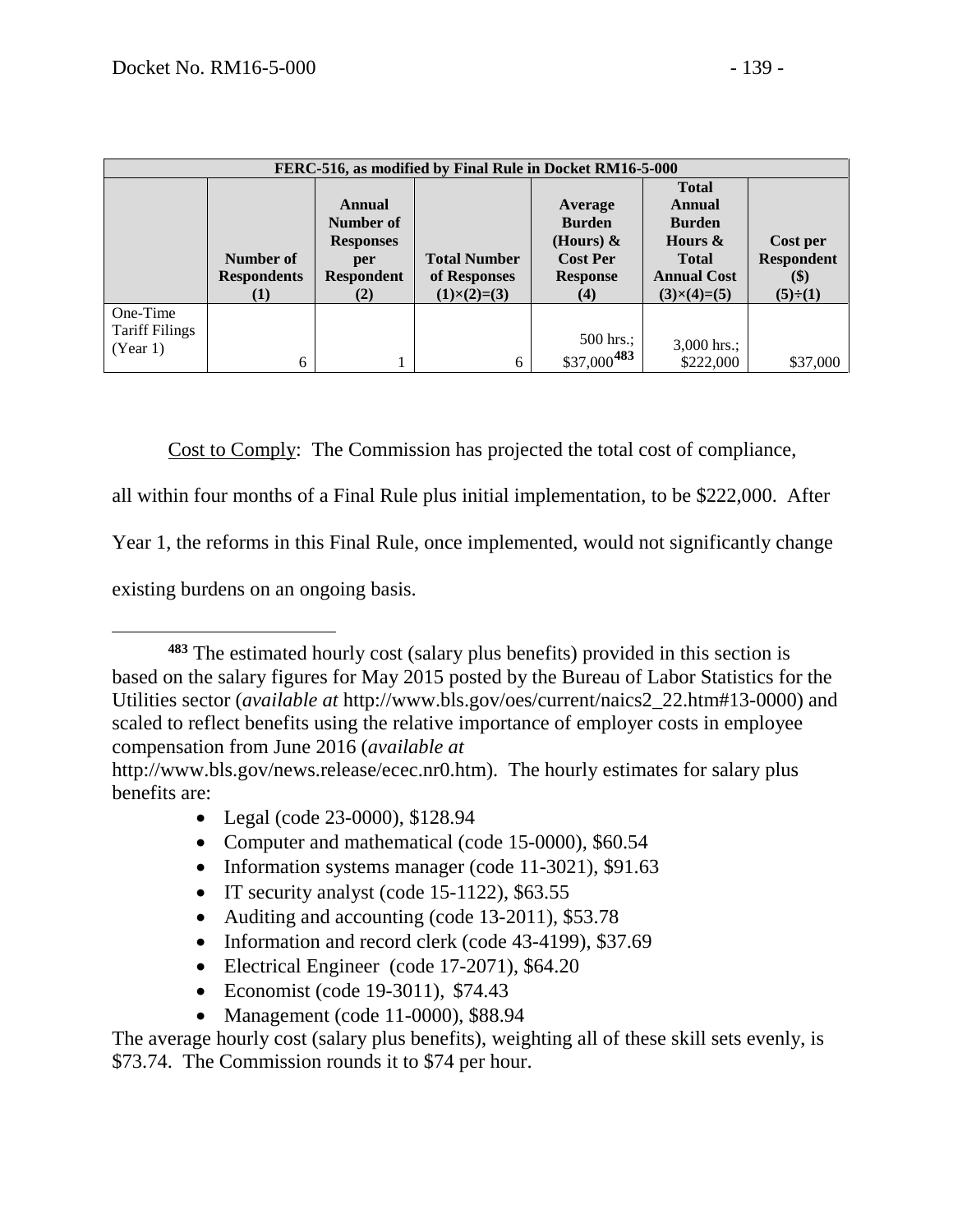| FERC-516, as modified by Final Rule in Docket RM16-5-000 |                    |                                                       |                                    |                                                             |                                                                    |                               |
|----------------------------------------------------------|--------------------|-------------------------------------------------------|------------------------------------|-------------------------------------------------------------|--------------------------------------------------------------------|-------------------------------|
|                                                          | Number of          | <b>Annual</b><br>Number of<br><b>Responses</b><br>per | <b>Total Number</b>                | Average<br><b>Burden</b><br>(Hours) $\&$<br><b>Cost Per</b> | <b>Total</b><br>Annual<br><b>Burden</b><br>Hours &<br><b>Total</b> | Cost per<br><b>Respondent</b> |
|                                                          | <b>Respondents</b> | <b>Respondent</b><br>(2)                              | of Responses<br>$(1)\times(2)=(3)$ | <b>Response</b><br>(4)                                      | <b>Annual Cost</b><br>$(3)\times(4)=(5)$                           | \$)<br>$(5)\div(1)$           |
| One-Time<br><b>Tariff Filings</b><br>(Year 1)            |                    |                                                       |                                    | 500 hrs.;<br>\$37,000483                                    | $3,000$ hrs.;                                                      |                               |
|                                                          | 6                  |                                                       | 6                                  |                                                             | \$222,000                                                          | \$37,000                      |

Cost to Comply: The Commission has projected the total cost of compliance,

all within four months of a Final Rule plus initial implementation, to be \$222,000. After

Year 1, the reforms in this Final Rule, once implemented, would not significantly change

existing burdens on an ongoing basis.

- Legal (code 23-0000), \$128.94
- Computer and mathematical (code 15-0000), \$60.54
- Information systems manager (code 11-3021), \$91.63
- IT security analyst (code 15-1122), \$63.55
- Auditing and accounting (code 13-2011), \$53.78
- Information and record clerk (code 43-4199), \$37.69
- Electrical Engineer (code 17-2071), \$64.20
- Economist (code 19-3011), \$74.43
- Management (code 11-0000), \$88.94

The average hourly cost (salary plus benefits), weighting all of these skill sets evenly, is \$73.74. The Commission rounds it to \$74 per hour.

<span id="page-140-0"></span> $\overline{a}$ **<sup>483</sup>** The estimated hourly cost (salary plus benefits) provided in this section is based on the salary figures for May 2015 posted by the Bureau of Labor Statistics for the Utilities sector (*available at* http://www.bls.gov/oes/current/naics2\_22.htm#13-0000) and scaled to reflect benefits using the relative importance of employer costs in employee compensation from June 2016 (*available at* 

http://www.bls.gov/news.release/ecec.nr0.htm). The hourly estimates for salary plus benefits are: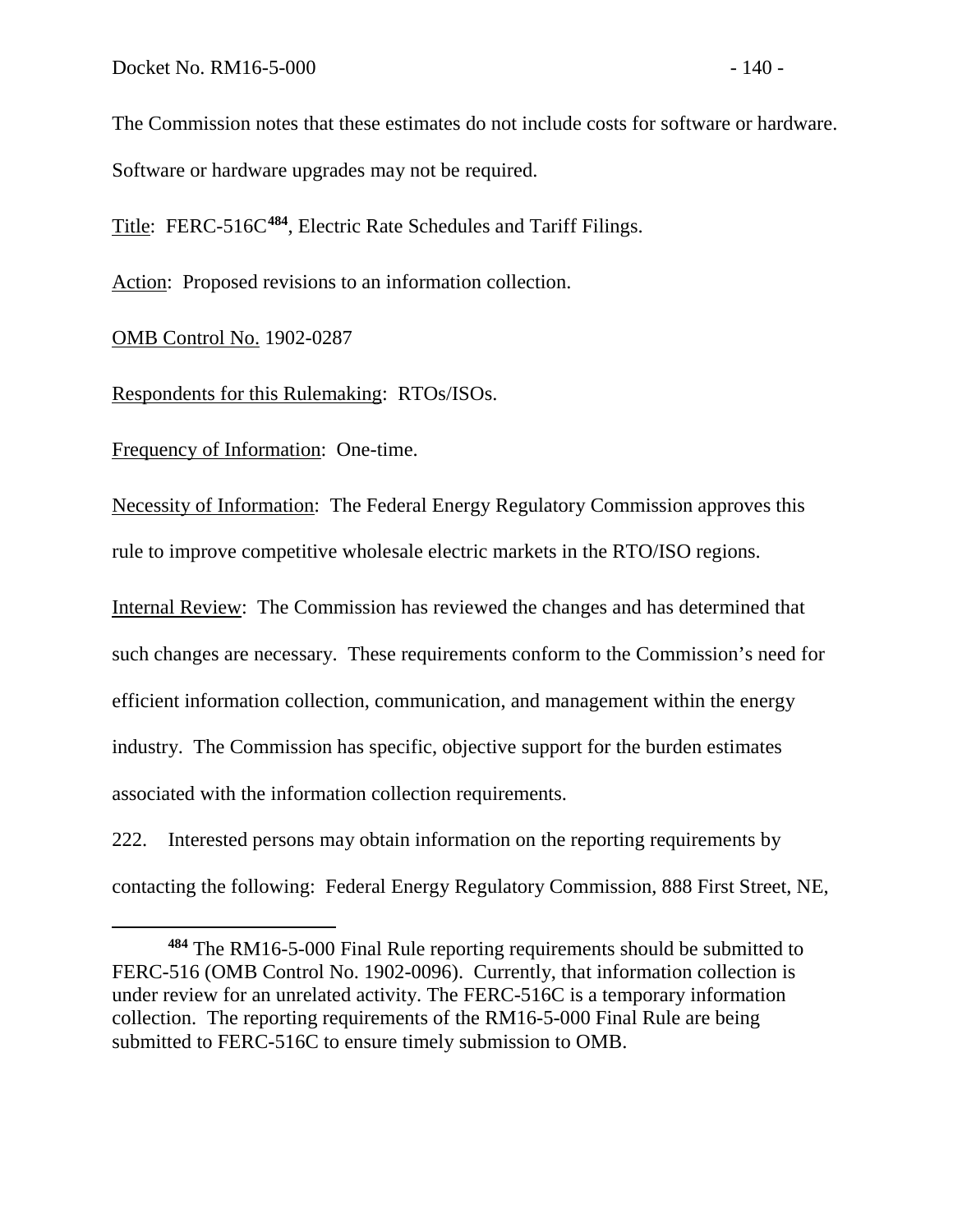The Commission notes that these estimates do not include costs for software or hardware. Software or hardware upgrades may not be required.

Title: FERC-516C**[484](#page-141-0)**, Electric Rate Schedules and Tariff Filings.

Action: Proposed revisions to an information collection.

## OMB Control No. 1902-0287

 $\overline{a}$ 

Respondents for this Rulemaking: RTOs/ISOs.

Frequency of Information: One-time.

Necessity of Information: The Federal Energy Regulatory Commission approves this rule to improve competitive wholesale electric markets in the RTO/ISO regions.

Internal Review: The Commission has reviewed the changes and has determined that such changes are necessary. These requirements conform to the Commission's need for efficient information collection, communication, and management within the energy industry. The Commission has specific, objective support for the burden estimates associated with the information collection requirements.

222. Interested persons may obtain information on the reporting requirements by contacting the following: Federal Energy Regulatory Commission, 888 First Street, NE,

<span id="page-141-0"></span>**<sup>484</sup>** The RM16-5-000 Final Rule reporting requirements should be submitted to FERC-516 (OMB Control No. 1902-0096). Currently, that information collection is under review for an unrelated activity. The FERC-516C is a temporary information collection. The reporting requirements of the RM16-5-000 Final Rule are being submitted to FERC-516C to ensure timely submission to OMB.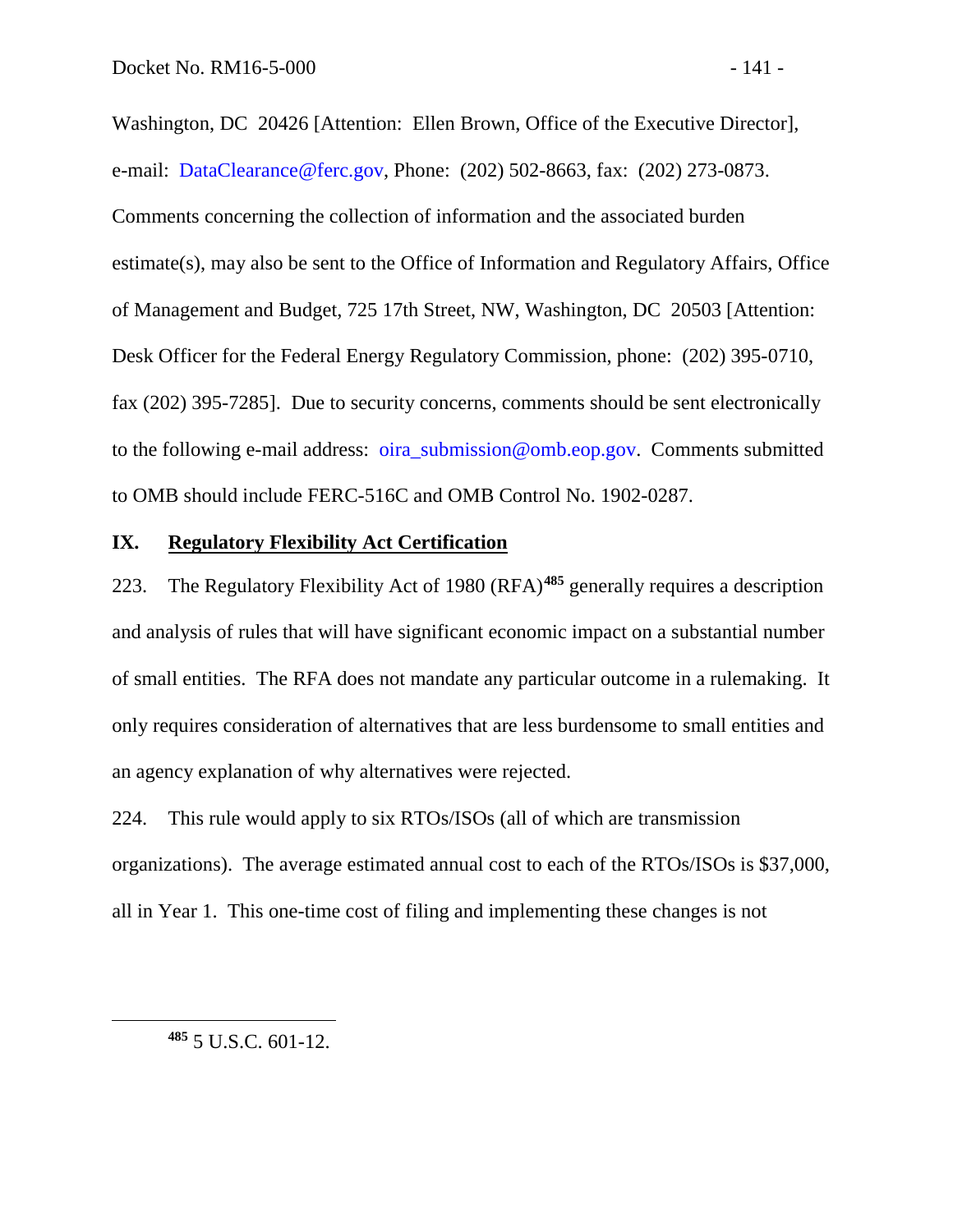Washington, DC 20426 [Attention: Ellen Brown, Office of the Executive Director], e-mail: [DataClearance@ferc.gov,](mailto:DataClearance@ferc.gov) Phone: (202) 502-8663, fax: (202) 273-0873. Comments concerning the collection of information and the associated burden estimate(s), may also be sent to the Office of Information and Regulatory Affairs, Office of Management and Budget, 725 17th Street, NW, Washington, DC 20503 [Attention: Desk Officer for the Federal Energy Regulatory Commission, phone: (202) 395-0710, fax (202) 395-7285]. Due to security concerns, comments should be sent electronically to the following e-mail address: [oira\\_submission@omb.eop.gov.](mailto:oira_submission@omb.eop.gov) Comments submitted to OMB should include FERC-516C and OMB Control No. 1902-0287.

# **IX. Regulatory Flexibility Act Certification**

223. The Regulatory Flexibility Act of 1980 (RFA)**[485](#page-142-0)** generally requires a description and analysis of rules that will have significant economic impact on a substantial number of small entities. The RFA does not mandate any particular outcome in a rulemaking. It only requires consideration of alternatives that are less burdensome to small entities and an agency explanation of why alternatives were rejected.

224. This rule would apply to six RTOs/ISOs (all of which are transmission organizations). The average estimated annual cost to each of the RTOs/ISOs is \$37,000, all in Year 1. This one-time cost of filing and implementing these changes is not

<span id="page-142-0"></span>**<sup>485</sup>** 5 U.S.C. 601-12.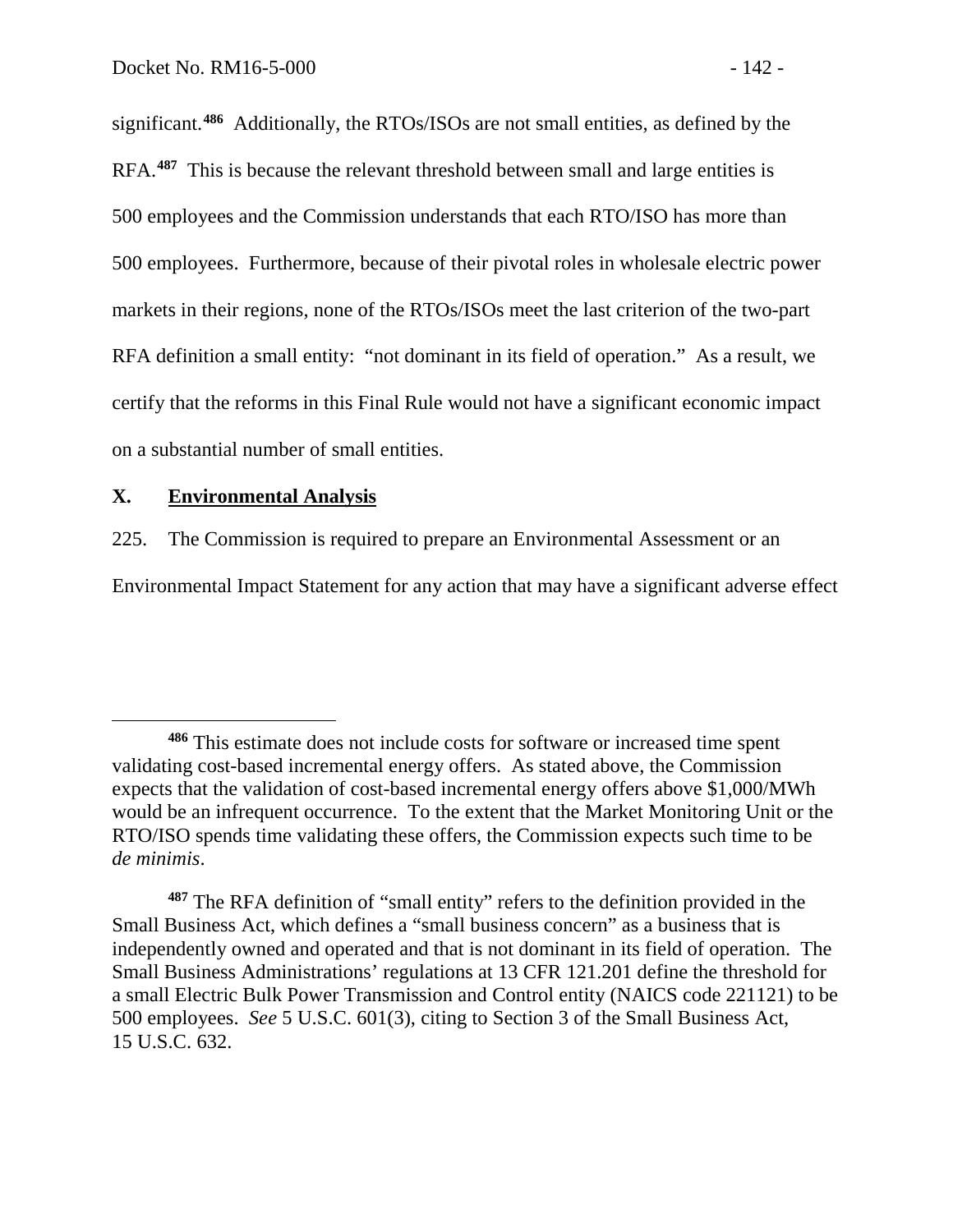significant.**[486](#page-143-0)** Additionally, the RTOs/ISOs are not small entities, as defined by the RFA.**[487](#page-143-1)** This is because the relevant threshold between small and large entities is 500 employees and the Commission understands that each RTO/ISO has more than 500 employees. Furthermore, because of their pivotal roles in wholesale electric power markets in their regions, none of the RTOs/ISOs meet the last criterion of the two-part RFA definition a small entity: "not dominant in its field of operation." As a result, we certify that the reforms in this Final Rule would not have a significant economic impact on a substantial number of small entities.

## **X. Environmental Analysis**

 $\overline{a}$ 

225. The Commission is required to prepare an Environmental Assessment or an

Environmental Impact Statement for any action that may have a significant adverse effect

<span id="page-143-0"></span>**<sup>486</sup>** This estimate does not include costs for software or increased time spent validating cost-based incremental energy offers. As stated above, the Commission expects that the validation of cost-based incremental energy offers above \$1,000/MWh would be an infrequent occurrence. To the extent that the Market Monitoring Unit or the RTO/ISO spends time validating these offers, the Commission expects such time to be *de minimis*.

<span id="page-143-1"></span>**<sup>487</sup>** The RFA definition of "small entity" refers to the definition provided in the Small Business Act, which defines a "small business concern" as a business that is independently owned and operated and that is not dominant in its field of operation. The Small Business Administrations' regulations at 13 CFR 121.201 define the threshold for a small Electric Bulk Power Transmission and Control entity (NAICS code 221121) to be 500 employees. *See* 5 U.S.C. 601(3), citing to Section 3 of the Small Business Act, 15 U.S.C. 632.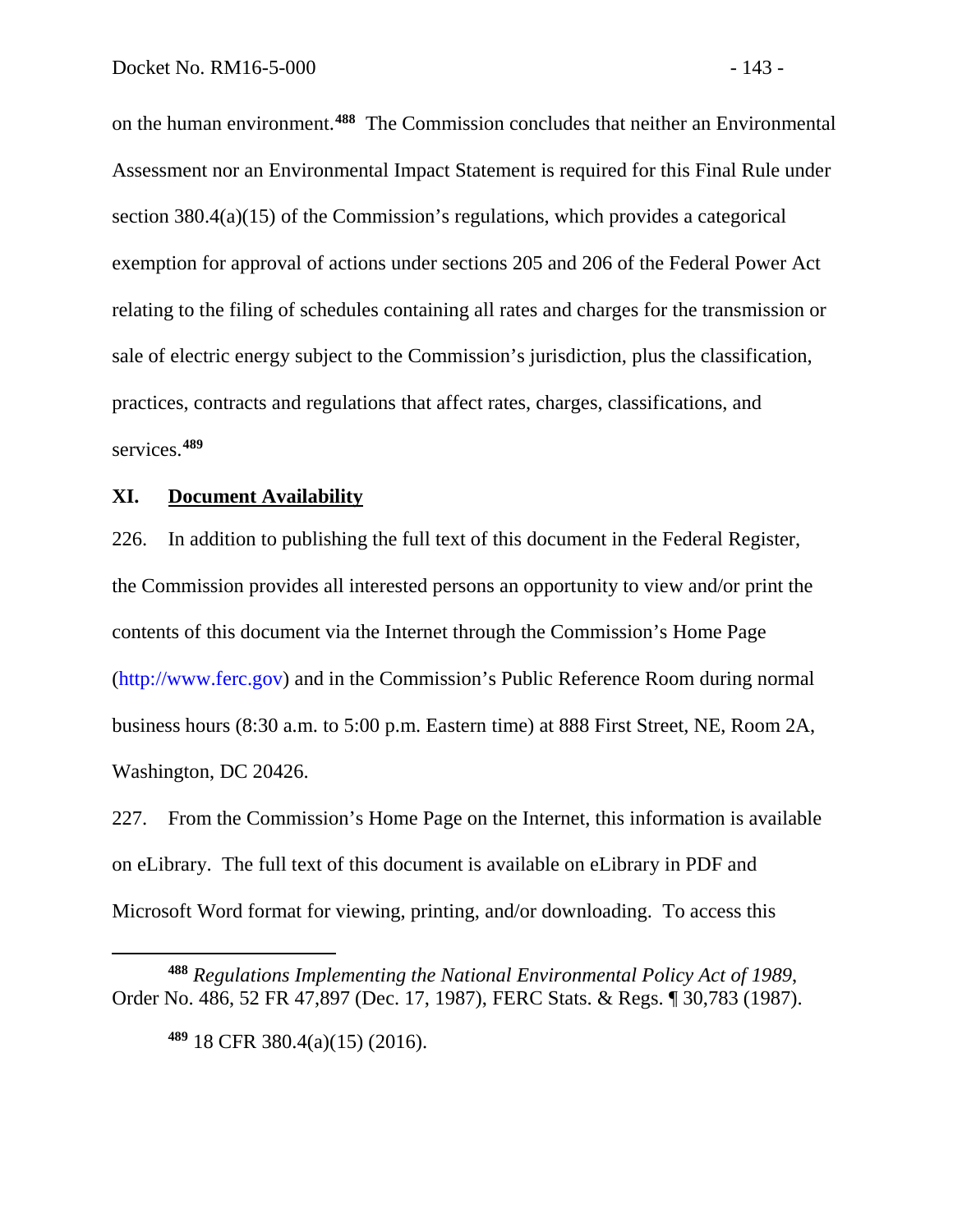on the human environment.**[488](#page-144-0)** The Commission concludes that neither an Environmental Assessment nor an Environmental Impact Statement is required for this Final Rule under section 380.4(a)(15) of the Commission's regulations, which provides a categorical exemption for approval of actions under sections 205 and 206 of the Federal Power Act relating to the filing of schedules containing all rates and charges for the transmission or sale of electric energy subject to the Commission's jurisdiction, plus the classification, practices, contracts and regulations that affect rates, charges, classifications, and services.**[489](#page-144-1)**

#### **XI. Document Availability**

226. In addition to publishing the full text of this document in the Federal Register, the Commission provides all interested persons an opportunity to view and/or print the contents of this document via the Internet through the Commission's Home Page [\(http://www.ferc.gov\)](http://www.ferc.gov/) and in the Commission's Public Reference Room during normal business hours (8:30 a.m. to 5:00 p.m. Eastern time) at 888 First Street, NE, Room 2A, Washington, DC 20426.

227. From the Commission's Home Page on the Internet, this information is available on eLibrary. The full text of this document is available on eLibrary in PDF and Microsoft Word format for viewing, printing, and/or downloading. To access this

**<sup>489</sup>** 18 CFR 380.4(a)(15) (2016).

 $\overline{a}$ 

<span id="page-144-1"></span><span id="page-144-0"></span>**<sup>488</sup>** *Regulations Implementing the National Environmental Policy Act of 1989*, Order No. 486, 52 FR 47,897 (Dec. 17, 1987), FERC Stats. & Regs. ¶ 30,783 (1987).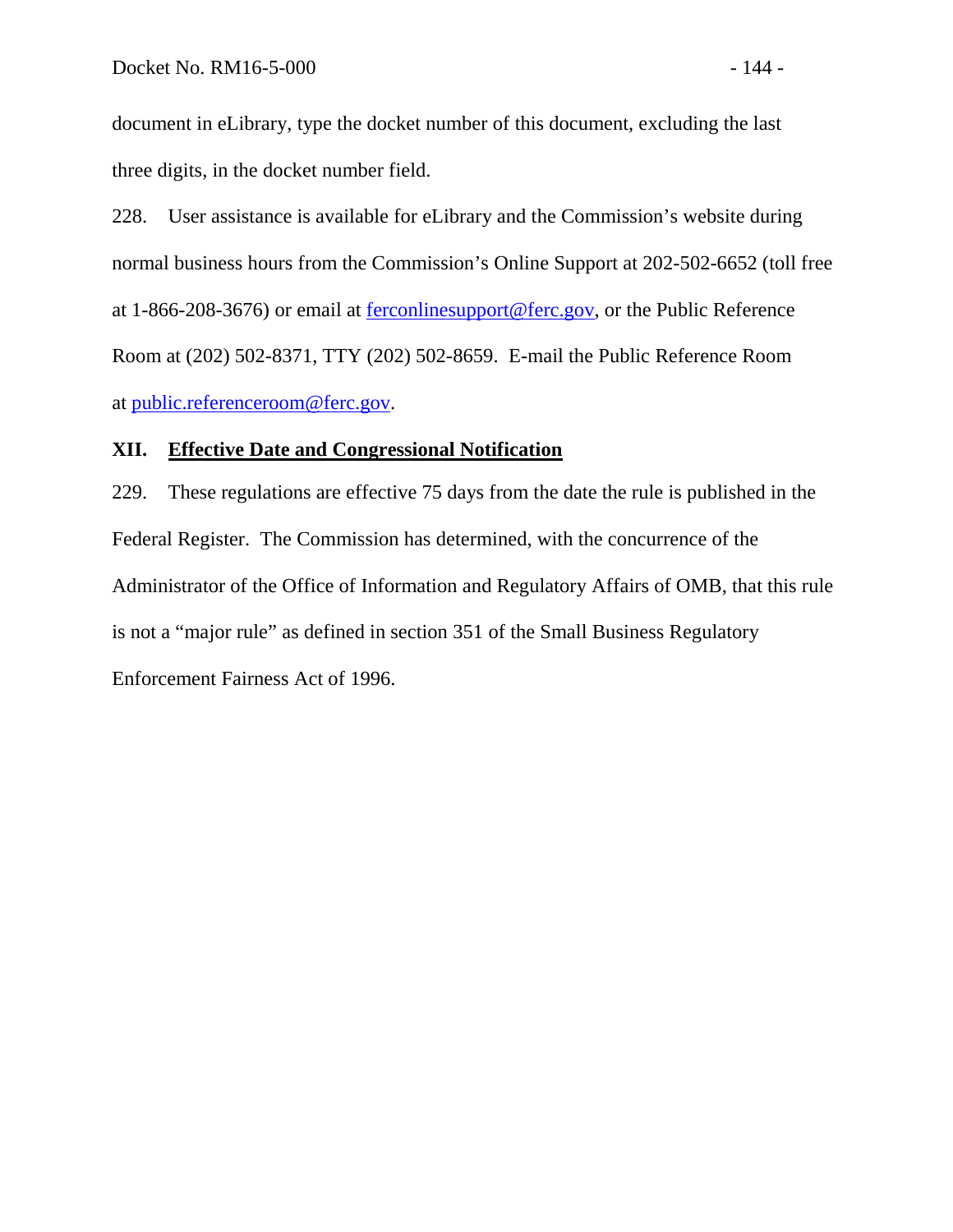document in eLibrary, type the docket number of this document, excluding the last three digits, in the docket number field.

228. User assistance is available for eLibrary and the Commission's website during normal business hours from the Commission's Online Support at 202-502-6652 (toll free at 1-866-208-3676) or email at [ferconlinesupport@ferc.gov,](mailto:ferconlinesupport@ferc.gov) or the Public Reference Room at (202) 502-8371, TTY (202) 502-8659. E-mail the Public Reference Room at [public.referenceroom@ferc.gov.](mailto:public.referenceroom@ferc.gov)

## **XII. Effective Date and Congressional Notification**

229. These regulations are effective 75 days from the date the rule is published in the Federal Register. The Commission has determined, with the concurrence of the Administrator of the Office of Information and Regulatory Affairs of OMB, that this rule is not a "major rule" as defined in section 351 of the Small Business Regulatory Enforcement Fairness Act of 1996.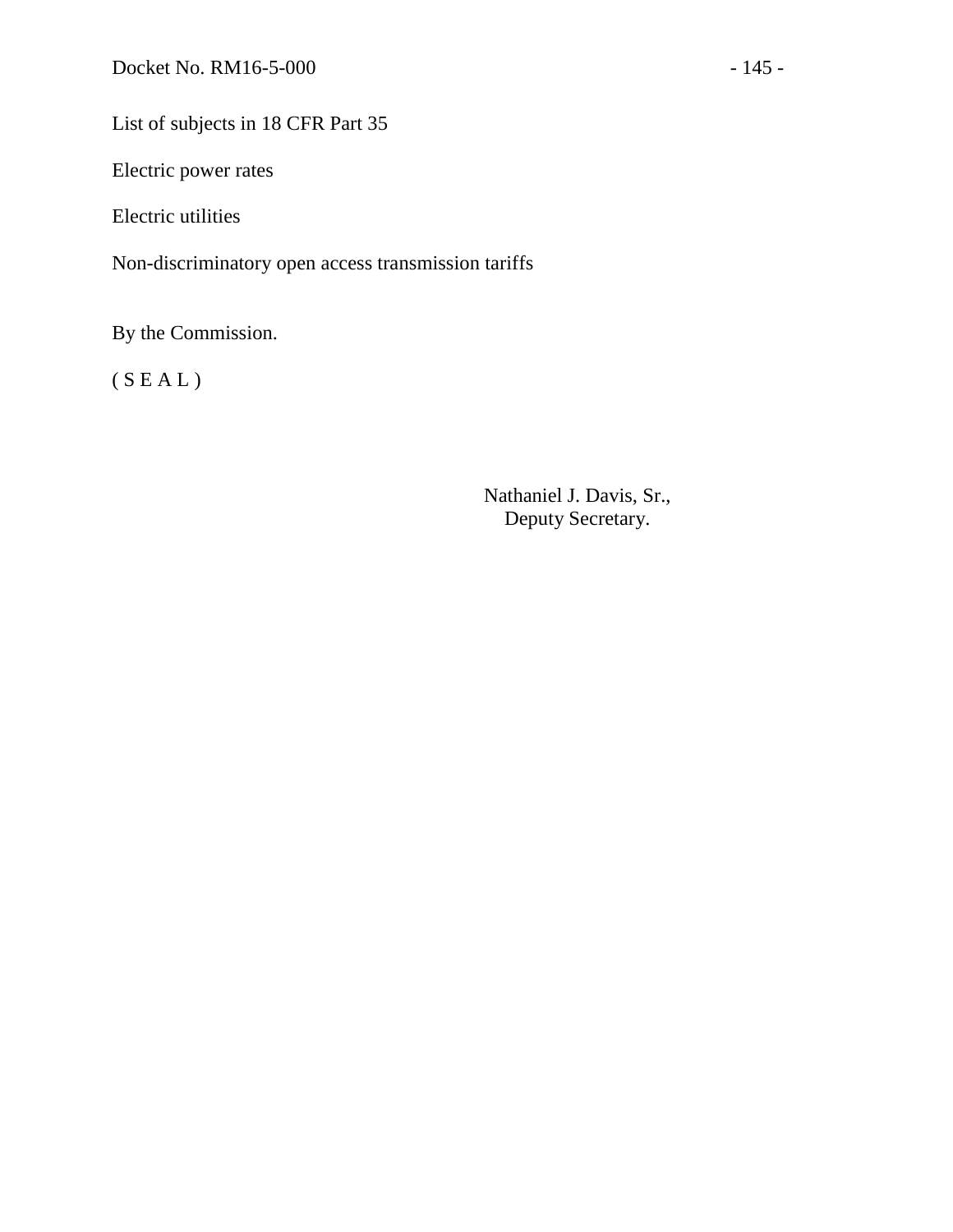List of subjects in 18 CFR Part 35

Electric power rates

Electric utilities

Non-discriminatory open access transmission tariffs

By the Commission.

 $(S E A L)$ 

Nathaniel J. Davis, Sr., Deputy Secretary.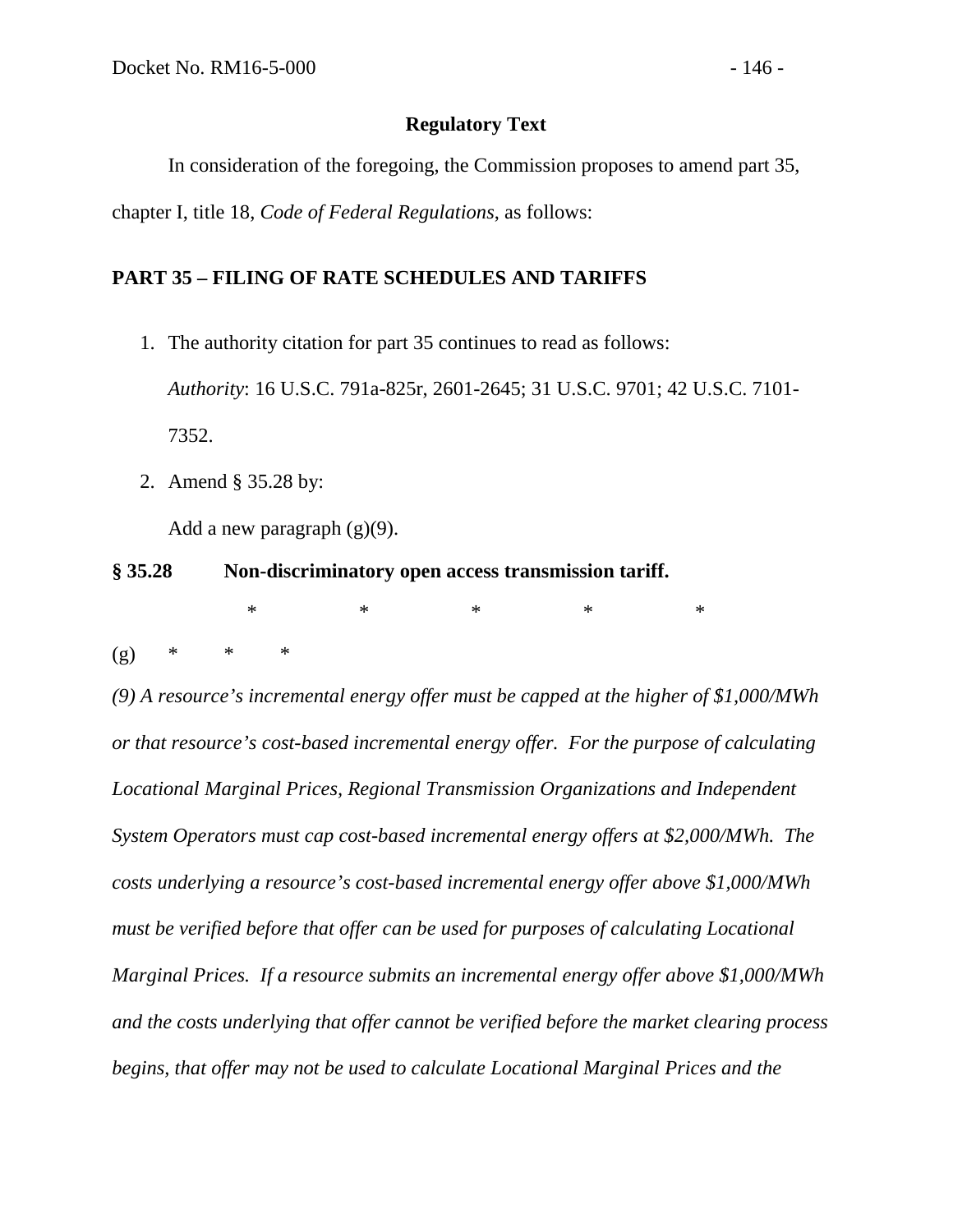## **Regulatory Text**

In consideration of the foregoing, the Commission proposes to amend part 35, chapter I, title 18, *Code of Federal Regulations*, as follows:

## **PART 35 – FILING OF RATE SCHEDULES AND TARIFFS**

1. The authority citation for part 35 continues to read as follows:

*Authority*: 16 U.S.C. 791a-825r, 2601-2645; 31 U.S.C. 9701; 42 U.S.C. 7101- 7352.

2. Amend § 35.28 by:

Add a new paragraph  $(g)(9)$ .

## **§ 35.28 Non-discriminatory open access transmission tariff.**

\* \* \* \* \* \*  $(g)$  \*

*(9) A resource's incremental energy offer must be capped at the higher of \$1,000/MWh or that resource's cost-based incremental energy offer. For the purpose of calculating Locational Marginal Prices, Regional Transmission Organizations and Independent System Operators must cap cost-based incremental energy offers at \$2,000/MWh. The costs underlying a resource's cost-based incremental energy offer above \$1,000/MWh must be verified before that offer can be used for purposes of calculating Locational Marginal Prices. If a resource submits an incremental energy offer above \$1,000/MWh and the costs underlying that offer cannot be verified before the market clearing process begins, that offer may not be used to calculate Locational Marginal Prices and the*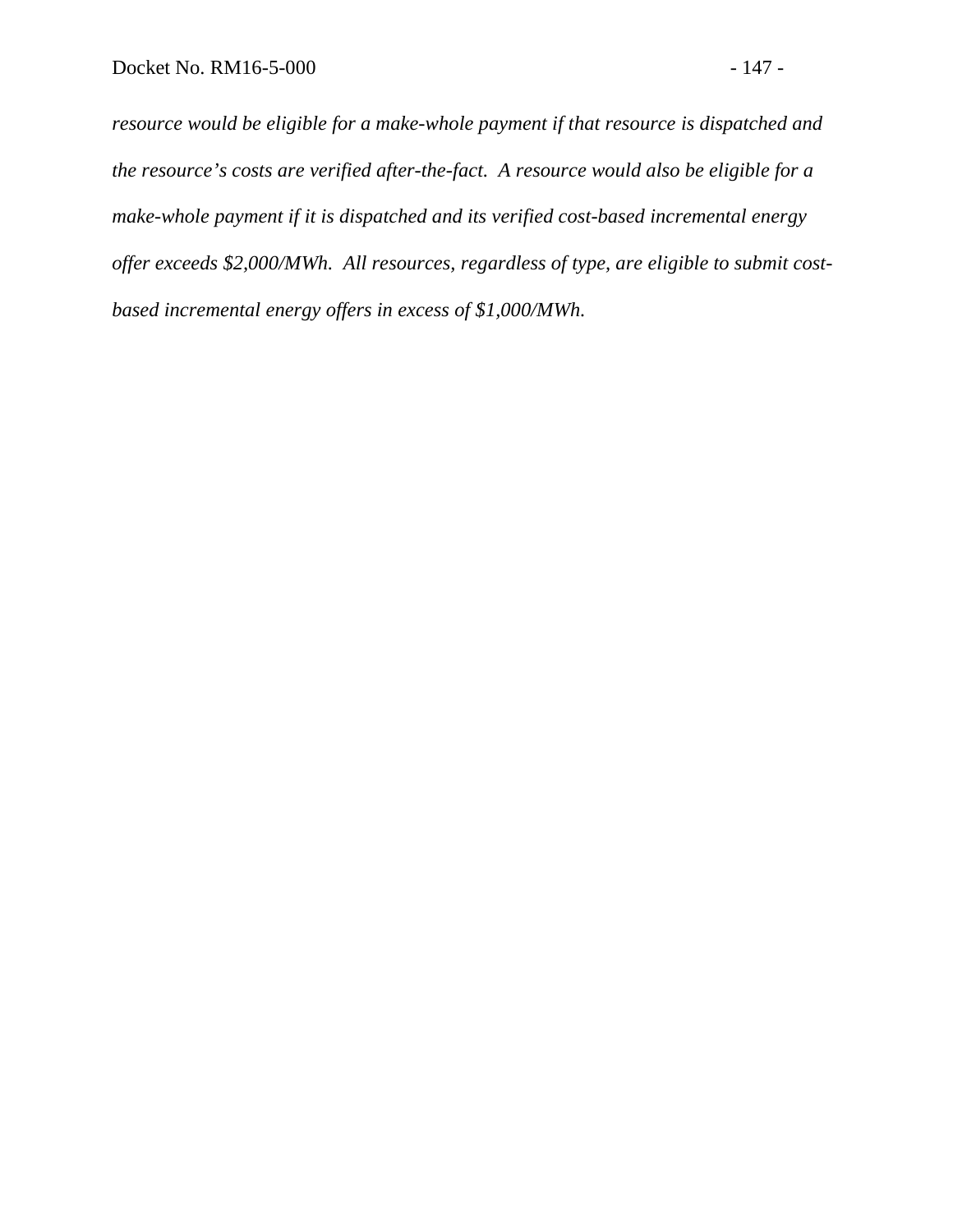*resource would be eligible for a make-whole payment if that resource is dispatched and the resource's costs are verified after-the-fact. A resource would also be eligible for a make-whole payment if it is dispatched and its verified cost-based incremental energy offer exceeds \$2,000/MWh. All resources, regardless of type, are eligible to submit costbased incremental energy offers in excess of \$1,000/MWh.*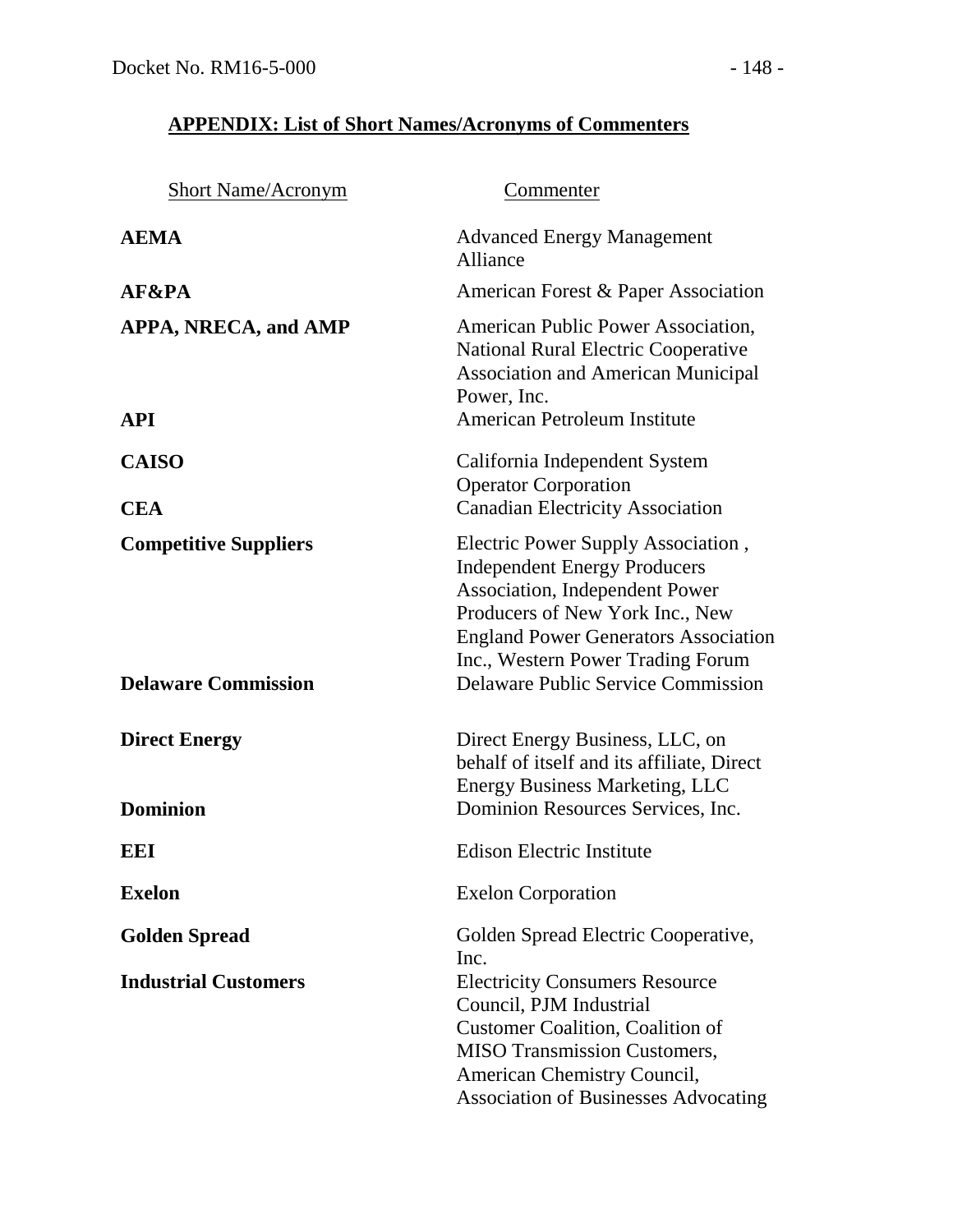# **APPENDIX: List of Short Names/Acronyms of Commenters**

| <b>Short Name/Acronym</b>                                  | Commenter                                                                                                                                                                                                                                                                              |
|------------------------------------------------------------|----------------------------------------------------------------------------------------------------------------------------------------------------------------------------------------------------------------------------------------------------------------------------------------|
| <b>AEMA</b>                                                | <b>Advanced Energy Management</b><br>Alliance                                                                                                                                                                                                                                          |
| AF&PA                                                      | American Forest & Paper Association                                                                                                                                                                                                                                                    |
| <b>APPA, NRECA, and AMP</b><br><b>API</b>                  | American Public Power Association,<br><b>National Rural Electric Cooperative</b><br><b>Association and American Municipal</b><br>Power, Inc.<br><b>American Petroleum Institute</b>                                                                                                    |
|                                                            |                                                                                                                                                                                                                                                                                        |
| <b>CAISO</b><br><b>CEA</b>                                 | California Independent System<br><b>Operator Corporation</b><br><b>Canadian Electricity Association</b>                                                                                                                                                                                |
| <b>Competitive Suppliers</b><br><b>Delaware Commission</b> | Electric Power Supply Association,<br><b>Independent Energy Producers</b><br><b>Association, Independent Power</b><br>Producers of New York Inc., New<br><b>England Power Generators Association</b><br>Inc., Western Power Trading Forum<br><b>Delaware Public Service Commission</b> |
| <b>Direct Energy</b>                                       | Direct Energy Business, LLC, on<br>behalf of itself and its affiliate, Direct                                                                                                                                                                                                          |
| <b>Dominion</b>                                            | <b>Energy Business Marketing, LLC</b><br>Dominion Resources Services, Inc.                                                                                                                                                                                                             |
| <b>EEI</b>                                                 | <b>Edison Electric Institute</b>                                                                                                                                                                                                                                                       |
| <b>Exelon</b>                                              | <b>Exelon Corporation</b>                                                                                                                                                                                                                                                              |
| <b>Golden Spread</b>                                       | Golden Spread Electric Cooperative,<br>Inc.                                                                                                                                                                                                                                            |
| <b>Industrial Customers</b>                                | <b>Electricity Consumers Resource</b><br>Council, PJM Industrial<br><b>Customer Coalition, Coalition of</b><br><b>MISO Transmission Customers,</b><br>American Chemistry Council,<br><b>Association of Businesses Advocating</b>                                                       |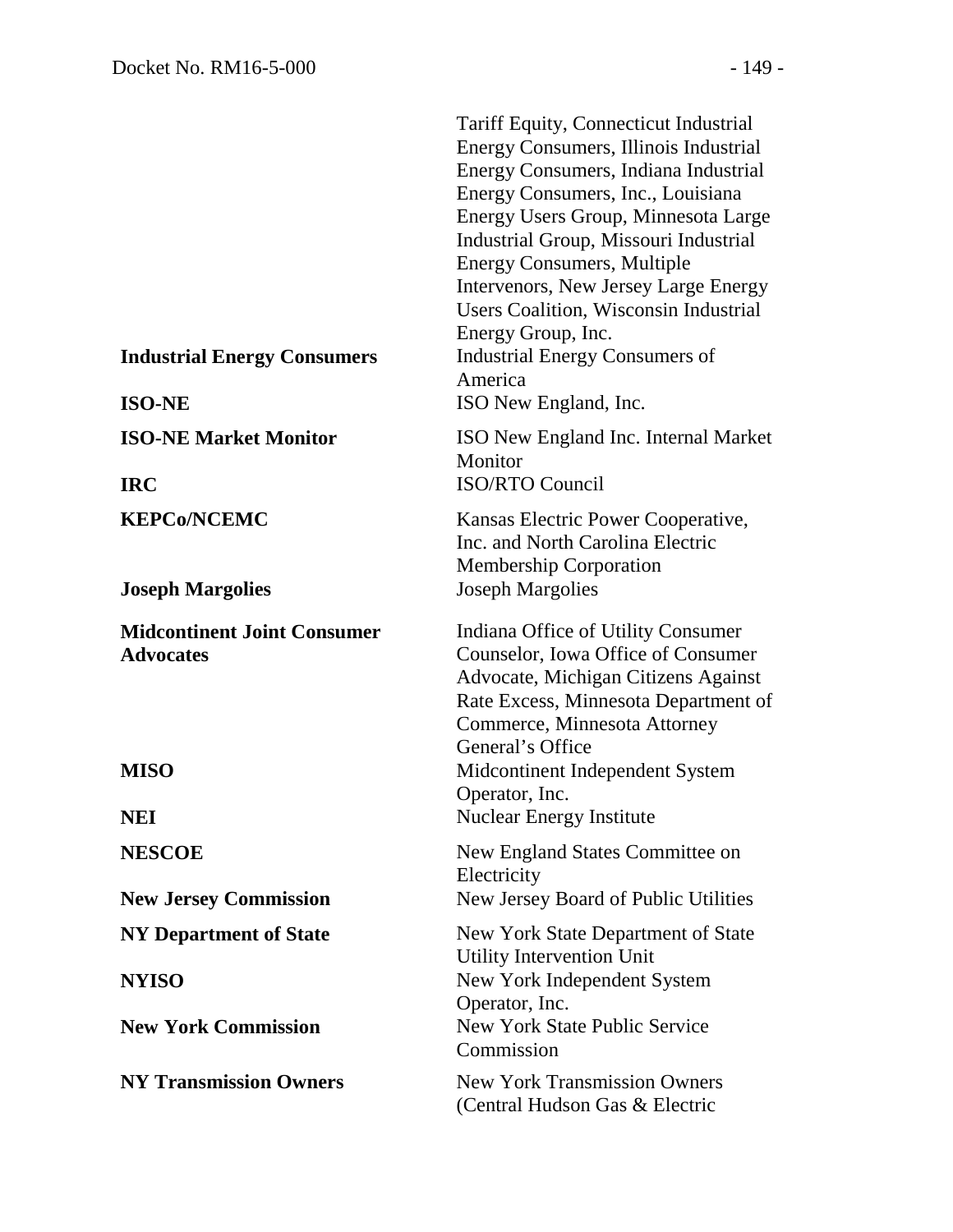| <b>Industrial Energy Consumers</b><br><b>ISO-NE</b>                                 | Tariff Equity, Connecticut Industrial<br>Energy Consumers, Illinois Industrial<br>Energy Consumers, Indiana Industrial<br>Energy Consumers, Inc., Louisiana<br>Energy Users Group, Minnesota Large<br>Industrial Group, Missouri Industrial<br><b>Energy Consumers, Multiple</b><br><b>Intervenors, New Jersey Large Energy</b><br><b>Users Coalition, Wisconsin Industrial</b><br>Energy Group, Inc.<br><b>Industrial Energy Consumers of</b><br>America<br>ISO New England, Inc. |
|-------------------------------------------------------------------------------------|------------------------------------------------------------------------------------------------------------------------------------------------------------------------------------------------------------------------------------------------------------------------------------------------------------------------------------------------------------------------------------------------------------------------------------------------------------------------------------|
| <b>ISO-NE Market Monitor</b><br><b>IRC</b>                                          | ISO New England Inc. Internal Market<br>Monitor<br><b>ISO/RTO Council</b>                                                                                                                                                                                                                                                                                                                                                                                                          |
| <b>KEPCo/NCEMC</b>                                                                  | Kansas Electric Power Cooperative,<br>Inc. and North Carolina Electric<br><b>Membership Corporation</b>                                                                                                                                                                                                                                                                                                                                                                            |
| <b>Joseph Margolies</b>                                                             | <b>Joseph Margolies</b>                                                                                                                                                                                                                                                                                                                                                                                                                                                            |
| <b>Midcontinent Joint Consumer</b><br><b>Advocates</b><br><b>MISO</b><br><b>NEI</b> | Indiana Office of Utility Consumer<br>Counselor, Iowa Office of Consumer<br>Advocate, Michigan Citizens Against<br>Rate Excess, Minnesota Department of<br>Commerce, Minnesota Attorney<br>General's Office<br>Midcontinent Independent System<br>Operator, Inc.<br><b>Nuclear Energy Institute</b>                                                                                                                                                                                |
| <b>NESCOE</b>                                                                       | New England States Committee on<br>Electricity                                                                                                                                                                                                                                                                                                                                                                                                                                     |
| <b>New Jersey Commission</b>                                                        | New Jersey Board of Public Utilities                                                                                                                                                                                                                                                                                                                                                                                                                                               |
| NY Department of State                                                              | New York State Department of State<br>Utility Intervention Unit                                                                                                                                                                                                                                                                                                                                                                                                                    |
| <b>NYISO</b><br><b>New York Commission</b>                                          | New York Independent System<br>Operator, Inc.<br><b>New York State Public Service</b>                                                                                                                                                                                                                                                                                                                                                                                              |
|                                                                                     | Commission                                                                                                                                                                                                                                                                                                                                                                                                                                                                         |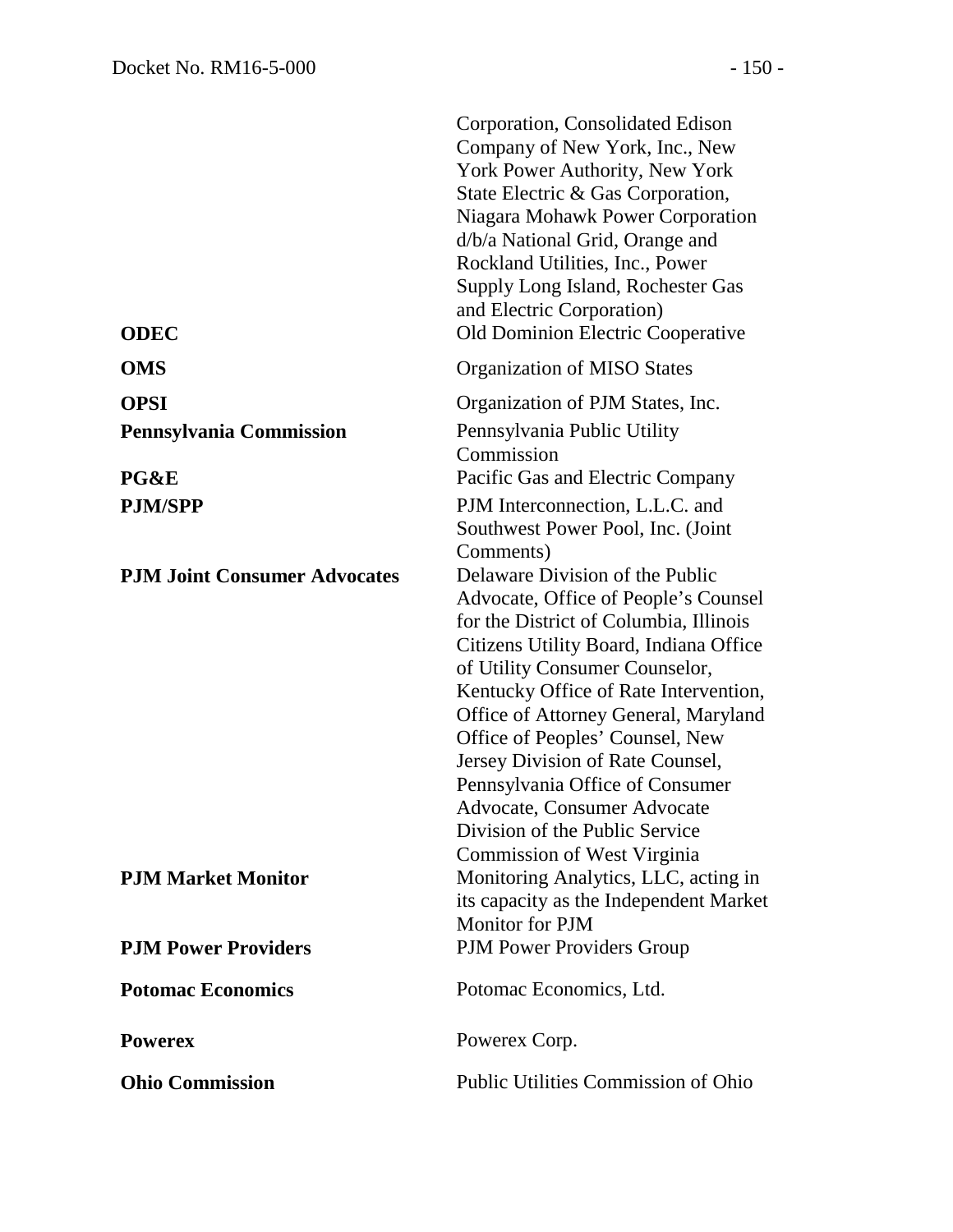| <b>ODEC</b>                         | Corporation, Consolidated Edison<br>Company of New York, Inc., New<br>York Power Authority, New York<br>State Electric & Gas Corporation,<br>Niagara Mohawk Power Corporation<br>d/b/a National Grid, Orange and<br>Rockland Utilities, Inc., Power<br>Supply Long Island, Rochester Gas<br>and Electric Corporation)<br>Old Dominion Electric Cooperative                                                                                                                                      |
|-------------------------------------|-------------------------------------------------------------------------------------------------------------------------------------------------------------------------------------------------------------------------------------------------------------------------------------------------------------------------------------------------------------------------------------------------------------------------------------------------------------------------------------------------|
| <b>OMS</b>                          | Organization of MISO States                                                                                                                                                                                                                                                                                                                                                                                                                                                                     |
| <b>OPSI</b>                         | Organization of PJM States, Inc.                                                                                                                                                                                                                                                                                                                                                                                                                                                                |
| <b>Pennsylvania Commission</b>      | Pennsylvania Public Utility<br>Commission                                                                                                                                                                                                                                                                                                                                                                                                                                                       |
| PG&E                                | Pacific Gas and Electric Company                                                                                                                                                                                                                                                                                                                                                                                                                                                                |
| <b>PJM/SPP</b>                      | PJM Interconnection, L.L.C. and<br>Southwest Power Pool, Inc. (Joint<br>Comments)                                                                                                                                                                                                                                                                                                                                                                                                               |
| <b>PJM Joint Consumer Advocates</b> | Delaware Division of the Public<br>Advocate, Office of People's Counsel<br>for the District of Columbia, Illinois<br>Citizens Utility Board, Indiana Office<br>of Utility Consumer Counselor,<br>Kentucky Office of Rate Intervention,<br>Office of Attorney General, Maryland<br>Office of Peoples' Counsel, New<br>Jersey Division of Rate Counsel,<br>Pennsylvania Office of Consumer<br>Advocate, Consumer Advocate<br>Division of the Public Service<br><b>Commission of West Virginia</b> |
| <b>PJM Market Monitor</b>           | Monitoring Analytics, LLC, acting in<br>its capacity as the Independent Market<br><b>Monitor for PJM</b>                                                                                                                                                                                                                                                                                                                                                                                        |
| <b>P.JM Power Providers</b>         | <b>PJM Power Providers Group</b>                                                                                                                                                                                                                                                                                                                                                                                                                                                                |
| <b>Potomac Economics</b>            | Potomac Economics, Ltd.                                                                                                                                                                                                                                                                                                                                                                                                                                                                         |
| <b>Powerex</b>                      | Powerex Corp.                                                                                                                                                                                                                                                                                                                                                                                                                                                                                   |
| <b>Ohio Commission</b>              | <b>Public Utilities Commission of Ohio</b>                                                                                                                                                                                                                                                                                                                                                                                                                                                      |